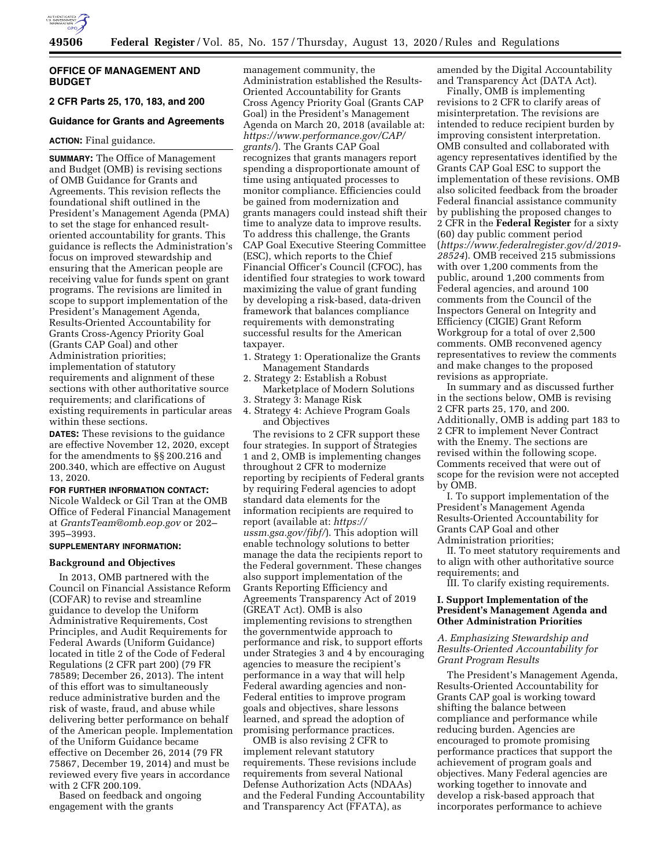

# **OFFICE OF MANAGEMENT AND BUDGET**

**2 CFR Parts 25, 170, 183, and 200** 

# **Guidance for Grants and Agreements**

### **ACTION:** Final guidance.

**SUMMARY:** The Office of Management and Budget (OMB) is revising sections of OMB Guidance for Grants and Agreements. This revision reflects the foundational shift outlined in the President's Management Agenda (PMA) to set the stage for enhanced resultoriented accountability for grants. This guidance is reflects the Administration's focus on improved stewardship and ensuring that the American people are receiving value for funds spent on grant programs. The revisions are limited in scope to support implementation of the President's Management Agenda, Results-Oriented Accountability for Grants Cross-Agency Priority Goal (Grants CAP Goal) and other Administration priorities; implementation of statutory requirements and alignment of these sections with other authoritative source requirements; and clarifications of existing requirements in particular areas within these sections.

**DATES:** These revisions to the guidance are effective November 12, 2020, except for the amendments to §§ 200.216 and 200.340, which are effective on August 13, 2020.

**FOR FURTHER INFORMATION CONTACT:**  Nicole Waldeck or Gil Tran at the OMB Office of Federal Financial Management at *GrantsTeam@omb.eop.gov* or 202– 395–3993.

# **SUPPLEMENTARY INFORMATION:**

### **Background and Objectives**

In 2013, OMB partnered with the Council on Financial Assistance Reform (COFAR) to revise and streamline guidance to develop the Uniform Administrative Requirements, Cost Principles, and Audit Requirements for Federal Awards (Uniform Guidance) located in title 2 of the Code of Federal Regulations (2 CFR part 200) (79 FR 78589; December 26, 2013). The intent of this effort was to simultaneously reduce administrative burden and the risk of waste, fraud, and abuse while delivering better performance on behalf of the American people. Implementation of the Uniform Guidance became effective on December 26, 2014 (79 FR 75867, December 19, 2014) and must be reviewed every five years in accordance with 2 CFR 200.109.

Based on feedback and ongoing engagement with the grants

management community, the Administration established the Results-Oriented Accountability for Grants Cross Agency Priority Goal (Grants CAP Goal) in the President's Management Agenda on March 20, 2018 (available at: *https://www.performance.gov/CAP/ grants/*). The Grants CAP Goal recognizes that grants managers report spending a disproportionate amount of time using antiquated processes to monitor compliance. Efficiencies could be gained from modernization and grants managers could instead shift their time to analyze data to improve results. To address this challenge, the Grants CAP Goal Executive Steering Committee (ESC), which reports to the Chief Financial Officer's Council (CFOC), has identified four strategies to work toward maximizing the value of grant funding by developing a risk-based, data-driven framework that balances compliance requirements with demonstrating successful results for the American taxpayer.

- 1. Strategy 1: Operationalize the Grants Management Standards
- 2. Strategy 2: Establish a Robust Marketplace of Modern Solutions
- 3. Strategy 3: Manage Risk
- 4. Strategy 4: Achieve Program Goals and Objectives

The revisions to 2 CFR support these four strategies. In support of Strategies 1 and 2, OMB is implementing changes throughout 2 CFR to modernize reporting by recipients of Federal grants by requiring Federal agencies to adopt standard data elements for the information recipients are required to report (available at: *https:// ussm.gsa.gov/fibf/*). This adoption will enable technology solutions to better manage the data the recipients report to the Federal government. These changes also support implementation of the Grants Reporting Efficiency and Agreements Transparency Act of 2019 (GREAT Act). OMB is also implementing revisions to strengthen the governmentwide approach to performance and risk, to support efforts under Strategies 3 and 4 by encouraging agencies to measure the recipient's performance in a way that will help Federal awarding agencies and non-Federal entities to improve program goals and objectives, share lessons learned, and spread the adoption of promising performance practices.

OMB is also revising 2 CFR to implement relevant statutory requirements. These revisions include requirements from several National Defense Authorization Acts (NDAAs) and the Federal Funding Accountability and Transparency Act (FFATA), as

amended by the Digital Accountability and Transparency Act (DATA Act).

Finally, OMB is implementing revisions to 2 CFR to clarify areas of misinterpretation. The revisions are intended to reduce recipient burden by improving consistent interpretation. OMB consulted and collaborated with agency representatives identified by the Grants CAP Goal ESC to support the implementation of these revisions. OMB also solicited feedback from the broader Federal financial assistance community by publishing the proposed changes to 2 CFR in the **Federal Register** for a sixty (60) day public comment period (*https://www.federalregister.gov/d/2019- 28524*). OMB received 215 submissions with over 1,200 comments from the public, around 1,200 comments from Federal agencies, and around 100 comments from the Council of the Inspectors General on Integrity and Efficiency (CIGIE) Grant Reform Workgroup for a total of over 2,500 comments. OMB reconvened agency representatives to review the comments and make changes to the proposed revisions as appropriate.

In summary and as discussed further in the sections below, OMB is revising 2 CFR parts 25, 170, and 200. Additionally, OMB is adding part 183 to 2 CFR to implement Never Contract with the Enemy. The sections are revised within the following scope. Comments received that were out of scope for the revision were not accepted by OMB.

I. To support implementation of the President's Management Agenda Results-Oriented Accountability for Grants CAP Goal and other Administration priorities;

II. To meet statutory requirements and to align with other authoritative source requirements; and

III. To clarify existing requirements.

# **I. Support Implementation of the President's Management Agenda and Other Administration Priorities**

# *A. Emphasizing Stewardship and Results-Oriented Accountability for Grant Program Results*

The President's Management Agenda, Results-Oriented Accountability for Grants CAP goal is working toward shifting the balance between compliance and performance while reducing burden. Agencies are encouraged to promote promising performance practices that support the achievement of program goals and objectives. Many Federal agencies are working together to innovate and develop a risk-based approach that incorporates performance to achieve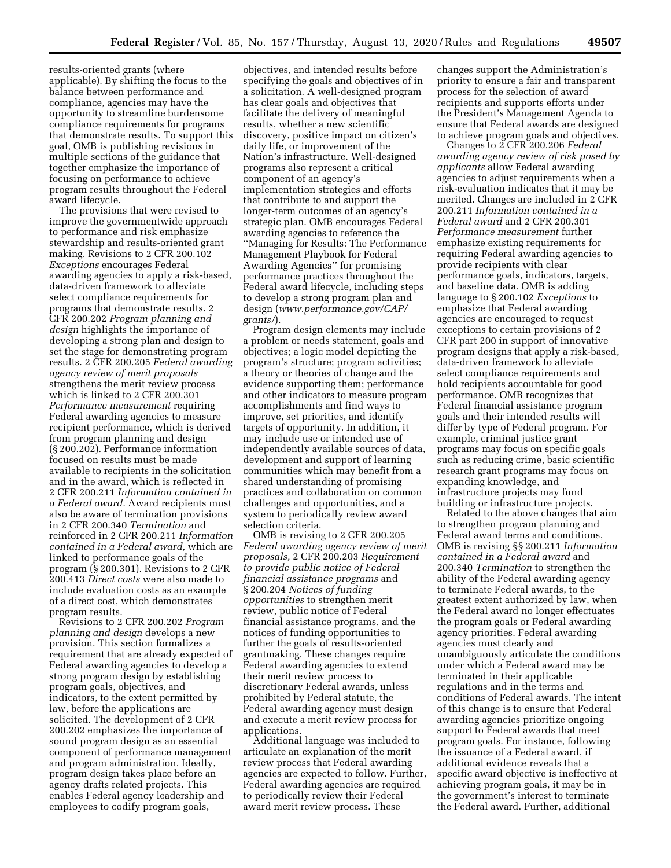results-oriented grants (where applicable). By shifting the focus to the balance between performance and compliance, agencies may have the opportunity to streamline burdensome compliance requirements for programs that demonstrate results. To support this goal, OMB is publishing revisions in multiple sections of the guidance that together emphasize the importance of focusing on performance to achieve program results throughout the Federal award lifecycle.

The provisions that were revised to improve the governmentwide approach to performance and risk emphasize stewardship and results-oriented grant making. Revisions to 2 CFR 200.102 *Exceptions* encourages Federal awarding agencies to apply a risk-based, data-driven framework to alleviate select compliance requirements for programs that demonstrate results. 2 CFR 200.202 *Program planning and design* highlights the importance of developing a strong plan and design to set the stage for demonstrating program results. 2 CFR 200.205 *Federal awarding agency review of merit proposals*  strengthens the merit review process which is linked to 2 CFR 200.301 *Performance measurement* requiring Federal awarding agencies to measure recipient performance, which is derived from program planning and design (§ 200.202). Performance information focused on results must be made available to recipients in the solicitation and in the award, which is reflected in 2 CFR 200.211 *Information contained in a Federal award.* Award recipients must also be aware of termination provisions in 2 CFR 200.340 *Termination* and reinforced in 2 CFR 200.211 *Information contained in a Federal award,* which are linked to performance goals of the program (§ 200.301). Revisions to 2 CFR 200.413 *Direct costs* were also made to include evaluation costs as an example of a direct cost, which demonstrates program results.

Revisions to 2 CFR 200.202 *Program planning and design* develops a new provision. This section formalizes a requirement that are already expected of Federal awarding agencies to develop a strong program design by establishing program goals, objectives, and indicators, to the extent permitted by law, before the applications are solicited. The development of 2 CFR 200.202 emphasizes the importance of sound program design as an essential component of performance management and program administration. Ideally, program design takes place before an agency drafts related projects. This enables Federal agency leadership and employees to codify program goals,

objectives, and intended results before specifying the goals and objectives of in a solicitation. A well-designed program has clear goals and objectives that facilitate the delivery of meaningful results, whether a new scientific discovery, positive impact on citizen's daily life, or improvement of the Nation's infrastructure. Well-designed programs also represent a critical component of an agency's implementation strategies and efforts that contribute to and support the longer-term outcomes of an agency's strategic plan. OMB encourages Federal awarding agencies to reference the ''Managing for Results: The Performance Management Playbook for Federal Awarding Agencies'' for promising performance practices throughout the Federal award lifecycle, including steps to develop a strong program plan and design (*www.performance.gov/CAP/ grants/*).

Program design elements may include a problem or needs statement, goals and objectives; a logic model depicting the program's structure; program activities; a theory or theories of change and the evidence supporting them; performance and other indicators to measure program accomplishments and find ways to improve, set priorities, and identify targets of opportunity. In addition, it may include use or intended use of independently available sources of data, development and support of learning communities which may benefit from a shared understanding of promising practices and collaboration on common challenges and opportunities, and a system to periodically review award selection criteria.

OMB is revising to 2 CFR 200.205 *Federal awarding agency review of merit proposals,* 2 CFR 200.203 *Requirement to provide public notice of Federal financial assistance programs* and § 200.204 *Notices of funding opportunities* to strengthen merit review, public notice of Federal financial assistance programs, and the notices of funding opportunities to further the goals of results-oriented grantmaking. These changes require Federal awarding agencies to extend their merit review process to discretionary Federal awards, unless prohibited by Federal statute, the Federal awarding agency must design and execute a merit review process for applications.

Additional language was included to articulate an explanation of the merit review process that Federal awarding agencies are expected to follow. Further, Federal awarding agencies are required to periodically review their Federal award merit review process. These

changes support the Administration's priority to ensure a fair and transparent process for the selection of award recipients and supports efforts under the President's Management Agenda to ensure that Federal awards are designed to achieve program goals and objectives.

Changes to 2 CFR 200.206 *Federal awarding agency review of risk posed by applicants* allow Federal awarding agencies to adjust requirements when a risk-evaluation indicates that it may be merited. Changes are included in 2 CFR 200.211 *Information contained in a Federal award* and 2 CFR 200.301 *Performance measurement* further emphasize existing requirements for requiring Federal awarding agencies to provide recipients with clear performance goals, indicators, targets, and baseline data. OMB is adding language to § 200.102 *Exceptions* to emphasize that Federal awarding agencies are encouraged to request exceptions to certain provisions of 2 CFR part 200 in support of innovative program designs that apply a risk-based, data-driven framework to alleviate select compliance requirements and hold recipients accountable for good performance. OMB recognizes that Federal financial assistance program goals and their intended results will differ by type of Federal program. For example, criminal justice grant programs may focus on specific goals such as reducing crime, basic scientific research grant programs may focus on expanding knowledge, and infrastructure projects may fund building or infrastructure projects.

Related to the above changes that aim to strengthen program planning and Federal award terms and conditions, OMB is revising §§ 200.211 *Information contained in a Federal award* and 200.340 *Termination* to strengthen the ability of the Federal awarding agency to terminate Federal awards, to the greatest extent authorized by law, when the Federal award no longer effectuates the program goals or Federal awarding agency priorities. Federal awarding agencies must clearly and unambiguously articulate the conditions under which a Federal award may be terminated in their applicable regulations and in the terms and conditions of Federal awards. The intent of this change is to ensure that Federal awarding agencies prioritize ongoing support to Federal awards that meet program goals. For instance, following the issuance of a Federal award, if additional evidence reveals that a specific award objective is ineffective at achieving program goals, it may be in the government's interest to terminate the Federal award. Further, additional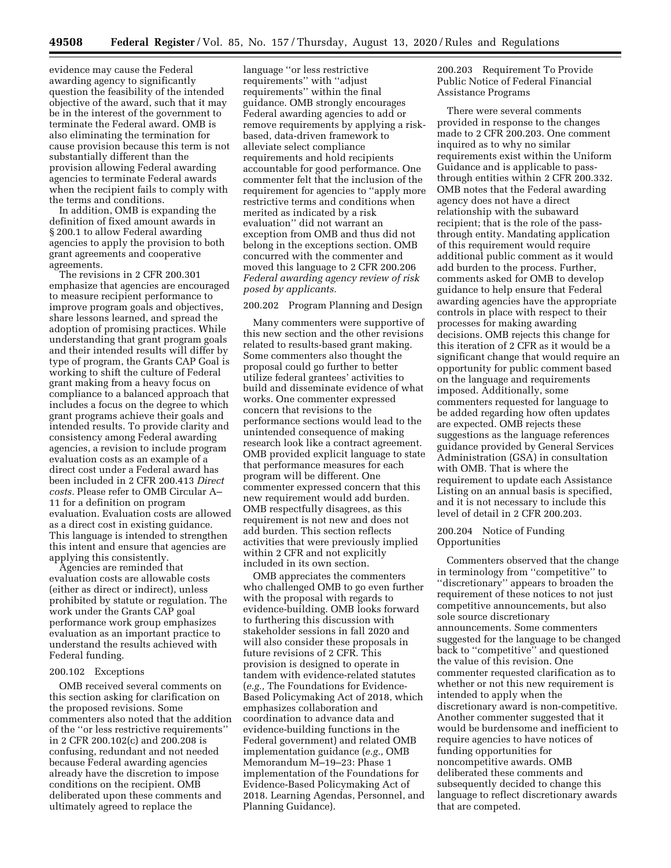evidence may cause the Federal awarding agency to significantly question the feasibility of the intended objective of the award, such that it may be in the interest of the government to terminate the Federal award. OMB is also eliminating the termination for cause provision because this term is not substantially different than the provision allowing Federal awarding agencies to terminate Federal awards when the recipient fails to comply with the terms and conditions.

In addition, OMB is expanding the definition of fixed amount awards in § 200.1 to allow Federal awarding agencies to apply the provision to both grant agreements and cooperative agreements.

The revisions in 2 CFR 200.301 emphasize that agencies are encouraged to measure recipient performance to improve program goals and objectives, share lessons learned, and spread the adoption of promising practices. While understanding that grant program goals and their intended results will differ by type of program, the Grants CAP Goal is working to shift the culture of Federal grant making from a heavy focus on compliance to a balanced approach that includes a focus on the degree to which grant programs achieve their goals and intended results. To provide clarity and consistency among Federal awarding agencies, a revision to include program evaluation costs as an example of a direct cost under a Federal award has been included in 2 CFR 200.413 *Direct costs.* Please refer to OMB Circular A– 11 for a definition on program evaluation. Evaluation costs are allowed as a direct cost in existing guidance. This language is intended to strengthen this intent and ensure that agencies are applying this consistently.

Agencies are reminded that evaluation costs are allowable costs (either as direct or indirect), unless prohibited by statute or regulation. The work under the Grants CAP goal performance work group emphasizes evaluation as an important practice to understand the results achieved with Federal funding.

### 200.102 Exceptions

OMB received several comments on this section asking for clarification on the proposed revisions. Some commenters also noted that the addition of the ''or less restrictive requirements'' in 2 CFR 200.102(c) and 200.208 is confusing, redundant and not needed because Federal awarding agencies already have the discretion to impose conditions on the recipient. OMB deliberated upon these comments and ultimately agreed to replace the

language ''or less restrictive requirements'' with ''adjust requirements'' within the final guidance. OMB strongly encourages Federal awarding agencies to add or remove requirements by applying a riskbased, data-driven framework to alleviate select compliance requirements and hold recipients accountable for good performance. One commenter felt that the inclusion of the requirement for agencies to ''apply more restrictive terms and conditions when merited as indicated by a risk evaluation'' did not warrant an exception from OMB and thus did not belong in the exceptions section. OMB concurred with the commenter and moved this language to 2 CFR 200.206 *Federal awarding agency review of risk posed by applicants.* 

### 200.202 Program Planning and Design

Many commenters were supportive of this new section and the other revisions related to results-based grant making. Some commenters also thought the proposal could go further to better utilize federal grantees' activities to build and disseminate evidence of what works. One commenter expressed concern that revisions to the performance sections would lead to the unintended consequence of making research look like a contract agreement. OMB provided explicit language to state that performance measures for each program will be different. One commenter expressed concern that this new requirement would add burden. OMB respectfully disagrees, as this requirement is not new and does not add burden. This section reflects activities that were previously implied within 2 CFR and not explicitly included in its own section.

OMB appreciates the commenters who challenged OMB to go even further with the proposal with regards to evidence-building. OMB looks forward to furthering this discussion with stakeholder sessions in fall 2020 and will also consider these proposals in future revisions of 2 CFR. This provision is designed to operate in tandem with evidence-related statutes (*e.g.,* The Foundations for Evidence-Based Policymaking Act of 2018, which emphasizes collaboration and coordination to advance data and evidence-building functions in the Federal government) and related OMB implementation guidance (*e.g.,* OMB Memorandum M–19–23: Phase 1 implementation of the Foundations for Evidence-Based Policymaking Act of 2018. Learning Agendas, Personnel, and Planning Guidance).

200.203 Requirement To Provide Public Notice of Federal Financial Assistance Programs

There were several comments provided in response to the changes made to 2 CFR 200.203. One comment inquired as to why no similar requirements exist within the Uniform Guidance and is applicable to passthrough entities within 2 CFR 200.332. OMB notes that the Federal awarding agency does not have a direct relationship with the subaward recipient; that is the role of the passthrough entity. Mandating application of this requirement would require additional public comment as it would add burden to the process. Further, comments asked for OMB to develop guidance to help ensure that Federal awarding agencies have the appropriate controls in place with respect to their processes for making awarding decisions. OMB rejects this change for this iteration of 2 CFR as it would be a significant change that would require an opportunity for public comment based on the language and requirements imposed. Additionally, some commenters requested for language to be added regarding how often updates are expected. OMB rejects these suggestions as the language references guidance provided by General Services Administration (GSA) in consultation with OMB. That is where the requirement to update each Assistance Listing on an annual basis is specified, and it is not necessary to include this level of detail in 2 CFR 200.203.

### 200.204 Notice of Funding Opportunities

Commenters observed that the change in terminology from ''competitive'' to ''discretionary'' appears to broaden the requirement of these notices to not just competitive announcements, but also sole source discretionary announcements. Some commenters suggested for the language to be changed back to ''competitive'' and questioned the value of this revision. One commenter requested clarification as to whether or not this new requirement is intended to apply when the discretionary award is non-competitive. Another commenter suggested that it would be burdensome and inefficient to require agencies to have notices of funding opportunities for noncompetitive awards. OMB deliberated these comments and subsequently decided to change this language to reflect discretionary awards that are competed.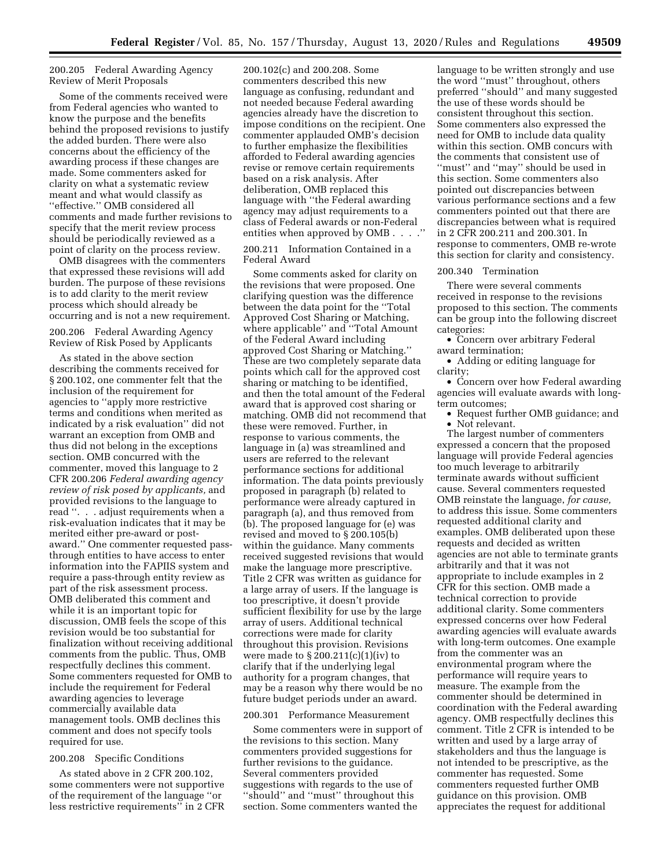# 200.205 Federal Awarding Agency Review of Merit Proposals

Some of the comments received were from Federal agencies who wanted to know the purpose and the benefits behind the proposed revisions to justify the added burden. There were also concerns about the efficiency of the awarding process if these changes are made. Some commenters asked for clarity on what a systematic review meant and what would classify as ''effective.'' OMB considered all comments and made further revisions to specify that the merit review process should be periodically reviewed as a point of clarity on the process review.

OMB disagrees with the commenters that expressed these revisions will add burden. The purpose of these revisions is to add clarity to the merit review process which should already be occurring and is not a new requirement.

# 200.206 Federal Awarding Agency Review of Risk Posed by Applicants

As stated in the above section describing the comments received for § 200.102, one commenter felt that the inclusion of the requirement for agencies to ''apply more restrictive terms and conditions when merited as indicated by a risk evaluation'' did not warrant an exception from OMB and thus did not belong in the exceptions section. OMB concurred with the commenter, moved this language to 2 CFR 200.206 *Federal awarding agency review of risk posed by applicants,* and provided revisions to the language to read ''. . . adjust requirements when a risk-evaluation indicates that it may be merited either pre-award or postaward.'' One commenter requested passthrough entities to have access to enter information into the FAPIIS system and require a pass-through entity review as part of the risk assessment process. OMB deliberated this comment and while it is an important topic for discussion, OMB feels the scope of this revision would be too substantial for finalization without receiving additional comments from the public. Thus, OMB respectfully declines this comment. Some commenters requested for OMB to include the requirement for Federal awarding agencies to leverage commercially available data management tools. OMB declines this comment and does not specify tools required for use.

# 200.208 Specific Conditions

As stated above in 2 CFR 200.102, some commenters were not supportive of the requirement of the language ''or less restrictive requirements'' in 2 CFR 200.102(c) and 200.208. Some commenters described this new language as confusing, redundant and not needed because Federal awarding agencies already have the discretion to impose conditions on the recipient. One commenter applauded OMB's decision to further emphasize the flexibilities afforded to Federal awarding agencies revise or remove certain requirements based on a risk analysis. After deliberation, OMB replaced this language with ''the Federal awarding agency may adjust requirements to a class of Federal awards or non-Federal entities when approved by OMB . . . .''

200.211 Information Contained in a Federal Award

Some comments asked for clarity on the revisions that were proposed. One clarifying question was the difference between the data point for the ''Total Approved Cost Sharing or Matching, where applicable" and "Total Amount of the Federal Award including approved Cost Sharing or Matching.'' These are two completely separate data points which call for the approved cost sharing or matching to be identified, and then the total amount of the Federal award that is approved cost sharing or matching. OMB did not recommend that these were removed. Further, in response to various comments, the language in (a) was streamlined and users are referred to the relevant performance sections for additional information. The data points previously proposed in paragraph (b) related to performance were already captured in paragraph (a), and thus removed from (b). The proposed language for (e) was revised and moved to § 200.105(b) within the guidance. Many comments received suggested revisions that would make the language more prescriptive. Title 2 CFR was written as guidance for a large array of users. If the language is too prescriptive, it doesn't provide sufficient flexibility for use by the large array of users. Additional technical corrections were made for clarity throughout this provision. Revisions were made to  $\S 200.211(c)(1)(iv)$  to clarify that if the underlying legal authority for a program changes, that may be a reason why there would be no future budget periods under an award.

# 200.301 Performance Measurement

Some commenters were in support of the revisions to this section. Many commenters provided suggestions for further revisions to the guidance. Several commenters provided suggestions with regards to the use of ''should'' and ''must'' throughout this section. Some commenters wanted the

language to be written strongly and use the word ''must'' throughout, others preferred ''should'' and many suggested the use of these words should be consistent throughout this section. Some commenters also expressed the need for OMB to include data quality within this section. OMB concurs with the comments that consistent use of "must" and "may" should be used in this section. Some commenters also pointed out discrepancies between various performance sections and a few commenters pointed out that there are discrepancies between what is required in 2 CFR 200.211 and 200.301. In response to commenters, OMB re-wrote this section for clarity and consistency.

# 200.340 Termination

There were several comments received in response to the revisions proposed to this section. The comments can be group into the following discreet categories:

• Concern over arbitrary Federal award termination;

• Adding or editing language for clarity;

• Concern over how Federal awarding agencies will evaluate awards with longterm outcomes;

• Request further OMB guidance; and • Not relevant.

The largest number of commenters expressed a concern that the proposed language will provide Federal agencies too much leverage to arbitrarily terminate awards without sufficient cause. Several commenters requested OMB reinstate the language, *for cause,*  to address this issue. Some commenters requested additional clarity and examples. OMB deliberated upon these requests and decided as written agencies are not able to terminate grants arbitrarily and that it was not appropriate to include examples in 2 CFR for this section. OMB made a technical correction to provide additional clarity. Some commenters expressed concerns over how Federal awarding agencies will evaluate awards with long-term outcomes. One example from the commenter was an environmental program where the performance will require years to measure. The example from the commenter should be determined in coordination with the Federal awarding agency. OMB respectfully declines this comment. Title 2 CFR is intended to be written and used by a large array of stakeholders and thus the language is not intended to be prescriptive, as the commenter has requested. Some commenters requested further OMB guidance on this provision. OMB appreciates the request for additional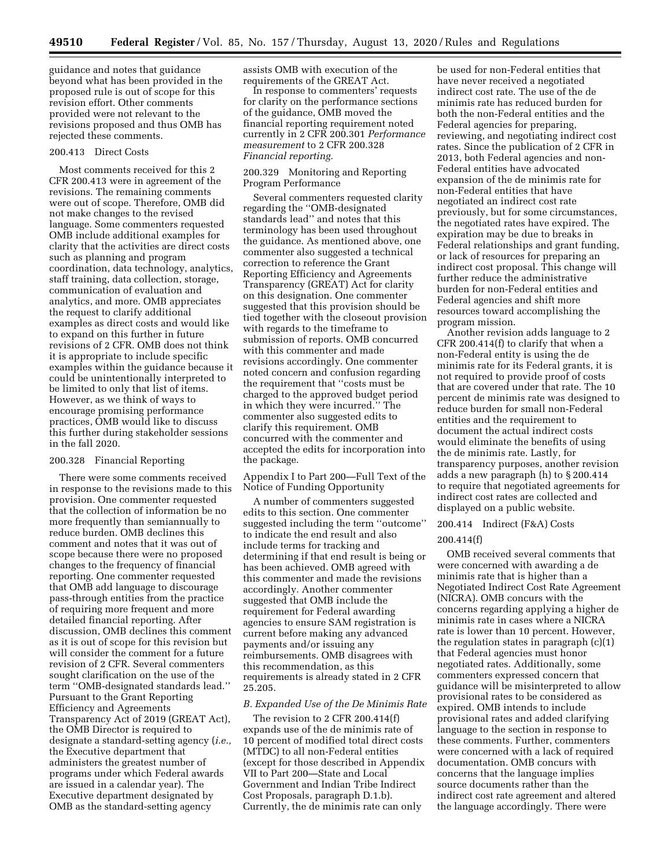guidance and notes that guidance beyond what has been provided in the proposed rule is out of scope for this revision effort. Other comments provided were not relevant to the revisions proposed and thus OMB has rejected these comments.

### 200.413 Direct Costs

Most comments received for this 2 CFR 200.413 were in agreement of the revisions. The remaining comments were out of scope. Therefore, OMB did not make changes to the revised language. Some commenters requested OMB include additional examples for clarity that the activities are direct costs such as planning and program coordination, data technology, analytics, staff training, data collection, storage, communication of evaluation and analytics, and more. OMB appreciates the request to clarify additional examples as direct costs and would like to expand on this further in future revisions of 2 CFR. OMB does not think it is appropriate to include specific examples within the guidance because it could be unintentionally interpreted to be limited to only that list of items. However, as we think of ways to encourage promising performance practices, OMB would like to discuss this further during stakeholder sessions in the fall 2020.

### 200.328 Financial Reporting

There were some comments received in response to the revisions made to this provision. One commenter requested that the collection of information be no more frequently than semiannually to reduce burden. OMB declines this comment and notes that it was out of scope because there were no proposed changes to the frequency of financial reporting. One commenter requested that OMB add language to discourage pass-through entities from the practice of requiring more frequent and more detailed financial reporting. After discussion, OMB declines this comment as it is out of scope for this revision but will consider the comment for a future revision of 2 CFR. Several commenters sought clarification on the use of the term ''OMB-designated standards lead.'' Pursuant to the Grant Reporting Efficiency and Agreements Transparency Act of 2019 (GREAT Act), the OMB Director is required to designate a standard-setting agency (*i.e.,*  the Executive department that administers the greatest number of programs under which Federal awards are issued in a calendar year). The Executive department designated by OMB as the standard-setting agency

assists OMB with execution of the requirements of the GREAT Act.

In response to commenters' requests for clarity on the performance sections of the guidance, OMB moved the financial reporting requirement noted currently in 2 CFR 200.301 *Performance measurement* to 2 CFR 200.328 *Financial reporting.* 

# 200.329 Monitoring and Reporting Program Performance

Several commenters requested clarity regarding the ''OMB-designated standards lead'' and notes that this terminology has been used throughout the guidance. As mentioned above, one commenter also suggested a technical correction to reference the Grant Reporting Efficiency and Agreements Transparency (GREAT) Act for clarity on this designation. One commenter suggested that this provision should be tied together with the closeout provision with regards to the timeframe to submission of reports. OMB concurred with this commenter and made revisions accordingly. One commenter noted concern and confusion regarding the requirement that ''costs must be charged to the approved budget period in which they were incurred.'' The commenter also suggested edits to clarify this requirement. OMB concurred with the commenter and accepted the edits for incorporation into the package.

Appendix I to Part 200—Full Text of the Notice of Funding Opportunity

A number of commenters suggested edits to this section. One commenter suggested including the term ''outcome'' to indicate the end result and also include terms for tracking and determining if that end result is being or has been achieved. OMB agreed with this commenter and made the revisions accordingly. Another commenter suggested that OMB include the requirement for Federal awarding agencies to ensure SAM registration is current before making any advanced payments and/or issuing any reimbursements. OMB disagrees with this recommendation, as this requirements is already stated in 2 CFR 25.205.

### *B. Expanded Use of the De Minimis Rate*

The revision to 2 CFR 200.414(f) expands use of the de minimis rate of 10 percent of modified total direct costs (MTDC) to all non-Federal entities (except for those described in Appendix VII to Part 200—State and Local Government and Indian Tribe Indirect Cost Proposals, paragraph D.1.b). Currently, the de minimis rate can only

be used for non-Federal entities that have never received a negotiated indirect cost rate. The use of the de minimis rate has reduced burden for both the non-Federal entities and the Federal agencies for preparing, reviewing, and negotiating indirect cost rates. Since the publication of 2 CFR in 2013, both Federal agencies and non-Federal entities have advocated expansion of the de minimis rate for non-Federal entities that have negotiated an indirect cost rate previously, but for some circumstances, the negotiated rates have expired. The expiration may be due to breaks in Federal relationships and grant funding, or lack of resources for preparing an indirect cost proposal. This change will further reduce the administrative burden for non-Federal entities and Federal agencies and shift more resources toward accomplishing the program mission.

Another revision adds language to 2 CFR 200.414(f) to clarify that when a non-Federal entity is using the de minimis rate for its Federal grants, it is not required to provide proof of costs that are covered under that rate. The 10 percent de minimis rate was designed to reduce burden for small non-Federal entities and the requirement to document the actual indirect costs would eliminate the benefits of using the de minimis rate. Lastly, for transparency purposes, another revision adds a new paragraph (h) to § 200.414 to require that negotiated agreements for indirect cost rates are collected and displayed on a public website.

# 200.414 Indirect (F&A) Costs

# 200.414(f)

OMB received several comments that were concerned with awarding a de minimis rate that is higher than a Negotiated Indirect Cost Rate Agreement (NICRA). OMB concurs with the concerns regarding applying a higher de minimis rate in cases where a NICRA rate is lower than 10 percent. However, the regulation states in paragraph (c)(1) that Federal agencies must honor negotiated rates. Additionally, some commenters expressed concern that guidance will be misinterpreted to allow provisional rates to be considered as expired. OMB intends to include provisional rates and added clarifying language to the section in response to these comments. Further, commenters were concerned with a lack of required documentation. OMB concurs with concerns that the language implies source documents rather than the indirect cost rate agreement and altered the language accordingly. There were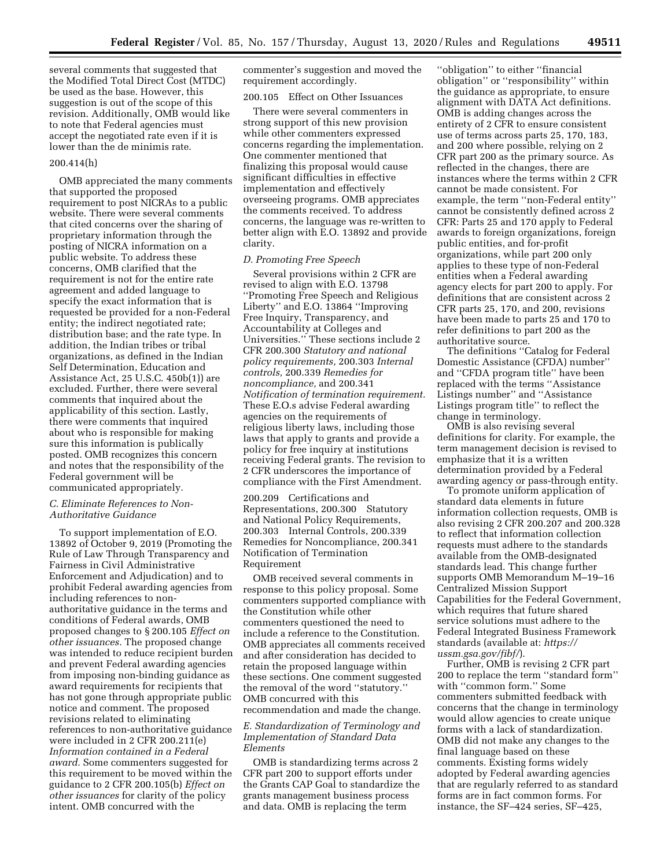several comments that suggested that the Modified Total Direct Cost (MTDC) be used as the base. However, this suggestion is out of the scope of this revision. Additionally, OMB would like to note that Federal agencies must accept the negotiated rate even if it is lower than the de minimis rate.

### 200.414(h)

OMB appreciated the many comments that supported the proposed requirement to post NICRAs to a public website. There were several comments that cited concerns over the sharing of proprietary information through the posting of NICRA information on a public website. To address these concerns, OMB clarified that the requirement is not for the entire rate agreement and added language to specify the exact information that is requested be provided for a non-Federal entity; the indirect negotiated rate; distribution base; and the rate type. In addition, the Indian tribes or tribal organizations, as defined in the Indian Self Determination, Education and Assistance Act, 25 U.S.C. 450b(1)) are excluded. Further, there were several comments that inquired about the applicability of this section. Lastly, there were comments that inquired about who is responsible for making sure this information is publically posted. OMB recognizes this concern and notes that the responsibility of the Federal government will be communicated appropriately.

# *C. Eliminate References to Non-Authoritative Guidance*

To support implementation of E.O. 13892 of October 9, 2019 (Promoting the Rule of Law Through Transparency and Fairness in Civil Administrative Enforcement and Adjudication) and to prohibit Federal awarding agencies from including references to nonauthoritative guidance in the terms and conditions of Federal awards, OMB proposed changes to § 200.105 *Effect on other issuances.* The proposed change was intended to reduce recipient burden and prevent Federal awarding agencies from imposing non-binding guidance as award requirements for recipients that has not gone through appropriate public notice and comment. The proposed revisions related to eliminating references to non-authoritative guidance were included in 2 CFR 200.211(e) *Information contained in a Federal award.* Some commenters suggested for this requirement to be moved within the guidance to 2 CFR 200.105(b) *Effect on other issuances* for clarity of the policy intent. OMB concurred with the

commenter's suggestion and moved the requirement accordingly.

# 200.105 Effect on Other Issuances

There were several commenters in strong support of this new provision while other commenters expressed concerns regarding the implementation. One commenter mentioned that finalizing this proposal would cause significant difficulties in effective implementation and effectively overseeing programs. OMB appreciates the comments received. To address concerns, the language was re-written to better align with E.O. 13892 and provide clarity.

# *D. Promoting Free Speech*

Several provisions within 2 CFR are revised to align with E.O. 13798 ''Promoting Free Speech and Religious Liberty'' and E.O. 13864 ''Improving Free Inquiry, Transparency, and Accountability at Colleges and Universities.'' These sections include 2 CFR 200.300 *Statutory and national policy requirements,* 200.303 *Internal controls,* 200.339 *Remedies for noncompliance,* and 200.341 *Notification of termination requirement.*  These E.O.s advise Federal awarding agencies on the requirements of religious liberty laws, including those laws that apply to grants and provide a policy for free inquiry at institutions receiving Federal grants. The revision to 2 CFR underscores the importance of compliance with the First Amendment.

200.209 Certifications and Representations, 200.300 Statutory and National Policy Requirements, 200.303 Internal Controls, 200.339 Remedies for Noncompliance, 200.341 Notification of Termination Requirement

OMB received several comments in response to this policy proposal. Some commenters supported compliance with the Constitution while other commenters questioned the need to include a reference to the Constitution. OMB appreciates all comments received and after consideration has decided to retain the proposed language within these sections. One comment suggested the removal of the word ''statutory.'' OMB concurred with this recommendation and made the change.

# *E. Standardization of Terminology and Implementation of Standard Data Elements*

OMB is standardizing terms across 2 CFR part 200 to support efforts under the Grants CAP Goal to standardize the grants management business process and data. OMB is replacing the term

''obligation'' to either ''financial obligation'' or ''responsibility'' within the guidance as appropriate, to ensure alignment with DATA Act definitions. OMB is adding changes across the entirety of 2 CFR to ensure consistent use of terms across parts 25, 170, 183, and 200 where possible, relying on 2 CFR part 200 as the primary source. As reflected in the changes, there are instances where the terms within 2 CFR cannot be made consistent. For example, the term ''non-Federal entity'' cannot be consistently defined across 2 CFR: Parts 25 and 170 apply to Federal awards to foreign organizations, foreign public entities, and for-profit organizations, while part 200 only applies to these type of non-Federal entities when a Federal awarding agency elects for part 200 to apply. For definitions that are consistent across 2 CFR parts 25, 170, and 200, revisions have been made to parts 25 and 170 to refer definitions to part 200 as the authoritative source.

The definitions ''Catalog for Federal Domestic Assistance (CFDA) number'' and ''CFDA program title'' have been replaced with the terms ''Assistance Listings number'' and ''Assistance Listings program title'' to reflect the change in terminology.

OMB is also revising several definitions for clarity. For example, the term management decision is revised to emphasize that it is a written determination provided by a Federal awarding agency or pass-through entity.

To promote uniform application of standard data elements in future information collection requests, OMB is also revising 2 CFR 200.207 and 200.328 to reflect that information collection requests must adhere to the standards available from the OMB-designated standards lead. This change further supports OMB Memorandum M–19–16 Centralized Mission Support Capabilities for the Federal Government, which requires that future shared service solutions must adhere to the Federal Integrated Business Framework standards (available at: *https:// ussm.gsa.gov/fibf/*).

Further, OMB is revising 2 CFR part 200 to replace the term ''standard form'' with ''common form.'' Some commenters submitted feedback with concerns that the change in terminology would allow agencies to create unique forms with a lack of standardization. OMB did not make any changes to the final language based on these comments. Existing forms widely adopted by Federal awarding agencies that are regularly referred to as standard forms are in fact common forms. For instance, the SF–424 series, SF–425,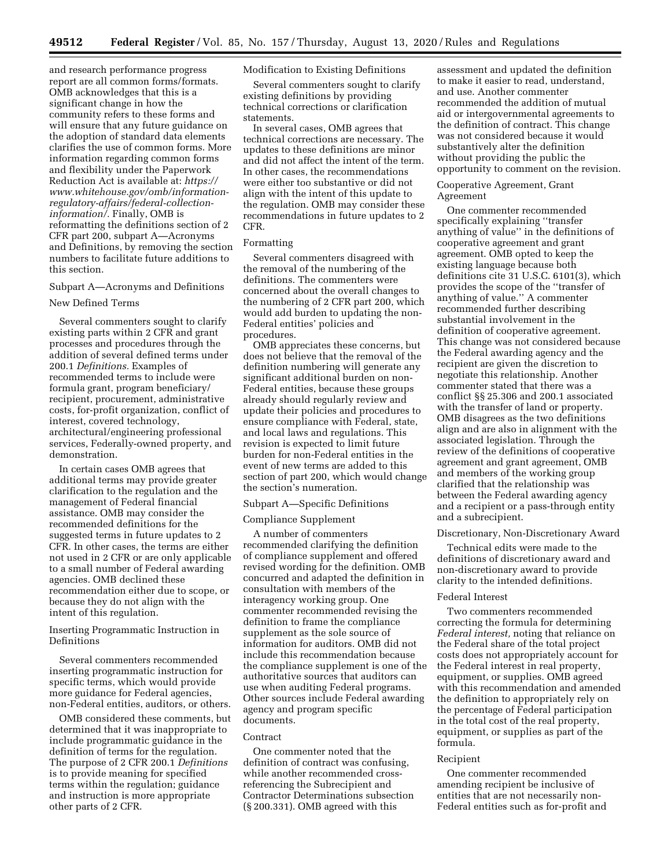and research performance progress report are all common forms/formats. OMB acknowledges that this is a significant change in how the community refers to these forms and will ensure that any future guidance on the adoption of standard data elements clarifies the use of common forms. More information regarding common forms and flexibility under the Paperwork Reduction Act is available at: *https:// www.whitehouse.gov/omb/informationregulatory-affairs/federal-collectioninformation/.* Finally, OMB is reformatting the definitions section of 2 CFR part 200, subpart A—Acronyms and Definitions, by removing the section numbers to facilitate future additions to this section.

Subpart A—Acronyms and Definitions New Defined Terms

Several commenters sought to clarify existing parts within 2 CFR and grant processes and procedures through the addition of several defined terms under 200.1 *Definitions.* Examples of recommended terms to include were formula grant, program beneficiary/ recipient, procurement, administrative costs, for-profit organization, conflict of interest, covered technology, architectural/engineering professional services, Federally-owned property, and demonstration.

In certain cases OMB agrees that additional terms may provide greater clarification to the regulation and the management of Federal financial assistance. OMB may consider the recommended definitions for the suggested terms in future updates to 2 CFR. In other cases, the terms are either not used in 2 CFR or are only applicable to a small number of Federal awarding agencies. OMB declined these recommendation either due to scope, or because they do not align with the intent of this regulation.

Inserting Programmatic Instruction in Definitions

Several commenters recommended inserting programmatic instruction for specific terms, which would provide more guidance for Federal agencies, non-Federal entities, auditors, or others.

OMB considered these comments, but determined that it was inappropriate to include programmatic guidance in the definition of terms for the regulation. The purpose of 2 CFR 200.1 *Definitions*  is to provide meaning for specified terms within the regulation; guidance and instruction is more appropriate other parts of 2 CFR.

# Modification to Existing Definitions

Several commenters sought to clarify existing definitions by providing technical corrections or clarification statements.

In several cases, OMB agrees that technical corrections are necessary. The updates to these definitions are minor and did not affect the intent of the term. In other cases, the recommendations were either too substantive or did not align with the intent of this update to the regulation. OMB may consider these recommendations in future updates to 2 CFR.

# Formatting

Several commenters disagreed with the removal of the numbering of the definitions. The commenters were concerned about the overall changes to the numbering of 2 CFR part 200, which would add burden to updating the non-Federal entities' policies and procedures.

OMB appreciates these concerns, but does not believe that the removal of the definition numbering will generate any significant additional burden on non-Federal entities, because these groups already should regularly review and update their policies and procedures to ensure compliance with Federal, state, and local laws and regulations. This revision is expected to limit future burden for non-Federal entities in the event of new terms are added to this section of part 200, which would change the section's numeration.

# Subpart A—Specific Definitions

### Compliance Supplement

A number of commenters recommended clarifying the definition of compliance supplement and offered revised wording for the definition. OMB concurred and adapted the definition in consultation with members of the interagency working group. One commenter recommended revising the definition to frame the compliance supplement as the sole source of information for auditors. OMB did not include this recommendation because the compliance supplement is one of the authoritative sources that auditors can use when auditing Federal programs. Other sources include Federal awarding agency and program specific documents.

### **Contract**

One commenter noted that the definition of contract was confusing, while another recommended crossreferencing the Subrecipient and Contractor Determinations subsection (§ 200.331). OMB agreed with this

assessment and updated the definition to make it easier to read, understand, and use. Another commenter recommended the addition of mutual aid or intergovernmental agreements to the definition of contract. This change was not considered because it would substantively alter the definition without providing the public the opportunity to comment on the revision.

# Cooperative Agreement, Grant Agreement

One commenter recommended specifically explaining ''transfer anything of value'' in the definitions of cooperative agreement and grant agreement. OMB opted to keep the existing language because both definitions cite 31 U.S.C. 6101(3), which provides the scope of the ''transfer of anything of value.'' A commenter recommended further describing substantial involvement in the definition of cooperative agreement. This change was not considered because the Federal awarding agency and the recipient are given the discretion to negotiate this relationship. Another commenter stated that there was a conflict §§ 25.306 and 200.1 associated with the transfer of land or property. OMB disagrees as the two definitions align and are also in alignment with the associated legislation. Through the review of the definitions of cooperative agreement and grant agreement, OMB and members of the working group clarified that the relationship was between the Federal awarding agency and a recipient or a pass-through entity and a subrecipient.

### Discretionary, Non-Discretionary Award

Technical edits were made to the definitions of discretionary award and non-discretionary award to provide clarity to the intended definitions.

### Federal Interest

Two commenters recommended correcting the formula for determining *Federal interest,* noting that reliance on the Federal share of the total project costs does not appropriately account for the Federal interest in real property, equipment, or supplies. OMB agreed with this recommendation and amended the definition to appropriately rely on the percentage of Federal participation in the total cost of the real property, equipment, or supplies as part of the formula.

### Recipient

One commenter recommended amending recipient be inclusive of entities that are not necessarily non-Federal entities such as for-profit and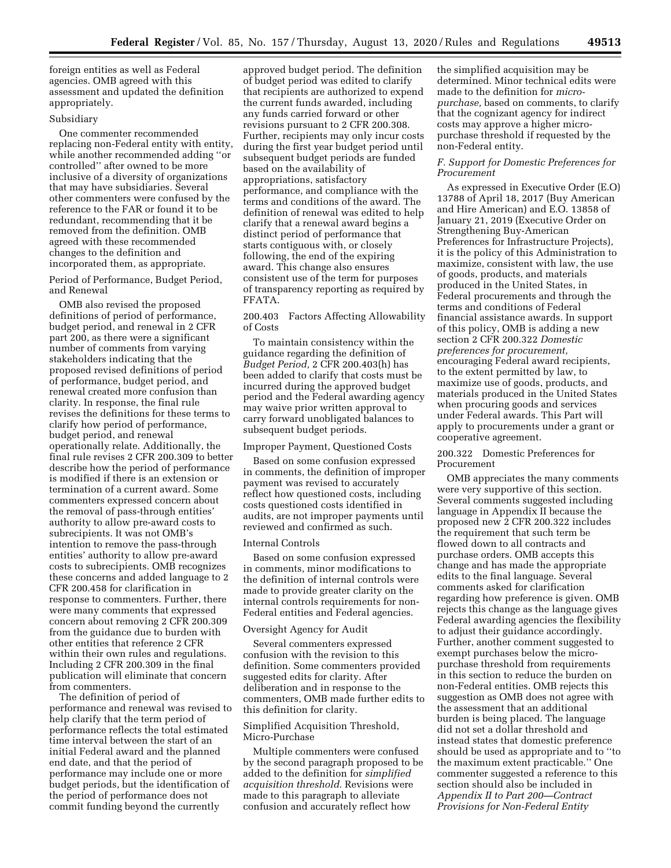foreign entities as well as Federal agencies. OMB agreed with this assessment and updated the definition appropriately.

# Subsidiary

One commenter recommended replacing non-Federal entity with entity, while another recommended adding ''or controlled'' after owned to be more inclusive of a diversity of organizations that may have subsidiaries. Several other commenters were confused by the reference to the FAR or found it to be redundant, recommending that it be removed from the definition. OMB agreed with these recommended changes to the definition and incorporated them, as appropriate.

Period of Performance, Budget Period, and Renewal

OMB also revised the proposed definitions of period of performance, budget period, and renewal in 2 CFR part 200, as there were a significant number of comments from varying stakeholders indicating that the proposed revised definitions of period of performance, budget period, and renewal created more confusion than clarity. In response, the final rule revises the definitions for these terms to clarify how period of performance, budget period, and renewal operationally relate. Additionally, the final rule revises 2 CFR 200.309 to better describe how the period of performance is modified if there is an extension or termination of a current award. Some commenters expressed concern about the removal of pass-through entities' authority to allow pre-award costs to subrecipients. It was not OMB's intention to remove the pass-through entities' authority to allow pre-award costs to subrecipients. OMB recognizes these concerns and added language to 2 CFR 200.458 for clarification in response to commenters. Further, there were many comments that expressed concern about removing 2 CFR 200.309 from the guidance due to burden with other entities that reference 2 CFR within their own rules and regulations. Including 2 CFR 200.309 in the final publication will eliminate that concern from commenters.

The definition of period of performance and renewal was revised to help clarify that the term period of performance reflects the total estimated time interval between the start of an initial Federal award and the planned end date, and that the period of performance may include one or more budget periods, but the identification of the period of performance does not commit funding beyond the currently

approved budget period. The definition of budget period was edited to clarify that recipients are authorized to expend the current funds awarded, including any funds carried forward or other revisions pursuant to 2 CFR 200.308. Further, recipients may only incur costs during the first year budget period until subsequent budget periods are funded based on the availability of appropriations, satisfactory performance, and compliance with the terms and conditions of the award. The definition of renewal was edited to help clarify that a renewal award begins a distinct period of performance that starts contiguous with, or closely following, the end of the expiring award. This change also ensures consistent use of the term for purposes of transparency reporting as required by FFATA.

200.403 Factors Affecting Allowability of Costs

To maintain consistency within the guidance regarding the definition of *Budget Period,* 2 CFR 200.403(h) has been added to clarify that costs must be incurred during the approved budget period and the Federal awarding agency may waive prior written approval to carry forward unobligated balances to subsequent budget periods.

# Improper Payment, Questioned Costs

Based on some confusion expressed in comments, the definition of improper payment was revised to accurately reflect how questioned costs, including costs questioned costs identified in audits, are not improper payments until reviewed and confirmed as such.

### Internal Controls

Based on some confusion expressed in comments, minor modifications to the definition of internal controls were made to provide greater clarity on the internal controls requirements for non-Federal entities and Federal agencies.

### Oversight Agency for Audit

Several commenters expressed confusion with the revision to this definition. Some commenters provided suggested edits for clarity. After deliberation and in response to the commenters, OMB made further edits to this definition for clarity.

# Simplified Acquisition Threshold, Micro-Purchase

Multiple commenters were confused by the second paragraph proposed to be added to the definition for *simplified acquisition threshold.* Revisions were made to this paragraph to alleviate confusion and accurately reflect how

the simplified acquisition may be determined. Minor technical edits were made to the definition for *micropurchase,* based on comments, to clarify that the cognizant agency for indirect costs may approve a higher micropurchase threshold if requested by the non-Federal entity.

# *F. Support for Domestic Preferences for Procurement*

As expressed in Executive Order (E.O) 13788 of April 18, 2017 (Buy American and Hire American) and E.O. 13858 of January 21, 2019 (Executive Order on Strengthening Buy-American Preferences for Infrastructure Projects), it is the policy of this Administration to maximize, consistent with law, the use of goods, products, and materials produced in the United States, in Federal procurements and through the terms and conditions of Federal financial assistance awards. In support of this policy, OMB is adding a new section 2 CFR 200.322 *Domestic preferences for procurement,*  encouraging Federal award recipients, to the extent permitted by law, to maximize use of goods, products, and materials produced in the United States when procuring goods and services under Federal awards. This Part will apply to procurements under a grant or cooperative agreement.

# 200.322 Domestic Preferences for Procurement

OMB appreciates the many comments were very supportive of this section. Several comments suggested including language in Appendix II because the proposed new 2 CFR 200.322 includes the requirement that such term be flowed down to all contracts and purchase orders. OMB accepts this change and has made the appropriate edits to the final language. Several comments asked for clarification regarding how preference is given. OMB rejects this change as the language gives Federal awarding agencies the flexibility to adjust their guidance accordingly. Further, another comment suggested to exempt purchases below the micropurchase threshold from requirements in this section to reduce the burden on non-Federal entities. OMB rejects this suggestion as OMB does not agree with the assessment that an additional burden is being placed. The language did not set a dollar threshold and instead states that domestic preference should be used as appropriate and to ''to the maximum extent practicable.'' One commenter suggested a reference to this section should also be included in *Appendix II to Part 200—Contract Provisions for Non-Federal Entity*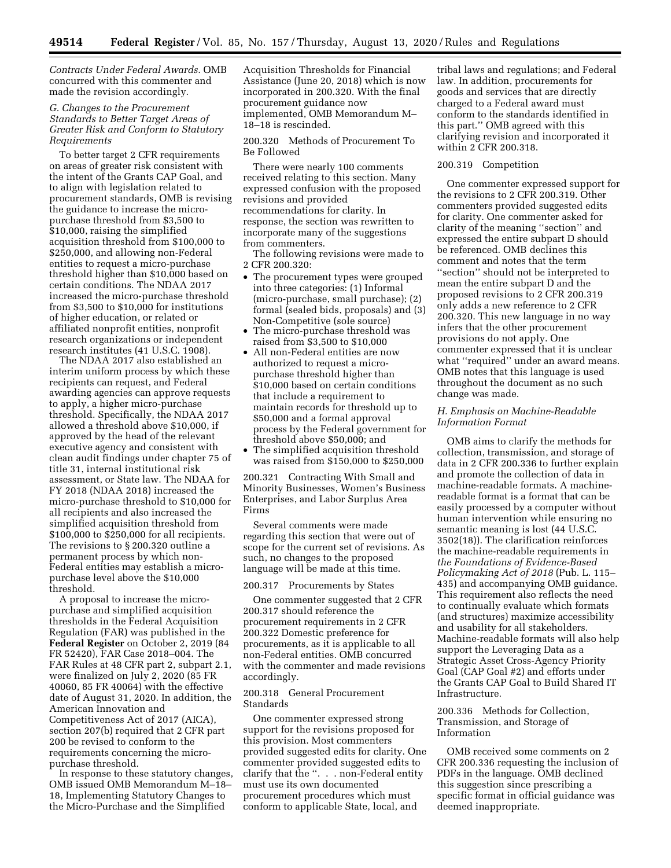*Contracts Under Federal Awards*. OMB concurred with this commenter and made the revision accordingly.

# *G. Changes to the Procurement Standards to Better Target Areas of Greater Risk and Conform to Statutory Requirements*

To better target 2 CFR requirements on areas of greater risk consistent with the intent of the Grants CAP Goal, and to align with legislation related to procurement standards, OMB is revising the guidance to increase the micropurchase threshold from \$3,500 to \$10,000, raising the simplified acquisition threshold from \$100,000 to \$250,000, and allowing non-Federal entities to request a micro-purchase threshold higher than \$10,000 based on certain conditions. The NDAA 2017 increased the micro-purchase threshold from \$3,500 to \$10,000 for institutions of higher education, or related or affiliated nonprofit entities, nonprofit research organizations or independent research institutes (41 U.S.C. 1908).

The NDAA 2017 also established an interim uniform process by which these recipients can request, and Federal awarding agencies can approve requests to apply, a higher micro-purchase threshold. Specifically, the NDAA 2017 allowed a threshold above \$10,000, if approved by the head of the relevant executive agency and consistent with clean audit findings under chapter 75 of title 31, internal institutional risk assessment, or State law. The NDAA for FY 2018 (NDAA 2018) increased the micro-purchase threshold to \$10,000 for all recipients and also increased the simplified acquisition threshold from \$100,000 to \$250,000 for all recipients. The revisions to § 200.320 outline a permanent process by which non-Federal entities may establish a micropurchase level above the \$10,000 threshold.

A proposal to increase the micropurchase and simplified acquisition thresholds in the Federal Acquisition Regulation (FAR) was published in the **Federal Register** on October 2, 2019 (84 FR 52420), FAR Case 2018–004. The FAR Rules at 48 CFR part 2, subpart 2.1, were finalized on July 2, 2020 (85 FR 40060, 85 FR 40064) with the effective date of August 31, 2020. In addition, the American Innovation and Competitiveness Act of 2017 (AICA), section 207(b) required that 2 CFR part 200 be revised to conform to the requirements concerning the micropurchase threshold.

In response to these statutory changes, OMB issued OMB Memorandum M–18– 18, Implementing Statutory Changes to the Micro-Purchase and the Simplified

Acquisition Thresholds for Financial Assistance (June 20, 2018) which is now incorporated in 200.320. With the final procurement guidance now implemented, OMB Memorandum M– 18–18 is rescinded.

200.320 Methods of Procurement To Be Followed

There were nearly 100 comments received relating to this section. Many expressed confusion with the proposed revisions and provided recommendations for clarity. In response, the section was rewritten to incorporate many of the suggestions from commenters.

The following revisions were made to 2 CFR 200.320:

- The procurement types were grouped into three categories: (1) Informal (micro-purchase, small purchase); (2) formal (sealed bids, proposals) and (3) Non-Competitive (sole source)
- The micro-purchase threshold was raised from \$3,500 to \$10,000
- All non-Federal entities are now authorized to request a micropurchase threshold higher than \$10,000 based on certain conditions that include a requirement to maintain records for threshold up to \$50,000 and a formal approval process by the Federal government for threshold above \$50,000; and
- The simplified acquisition threshold was raised from \$150,000 to \$250,000

200.321 Contracting With Small and Minority Businesses, Women's Business Enterprises, and Labor Surplus Area Firms

Several comments were made regarding this section that were out of scope for the current set of revisions. As such, no changes to the proposed language will be made at this time.

# 200.317 Procurements by States

One commenter suggested that 2 CFR 200.317 should reference the procurement requirements in 2 CFR 200.322 Domestic preference for procurements, as it is applicable to all non-Federal entities. OMB concurred with the commenter and made revisions accordingly.

# 200.318 General Procurement Standards

One commenter expressed strong support for the revisions proposed for this provision. Most commenters provided suggested edits for clarity. One commenter provided suggested edits to clarify that the ''. . . non-Federal entity must use its own documented procurement procedures which must conform to applicable State, local, and

tribal laws and regulations; and Federal law. In addition, procurements for goods and services that are directly charged to a Federal award must conform to the standards identified in this part.'' OMB agreed with this clarifying revision and incorporated it within 2 CFR 200.318.

### 200.319 Competition

One commenter expressed support for the revisions to 2 CFR 200.319. Other commenters provided suggested edits for clarity. One commenter asked for clarity of the meaning ''section'' and expressed the entire subpart D should be referenced. OMB declines this comment and notes that the term ''section'' should not be interpreted to mean the entire subpart D and the proposed revisions to 2 CFR 200.319 only adds a new reference to 2 CFR 200.320. This new language in no way infers that the other procurement provisions do not apply. One commenter expressed that it is unclear what ''required'' under an award means. OMB notes that this language is used throughout the document as no such change was made.

# *H. Emphasis on Machine-Readable Information Format*

OMB aims to clarify the methods for collection, transmission, and storage of data in 2 CFR 200.336 to further explain and promote the collection of data in machine-readable formats. A machinereadable format is a format that can be easily processed by a computer without human intervention while ensuring no semantic meaning is lost (44 U.S.C. 3502(18)). The clarification reinforces the machine-readable requirements in *the Foundations of Evidence-Based Policymaking Act of 2018* (Pub. L. 115– 435) and accompanying OMB guidance. This requirement also reflects the need to continually evaluate which formats (and structures) maximize accessibility and usability for all stakeholders. Machine-readable formats will also help support the Leveraging Data as a Strategic Asset Cross-Agency Priority Goal (CAP Goal #2) and efforts under the Grants CAP Goal to Build Shared IT Infrastructure.

# 200.336 Methods for Collection, Transmission, and Storage of Information

OMB received some comments on 2 CFR 200.336 requesting the inclusion of PDFs in the language. OMB declined this suggestion since prescribing a specific format in official guidance was deemed inappropriate.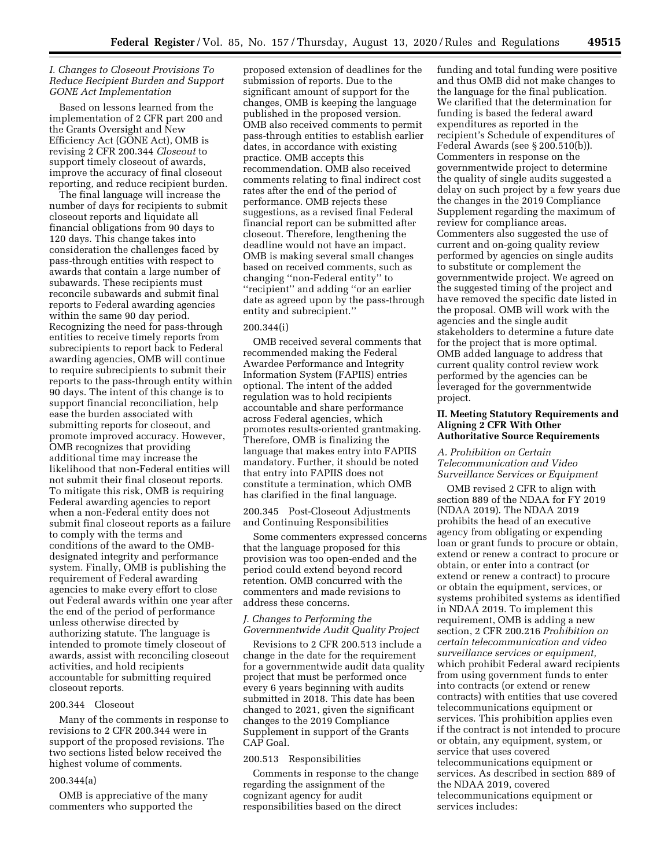# *I. Changes to Closeout Provisions To Reduce Recipient Burden and Support GONE Act Implementation*

Based on lessons learned from the implementation of 2 CFR part 200 and the Grants Oversight and New Efficiency Act (GONE Act), OMB is revising 2 CFR 200.344 *Closeout* to support timely closeout of awards, improve the accuracy of final closeout reporting, and reduce recipient burden.

The final language will increase the number of days for recipients to submit closeout reports and liquidate all financial obligations from 90 days to 120 days. This change takes into consideration the challenges faced by pass-through entities with respect to awards that contain a large number of subawards. These recipients must reconcile subawards and submit final reports to Federal awarding agencies within the same 90 day period. Recognizing the need for pass-through entities to receive timely reports from subrecipients to report back to Federal awarding agencies, OMB will continue to require subrecipients to submit their reports to the pass-through entity within 90 days. The intent of this change is to support financial reconciliation, help ease the burden associated with submitting reports for closeout, and promote improved accuracy. However, OMB recognizes that providing additional time may increase the likelihood that non-Federal entities will not submit their final closeout reports. To mitigate this risk, OMB is requiring Federal awarding agencies to report when a non-Federal entity does not submit final closeout reports as a failure to comply with the terms and conditions of the award to the OMBdesignated integrity and performance system. Finally, OMB is publishing the requirement of Federal awarding agencies to make every effort to close out Federal awards within one year after the end of the period of performance unless otherwise directed by authorizing statute. The language is intended to promote timely closeout of awards, assist with reconciling closeout activities, and hold recipients accountable for submitting required closeout reports.

### 200.344 Closeout

Many of the comments in response to revisions to 2 CFR 200.344 were in support of the proposed revisions. The two sections listed below received the highest volume of comments.

### 200.344(a)

OMB is appreciative of the many commenters who supported the

proposed extension of deadlines for the submission of reports. Due to the significant amount of support for the changes, OMB is keeping the language published in the proposed version. OMB also received comments to permit pass-through entities to establish earlier dates, in accordance with existing practice. OMB accepts this recommendation. OMB also received comments relating to final indirect cost rates after the end of the period of performance. OMB rejects these suggestions, as a revised final Federal financial report can be submitted after closeout. Therefore, lengthening the deadline would not have an impact. OMB is making several small changes based on received comments, such as changing ''non-Federal entity'' to ''recipient'' and adding ''or an earlier date as agreed upon by the pass-through entity and subrecipient.''

### 200.344(i)

OMB received several comments that recommended making the Federal Awardee Performance and Integrity Information System (FAPIIS) entries optional. The intent of the added regulation was to hold recipients accountable and share performance across Federal agencies, which promotes results-oriented grantmaking. Therefore, OMB is finalizing the language that makes entry into FAPIIS mandatory. Further, it should be noted that entry into FAPIIS does not constitute a termination, which OMB has clarified in the final language.

200.345 Post-Closeout Adjustments and Continuing Responsibilities

Some commenters expressed concerns that the language proposed for this provision was too open-ended and the period could extend beyond record retention. OMB concurred with the commenters and made revisions to address these concerns.

# *J. Changes to Performing the Governmentwide Audit Quality Project*

Revisions to 2 CFR 200.513 include a change in the date for the requirement for a governmentwide audit data quality project that must be performed once every 6 years beginning with audits submitted in 2018. This date has been changed to 2021, given the significant changes to the 2019 Compliance Supplement in support of the Grants CAP Goal.

### 200.513 Responsibilities

Comments in response to the change regarding the assignment of the cognizant agency for audit responsibilities based on the direct

funding and total funding were positive and thus OMB did not make changes to the language for the final publication. We clarified that the determination for funding is based the federal award expenditures as reported in the recipient's Schedule of expenditures of Federal Awards (see § 200.510(b)). Commenters in response on the governmentwide project to determine the quality of single audits suggested a delay on such project by a few years due the changes in the 2019 Compliance Supplement regarding the maximum of review for compliance areas. Commenters also suggested the use of current and on-going quality review performed by agencies on single audits to substitute or complement the governmentwide project. We agreed on the suggested timing of the project and have removed the specific date listed in the proposal. OMB will work with the agencies and the single audit stakeholders to determine a future date for the project that is more optimal. OMB added language to address that current quality control review work performed by the agencies can be leveraged for the governmentwide project.

# **II. Meeting Statutory Requirements and Aligning 2 CFR With Other Authoritative Source Requirements**

*A. Prohibition on Certain Telecommunication and Video Surveillance Services or Equipment* 

OMB revised 2 CFR to align with section 889 of the NDAA for FY 2019 (NDAA 2019). The NDAA 2019 prohibits the head of an executive agency from obligating or expending loan or grant funds to procure or obtain, extend or renew a contract to procure or obtain, or enter into a contract (or extend or renew a contract) to procure or obtain the equipment, services, or systems prohibited systems as identified in NDAA 2019. To implement this requirement, OMB is adding a new section, 2 CFR 200.216 *Prohibition on certain telecommunication and video surveillance services or equipment,*  which prohibit Federal award recipients from using government funds to enter into contracts (or extend or renew contracts) with entities that use covered telecommunications equipment or services. This prohibition applies even if the contract is not intended to procure or obtain, any equipment, system, or service that uses covered telecommunications equipment or services. As described in section 889 of the NDAA 2019, covered telecommunications equipment or services includes: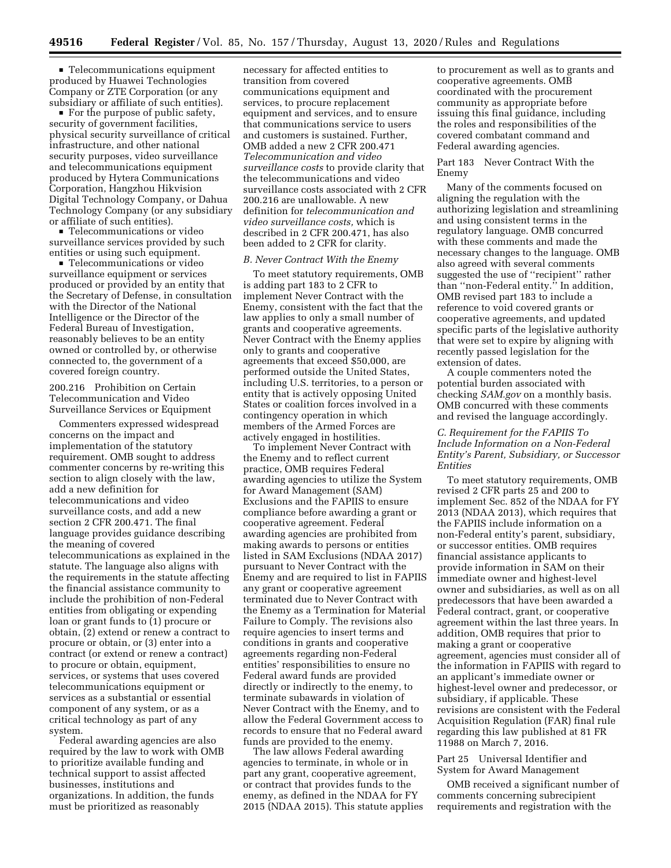**Telecommunications equipment** produced by Huawei Technologies Company or ZTE Corporation (or any subsidiary or affiliate of such entities).

 $\blacksquare$  For the purpose of public safety, security of government facilities, physical security surveillance of critical infrastructure, and other national security purposes, video surveillance and telecommunications equipment produced by Hytera Communications Corporation, Hangzhou Hikvision Digital Technology Company, or Dahua Technology Company (or any subsidiary or affiliate of such entities).

■ Telecommunications or video surveillance services provided by such entities or using such equipment.

**Telecommunications or video** surveillance equipment or services produced or provided by an entity that the Secretary of Defense, in consultation with the Director of the National Intelligence or the Director of the Federal Bureau of Investigation, reasonably believes to be an entity owned or controlled by, or otherwise connected to, the government of a covered foreign country.

200.216 Prohibition on Certain Telecommunication and Video Surveillance Services or Equipment

Commenters expressed widespread concerns on the impact and implementation of the statutory requirement. OMB sought to address commenter concerns by re-writing this section to align closely with the law, add a new definition for telecommunications and video surveillance costs, and add a new section 2 CFR 200.471. The final language provides guidance describing the meaning of covered telecommunications as explained in the statute. The language also aligns with the requirements in the statute affecting the financial assistance community to include the prohibition of non-Federal entities from obligating or expending loan or grant funds to (1) procure or obtain, (2) extend or renew a contract to procure or obtain, or (3) enter into a contract (or extend or renew a contract) to procure or obtain, equipment, services, or systems that uses covered telecommunications equipment or services as a substantial or essential component of any system, or as a critical technology as part of any system.

Federal awarding agencies are also required by the law to work with OMB to prioritize available funding and technical support to assist affected businesses, institutions and organizations. In addition, the funds must be prioritized as reasonably

necessary for affected entities to transition from covered communications equipment and services, to procure replacement equipment and services, and to ensure that communications service to users and customers is sustained. Further, OMB added a new 2 CFR 200.471 *Telecommunication and video surveillance costs* to provide clarity that the telecommunications and video surveillance costs associated with 2 CFR 200.216 are unallowable. A new definition for *telecommunication and video surveillance costs,* which is described in 2 CFR 200.471, has also been added to 2 CFR for clarity.

# *B. Never Contract With the Enemy*

To meet statutory requirements, OMB is adding part 183 to 2 CFR to implement Never Contract with the Enemy, consistent with the fact that the law applies to only a small number of grants and cooperative agreements. Never Contract with the Enemy applies only to grants and cooperative agreements that exceed \$50,000, are performed outside the United States, including U.S. territories, to a person or entity that is actively opposing United States or coalition forces involved in a contingency operation in which members of the Armed Forces are actively engaged in hostilities.

To implement Never Contract with the Enemy and to reflect current practice, OMB requires Federal awarding agencies to utilize the System for Award Management (SAM) Exclusions and the FAPIIS to ensure compliance before awarding a grant or cooperative agreement. Federal awarding agencies are prohibited from making awards to persons or entities listed in SAM Exclusions (NDAA 2017) pursuant to Never Contract with the Enemy and are required to list in FAPIIS any grant or cooperative agreement terminated due to Never Contract with the Enemy as a Termination for Material Failure to Comply. The revisions also require agencies to insert terms and conditions in grants and cooperative agreements regarding non-Federal entities' responsibilities to ensure no Federal award funds are provided directly or indirectly to the enemy, to terminate subawards in violation of Never Contract with the Enemy, and to allow the Federal Government access to records to ensure that no Federal award funds are provided to the enemy.

The law allows Federal awarding agencies to terminate, in whole or in part any grant, cooperative agreement, or contract that provides funds to the enemy, as defined in the NDAA for FY 2015 (NDAA 2015). This statute applies to procurement as well as to grants and cooperative agreements. OMB coordinated with the procurement community as appropriate before issuing this final guidance, including the roles and responsibilities of the covered combatant command and Federal awarding agencies.

# Part 183 Never Contract With the Enemy

Many of the comments focused on aligning the regulation with the authorizing legislation and streamlining and using consistent terms in the regulatory language. OMB concurred with these comments and made the necessary changes to the language. OMB also agreed with several comments suggested the use of ''recipient'' rather than ''non-Federal entity.'' In addition, OMB revised part 183 to include a reference to void covered grants or cooperative agreements, and updated specific parts of the legislative authority that were set to expire by aligning with recently passed legislation for the extension of dates.

A couple commenters noted the potential burden associated with checking *SAM.gov* on a monthly basis. OMB concurred with these comments and revised the language accordingly.

# *C. Requirement for the FAPIIS To Include Information on a Non-Federal Entity's Parent, Subsidiary, or Successor Entities*

To meet statutory requirements, OMB revised 2 CFR parts 25 and 200 to implement Sec. 852 of the NDAA for FY 2013 (NDAA 2013), which requires that the FAPIIS include information on a non-Federal entity's parent, subsidiary, or successor entities. OMB requires financial assistance applicants to provide information in SAM on their immediate owner and highest-level owner and subsidiaries, as well as on all predecessors that have been awarded a Federal contract, grant, or cooperative agreement within the last three years. In addition, OMB requires that prior to making a grant or cooperative agreement, agencies must consider all of the information in FAPIIS with regard to an applicant's immediate owner or highest-level owner and predecessor, or subsidiary, if applicable. These revisions are consistent with the Federal Acquisition Regulation (FAR) final rule regarding this law published at 81 FR 11988 on March 7, 2016.

Part 25 Universal Identifier and System for Award Management

OMB received a significant number of comments concerning subrecipient requirements and registration with the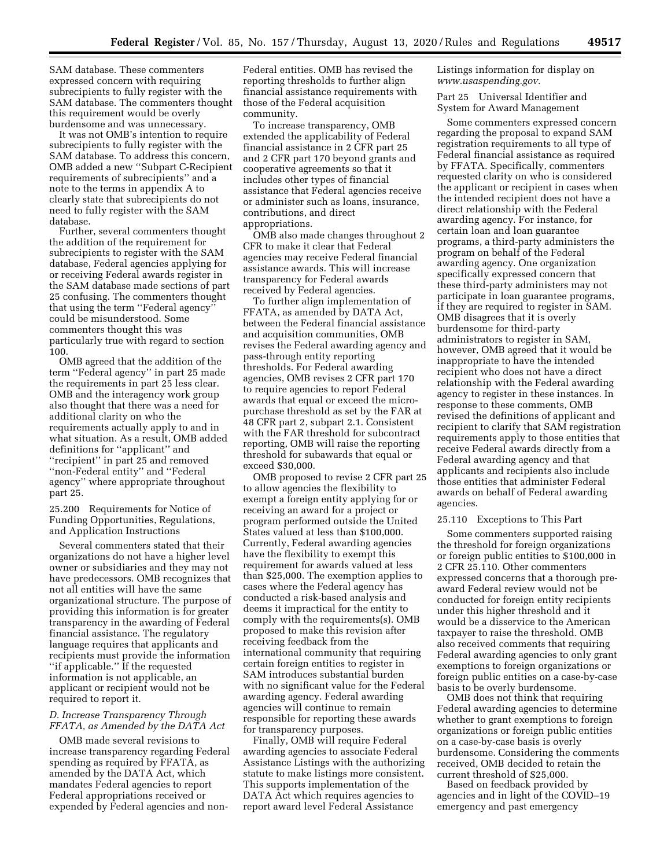SAM database. These commenters expressed concern with requiring subrecipients to fully register with the SAM database. The commenters thought this requirement would be overly burdensome and was unnecessary.

It was not OMB's intention to require subrecipients to fully register with the SAM database. To address this concern, OMB added a new ''Subpart C-Recipient requirements of subrecipients'' and a note to the terms in appendix A to clearly state that subrecipients do not need to fully register with the SAM database.

Further, several commenters thought the addition of the requirement for subrecipients to register with the SAM database, Federal agencies applying for or receiving Federal awards register in the SAM database made sections of part 25 confusing. The commenters thought that using the term ''Federal agency'' could be misunderstood. Some commenters thought this was particularly true with regard to section 100.

OMB agreed that the addition of the term ''Federal agency'' in part 25 made the requirements in part 25 less clear. OMB and the interagency work group also thought that there was a need for additional clarity on who the requirements actually apply to and in what situation. As a result, OMB added definitions for ''applicant'' and ''recipient'' in part 25 and removed ''non-Federal entity'' and ''Federal agency'' where appropriate throughout part 25.

25.200 Requirements for Notice of Funding Opportunities, Regulations, and Application Instructions

Several commenters stated that their organizations do not have a higher level owner or subsidiaries and they may not have predecessors. OMB recognizes that not all entities will have the same organizational structure. The purpose of providing this information is for greater transparency in the awarding of Federal financial assistance. The regulatory language requires that applicants and recipients must provide the information ''if applicable.'' If the requested information is not applicable, an applicant or recipient would not be required to report it.

# *D. Increase Transparency Through FFATA, as Amended by the DATA Act*

OMB made several revisions to increase transparency regarding Federal spending as required by FFATA, as amended by the DATA Act, which mandates Federal agencies to report Federal appropriations received or expended by Federal agencies and non-

Federal entities. OMB has revised the reporting thresholds to further align financial assistance requirements with those of the Federal acquisition community.

To increase transparency, OMB extended the applicability of Federal financial assistance in 2 CFR part 25 and 2 CFR part 170 beyond grants and cooperative agreements so that it includes other types of financial assistance that Federal agencies receive or administer such as loans, insurance, contributions, and direct appropriations.

OMB also made changes throughout 2 CFR to make it clear that Federal agencies may receive Federal financial assistance awards. This will increase transparency for Federal awards received by Federal agencies.

To further align implementation of FFATA, as amended by DATA Act, between the Federal financial assistance and acquisition communities, OMB revises the Federal awarding agency and pass-through entity reporting thresholds. For Federal awarding agencies, OMB revises 2 CFR part 170 to require agencies to report Federal awards that equal or exceed the micropurchase threshold as set by the FAR at 48 CFR part 2, subpart 2.1. Consistent with the FAR threshold for subcontract reporting, OMB will raise the reporting threshold for subawards that equal or exceed \$30,000.

OMB proposed to revise 2 CFR part 25 to allow agencies the flexibility to exempt a foreign entity applying for or receiving an award for a project or program performed outside the United States valued at less than \$100,000. Currently, Federal awarding agencies have the flexibility to exempt this requirement for awards valued at less than \$25,000. The exemption applies to cases where the Federal agency has conducted a risk-based analysis and deems it impractical for the entity to comply with the requirements(s). OMB proposed to make this revision after receiving feedback from the international community that requiring certain foreign entities to register in SAM introduces substantial burden with no significant value for the Federal awarding agency. Federal awarding agencies will continue to remain responsible for reporting these awards for transparency purposes.

Finally, OMB will require Federal awarding agencies to associate Federal Assistance Listings with the authorizing statute to make listings more consistent. This supports implementation of the DATA Act which requires agencies to report award level Federal Assistance

Listings information for display on *www.usaspending.gov.* 

Part 25 Universal Identifier and System for Award Management

Some commenters expressed concern regarding the proposal to expand SAM registration requirements to all type of Federal financial assistance as required by FFATA. Specifically, commenters requested clarity on who is considered the applicant or recipient in cases when the intended recipient does not have a direct relationship with the Federal awarding agency. For instance, for certain loan and loan guarantee programs, a third-party administers the program on behalf of the Federal awarding agency. One organization specifically expressed concern that these third-party administers may not participate in loan guarantee programs, if they are required to register in SAM. OMB disagrees that it is overly burdensome for third-party administrators to register in SAM, however, OMB agreed that it would be inappropriate to have the intended recipient who does not have a direct relationship with the Federal awarding agency to register in these instances. In response to these comments, OMB revised the definitions of applicant and recipient to clarify that SAM registration requirements apply to those entities that receive Federal awards directly from a Federal awarding agency and that applicants and recipients also include those entities that administer Federal awards on behalf of Federal awarding agencies.

# 25.110 Exceptions to This Part

Some commenters supported raising the threshold for foreign organizations or foreign public entities to \$100,000 in 2 CFR 25.110. Other commenters expressed concerns that a thorough preaward Federal review would not be conducted for foreign entity recipients under this higher threshold and it would be a disservice to the American taxpayer to raise the threshold. OMB also received comments that requiring Federal awarding agencies to only grant exemptions to foreign organizations or foreign public entities on a case-by-case basis to be overly burdensome.

OMB does not think that requiring Federal awarding agencies to determine whether to grant exemptions to foreign organizations or foreign public entities on a case-by-case basis is overly burdensome. Considering the comments received, OMB decided to retain the current threshold of \$25,000.

Based on feedback provided by agencies and in light of the COVID–19 emergency and past emergency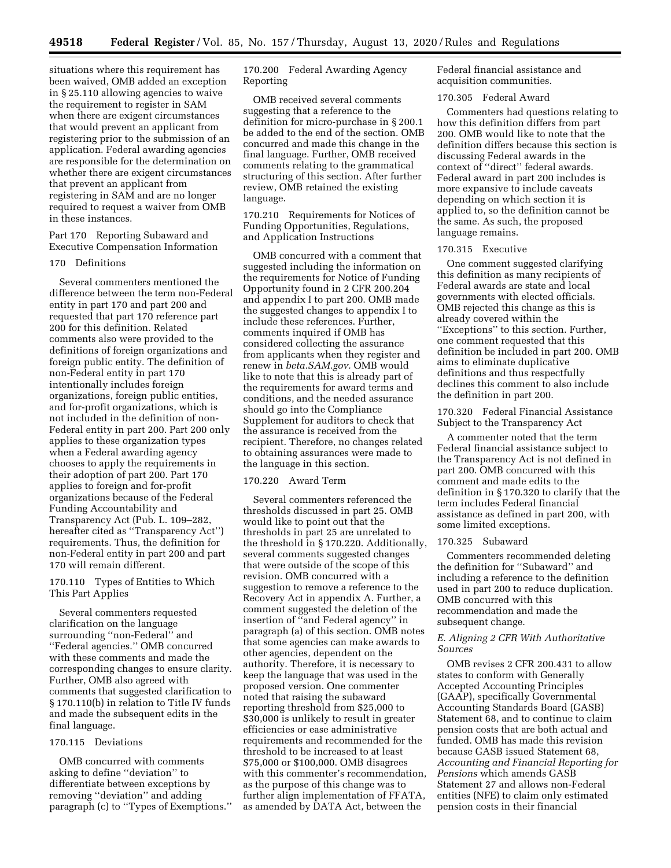situations where this requirement has been waived, OMB added an exception in § 25.110 allowing agencies to waive the requirement to register in SAM when there are exigent circumstances that would prevent an applicant from registering prior to the submission of an application. Federal awarding agencies are responsible for the determination on whether there are exigent circumstances that prevent an applicant from registering in SAM and are no longer required to request a waiver from OMB in these instances.

Part 170 Reporting Subaward and Executive Compensation Information

# 170 Definitions

Several commenters mentioned the difference between the term non-Federal entity in part 170 and part 200 and requested that part 170 reference part 200 for this definition. Related comments also were provided to the definitions of foreign organizations and foreign public entity. The definition of non-Federal entity in part 170 intentionally includes foreign organizations, foreign public entities, and for-profit organizations, which is not included in the definition of non-Federal entity in part 200. Part 200 only applies to these organization types when a Federal awarding agency chooses to apply the requirements in their adoption of part 200. Part 170 applies to foreign and for-profit organizations because of the Federal Funding Accountability and Transparency Act (Pub. L. 109–282, hereafter cited as ''Transparency Act'') requirements. Thus, the definition for non-Federal entity in part 200 and part 170 will remain different.

170.110 Types of Entities to Which This Part Applies

Several commenters requested clarification on the language surrounding ''non-Federal'' and ''Federal agencies.'' OMB concurred with these comments and made the corresponding changes to ensure clarity. Further, OMB also agreed with comments that suggested clarification to § 170.110(b) in relation to Title IV funds and made the subsequent edits in the final language.

# 170.115 Deviations

OMB concurred with comments asking to define ''deviation'' to differentiate between exceptions by removing ''deviation'' and adding paragraph (c) to ''Types of Exemptions.'' 170.200 Federal Awarding Agency Reporting

OMB received several comments suggesting that a reference to the definition for micro-purchase in § 200.1 be added to the end of the section. OMB concurred and made this change in the final language. Further, OMB received comments relating to the grammatical structuring of this section. After further review, OMB retained the existing language.

170.210 Requirements for Notices of Funding Opportunities, Regulations, and Application Instructions

OMB concurred with a comment that suggested including the information on the requirements for Notice of Funding Opportunity found in 2 CFR 200.204 and appendix I to part 200. OMB made the suggested changes to appendix I to include these references. Further, comments inquired if OMB has considered collecting the assurance from applicants when they register and renew in *beta.SAM.gov.* OMB would like to note that this is already part of the requirements for award terms and conditions, and the needed assurance should go into the Compliance Supplement for auditors to check that the assurance is received from the recipient. Therefore, no changes related to obtaining assurances were made to the language in this section.

# 170.220 Award Term

Several commenters referenced the thresholds discussed in part 25. OMB would like to point out that the thresholds in part 25 are unrelated to the threshold in § 170.220. Additionally, several comments suggested changes that were outside of the scope of this revision. OMB concurred with a suggestion to remove a reference to the Recovery Act in appendix A. Further, a comment suggested the deletion of the insertion of ''and Federal agency'' in paragraph (a) of this section. OMB notes that some agencies can make awards to other agencies, dependent on the authority. Therefore, it is necessary to keep the language that was used in the proposed version. One commenter noted that raising the subaward reporting threshold from \$25,000 to \$30,000 is unlikely to result in greater efficiencies or ease administrative requirements and recommended for the threshold to be increased to at least \$75,000 or \$100,000. OMB disagrees with this commenter's recommendation, as the purpose of this change was to further align implementation of FFATA, as amended by DATA Act, between the

Federal financial assistance and acquisition communities.

### 170.305 Federal Award

Commenters had questions relating to how this definition differs from part 200. OMB would like to note that the definition differs because this section is discussing Federal awards in the context of ''direct'' federal awards. Federal award in part 200 includes is more expansive to include caveats depending on which section it is applied to, so the definition cannot be the same. As such, the proposed language remains.

### 170.315 Executive

One comment suggested clarifying this definition as many recipients of Federal awards are state and local governments with elected officials. OMB rejected this change as this is already covered within the ''Exceptions'' to this section. Further, one comment requested that this definition be included in part 200. OMB aims to eliminate duplicative definitions and thus respectfully declines this comment to also include the definition in part 200.

170.320 Federal Financial Assistance Subject to the Transparency Act

A commenter noted that the term Federal financial assistance subject to the Transparency Act is not defined in part 200. OMB concurred with this comment and made edits to the definition in § 170.320 to clarify that the term includes Federal financial assistance as defined in part 200, with some limited exceptions.

# 170.325 Subaward

Commenters recommended deleting the definition for ''Subaward'' and including a reference to the definition used in part 200 to reduce duplication. OMB concurred with this recommendation and made the subsequent change.

# *E. Aligning 2 CFR With Authoritative Sources*

OMB revises 2 CFR 200.431 to allow states to conform with Generally Accepted Accounting Principles (GAAP), specifically Governmental Accounting Standards Board (GASB) Statement 68, and to continue to claim pension costs that are both actual and funded. OMB has made this revision because GASB issued Statement 68, *Accounting and Financial Reporting for Pensions* which amends GASB Statement 27 and allows non-Federal entities (NFE) to claim only estimated pension costs in their financial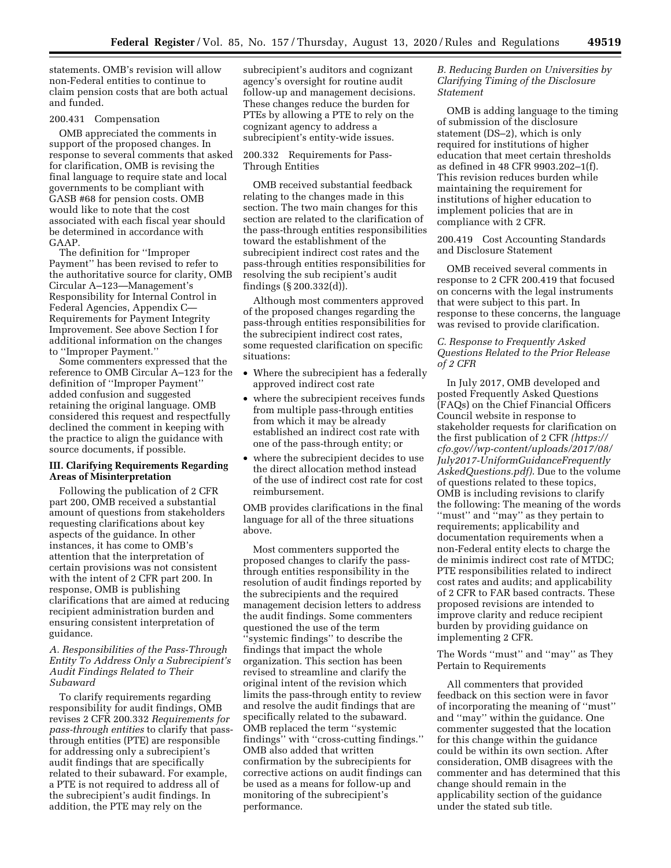statements. OMB's revision will allow non-Federal entities to continue to claim pension costs that are both actual and funded.

### 200.431 Compensation

OMB appreciated the comments in support of the proposed changes. In response to several comments that asked for clarification, OMB is revising the final language to require state and local governments to be compliant with GASB #68 for pension costs. OMB would like to note that the cost associated with each fiscal year should be determined in accordance with GAAP.

The definition for ''Improper Payment'' has been revised to refer to the authoritative source for clarity, OMB Circular A–123—Management's Responsibility for Internal Control in Federal Agencies, Appendix C— Requirements for Payment Integrity Improvement. See above Section I for additional information on the changes to ''Improper Payment.''

Some commenters expressed that the reference to OMB Circular A–123 for the definition of ''Improper Payment'' added confusion and suggested retaining the original language. OMB considered this request and respectfully declined the comment in keeping with the practice to align the guidance with source documents, if possible.

# **III. Clarifying Requirements Regarding Areas of Misinterpretation**

Following the publication of 2 CFR part 200, OMB received a substantial amount of questions from stakeholders requesting clarifications about key aspects of the guidance. In other instances, it has come to OMB's attention that the interpretation of certain provisions was not consistent with the intent of 2 CFR part 200. In response, OMB is publishing clarifications that are aimed at reducing recipient administration burden and ensuring consistent interpretation of guidance.

*A. Responsibilities of the Pass-Through Entity To Address Only a Subrecipient's Audit Findings Related to Their Subaward* 

To clarify requirements regarding responsibility for audit findings, OMB revises 2 CFR 200.332 *Requirements for pass-through entities* to clarify that passthrough entities (PTE) are responsible for addressing only a subrecipient's audit findings that are specifically related to their subaward. For example, a PTE is not required to address all of the subrecipient's audit findings. In addition, the PTE may rely on the

subrecipient's auditors and cognizant agency's oversight for routine audit follow-up and management decisions. These changes reduce the burden for PTEs by allowing a PTE to rely on the cognizant agency to address a subrecipient's entity-wide issues.

# 200.332 Requirements for Pass-Through Entities

OMB received substantial feedback relating to the changes made in this section. The two main changes for this section are related to the clarification of the pass-through entities responsibilities toward the establishment of the subrecipient indirect cost rates and the pass-through entities responsibilities for resolving the sub recipient's audit findings (§ 200.332(d)).

Although most commenters approved of the proposed changes regarding the pass-through entities responsibilities for the subrecipient indirect cost rates, some requested clarification on specific situations:

- Where the subrecipient has a federally approved indirect cost rate
- where the subrecipient receives funds from multiple pass-through entities from which it may be already established an indirect cost rate with one of the pass-through entity; or
- where the subrecipient decides to use the direct allocation method instead of the use of indirect cost rate for cost reimbursement.

OMB provides clarifications in the final language for all of the three situations above.

Most commenters supported the proposed changes to clarify the passthrough entities responsibility in the resolution of audit findings reported by the subrecipients and the required management decision letters to address the audit findings. Some commenters questioned the use of the term ''systemic findings'' to describe the findings that impact the whole organization. This section has been revised to streamline and clarify the original intent of the revision which limits the pass-through entity to review and resolve the audit findings that are specifically related to the subaward. OMB replaced the term ''systemic findings'' with ''cross-cutting findings.'' OMB also added that written confirmation by the subrecipients for corrective actions on audit findings can be used as a means for follow-up and monitoring of the subrecipient's performance.

# *B. Reducing Burden on Universities by Clarifying Timing of the Disclosure Statement*

OMB is adding language to the timing of submission of the disclosure statement (DS–2), which is only required for institutions of higher education that meet certain thresholds as defined in 48 CFR 9903.202–1(f). This revision reduces burden while maintaining the requirement for institutions of higher education to implement policies that are in compliance with 2 CFR.

200.419 Cost Accounting Standards and Disclosure Statement

OMB received several comments in response to 2 CFR 200.419 that focused on concerns with the legal instruments that were subject to this part. In response to these concerns, the language was revised to provide clarification.

# *C. Response to Frequently Asked Questions Related to the Prior Release of 2 CFR*

In July 2017, OMB developed and posted Frequently Asked Questions (FAQs) on the Chief Financial Officers Council website in response to stakeholder requests for clarification on the first publication of 2 CFR *(https:// cfo.gov//wp-content/uploads/2017/08/ July2017-UniformGuidanceFrequently AskedQuestions.pdf)*. Due to the volume of questions related to these topics, OMB is including revisions to clarify the following: The meaning of the words ''must'' and ''may'' as they pertain to requirements; applicability and documentation requirements when a non-Federal entity elects to charge the de minimis indirect cost rate of MTDC; PTE responsibilities related to indirect cost rates and audits; and applicability of 2 CFR to FAR based contracts. These proposed revisions are intended to improve clarity and reduce recipient burden by providing guidance on implementing 2 CFR.

The Words ''must'' and ''may'' as They Pertain to Requirements

All commenters that provided feedback on this section were in favor of incorporating the meaning of ''must'' and ''may'' within the guidance. One commenter suggested that the location for this change within the guidance could be within its own section. After consideration, OMB disagrees with the commenter and has determined that this change should remain in the applicability section of the guidance under the stated sub title.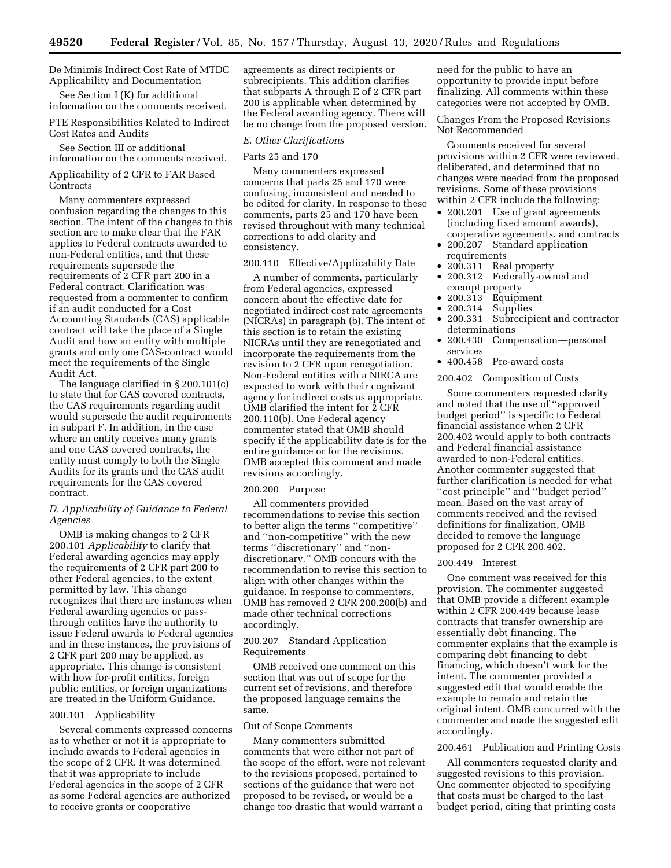# De Minimis Indirect Cost Rate of MTDC Applicability and Documentation

See Section I (K) for additional information on the comments received.

# PTE Responsibilities Related to Indirect Cost Rates and Audits

See Section III or additional information on the comments received.

# Applicability of 2 CFR to FAR Based **Contracts**

Many commenters expressed confusion regarding the changes to this section. The intent of the changes to this section are to make clear that the FAR applies to Federal contracts awarded to non-Federal entities, and that these requirements supersede the requirements of 2 CFR part 200 in a Federal contract. Clarification was requested from a commenter to confirm if an audit conducted for a Cost Accounting Standards (CAS) applicable contract will take the place of a Single Audit and how an entity with multiple grants and only one CAS-contract would meet the requirements of the Single Audit Act.

The language clarified in § 200.101(c) to state that for CAS covered contracts, the CAS requirements regarding audit would supersede the audit requirements in subpart F. In addition, in the case where an entity receives many grants and one CAS covered contracts, the entity must comply to both the Single Audits for its grants and the CAS audit requirements for the CAS covered contract.

# *D. Applicability of Guidance to Federal Agencies*

OMB is making changes to 2 CFR 200.101 *Applicability* to clarify that Federal awarding agencies may apply the requirements of 2 CFR part 200 to other Federal agencies, to the extent permitted by law. This change recognizes that there are instances when Federal awarding agencies or passthrough entities have the authority to issue Federal awards to Federal agencies and in these instances, the provisions of 2 CFR part 200 may be applied, as appropriate. This change is consistent with how for-profit entities, foreign public entities, or foreign organizations are treated in the Uniform Guidance.

# 200.101 Applicability

Several comments expressed concerns as to whether or not it is appropriate to include awards to Federal agencies in the scope of 2 CFR. It was determined that it was appropriate to include Federal agencies in the scope of 2 CFR as some Federal agencies are authorized to receive grants or cooperative

agreements as direct recipients or subrecipients. This addition clarifies that subparts A through E of 2 CFR part 200 is applicable when determined by the Federal awarding agency. There will be no change from the proposed version.

### *E. Other Clarifications*

### Parts 25 and 170

Many commenters expressed concerns that parts 25 and 170 were confusing, inconsistent and needed to be edited for clarity. In response to these comments, parts 25 and 170 have been revised throughout with many technical corrections to add clarity and consistency.

# 200.110 Effective/Applicability Date

A number of comments, particularly from Federal agencies, expressed concern about the effective date for negotiated indirect cost rate agreements (NICRAs) in paragraph (b). The intent of this section is to retain the existing NICRAs until they are renegotiated and incorporate the requirements from the revision to 2 CFR upon renegotiation. Non-Federal entities with a NIRCA are expected to work with their cognizant agency for indirect costs as appropriate. OMB clarified the intent for 2 CFR 200.110(b). One Federal agency commenter stated that OMB should specify if the applicability date is for the entire guidance or for the revisions. OMB accepted this comment and made revisions accordingly.

### 200.200 Purpose

All commenters provided recommendations to revise this section to better align the terms ''competitive'' and ''non-competitive'' with the new terms ''discretionary'' and ''nondiscretionary.'' OMB concurs with the recommendation to revise this section to align with other changes within the guidance. In response to commenters, OMB has removed 2 CFR 200.200(b) and made other technical corrections accordingly.

# 200.207 Standard Application Requirements

OMB received one comment on this section that was out of scope for the current set of revisions, and therefore the proposed language remains the same.

### Out of Scope Comments

Many commenters submitted comments that were either not part of the scope of the effort, were not relevant to the revisions proposed, pertained to sections of the guidance that were not proposed to be revised, or would be a change too drastic that would warrant a

need for the public to have an opportunity to provide input before finalizing. All comments within these categories were not accepted by OMB.

Changes From the Proposed Revisions Not Recommended

Comments received for several provisions within 2 CFR were reviewed, deliberated, and determined that no changes were needed from the proposed revisions. Some of these provisions within 2 CFR include the following:

- 200.201 Use of grant agreements (including fixed amount awards), cooperative agreements, and contracts
- 200.207 Standard application requirements
- 200.311 Real property
- 200.312 Federally-owned and exempt property
- 200.313 Equipment
- 200.314 Supplies<br>• 200.331 Subrecip
- Subrecipient and contractor determinations
- 200.430 Compensation—personal services
- 400.458 Pre-award costs

# 200.402 Composition of Costs

Some commenters requested clarity and noted that the use of ''approved budget period'' is specific to Federal financial assistance when 2 CFR 200.402 would apply to both contracts and Federal financial assistance awarded to non-Federal entities. Another commenter suggested that further clarification is needed for what ''cost principle'' and ''budget period'' mean. Based on the vast array of comments received and the revised definitions for finalization, OMB decided to remove the language proposed for 2 CFR 200.402.

#### 200.449 Interest

One comment was received for this provision. The commenter suggested that OMB provide a different example within 2 CFR 200.449 because lease contracts that transfer ownership are essentially debt financing. The commenter explains that the example is comparing debt financing to debt financing, which doesn't work for the intent. The commenter provided a suggested edit that would enable the example to remain and retain the original intent. OMB concurred with the commenter and made the suggested edit accordingly.

#### 200.461 Publication and Printing Costs

All commenters requested clarity and suggested revisions to this provision. One commenter objected to specifying that costs must be charged to the last budget period, citing that printing costs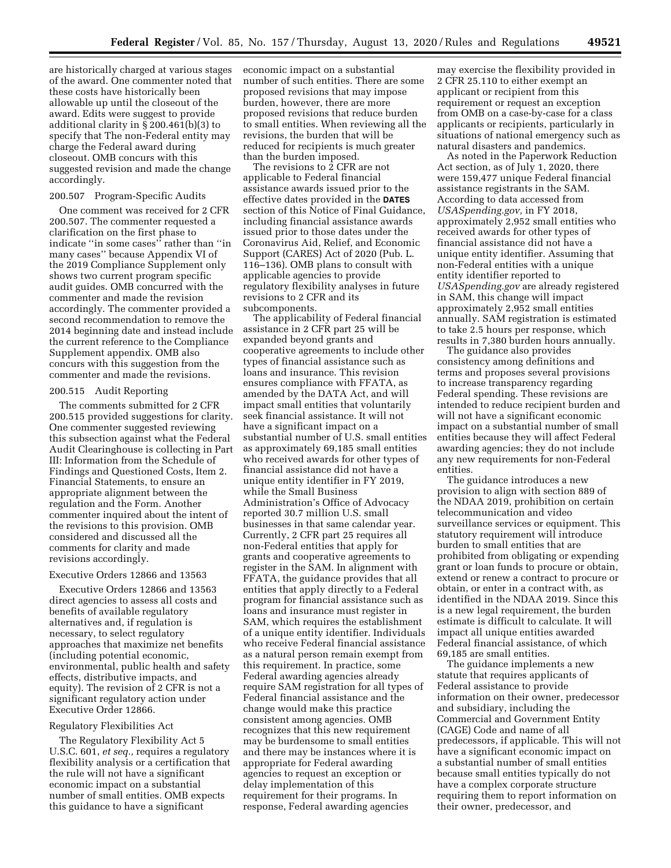are historically charged at various stages of the award. One commenter noted that these costs have historically been allowable up until the closeout of the award. Edits were suggest to provide additional clarity in § 200.461(b)(3) to specify that The non-Federal entity may charge the Federal award during closeout. OMB concurs with this suggested revision and made the change accordingly.

#### 200.507 Program-Specific Audits

One comment was received for 2 CFR 200.507. The commenter requested a clarification on the first phase to indicate ''in some cases'' rather than ''in many cases'' because Appendix VI of the 2019 Compliance Supplement only shows two current program specific audit guides. OMB concurred with the commenter and made the revision accordingly. The commenter provided a second recommendation to remove the 2014 beginning date and instead include the current reference to the Compliance Supplement appendix. OMB also concurs with this suggestion from the commenter and made the revisions.

# 200.515 Audit Reporting

The comments submitted for 2 CFR 200.515 provided suggestions for clarity. One commenter suggested reviewing this subsection against what the Federal Audit Clearinghouse is collecting in Part III: Information from the Schedule of Findings and Questioned Costs, Item 2. Financial Statements, to ensure an appropriate alignment between the regulation and the Form. Another commenter inquired about the intent of the revisions to this provision. OMB considered and discussed all the comments for clarity and made revisions accordingly.

# Executive Orders 12866 and 13563

Executive Orders 12866 and 13563 direct agencies to assess all costs and benefits of available regulatory alternatives and, if regulation is necessary, to select regulatory approaches that maximize net benefits (including potential economic, environmental, public health and safety effects, distributive impacts, and equity). The revision of 2 CFR is not a significant regulatory action under Executive Order 12866.

# Regulatory Flexibilities Act

The Regulatory Flexibility Act 5 U.S.C. 601, *et seq.,* requires a regulatory flexibility analysis or a certification that the rule will not have a significant economic impact on a substantial number of small entities. OMB expects this guidance to have a significant

economic impact on a substantial number of such entities. There are some proposed revisions that may impose burden, however, there are more proposed revisions that reduce burden to small entities. When reviewing all the revisions, the burden that will be reduced for recipients is much greater than the burden imposed.

The revisions to 2 CFR are not applicable to Federal financial assistance awards issued prior to the effective dates provided in the **DATES** section of this Notice of Final Guidance, including financial assistance awards issued prior to those dates under the Coronavirus Aid, Relief, and Economic Support (CARES) Act of 2020 (Pub. L. 116–136). OMB plans to consult with applicable agencies to provide regulatory flexibility analyses in future revisions to 2 CFR and its subcomponents.

The applicability of Federal financial assistance in 2 CFR part 25 will be expanded beyond grants and cooperative agreements to include other types of financial assistance such as loans and insurance. This revision ensures compliance with FFATA, as amended by the DATA Act, and will impact small entities that voluntarily seek financial assistance. It will not have a significant impact on a substantial number of U.S. small entities as approximately 69,185 small entities who received awards for other types of financial assistance did not have a unique entity identifier in FY 2019, while the Small Business Administration's Office of Advocacy reported 30.7 million U.S. small businesses in that same calendar year. Currently, 2 CFR part 25 requires all non-Federal entities that apply for grants and cooperative agreements to register in the SAM. In alignment with FFATA, the guidance provides that all entities that apply directly to a Federal program for financial assistance such as loans and insurance must register in SAM, which requires the establishment of a unique entity identifier. Individuals who receive Federal financial assistance as a natural person remain exempt from this requirement. In practice, some Federal awarding agencies already require SAM registration for all types of Federal financial assistance and the change would make this practice consistent among agencies. OMB recognizes that this new requirement may be burdensome to small entities and there may be instances where it is appropriate for Federal awarding agencies to request an exception or delay implementation of this requirement for their programs. In response, Federal awarding agencies

may exercise the flexibility provided in 2 CFR 25.110 to either exempt an applicant or recipient from this requirement or request an exception from OMB on a case-by-case for a class applicants or recipients, particularly in situations of national emergency such as natural disasters and pandemics.

As noted in the Paperwork Reduction Act section, as of July 1, 2020, there were 159,477 unique Federal financial assistance registrants in the SAM. According to data accessed from *USASpending.gov,* in FY 2018, approximately 2,952 small entities who received awards for other types of financial assistance did not have a unique entity identifier. Assuming that non-Federal entities with a unique entity identifier reported to *USASpending.gov* are already registered in SAM, this change will impact approximately 2,952 small entities annually. SAM registration is estimated to take 2.5 hours per response, which results in 7,380 burden hours annually.

The guidance also provides consistency among definitions and terms and proposes several provisions to increase transparency regarding Federal spending. These revisions are intended to reduce recipient burden and will not have a significant economic impact on a substantial number of small entities because they will affect Federal awarding agencies; they do not include any new requirements for non-Federal entities.

The guidance introduces a new provision to align with section 889 of the NDAA 2019, prohibition on certain telecommunication and video surveillance services or equipment. This statutory requirement will introduce burden to small entities that are prohibited from obligating or expending grant or loan funds to procure or obtain, extend or renew a contract to procure or obtain, or enter in a contract with, as identified in the NDAA 2019. Since this is a new legal requirement, the burden estimate is difficult to calculate. It will impact all unique entities awarded Federal financial assistance, of which 69,185 are small entities.

The guidance implements a new statute that requires applicants of Federal assistance to provide information on their owner, predecessor and subsidiary, including the Commercial and Government Entity (CAGE) Code and name of all predecessors, if applicable. This will not have a significant economic impact on a substantial number of small entities because small entities typically do not have a complex corporate structure requiring them to report information on their owner, predecessor, and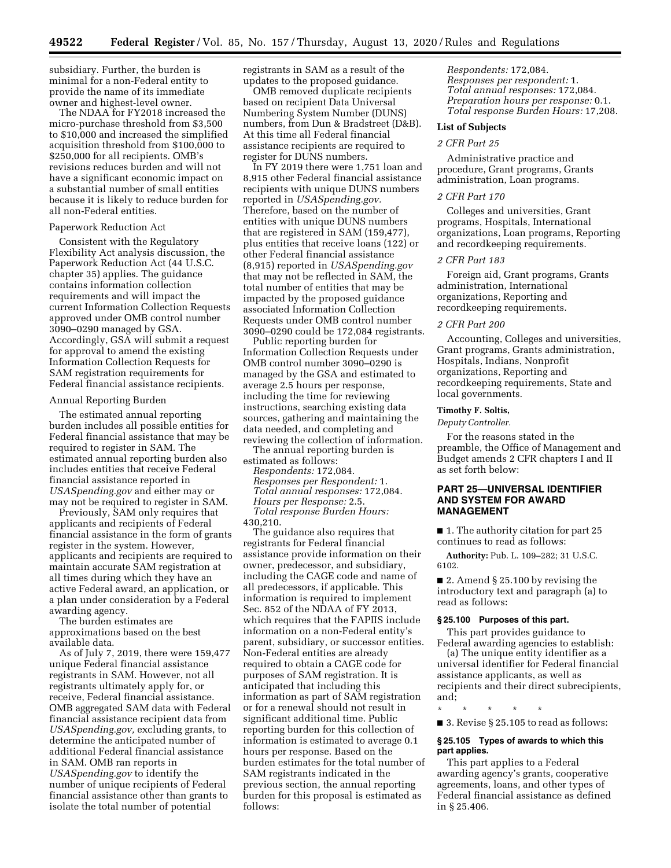subsidiary. Further, the burden is minimal for a non-Federal entity to provide the name of its immediate owner and highest-level owner.

The NDAA for FY2018 increased the micro-purchase threshold from \$3,500 to \$10,000 and increased the simplified acquisition threshold from \$100,000 to \$250,000 for all recipients. OMB's revisions reduces burden and will not have a significant economic impact on a substantial number of small entities because it is likely to reduce burden for all non-Federal entities.

# Paperwork Reduction Act

Consistent with the Regulatory Flexibility Act analysis discussion, the Paperwork Reduction Act (44 U.S.C. chapter 35) applies. The guidance contains information collection requirements and will impact the current Information Collection Requests approved under OMB control number 3090–0290 managed by GSA. Accordingly, GSA will submit a request for approval to amend the existing Information Collection Requests for SAM registration requirements for Federal financial assistance recipients.

#### Annual Reporting Burden

The estimated annual reporting burden includes all possible entities for Federal financial assistance that may be required to register in SAM. The estimated annual reporting burden also includes entities that receive Federal financial assistance reported in *USASpending.gov* and either may or may not be required to register in SAM.

Previously, SAM only requires that applicants and recipients of Federal financial assistance in the form of grants register in the system. However, applicants and recipients are required to maintain accurate SAM registration at all times during which they have an active Federal award, an application, or a plan under consideration by a Federal awarding agency.

The burden estimates are approximations based on the best available data.

As of July 7, 2019, there were 159,477 unique Federal financial assistance registrants in SAM. However, not all registrants ultimately apply for, or receive, Federal financial assistance. OMB aggregated SAM data with Federal financial assistance recipient data from *USASpending.gov,* excluding grants, to determine the anticipated number of additional Federal financial assistance in SAM. OMB ran reports in *USASpending.gov* to identify the number of unique recipients of Federal financial assistance other than grants to isolate the total number of potential

registrants in SAM as a result of the updates to the proposed guidance.

OMB removed duplicate recipients based on recipient Data Universal Numbering System Number (DUNS) numbers, from Dun & Bradstreet (D&B). At this time all Federal financial assistance recipients are required to register for DUNS numbers.

In FY 2019 there were 1,751 loan and 8,915 other Federal financial assistance recipients with unique DUNS numbers reported in *USASpending.gov.*  Therefore, based on the number of entities with unique DUNS numbers that are registered in SAM (159,477), plus entities that receive loans (122) or other Federal financial assistance (8,915) reported in *USASpending.gov*  that may not be reflected in SAM, the total number of entities that may be impacted by the proposed guidance associated Information Collection Requests under OMB control number 3090–0290 could be 172,084 registrants.

Public reporting burden for Information Collection Requests under OMB control number 3090–0290 is managed by the GSA and estimated to average 2.5 hours per response, including the time for reviewing instructions, searching existing data sources, gathering and maintaining the data needed, and completing and reviewing the collection of information.

The annual reporting burden is estimated as follows:

*Respondents:* 172,084. *Responses per Respondent:* 1. *Total annual responses:* 172,084. *Hours per Response:* 2.5. *Total response Burden Hours:* 

430,210.

The guidance also requires that registrants for Federal financial assistance provide information on their owner, predecessor, and subsidiary, including the CAGE code and name of all predecessors, if applicable. This information is required to implement Sec. 852 of the NDAA of FY 2013, which requires that the FAPIIS include information on a non-Federal entity's parent, subsidiary, or successor entities. Non-Federal entities are already required to obtain a CAGE code for purposes of SAM registration. It is anticipated that including this information as part of SAM registration or for a renewal should not result in significant additional time. Public reporting burden for this collection of information is estimated to average 0.1 hours per response. Based on the burden estimates for the total number of SAM registrants indicated in the previous section, the annual reporting burden for this proposal is estimated as follows:

*Respondents:* 172,084. *Responses per respondent:* 1. *Total annual responses:* 172,084. *Preparation hours per response:* 0.1. *Total response Burden Hours:* 17,208.

# **List of Subjects**

# *2 CFR Part 25*

Administrative practice and procedure, Grant programs, Grants administration, Loan programs.

# *2 CFR Part 170*

Colleges and universities, Grant programs, Hospitals, International organizations, Loan programs, Reporting and recordkeeping requirements.

# *2 CFR Part 183*

Foreign aid, Grant programs, Grants administration, International organizations, Reporting and recordkeeping requirements.

# *2 CFR Part 200*

Accounting, Colleges and universities, Grant programs, Grants administration, Hospitals, Indians, Nonprofit organizations, Reporting and recordkeeping requirements, State and local governments.

# **Timothy F. Soltis,**

*Deputy Controller.* 

For the reasons stated in the preamble, the Office of Management and Budget amends 2 CFR chapters I and II as set forth below:

# **PART 25—UNIVERSAL IDENTIFIER AND SYSTEM FOR AWARD MANAGEMENT**

■ 1. The authority citation for part 25 continues to read as follows:

**Authority:** Pub. L. 109–282; 31 U.S.C. 6102.

■ 2. Amend § 25.100 by revising the introductory text and paragraph (a) to read as follows:

# **§ 25.100 Purposes of this part.**

This part provides guidance to Federal awarding agencies to establish:

(a) The unique entity identifier as a universal identifier for Federal financial assistance applicants, as well as recipients and their direct subrecipients, and;

\* \* \* \* \*

■ 3. Revise § 25.105 to read as follows:

# **§ 25.105 Types of awards to which this part applies.**

This part applies to a Federal awarding agency's grants, cooperative agreements, loans, and other types of Federal financial assistance as defined in § 25.406.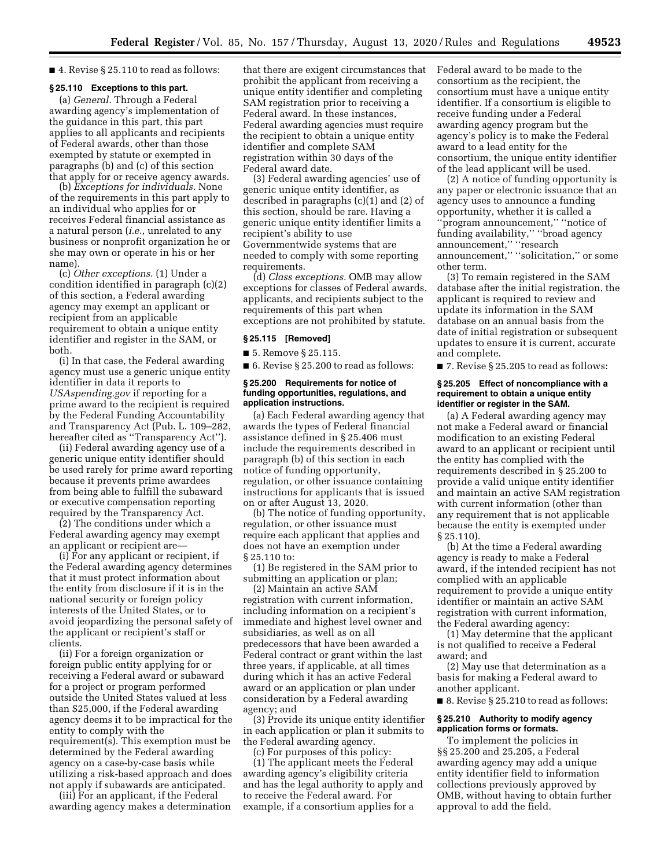### ■ 4. Revise § 25.110 to read as follows:

# **§ 25.110 Exceptions to this part.**

(a) *General.* Through a Federal awarding agency's implementation of the guidance in this part, this part applies to all applicants and recipients of Federal awards, other than those exempted by statute or exempted in paragraphs (b) and (c) of this section that apply for or receive agency awards.

(b) *Exceptions for individuals.* None of the requirements in this part apply to an individual who applies for or receives Federal financial assistance as a natural person (*i.e.,* unrelated to any business or nonprofit organization he or she may own or operate in his or her name).

(c) *Other exceptions.* (1) Under a condition identified in paragraph (c)(2) of this section, a Federal awarding agency may exempt an applicant or recipient from an applicable requirement to obtain a unique entity identifier and register in the SAM, or both.

(i) In that case, the Federal awarding agency must use a generic unique entity identifier in data it reports to *USAspending.gov* if reporting for a prime award to the recipient is required by the Federal Funding Accountability and Transparency Act (Pub. L. 109–282, hereafter cited as ''Transparency Act'').

(ii) Federal awarding agency use of a generic unique entity identifier should be used rarely for prime award reporting because it prevents prime awardees from being able to fulfill the subaward or executive compensation reporting required by the Transparency Act.

(2) The conditions under which a Federal awarding agency may exempt an applicant or recipient are—

(i) For any applicant or recipient, if the Federal awarding agency determines that it must protect information about the entity from disclosure if it is in the national security or foreign policy interests of the United States, or to avoid jeopardizing the personal safety of the applicant or recipient's staff or clients.

(ii) For a foreign organization or foreign public entity applying for or receiving a Federal award or subaward for a project or program performed outside the United States valued at less than \$25,000, if the Federal awarding agency deems it to be impractical for the entity to comply with the requirement(s). This exemption must be determined by the Federal awarding agency on a case-by-case basis while utilizing a risk-based approach and does not apply if subawards are anticipated.

(iii) For an applicant, if the Federal awarding agency makes a determination that there are exigent circumstances that prohibit the applicant from receiving a unique entity identifier and completing SAM registration prior to receiving a Federal award. In these instances, Federal awarding agencies must require the recipient to obtain a unique entity identifier and complete SAM registration within 30 days of the Federal award date.

(3) Federal awarding agencies' use of generic unique entity identifier, as described in paragraphs (c)(1) and (2) of this section, should be rare. Having a generic unique entity identifier limits a recipient's ability to use Governmentwide systems that are needed to comply with some reporting requirements.

(d) *Class exceptions.* OMB may allow exceptions for classes of Federal awards, applicants, and recipients subject to the requirements of this part when exceptions are not prohibited by statute.

### **§ 25.115 [Removed]**

■ 5. Remove § 25.115.

■ 6. Revise § 25.200 to read as follows:

### **§ 25.200 Requirements for notice of funding opportunities, regulations, and application instructions.**

(a) Each Federal awarding agency that awards the types of Federal financial assistance defined in § 25.406 must include the requirements described in paragraph (b) of this section in each notice of funding opportunity, regulation, or other issuance containing instructions for applicants that is issued on or after August 13, 2020.

(b) The notice of funding opportunity, regulation, or other issuance must require each applicant that applies and does not have an exemption under § 25.110 to:

(1) Be registered in the SAM prior to submitting an application or plan;

(2) Maintain an active SAM registration with current information, including information on a recipient's immediate and highest level owner and subsidiaries, as well as on all predecessors that have been awarded a Federal contract or grant within the last three years, if applicable, at all times during which it has an active Federal award or an application or plan under consideration by a Federal awarding agency; and

(3) Provide its unique entity identifier in each application or plan it submits to the Federal awarding agency.

(c) For purposes of this policy: (1) The applicant meets the Federal awarding agency's eligibility criteria and has the legal authority to apply and to receive the Federal award. For example, if a consortium applies for a

Federal award to be made to the consortium as the recipient, the consortium must have a unique entity identifier. If a consortium is eligible to receive funding under a Federal awarding agency program but the agency's policy is to make the Federal award to a lead entity for the consortium, the unique entity identifier of the lead applicant will be used.

(2) A notice of funding opportunity is any paper or electronic issuance that an agency uses to announce a funding opportunity, whether it is called a ''program announcement,'' ''notice of funding availability,'' ''broad agency announcement,'' ''research announcement,'' ''solicitation,'' or some other term.

(3) To remain registered in the SAM database after the initial registration, the applicant is required to review and update its information in the SAM database on an annual basis from the date of initial registration or subsequent updates to ensure it is current, accurate and complete.

■ 7. Revise § 25.205 to read as follows:

### **§ 25.205 Effect of noncompliance with a requirement to obtain a unique entity identifier or register in the SAM.**

(a) A Federal awarding agency may not make a Federal award or financial modification to an existing Federal award to an applicant or recipient until the entity has complied with the requirements described in § 25.200 to provide a valid unique entity identifier and maintain an active SAM registration with current information (other than any requirement that is not applicable because the entity is exempted under § 25.110).

(b) At the time a Federal awarding agency is ready to make a Federal award, if the intended recipient has not complied with an applicable requirement to provide a unique entity identifier or maintain an active SAM registration with current information, the Federal awarding agency:

(1) May determine that the applicant is not qualified to receive a Federal award; and

(2) May use that determination as a basis for making a Federal award to another applicant.

■ 8. Revise § 25.210 to read as follows:

### **§ 25.210 Authority to modify agency application forms or formats.**

To implement the policies in §§ 25.200 and 25.205, a Federal awarding agency may add a unique entity identifier field to information collections previously approved by OMB, without having to obtain further approval to add the field.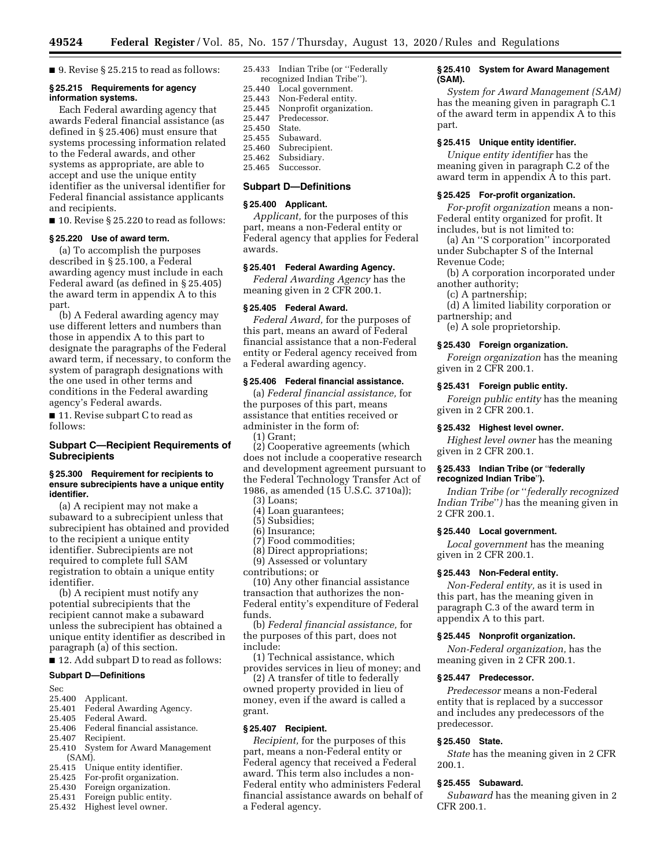**49524 Federal Register** / Vol. 85, No. 157 / Thursday, August 13, 2020 / Rules and Regulations

■ 9. Revise § 25.215 to read as follows:

### **§ 25.215 Requirements for agency information systems.**

Each Federal awarding agency that awards Federal financial assistance (as defined in § 25.406) must ensure that systems processing information related to the Federal awards, and other systems as appropriate, are able to accept and use the unique entity identifier as the universal identifier for Federal financial assistance applicants and recipients.

■ 10. Revise § 25.220 to read as follows:

### **§ 25.220 Use of award term.**

(a) To accomplish the purposes described in § 25.100, a Federal awarding agency must include in each Federal award (as defined in § 25.405) the award term in appendix A to this part.

(b) A Federal awarding agency may use different letters and numbers than those in appendix A to this part to designate the paragraphs of the Federal award term, if necessary, to conform the system of paragraph designations with the one used in other terms and conditions in the Federal awarding agency's Federal awards.

■ 11. Revise subpart C to read as follows:

# **Subpart C—Recipient Requirements of Subrecipients**

### **§ 25.300 Requirement for recipients to ensure subrecipients have a unique entity identifier.**

(a) A recipient may not make a subaward to a subrecipient unless that subrecipient has obtained and provided to the recipient a unique entity identifier. Subrecipients are not required to complete full SAM registration to obtain a unique entity identifier.

(b) A recipient must notify any potential subrecipients that the recipient cannot make a subaward unless the subrecipient has obtained a unique entity identifier as described in paragraph (a) of this section.

■ 12. Add subpart D to read as follows:

# **Subpart D—Definitions**

Sec

- 25.400 Applicant.<br>25.401 Federal Aw
- 25.401 Federal Awarding Agency.<br>25.405 Federal Award
- 25.405 Federal Award.<br>25.406 Federal financia
- 25.406 Federal financial assistance.<br>25.407 Recipient.
- Recipient.
- 25.410 System for Award Management (SAM).
- 25.415 Unique entity identifier.<br>25.425 For-profit organization.
- 25.425 For-profit organization.
- Foreign organization.
- 25.431 Foreign public entity.
- 25.432 Highest level owner.

25.433 Indian Tribe (or ''Federally

recognized Indian Tribe'').<br>25.440 Local government. Local government.

- 
- 25.443 Non-Federal entity.<br>25.445 Nonprofit organizat
- 25.445 Nonprofit organization. Predecessor.
- 25.450 State.
- 25.455 Subaward.
- 25.460 Subrecipient.<br>25.462 Subsidiary.
- 25.462 Subsidiary.<br>25.465 Successor.
- Successor.

# **Subpart D—Definitions**

# **§ 25.400 Applicant.**

*Applicant,* for the purposes of this part, means a non-Federal entity or Federal agency that applies for Federal awards.

### **§ 25.401 Federal Awarding Agency.**

*Federal Awarding Agency* has the meaning given in 2 CFR 200.1.

# **§ 25.405 Federal Award.**

*Federal Award,* for the purposes of this part, means an award of Federal financial assistance that a non-Federal entity or Federal agency received from a Federal awarding agency.

### **§ 25.406 Federal financial assistance.**

(a) *Federal financial assistance,* for the purposes of this part, means assistance that entities received or administer in the form of:

(1) Grant;

(2) Cooperative agreements (which does not include a cooperative research and development agreement pursuant to the Federal Technology Transfer Act of 1986, as amended (15 U.S.C. 3710a));

(3) Loans;

- (4) Loan guarantees;
- (5) Subsidies;
- (6) Insurance;
- (7) Food commodities;
- (8) Direct appropriations; (9) Assessed or voluntary

contributions; or

(10) Any other financial assistance transaction that authorizes the non-Federal entity's expenditure of Federal funds.

(b) *Federal financial assistance,* for the purposes of this part, does not include:

(1) Technical assistance, which provides services in lieu of money; and

(2) A transfer of title to federally owned property provided in lieu of money, even if the award is called a grant.

# **§ 25.407 Recipient.**

*Recipient,* for the purposes of this part, means a non-Federal entity or Federal agency that received a Federal award. This term also includes a non-Federal entity who administers Federal financial assistance awards on behalf of a Federal agency.

# **§ 25.410 System for Award Management (SAM).**

*System for Award Management (SAM)*  has the meaning given in paragraph C.1 of the award term in appendix A to this part.

### **§ 25.415 Unique entity identifier.**

*Unique entity identifier* has the meaning given in paragraph C.2 of the award term in appendix A to this part.

### **§ 25.425 For-profit organization.**

*For-profit organization* means a non-Federal entity organized for profit. It includes, but is not limited to:

(a) An ''S corporation'' incorporated under Subchapter S of the Internal Revenue Code;

- (b) A corporation incorporated under another authority;
	- (c) A partnership;
- (d) A limited liability corporation or partnership; and
	- (e) A sole proprietorship.

### **§ 25.430 Foreign organization.**

*Foreign organization* has the meaning given in 2 CFR 200.1.

#### **§ 25.431 Foreign public entity.**

*Foreign public entity* has the meaning given in 2 CFR 200.1.

### **§ 25.432 Highest level owner.**

*Highest level owner* has the meaning given in 2 CFR 200.1.

# **§ 25.433 Indian Tribe (or** ''**federally recognized Indian Tribe**''**).**

*Indian Tribe (or* ''*federally recognized Indian Tribe*''*)* has the meaning given in 2 CFR 200.1.

#### **§ 25.440 Local government.**

*Local government* has the meaning given in 2 CFR 200.1.

### **§ 25.443 Non-Federal entity.**

*Non-Federal entity,* as it is used in this part, has the meaning given in paragraph C.3 of the award term in appendix A to this part.

#### **§ 25.445 Nonprofit organization.**

*Non-Federal organization,* has the meaning given in 2 CFR 200.1.

### **§ 25.447 Predecessor.**

*Predecessor* means a non-Federal entity that is replaced by a successor and includes any predecessors of the predecessor.

### **§ 25.450 State.**

*State* has the meaning given in 2 CFR 200.1.

# **§ 25.455 Subaward.**

*Subaward* has the meaning given in 2 CFR 200.1.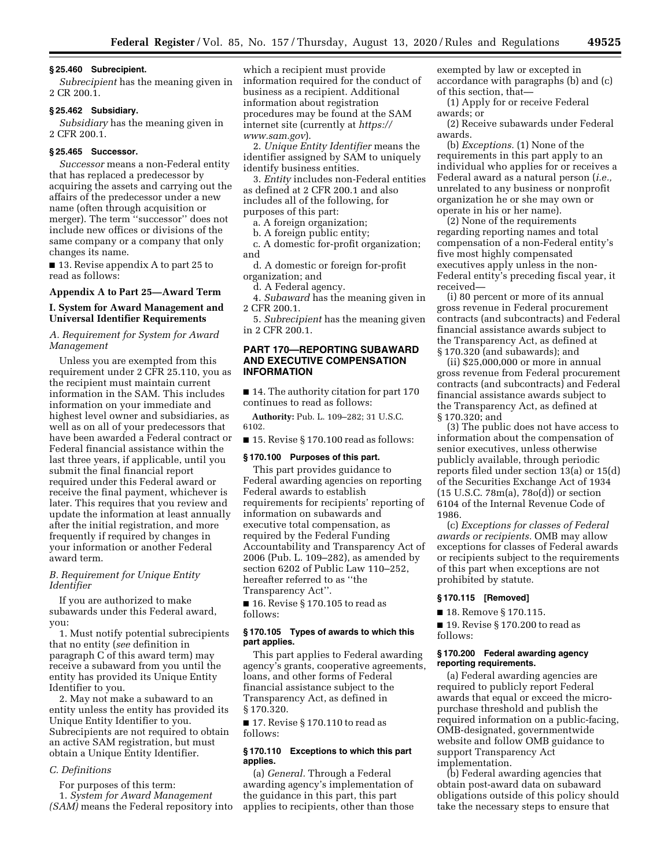#### **§ 25.460 Subrecipient.**

*Subrecipient* has the meaning given in 2 CR 200.1.

# **§ 25.462 Subsidiary.**

*Subsidiary* has the meaning given in 2 CFR 200.1.

### **§ 25.465 Successor.**

*Successor* means a non-Federal entity that has replaced a predecessor by acquiring the assets and carrying out the affairs of the predecessor under a new name (often through acquisition or merger). The term ''successor'' does not include new offices or divisions of the same company or a company that only changes its name.

■ 13. Revise appendix A to part 25 to read as follows:

# **Appendix A to Part 25—Award Term**

# **I. System for Award Management and Universal Identifier Requirements**

*A. Requirement for System for Award Management* 

Unless you are exempted from this requirement under 2 CFR 25.110, you as the recipient must maintain current information in the SAM. This includes information on your immediate and highest level owner and subsidiaries, as well as on all of your predecessors that have been awarded a Federal contract or Federal financial assistance within the last three years, if applicable, until you submit the final financial report required under this Federal award or receive the final payment, whichever is later. This requires that you review and update the information at least annually after the initial registration, and more frequently if required by changes in your information or another Federal award term.

# *B. Requirement for Unique Entity Identifier*

If you are authorized to make subawards under this Federal award, you:

1. Must notify potential subrecipients that no entity (*see* definition in paragraph C of this award term) may receive a subaward from you until the entity has provided its Unique Entity Identifier to you.

2. May not make a subaward to an entity unless the entity has provided its Unique Entity Identifier to you. Subrecipients are not required to obtain an active SAM registration, but must obtain a Unique Entity Identifier.

# *C. Definitions*

For purposes of this term: 1. *System for Award Management (SAM)* means the Federal repository into

which a recipient must provide information required for the conduct of business as a recipient. Additional information about registration procedures may be found at the SAM internet site (currently at *https:// www.sam.gov*).

2. *Unique Entity Identifier* means the identifier assigned by SAM to uniquely identify business entities.

3. *Entity* includes non-Federal entities as defined at 2 CFR 200.1 and also includes all of the following, for purposes of this part:

a. A foreign organization;

b. A foreign public entity;

c. A domestic for-profit organization; and

d. A domestic or foreign for-profit organization; and

d. A Federal agency.

4. *Subaward* has the meaning given in 2 CFR 200.1.

5. *Subrecipient* has the meaning given in 2 CFR 200.1.

# **PART 170—REPORTING SUBAWARD AND EXECUTIVE COMPENSATION INFORMATION**

■ 14. The authority citation for part 170 continues to read as follows:

**Authority:** Pub. L. 109–282; 31 U.S.C. 6102.

■ 15. Revise § 170.100 read as follows:

# **§ 170.100 Purposes of this part.**

This part provides guidance to Federal awarding agencies on reporting Federal awards to establish requirements for recipients' reporting of information on subawards and executive total compensation, as required by the Federal Funding Accountability and Transparency Act of 2006 (Pub. L. 109–282), as amended by section 6202 of Public Law 110–252, hereafter referred to as ''the Transparency Act''.

■ 16. Revise § 170.105 to read as follows:

# **§ 170.105 Types of awards to which this part applies.**

This part applies to Federal awarding agency's grants, cooperative agreements, loans, and other forms of Federal financial assistance subject to the Transparency Act, as defined in § 170.320.

■ 17. Revise § 170.110 to read as follows:

# **§ 170.110 Exceptions to which this part applies.**

(a) *General.* Through a Federal awarding agency's implementation of the guidance in this part, this part applies to recipients, other than those exempted by law or excepted in accordance with paragraphs (b) and (c) of this section, that—

(1) Apply for or receive Federal awards; or

(2) Receive subawards under Federal awards.

(b) *Exceptions.* (1) None of the requirements in this part apply to an individual who applies for or receives a Federal award as a natural person (*i.e.,*  unrelated to any business or nonprofit organization he or she may own or operate in his or her name).

(2) None of the requirements regarding reporting names and total compensation of a non-Federal entity's five most highly compensated executives apply unless in the non-Federal entity's preceding fiscal year, it received—

(i) 80 percent or more of its annual gross revenue in Federal procurement contracts (and subcontracts) and Federal financial assistance awards subject to the Transparency Act, as defined at § 170.320 (and subawards); and

(ii) \$25,000,000 or more in annual gross revenue from Federal procurement contracts (and subcontracts) and Federal financial assistance awards subject to the Transparency Act, as defined at § 170.320; and

(3) The public does not have access to information about the compensation of senior executives, unless otherwise publicly available, through periodic reports filed under section 13(a) or 15(d) of the Securities Exchange Act of 1934 (15 U.S.C. 78m(a), 78o(d)) or section 6104 of the Internal Revenue Code of 1986.

(c) *Exceptions for classes of Federal awards or recipients.* OMB may allow exceptions for classes of Federal awards or recipients subject to the requirements of this part when exceptions are not prohibited by statute.

#### **§ 170.115 [Removed]**

■ 18. Remove § 170.115.

■ 19. Revise § 170.200 to read as follows:

# **§ 170.200 Federal awarding agency reporting requirements.**

(a) Federal awarding agencies are required to publicly report Federal awards that equal or exceed the micropurchase threshold and publish the required information on a public-facing, OMB-designated, governmentwide website and follow OMB guidance to support Transparency Act implementation.

(b) Federal awarding agencies that obtain post-award data on subaward obligations outside of this policy should take the necessary steps to ensure that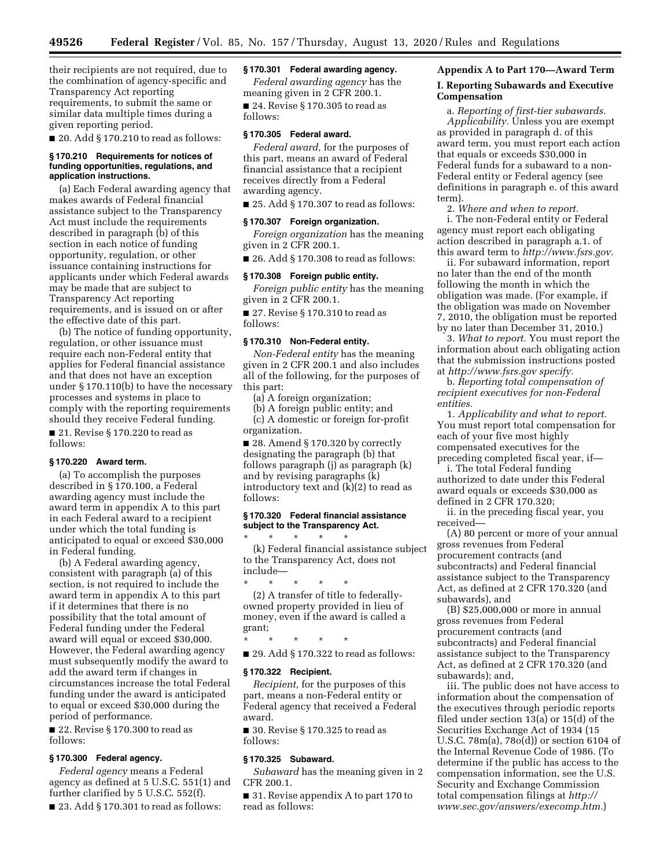their recipients are not required, due to the combination of agency-specific and Transparency Act reporting requirements, to submit the same or similar data multiple times during a given reporting period.

■ 20. Add § 170.210 to read as follows:

### **§ 170.210 Requirements for notices of funding opportunities, regulations, and application instructions.**

(a) Each Federal awarding agency that makes awards of Federal financial assistance subject to the Transparency Act must include the requirements described in paragraph (b) of this section in each notice of funding opportunity, regulation, or other issuance containing instructions for applicants under which Federal awards may be made that are subject to Transparency Act reporting requirements, and is issued on or after the effective date of this part.

(b) The notice of funding opportunity, regulation, or other issuance must require each non-Federal entity that applies for Federal financial assistance and that does not have an exception under § 170.110(b) to have the necessary processes and systems in place to comply with the reporting requirements should they receive Federal funding.

■ 21. Revise § 170.220 to read as follows:

### **§ 170.220 Award term.**

(a) To accomplish the purposes described in § 170.100, a Federal awarding agency must include the award term in appendix A to this part in each Federal award to a recipient under which the total funding is anticipated to equal or exceed \$30,000 in Federal funding.

(b) A Federal awarding agency, consistent with paragraph (a) of this section, is not required to include the award term in appendix A to this part if it determines that there is no possibility that the total amount of Federal funding under the Federal award will equal or exceed \$30,000. However, the Federal awarding agency must subsequently modify the award to add the award term if changes in circumstances increase the total Federal funding under the award is anticipated to equal or exceed \$30,000 during the period of performance.

■ 22. Revise § 170.300 to read as follows:

# **§ 170.300 Federal agency.**

*Federal agency* means a Federal agency as defined at 5 U.S.C. 551(1) and further clarified by 5 U.S.C. 552(f).

■ 23. Add § 170.301 to read as follows:

# **§ 170.301 Federal awarding agency.**

*Federal awarding agency* has the meaning given in 2 CFR 200.1.

■ 24. Revise § 170.305 to read as follows:

### **§ 170.305 Federal award.**

*Federal award,* for the purposes of this part, means an award of Federal financial assistance that a recipient receives directly from a Federal awarding agency.

 $\blacksquare$  25. Add § 170.307 to read as follows:

### **§ 170.307 Foreign organization.**

*Foreign organization* has the meaning given in 2 CFR 200.1.

■ 26. Add § 170.308 to read as follows:

#### **§ 170.308 Foreign public entity.**

*Foreign public entity* has the meaning given in 2 CFR 200.1.

■ 27. Revise § 170.310 to read as follows:

# **§ 170.310 Non-Federal entity.**

*Non-Federal entity* has the meaning given in 2 CFR 200.1 and also includes all of the following, for the purposes of this part:

(a) A foreign organization;

(b) A foreign public entity; and (c) A domestic or foreign for-profit organization.

■ 28. Amend § 170.320 by correctly designating the paragraph (b) that follows paragraph (j) as paragraph (k) and by revising paragraphs (k) introductory text and (k)(2) to read as follows:

### **§ 170.320 Federal financial assistance subject to the Transparency Act.**

\* \* \* \* \*

(k) Federal financial assistance subject to the Transparency Act, does not include—

\* \* \* \* \* (2) A transfer of title to federallyowned property provided in lieu of money, even if the award is called a grant;

\* \* \* \* \*

■ 29. Add § 170.322 to read as follows:

### **§ 170.322 Recipient.**

*Recipient,* for the purposes of this part, means a non-Federal entity or Federal agency that received a Federal award.

■ 30. Revise § 170.325 to read as follows:

# **§ 170.325 Subaward.**

*Subaward* has the meaning given in 2 CFR 200.1.

■ 31. Revise appendix A to part 170 to read as follows:

# **Appendix A to Part 170—Award Term**

# **I. Reporting Subawards and Executive Compensation**

a. *Reporting of first-tier subawards. Applicability.* Unless you are exempt as provided in paragraph d. of this award term, you must report each action that equals or exceeds \$30,000 in Federal funds for a subaward to a non-Federal entity or Federal agency (see definitions in paragraph e. of this award term).

2. *Where and when to report.*  i. The non-Federal entity or Federal agency must report each obligating action described in paragraph a.1. of this award term to *http://www.fsrs.gov.* 

ii. For subaward information, report no later than the end of the month following the month in which the obligation was made. (For example, if the obligation was made on November 7, 2010, the obligation must be reported by no later than December 31, 2010.)

3. *What to report.* You must report the information about each obligating action that the submission instructions posted at *http://www.fsrs.gov specify.* 

b. *Reporting total compensation of recipient executives for non-Federal entities.* 

1. *Applicability and what to report.*  You must report total compensation for each of your five most highly compensated executives for the preceding completed fiscal year, if—

i. The total Federal funding authorized to date under this Federal award equals or exceeds \$30,000 as

defined in 2 CFR 170.320; ii. in the preceding fiscal year, you

received—

(A) 80 percent or more of your annual gross revenues from Federal procurement contracts (and subcontracts) and Federal financial assistance subject to the Transparency Act, as defined at 2 CFR 170.320 (and subawards), and

(B) \$25,000,000 or more in annual gross revenues from Federal procurement contracts (and subcontracts) and Federal financial assistance subject to the Transparency Act, as defined at 2 CFR 170.320 (and subawards); and,

iii. The public does not have access to information about the compensation of the executives through periodic reports filed under section 13(a) or 15(d) of the Securities Exchange Act of 1934 (15 U.S.C. 78m(a), 78o(d)) or section 6104 of the Internal Revenue Code of 1986. (To determine if the public has access to the compensation information, see the U.S. Security and Exchange Commission total compensation filings at *http:// www.sec.gov/answers/execomp.htm.*)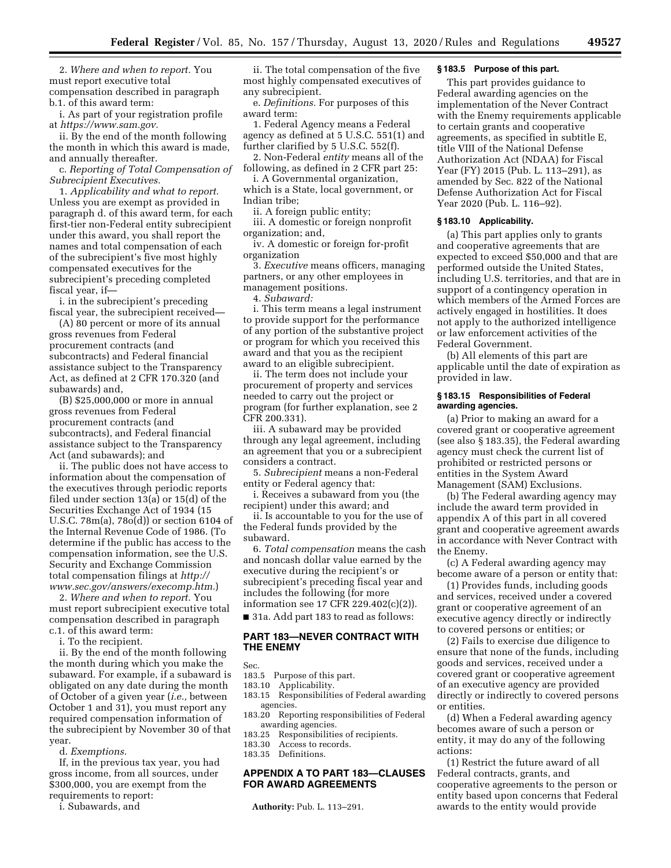2. *Where and when to report.* You must report executive total compensation described in paragraph b.1. of this award term:

i. As part of your registration profile at *https://www.sam.gov.* 

ii. By the end of the month following the month in which this award is made, and annually thereafter.

c. *Reporting of Total Compensation of Subrecipient Executives.* 

1. *Applicability and what to report.*  Unless you are exempt as provided in paragraph d. of this award term, for each first-tier non-Federal entity subrecipient under this award, you shall report the names and total compensation of each of the subrecipient's five most highly compensated executives for the subrecipient's preceding completed fiscal year, if—

i. in the subrecipient's preceding fiscal year, the subrecipient received—

(A) 80 percent or more of its annual gross revenues from Federal procurement contracts (and subcontracts) and Federal financial assistance subject to the Transparency Act, as defined at 2 CFR 170.320 (and subawards) and,

(B) \$25,000,000 or more in annual gross revenues from Federal procurement contracts (and subcontracts), and Federal financial assistance subject to the Transparency Act (and subawards); and

ii. The public does not have access to information about the compensation of the executives through periodic reports filed under section 13(a) or 15(d) of the Securities Exchange Act of 1934 (15 U.S.C. 78m(a), 78o(d)) or section 6104 of the Internal Revenue Code of 1986. (To determine if the public has access to the compensation information, see the U.S. Security and Exchange Commission total compensation filings at *http:// www.sec.gov/answers/execomp.htm.*)

2. *Where and when to report.* You must report subrecipient executive total compensation described in paragraph c.1. of this award term:

i. To the recipient.

ii. By the end of the month following the month during which you make the

subaward. For example, if a subaward is obligated on any date during the month of October of a given year (*i.e.,* between October 1 and 31), you must report any required compensation information of the subrecipient by November 30 of that year.

d. *Exemptions.* 

If, in the previous tax year, you had gross income, from all sources, under \$300,000, you are exempt from the requirements to report:

i. Subawards, and

ii. The total compensation of the five most highly compensated executives of any subrecipient.

e. *Definitions.* For purposes of this award term:

1. Federal Agency means a Federal agency as defined at 5 U.S.C. 551(1) and further clarified by 5 U.S.C. 552(f).

2. Non-Federal *entity* means all of the following, as defined in 2 CFR part 25:

i. A Governmental organization, which is a State, local government, or Indian tribe;

ii. A foreign public entity;

iii. A domestic or foreign nonprofit organization; and,

iv. A domestic or foreign for-profit organization

3. *Executive* means officers, managing partners, or any other employees in management positions.

4. *Subaward:* 

i. This term means a legal instrument to provide support for the performance of any portion of the substantive project or program for which you received this award and that you as the recipient award to an eligible subrecipient.

ii. The term does not include your procurement of property and services needed to carry out the project or program (for further explanation, see 2 CFR 200.331).

iii. A subaward may be provided through any legal agreement, including an agreement that you or a subrecipient considers a contract.

5. *Subrecipient* means a non-Federal entity or Federal agency that:

i. Receives a subaward from you (the recipient) under this award; and

ii. Is accountable to you for the use of the Federal funds provided by the subaward.

6. *Total compensation* means the cash and noncash dollar value earned by the executive during the recipient's or subrecipient's preceding fiscal year and includes the following (for more information see 17 CFR 229.402(c)(2)).

■ 31a. Add part 183 to read as follows:

# **PART 183—NEVER CONTRACT WITH THE ENEMY**

Sec.

- 183.5 Purpose of this part.
- 183.10 Applicability.
- 183.15 Responsibilities of Federal awarding agencies.
- 183.20 Reporting responsibilities of Federal
- awarding agencies.<br>183.25 Responsibilitie Responsibilities of recipients.
- 183.30 Access to records.
- 183.35 Definitions.

# **APPENDIX A TO PART 183—CLAUSES FOR AWARD AGREEMENTS**

**Authority:** Pub. L. 113–291.

# **§ 183.5 Purpose of this part.**

This part provides guidance to Federal awarding agencies on the implementation of the Never Contract with the Enemy requirements applicable to certain grants and cooperative agreements, as specified in subtitle E, title VIII of the National Defense Authorization Act (NDAA) for Fiscal Year (FY) 2015 (Pub. L. 113–291), as amended by Sec. 822 of the National Defense Authorization Act for Fiscal Year 2020 (Pub. L. 116–92).

### **§ 183.10 Applicability.**

(a) This part applies only to grants and cooperative agreements that are expected to exceed \$50,000 and that are performed outside the United States, including U.S. territories, and that are in support of a contingency operation in which members of the Armed Forces are actively engaged in hostilities. It does not apply to the authorized intelligence or law enforcement activities of the Federal Government.

(b) All elements of this part are applicable until the date of expiration as provided in law.

### **§ 183.15 Responsibilities of Federal awarding agencies.**

(a) Prior to making an award for a covered grant or cooperative agreement (see also § 183.35), the Federal awarding agency must check the current list of prohibited or restricted persons or entities in the System Award Management (SAM) Exclusions.

(b) The Federal awarding agency may include the award term provided in appendix A of this part in all covered grant and cooperative agreement awards in accordance with Never Contract with the Enemy.

(c) A Federal awarding agency may become aware of a person or entity that:

(1) Provides funds, including goods and services, received under a covered grant or cooperative agreement of an executive agency directly or indirectly to covered persons or entities; or

(2) Fails to exercise due diligence to ensure that none of the funds, including goods and services, received under a covered grant or cooperative agreement of an executive agency are provided directly or indirectly to covered persons or entities.

(d) When a Federal awarding agency becomes aware of such a person or entity, it may do any of the following actions:

(1) Restrict the future award of all Federal contracts, grants, and cooperative agreements to the person or entity based upon concerns that Federal awards to the entity would provide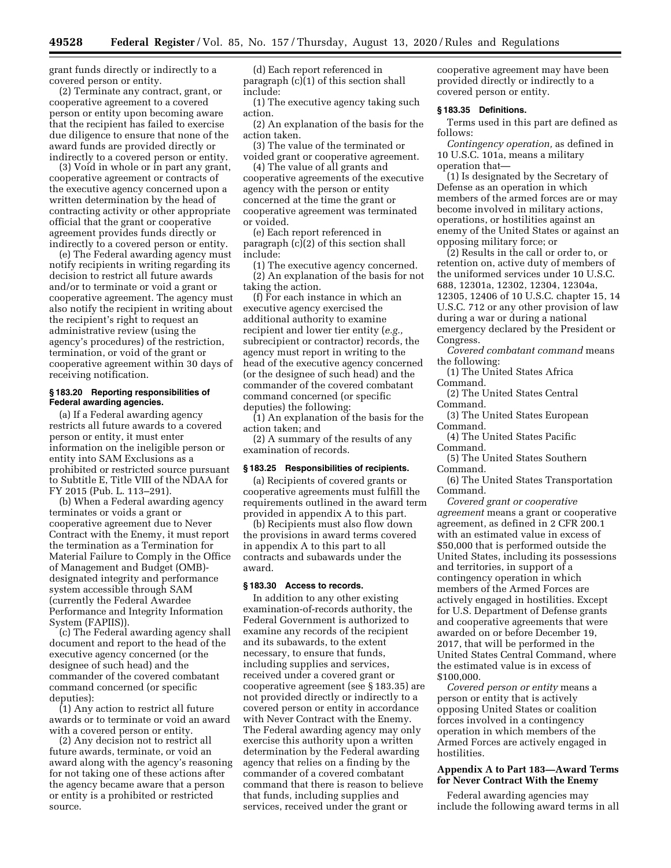grant funds directly or indirectly to a covered person or entity.

(2) Terminate any contract, grant, or cooperative agreement to a covered person or entity upon becoming aware that the recipient has failed to exercise due diligence to ensure that none of the award funds are provided directly or indirectly to a covered person or entity.

(3) Void in whole or in part any grant, cooperative agreement or contracts of the executive agency concerned upon a written determination by the head of contracting activity or other appropriate official that the grant or cooperative agreement provides funds directly or indirectly to a covered person or entity.

(e) The Federal awarding agency must notify recipients in writing regarding its decision to restrict all future awards and/or to terminate or void a grant or cooperative agreement. The agency must also notify the recipient in writing about the recipient's right to request an administrative review (using the agency's procedures) of the restriction, termination, or void of the grant or cooperative agreement within 30 days of receiving notification.

### **§ 183.20 Reporting responsibilities of Federal awarding agencies.**

(a) If a Federal awarding agency restricts all future awards to a covered person or entity, it must enter information on the ineligible person or entity into SAM Exclusions as a prohibited or restricted source pursuant to Subtitle E, Title VIII of the NDAA for FY 2015 (Pub. L. 113–291).

(b) When a Federal awarding agency terminates or voids a grant or cooperative agreement due to Never Contract with the Enemy, it must report the termination as a Termination for Material Failure to Comply in the Office of Management and Budget (OMB) designated integrity and performance system accessible through SAM (currently the Federal Awardee Performance and Integrity Information System (FAPIIS)).

(c) The Federal awarding agency shall document and report to the head of the executive agency concerned (or the designee of such head) and the commander of the covered combatant command concerned (or specific deputies):

(1) Any action to restrict all future awards or to terminate or void an award with a covered person or entity.

(2) Any decision not to restrict all future awards, terminate, or void an award along with the agency's reasoning for not taking one of these actions after the agency became aware that a person or entity is a prohibited or restricted source.

(d) Each report referenced in paragraph (c)(1) of this section shall include:

(1) The executive agency taking such action.

(2) An explanation of the basis for the action taken.

(3) The value of the terminated or voided grant or cooperative agreement.

(4) The value of all grants and cooperative agreements of the executive agency with the person or entity concerned at the time the grant or cooperative agreement was terminated or voided.

(e) Each report referenced in paragraph (c)(2) of this section shall include:

(1) The executive agency concerned. (2) An explanation of the basis for not taking the action.

(f) For each instance in which an executive agency exercised the additional authority to examine recipient and lower tier entity (*e.g.,*  subrecipient or contractor) records, the agency must report in writing to the head of the executive agency concerned (or the designee of such head) and the commander of the covered combatant command concerned (or specific deputies) the following:

(1) An explanation of the basis for the action taken; and

(2) A summary of the results of any examination of records.

# **§ 183.25 Responsibilities of recipients.**

(a) Recipients of covered grants or cooperative agreements must fulfill the requirements outlined in the award term provided in appendix A to this part.

(b) Recipients must also flow down the provisions in award terms covered in appendix A to this part to all contracts and subawards under the award.

### **§ 183.30 Access to records.**

In addition to any other existing examination-of-records authority, the Federal Government is authorized to examine any records of the recipient and its subawards, to the extent necessary, to ensure that funds, including supplies and services, received under a covered grant or cooperative agreement (see § 183.35) are not provided directly or indirectly to a covered person or entity in accordance with Never Contract with the Enemy. The Federal awarding agency may only exercise this authority upon a written determination by the Federal awarding agency that relies on a finding by the commander of a covered combatant command that there is reason to believe that funds, including supplies and services, received under the grant or

cooperative agreement may have been provided directly or indirectly to a covered person or entity.

# **§ 183.35 Definitions.**

Terms used in this part are defined as follows:

*Contingency operation,* as defined in 10 U.S.C. 101a, means a military operation that—

(1) Is designated by the Secretary of Defense as an operation in which members of the armed forces are or may become involved in military actions, operations, or hostilities against an enemy of the United States or against an opposing military force; or

(2) Results in the call or order to, or retention on, active duty of members of the uniformed services under 10 U.S.C. 688, 12301a, 12302, 12304, 12304a, 12305, 12406 of 10 U.S.C. chapter 15, 14 U.S.C. 712 or any other provision of law during a war or during a national emergency declared by the President or Congress.

*Covered combatant command* means the following:

(1) The United States Africa Command.

(2) The United States Central Command.

(3) The United States European Command.

(4) The United States Pacific Command.

(5) The United States Southern Command.

(6) The United States Transportation Command.

*Covered grant or cooperative agreement* means a grant or cooperative agreement, as defined in 2 CFR 200.1 with an estimated value in excess of \$50,000 that is performed outside the United States, including its possessions and territories, in support of a contingency operation in which members of the Armed Forces are actively engaged in hostilities. Except for U.S. Department of Defense grants and cooperative agreements that were awarded on or before December 19, 2017, that will be performed in the United States Central Command, where the estimated value is in excess of \$100,000.

*Covered person or entity* means a person or entity that is actively opposing United States or coalition forces involved in a contingency operation in which members of the Armed Forces are actively engaged in hostilities.

# **Appendix A to Part 183—Award Terms for Never Contract With the Enemy**

Federal awarding agencies may include the following award terms in all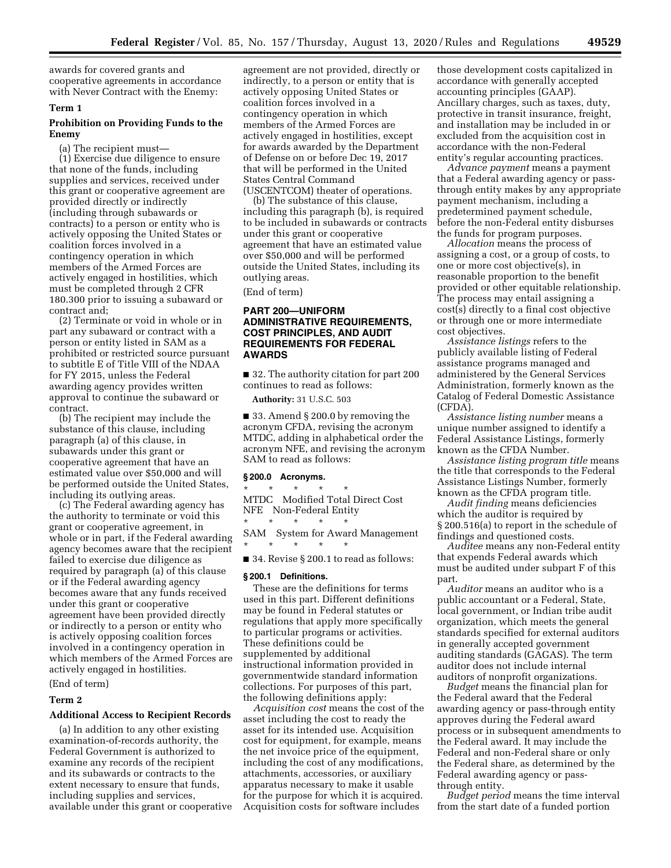awards for covered grants and cooperative agreements in accordance with Never Contract with the Enemy:

# **Term 1**

# **Prohibition on Providing Funds to the Enemy**

(a) The recipient must—

(1) Exercise due diligence to ensure that none of the funds, including supplies and services, received under this grant or cooperative agreement are provided directly or indirectly (including through subawards or contracts) to a person or entity who is actively opposing the United States or coalition forces involved in a contingency operation in which members of the Armed Forces are actively engaged in hostilities, which must be completed through 2 CFR 180.300 prior to issuing a subaward or contract and;

(2) Terminate or void in whole or in part any subaward or contract with a person or entity listed in SAM as a prohibited or restricted source pursuant to subtitle E of Title VIII of the NDAA for FY 2015, unless the Federal awarding agency provides written approval to continue the subaward or contract.

(b) The recipient may include the substance of this clause, including paragraph (a) of this clause, in subawards under this grant or cooperative agreement that have an estimated value over \$50,000 and will be performed outside the United States, including its outlying areas.

(c) The Federal awarding agency has the authority to terminate or void this grant or cooperative agreement, in whole or in part, if the Federal awarding agency becomes aware that the recipient failed to exercise due diligence as required by paragraph (a) of this clause or if the Federal awarding agency becomes aware that any funds received under this grant or cooperative agreement have been provided directly or indirectly to a person or entity who is actively opposing coalition forces involved in a contingency operation in which members of the Armed Forces are actively engaged in hostilities.

# (End of term)

# **Term 2**

# **Additional Access to Recipient Records**

(a) In addition to any other existing examination-of-records authority, the Federal Government is authorized to examine any records of the recipient and its subawards or contracts to the extent necessary to ensure that funds, including supplies and services, available under this grant or cooperative agreement are not provided, directly or indirectly, to a person or entity that is actively opposing United States or coalition forces involved in a contingency operation in which members of the Armed Forces are actively engaged in hostilities, except for awards awarded by the Department of Defense on or before Dec 19, 2017 that will be performed in the United States Central Command

(USCENTCOM) theater of operations. (b) The substance of this clause,

including this paragraph (b), is required to be included in subawards or contracts under this grant or cooperative agreement that have an estimated value over \$50,000 and will be performed outside the United States, including its outlying areas.

(End of term)

# **PART 200—UNIFORM ADMINISTRATIVE REQUIREMENTS, COST PRINCIPLES, AND AUDIT REQUIREMENTS FOR FEDERAL AWARDS**

■ 32. The authority citation for part 200 continues to read as follows:

**Authority:** 31 U.S.C. 503

■ 33. Amend § 200.0 by removing the acronym CFDA, revising the acronym MTDC, adding in alphabetical order the acronym NFE, and revising the acronym SAM to read as follows:

# **§ 200.0 Acronyms.**

\* \* \* \* \* MTDC Modified Total Direct Cost NFE Non-Federal Entity

\* \* \* \* \* SAM System for Award Management \* \* \* \* \*

■ 34. Revise § 200.1 to read as follows:

# **§ 200.1 Definitions.**

These are the definitions for terms used in this part. Different definitions may be found in Federal statutes or regulations that apply more specifically to particular programs or activities. These definitions could be supplemented by additional instructional information provided in governmentwide standard information collections. For purposes of this part, the following definitions apply:

*Acquisition cost* means the cost of the asset including the cost to ready the asset for its intended use. Acquisition cost for equipment, for example, means the net invoice price of the equipment, including the cost of any modifications, attachments, accessories, or auxiliary apparatus necessary to make it usable for the purpose for which it is acquired. Acquisition costs for software includes

those development costs capitalized in accordance with generally accepted accounting principles (GAAP). Ancillary charges, such as taxes, duty, protective in transit insurance, freight, and installation may be included in or excluded from the acquisition cost in accordance with the non-Federal entity's regular accounting practices.

*Advance payment* means a payment that a Federal awarding agency or passthrough entity makes by any appropriate payment mechanism, including a predetermined payment schedule, before the non-Federal entity disburses the funds for program purposes.

*Allocation* means the process of assigning a cost, or a group of costs, to one or more cost objective(s), in reasonable proportion to the benefit provided or other equitable relationship. The process may entail assigning a cost(s) directly to a final cost objective or through one or more intermediate cost objectives.

*Assistance listings* refers to the publicly available listing of Federal assistance programs managed and administered by the General Services Administration, formerly known as the Catalog of Federal Domestic Assistance (CFDA).

*Assistance listing number* means a unique number assigned to identify a Federal Assistance Listings, formerly known as the CFDA Number.

*Assistance listing program title* means the title that corresponds to the Federal Assistance Listings Number, formerly known as the CFDA program title.

*Audit finding* means deficiencies which the auditor is required by § 200.516(a) to report in the schedule of findings and questioned costs.

*Auditee* means any non-Federal entity that expends Federal awards which must be audited under subpart F of this part.

*Auditor* means an auditor who is a public accountant or a Federal, State, local government, or Indian tribe audit organization, which meets the general standards specified for external auditors in generally accepted government auditing standards (GAGAS). The term auditor does not include internal auditors of nonprofit organizations.

*Budget* means the financial plan for the Federal award that the Federal awarding agency or pass-through entity approves during the Federal award process or in subsequent amendments to the Federal award. It may include the Federal and non-Federal share or only the Federal share, as determined by the Federal awarding agency or passthrough entity.

*Budget period* means the time interval from the start date of a funded portion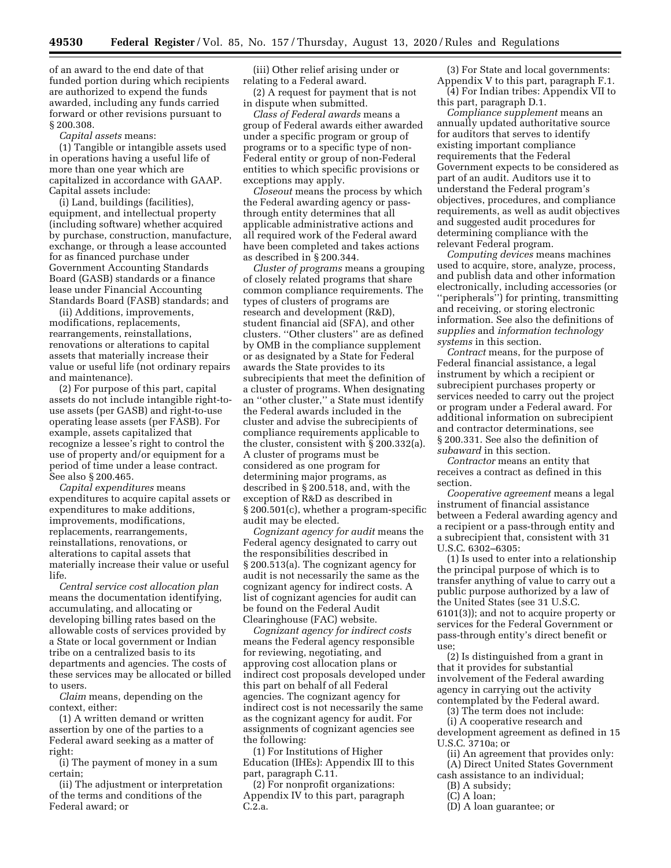of an award to the end date of that funded portion during which recipients are authorized to expend the funds awarded, including any funds carried forward or other revisions pursuant to § 200.308.

*Capital assets* means:

(1) Tangible or intangible assets used in operations having a useful life of more than one year which are capitalized in accordance with GAAP. Capital assets include:

(i) Land, buildings (facilities), equipment, and intellectual property (including software) whether acquired by purchase, construction, manufacture, exchange, or through a lease accounted for as financed purchase under Government Accounting Standards Board (GASB) standards or a finance lease under Financial Accounting Standards Board (FASB) standards; and

(ii) Additions, improvements, modifications, replacements, rearrangements, reinstallations, renovations or alterations to capital assets that materially increase their value or useful life (not ordinary repairs and maintenance).

(2) For purpose of this part, capital assets do not include intangible right-touse assets (per GASB) and right-to-use operating lease assets (per FASB). For example, assets capitalized that recognize a lessee's right to control the use of property and/or equipment for a period of time under a lease contract. See also § 200.465.

*Capital expenditures* means expenditures to acquire capital assets or expenditures to make additions, improvements, modifications, replacements, rearrangements, reinstallations, renovations, or alterations to capital assets that materially increase their value or useful life.

*Central service cost allocation plan*  means the documentation identifying, accumulating, and allocating or developing billing rates based on the allowable costs of services provided by a State or local government or Indian tribe on a centralized basis to its departments and agencies. The costs of these services may be allocated or billed to users.

*Claim* means, depending on the context, either:

(1) A written demand or written assertion by one of the parties to a Federal award seeking as a matter of right:

(i) The payment of money in a sum certain;

(ii) The adjustment or interpretation of the terms and conditions of the Federal award; or

(iii) Other relief arising under or relating to a Federal award.

(2) A request for payment that is not in dispute when submitted.

*Class of Federal awards* means a group of Federal awards either awarded under a specific program or group of programs or to a specific type of non-Federal entity or group of non-Federal entities to which specific provisions or exceptions may apply.

*Closeout* means the process by which the Federal awarding agency or passthrough entity determines that all applicable administrative actions and all required work of the Federal award have been completed and takes actions as described in § 200.344.

*Cluster of programs* means a grouping of closely related programs that share common compliance requirements. The types of clusters of programs are research and development (R&D), student financial aid (SFA), and other clusters. ''Other clusters'' are as defined by OMB in the compliance supplement or as designated by a State for Federal awards the State provides to its subrecipients that meet the definition of a cluster of programs. When designating an ''other cluster,'' a State must identify the Federal awards included in the cluster and advise the subrecipients of compliance requirements applicable to the cluster, consistent with § 200.332(a). A cluster of programs must be considered as one program for determining major programs, as described in § 200.518, and, with the exception of R&D as described in § 200.501(c), whether a program-specific audit may be elected.

*Cognizant agency for audit* means the Federal agency designated to carry out the responsibilities described in § 200.513(a). The cognizant agency for audit is not necessarily the same as the cognizant agency for indirect costs. A list of cognizant agencies for audit can be found on the Federal Audit Clearinghouse (FAC) website.

*Cognizant agency for indirect costs*  means the Federal agency responsible for reviewing, negotiating, and approving cost allocation plans or indirect cost proposals developed under this part on behalf of all Federal agencies. The cognizant agency for indirect cost is not necessarily the same as the cognizant agency for audit. For assignments of cognizant agencies see the following:

(1) For Institutions of Higher Education (IHEs): Appendix III to this part, paragraph C.11.

(2) For nonprofit organizations: Appendix IV to this part, paragraph C.2.a.

(3) For State and local governments: Appendix V to this part, paragraph F.1.

(4) For Indian tribes: Appendix VII to this part, paragraph D.1.

*Compliance supplement* means an annually updated authoritative source for auditors that serves to identify existing important compliance requirements that the Federal Government expects to be considered as part of an audit. Auditors use it to understand the Federal program's objectives, procedures, and compliance requirements, as well as audit objectives and suggested audit procedures for determining compliance with the relevant Federal program.

*Computing devices* means machines used to acquire, store, analyze, process, and publish data and other information electronically, including accessories (or ''peripherals'') for printing, transmitting and receiving, or storing electronic information. See also the definitions of *supplies* and *information technology systems* in this section.

*Contract* means, for the purpose of Federal financial assistance, a legal instrument by which a recipient or subrecipient purchases property or services needed to carry out the project or program under a Federal award. For additional information on subrecipient and contractor determinations, see § 200.331. See also the definition of *subaward* in this section.

*Contractor* means an entity that receives a contract as defined in this section.

*Cooperative agreement* means a legal instrument of financial assistance between a Federal awarding agency and a recipient or a pass-through entity and a subrecipient that, consistent with 31 U.S.C. 6302–6305:

(1) Is used to enter into a relationship the principal purpose of which is to transfer anything of value to carry out a public purpose authorized by a law of the United States (see 31 U.S.C. 6101(3)); and not to acquire property or services for the Federal Government or pass-through entity's direct benefit or use;

(2) Is distinguished from a grant in that it provides for substantial involvement of the Federal awarding agency in carrying out the activity contemplated by the Federal award.

(3) The term does not include:

(i) A cooperative research and development agreement as defined in 15 U.S.C. 3710a; or

- (ii) An agreement that provides only:
- (A) Direct United States Government cash assistance to an individual;
	- (B) A subsidy;
	- (C) A loan;
	- (D) A loan guarantee; or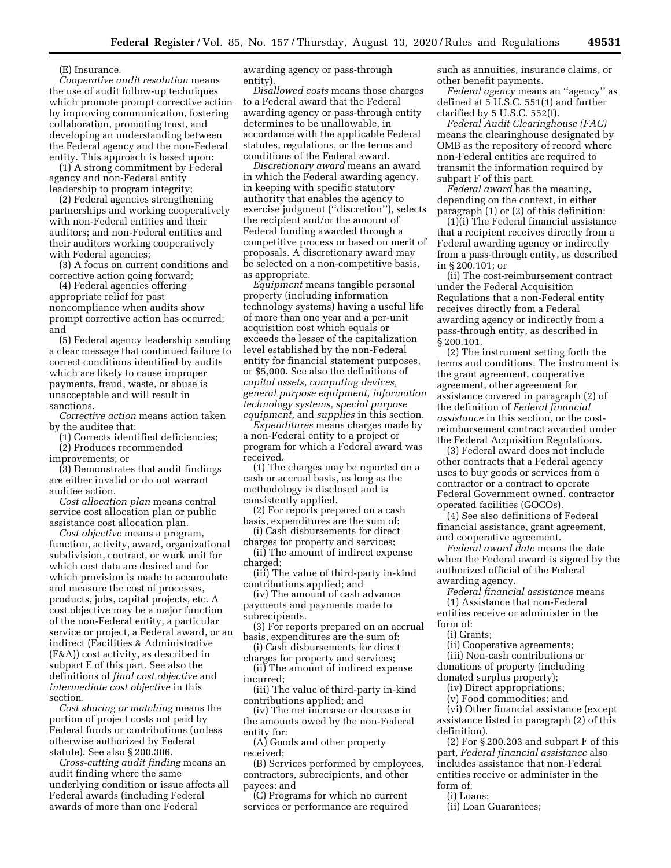(E) Insurance.

*Cooperative audit resolution* means the use of audit follow-up techniques which promote prompt corrective action by improving communication, fostering collaboration, promoting trust, and developing an understanding between the Federal agency and the non-Federal entity. This approach is based upon:

(1) A strong commitment by Federal agency and non-Federal entity leadership to program integrity;

(2) Federal agencies strengthening partnerships and working cooperatively with non-Federal entities and their auditors; and non-Federal entities and their auditors working cooperatively with Federal agencies;

(3) A focus on current conditions and corrective action going forward;

(4) Federal agencies offering appropriate relief for past noncompliance when audits show prompt corrective action has occurred; and

(5) Federal agency leadership sending a clear message that continued failure to correct conditions identified by audits which are likely to cause improper payments, fraud, waste, or abuse is unacceptable and will result in sanctions.

*Corrective action* means action taken by the auditee that:

(1) Corrects identified deficiencies;

(2) Produces recommended improvements; or

(3) Demonstrates that audit findings are either invalid or do not warrant auditee action.

*Cost allocation plan* means central service cost allocation plan or public assistance cost allocation plan.

*Cost objective* means a program, function, activity, award, organizational subdivision, contract, or work unit for which cost data are desired and for which provision is made to accumulate and measure the cost of processes, products, jobs, capital projects, etc. A cost objective may be a major function of the non-Federal entity, a particular service or project, a Federal award, or an indirect (Facilities & Administrative (F&A)) cost activity, as described in subpart E of this part. See also the definitions of *final cost objective* and *intermediate cost objective* in this section.

*Cost sharing or matching* means the portion of project costs not paid by Federal funds or contributions (unless otherwise authorized by Federal statute). See also § 200.306.

*Cross-cutting audit finding* means an audit finding where the same underlying condition or issue affects all Federal awards (including Federal awards of more than one Federal

awarding agency or pass-through entity).

*Disallowed costs* means those charges to a Federal award that the Federal awarding agency or pass-through entity determines to be unallowable, in accordance with the applicable Federal statutes, regulations, or the terms and conditions of the Federal award.

*Discretionary award* means an award in which the Federal awarding agency, in keeping with specific statutory authority that enables the agency to exercise judgment (''discretion''), selects the recipient and/or the amount of Federal funding awarded through a competitive process or based on merit of proposals. A discretionary award may be selected on a non-competitive basis, as appropriate.

*Equipment* means tangible personal property (including information technology systems) having a useful life of more than one year and a per-unit acquisition cost which equals or exceeds the lesser of the capitalization level established by the non-Federal entity for financial statement purposes, or \$5,000. See also the definitions of *capital assets, computing devices, general purpose equipment, information technology systems, special purpose equipment,* and *supplies* in this section.

*Expenditures* means charges made by a non-Federal entity to a project or program for which a Federal award was received.

(1) The charges may be reported on a cash or accrual basis, as long as the methodology is disclosed and is consistently applied.

(2) For reports prepared on a cash basis, expenditures are the sum of:

(i) Cash disbursements for direct charges for property and services;

(ii) The amount of indirect expense charged;

(iii) The value of third-party in-kind contributions applied; and

(iv) The amount of cash advance payments and payments made to subrecipients.

(3) For reports prepared on an accrual basis, expenditures are the sum of:

(i) Cash disbursements for direct charges for property and services;

(ii) The amount of indirect expense incurred;

(iii) The value of third-party in-kind contributions applied; and

(iv) The net increase or decrease in the amounts owed by the non-Federal entity for:

(A) Goods and other property received;

(B) Services performed by employees, contractors, subrecipients, and other payees; and

(C) Programs for which no current services or performance are required such as annuities, insurance claims, or other benefit payments.

*Federal agency* means an ''agency'' as defined at 5 U.S.C. 551(1) and further clarified by 5 U.S.C. 552(f).

*Federal Audit Clearinghouse (FAC)*  means the clearinghouse designated by OMB as the repository of record where non-Federal entities are required to transmit the information required by subpart F of this part.

*Federal award* has the meaning, depending on the context, in either paragraph (1) or (2) of this definition:

(1)(i) The Federal financial assistance that a recipient receives directly from a Federal awarding agency or indirectly from a pass-through entity, as described in § 200.101; or

(ii) The cost-reimbursement contract under the Federal Acquisition Regulations that a non-Federal entity receives directly from a Federal awarding agency or indirectly from a pass-through entity, as described in § 200.101.

(2) The instrument setting forth the terms and conditions. The instrument is the grant agreement, cooperative agreement, other agreement for assistance covered in paragraph (2) of the definition of *Federal financial assistance* in this section, or the costreimbursement contract awarded under the Federal Acquisition Regulations.

(3) Federal award does not include other contracts that a Federal agency uses to buy goods or services from a contractor or a contract to operate Federal Government owned, contractor operated facilities (GOCOs).

(4) See also definitions of Federal financial assistance, grant agreement, and cooperative agreement.

*Federal award date* means the date when the Federal award is signed by the authorized official of the Federal awarding agency.

*Federal financial assistance* means (1) Assistance that non-Federal

entities receive or administer in the form of:

(i) Grants;

(ii) Cooperative agreements;

(iii) Non-cash contributions or donations of property (including donated surplus property);

(iv) Direct appropriations;

(v) Food commodities; and

(vi) Other financial assistance (except assistance listed in paragraph (2) of this definition).

(2) For § 200.203 and subpart F of this part, *Federal financial assistance* also includes assistance that non-Federal entities receive or administer in the form of:

(i) Loans;

(ii) Loan Guarantees;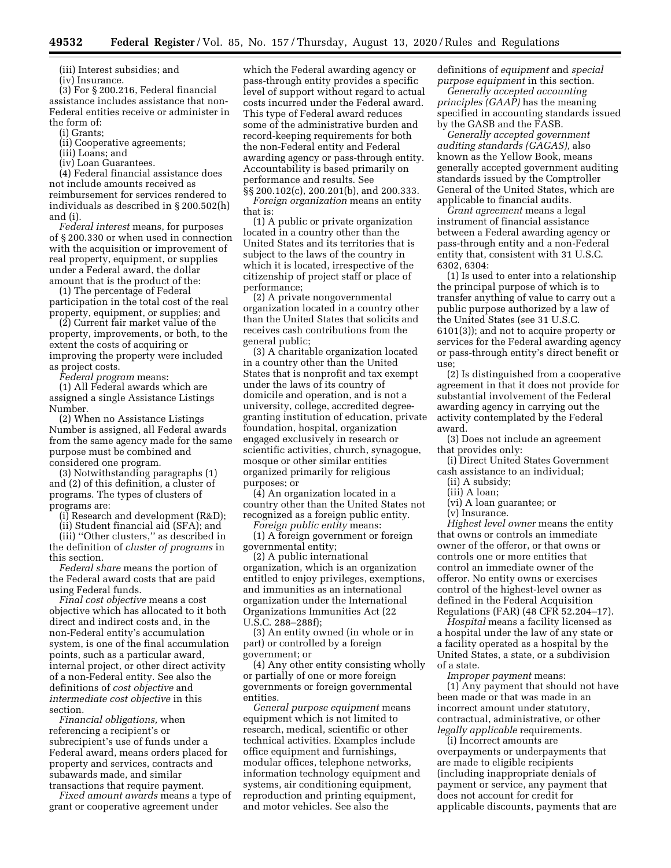(iii) Interest subsidies; and

(iv) Insurance.

(3) For § 200.216, Federal financial assistance includes assistance that non-Federal entities receive or administer in the form of:

(i) Grants;

(ii) Cooperative agreements;

(iii) Loans; and

(iv) Loan Guarantees.

(4) Federal financial assistance does not include amounts received as reimbursement for services rendered to individuals as described in § 200.502(h) and (i).

*Federal interest* means, for purposes of § 200.330 or when used in connection with the acquisition or improvement of real property, equipment, or supplies under a Federal award, the dollar amount that is the product of the:

(1) The percentage of Federal participation in the total cost of the real property, equipment, or supplies; and

(2) Current fair market value of the property, improvements, or both, to the extent the costs of acquiring or improving the property were included as project costs.

*Federal program* means:

(1) All Federal awards which are assigned a single Assistance Listings Number.

(2) When no Assistance Listings Number is assigned, all Federal awards from the same agency made for the same purpose must be combined and considered one program.

(3) Notwithstanding paragraphs (1) and (2) of this definition, a cluster of programs. The types of clusters of programs are:

(i) Research and development (R&D);

(ii) Student financial aid (SFA); and

(iii) ''Other clusters,'' as described in the definition of *cluster of programs* in this section.

*Federal share* means the portion of the Federal award costs that are paid using Federal funds.

*Final cost objective* means a cost objective which has allocated to it both direct and indirect costs and, in the non-Federal entity's accumulation system, is one of the final accumulation points, such as a particular award, internal project, or other direct activity of a non-Federal entity. See also the definitions of *cost objective* and *intermediate cost objective* in this section.

*Financial obligations,* when referencing a recipient's or subrecipient's use of funds under a Federal award, means orders placed for property and services, contracts and subawards made, and similar

transactions that require payment. *Fixed amount awards* means a type of grant or cooperative agreement under

which the Federal awarding agency or pass-through entity provides a specific level of support without regard to actual costs incurred under the Federal award. This type of Federal award reduces some of the administrative burden and record-keeping requirements for both the non-Federal entity and Federal awarding agency or pass-through entity. Accountability is based primarily on performance and results. See §§ 200.102(c), 200.201(b), and 200.333.

*Foreign organization* means an entity that is:

(1) A public or private organization located in a country other than the United States and its territories that is subject to the laws of the country in which it is located, irrespective of the citizenship of project staff or place of performance;

(2) A private nongovernmental organization located in a country other than the United States that solicits and receives cash contributions from the general public;

(3) A charitable organization located in a country other than the United States that is nonprofit and tax exempt under the laws of its country of domicile and operation, and is not a university, college, accredited degreegranting institution of education, private foundation, hospital, organization engaged exclusively in research or scientific activities, church, synagogue, mosque or other similar entities organized primarily for religious purposes; or

(4) An organization located in a country other than the United States not recognized as a foreign public entity.

*Foreign public entity* means:

(1) A foreign government or foreign governmental entity;

(2) A public international organization, which is an organization entitled to enjoy privileges, exemptions, and immunities as an international organization under the International Organizations Immunities Act (22 U.S.C. 288–288f);

(3) An entity owned (in whole or in part) or controlled by a foreign government; or

(4) Any other entity consisting wholly or partially of one or more foreign governments or foreign governmental entities.

*General purpose equipment* means equipment which is not limited to research, medical, scientific or other technical activities. Examples include office equipment and furnishings, modular offices, telephone networks, information technology equipment and systems, air conditioning equipment, reproduction and printing equipment, and motor vehicles. See also the

definitions of *equipment* and *special purpose equipment* in this section.

*Generally accepted accounting principles (GAAP)* has the meaning specified in accounting standards issued by the GASB and the FASB.

*Generally accepted government auditing standards (GAGAS),* also known as the Yellow Book, means generally accepted government auditing standards issued by the Comptroller General of the United States, which are applicable to financial audits.

*Grant agreement* means a legal instrument of financial assistance between a Federal awarding agency or pass-through entity and a non-Federal entity that, consistent with 31 U.S.C. 6302, 6304:

(1) Is used to enter into a relationship the principal purpose of which is to transfer anything of value to carry out a public purpose authorized by a law of the United States (see 31 U.S.C. 6101(3)); and not to acquire property or services for the Federal awarding agency or pass-through entity's direct benefit or use;

(2) Is distinguished from a cooperative agreement in that it does not provide for substantial involvement of the Federal awarding agency in carrying out the activity contemplated by the Federal award.

(3) Does not include an agreement that provides only:

(i) Direct United States Government cash assistance to an individual;

(ii) A subsidy;

(iii) A loan;

(vi) A loan guarantee; or

(v) Insurance.

*Highest level owner* means the entity that owns or controls an immediate owner of the offeror, or that owns or controls one or more entities that control an immediate owner of the offeror. No entity owns or exercises control of the highest-level owner as defined in the Federal Acquisition Regulations (FAR) (48 CFR 52.204–17).

*Hospital* means a facility licensed as a hospital under the law of any state or a facility operated as a hospital by the United States, a state, or a subdivision of a state.

*Improper payment* means:

(1) Any payment that should not have been made or that was made in an incorrect amount under statutory, contractual, administrative, or other *legally applicable* requirements.

(i) Incorrect amounts are overpayments or underpayments that are made to eligible recipients (including inappropriate denials of payment or service, any payment that does not account for credit for applicable discounts, payments that are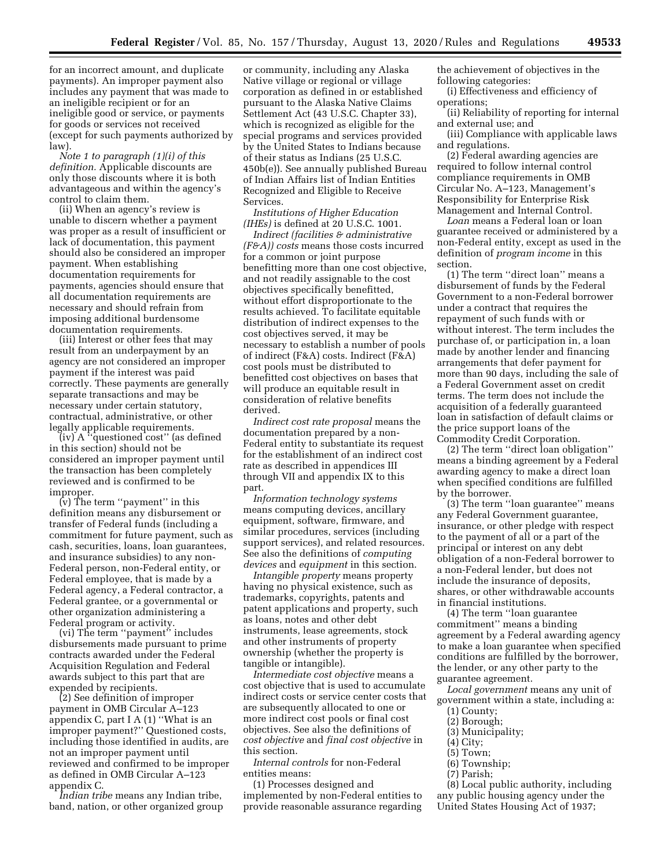for an incorrect amount, and duplicate payments). An improper payment also includes any payment that was made to an ineligible recipient or for an ineligible good or service, or payments for goods or services not received (except for such payments authorized by law).

*Note 1 to paragraph (1)(i) of this definition.* Applicable discounts are only those discounts where it is both advantageous and within the agency's control to claim them.

(ii) When an agency's review is unable to discern whether a payment was proper as a result of insufficient or lack of documentation, this payment should also be considered an improper payment. When establishing documentation requirements for payments, agencies should ensure that all documentation requirements are necessary and should refrain from imposing additional burdensome documentation requirements.

(iii) Interest or other fees that may result from an underpayment by an agency are not considered an improper payment if the interest was paid correctly. These payments are generally separate transactions and may be necessary under certain statutory, contractual, administrative, or other legally applicable requirements.

(iv) A ''questioned cost'' (as defined in this section) should not be considered an improper payment until the transaction has been completely reviewed and is confirmed to be improper.

(v) The term ''payment'' in this definition means any disbursement or transfer of Federal funds (including a commitment for future payment, such as cash, securities, loans, loan guarantees, and insurance subsidies) to any non-Federal person, non-Federal entity, or Federal employee, that is made by a Federal agency, a Federal contractor, a Federal grantee, or a governmental or other organization administering a Federal program or activity.

(vi) The term ''payment'' includes disbursements made pursuant to prime contracts awarded under the Federal Acquisition Regulation and Federal awards subject to this part that are expended by recipients.

(2) See definition of improper payment in OMB Circular A–123 appendix C, part I A (1) ''What is an improper payment?'' Questioned costs, including those identified in audits, are not an improper payment until reviewed and confirmed to be improper as defined in OMB Circular A–123 appendix C.

*Indian tribe* means any Indian tribe, band, nation, or other organized group

or community, including any Alaska Native village or regional or village corporation as defined in or established pursuant to the Alaska Native Claims Settlement Act (43 U.S.C. Chapter 33), which is recognized as eligible for the special programs and services provided by the United States to Indians because of their status as Indians (25 U.S.C. 450b(e)). See annually published Bureau of Indian Affairs list of Indian Entities Recognized and Eligible to Receive Services.

*Institutions of Higher Education (IHEs)* is defined at 20 U.S.C. 1001.

*Indirect (facilities & administrative (F&A)) costs* means those costs incurred for a common or joint purpose benefitting more than one cost objective, and not readily assignable to the cost objectives specifically benefitted, without effort disproportionate to the results achieved. To facilitate equitable distribution of indirect expenses to the cost objectives served, it may be necessary to establish a number of pools of indirect (F&A) costs. Indirect (F&A) cost pools must be distributed to benefitted cost objectives on bases that will produce an equitable result in consideration of relative benefits derived.

*Indirect cost rate proposal* means the documentation prepared by a non-Federal entity to substantiate its request for the establishment of an indirect cost rate as described in appendices III through VII and appendix IX to this part.

*Information technology systems*  means computing devices, ancillary equipment, software, firmware, and similar procedures, services (including support services), and related resources. See also the definitions of *computing devices* and *equipment* in this section.

*Intangible property* means property having no physical existence, such as trademarks, copyrights, patents and patent applications and property, such as loans, notes and other debt instruments, lease agreements, stock and other instruments of property ownership (whether the property is tangible or intangible).

*Intermediate cost objective* means a cost objective that is used to accumulate indirect costs or service center costs that are subsequently allocated to one or more indirect cost pools or final cost objectives. See also the definitions of *cost objective* and *final cost objective* in this section.

*Internal controls* for non-Federal entities means:

(1) Processes designed and implemented by non-Federal entities to provide reasonable assurance regarding the achievement of objectives in the following categories:

(i) Effectiveness and efficiency of operations;

(ii) Reliability of reporting for internal and external use; and

(iii) Compliance with applicable laws and regulations.

(2) Federal awarding agencies are required to follow internal control compliance requirements in OMB Circular No. A–123, Management's Responsibility for Enterprise Risk Management and Internal Control.

*Loan* means a Federal loan or loan guarantee received or administered by a non-Federal entity, except as used in the definition of *program income* in this section.

(1) The term ''direct loan'' means a disbursement of funds by the Federal Government to a non-Federal borrower under a contract that requires the repayment of such funds with or without interest. The term includes the purchase of, or participation in, a loan made by another lender and financing arrangements that defer payment for more than 90 days, including the sale of a Federal Government asset on credit terms. The term does not include the acquisition of a federally guaranteed loan in satisfaction of default claims or the price support loans of the Commodity Credit Corporation.

(2) The term ''direct loan obligation'' means a binding agreement by a Federal awarding agency to make a direct loan when specified conditions are fulfilled by the borrower.

(3) The term ''loan guarantee'' means any Federal Government guarantee, insurance, or other pledge with respect to the payment of all or a part of the principal or interest on any debt obligation of a non-Federal borrower to a non-Federal lender, but does not include the insurance of deposits, shares, or other withdrawable accounts in financial institutions.

(4) The term ''loan guarantee commitment'' means a binding agreement by a Federal awarding agency to make a loan guarantee when specified conditions are fulfilled by the borrower, the lender, or any other party to the guarantee agreement.

*Local government* means any unit of government within a state, including a:

- (1) County;
- (2) Borough; (3) Municipality;
- 
- (4) City;
- (5) Town; (6) Township;
- (7) Parish;
- 

(8) Local public authority, including any public housing agency under the United States Housing Act of 1937;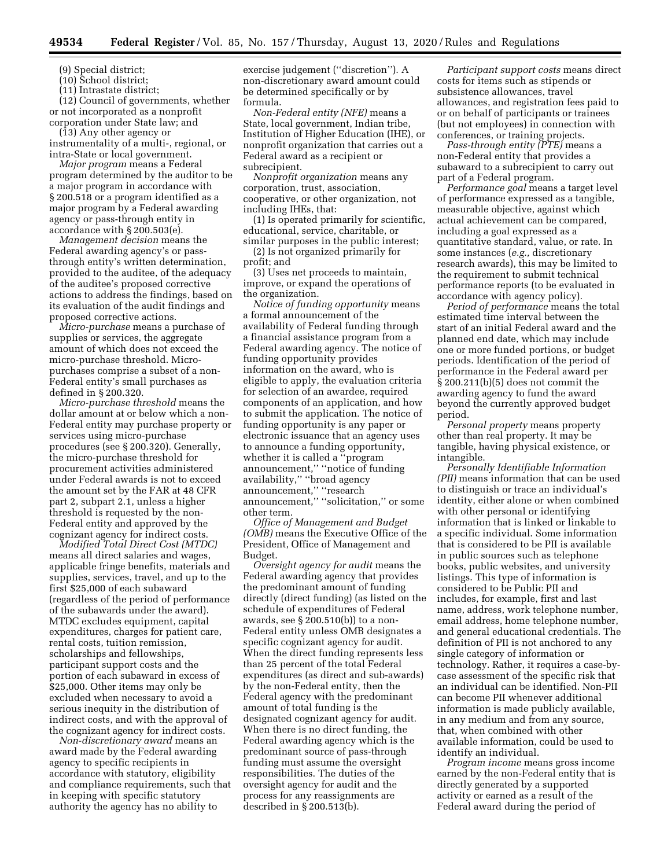(9) Special district;

(10) School district;

(11) Intrastate district;

(12) Council of governments, whether or not incorporated as a nonprofit corporation under State law; and

(13) Any other agency or instrumentality of a multi-, regional, or intra-State or local government.

*Major program* means a Federal program determined by the auditor to be a major program in accordance with § 200.518 or a program identified as a major program by a Federal awarding agency or pass-through entity in accordance with § 200.503(e).

*Management decision* means the Federal awarding agency's or passthrough entity's written determination, provided to the auditee, of the adequacy of the auditee's proposed corrective actions to address the findings, based on its evaluation of the audit findings and proposed corrective actions.

*Micro-purchase* means a purchase of supplies or services, the aggregate amount of which does not exceed the micro-purchase threshold. Micropurchases comprise a subset of a non-Federal entity's small purchases as defined in § 200.320.

*Micro-purchase threshold* means the dollar amount at or below which a non-Federal entity may purchase property or services using micro-purchase procedures (see § 200.320). Generally, the micro-purchase threshold for procurement activities administered under Federal awards is not to exceed the amount set by the FAR at 48 CFR part 2, subpart 2.1, unless a higher threshold is requested by the non-Federal entity and approved by the cognizant agency for indirect costs.

*Modified Total Direct Cost (MTDC)*  means all direct salaries and wages, applicable fringe benefits, materials and supplies, services, travel, and up to the first \$25,000 of each subaward (regardless of the period of performance of the subawards under the award). MTDC excludes equipment, capital expenditures, charges for patient care, rental costs, tuition remission, scholarships and fellowships, participant support costs and the portion of each subaward in excess of \$25,000. Other items may only be excluded when necessary to avoid a serious inequity in the distribution of indirect costs, and with the approval of the cognizant agency for indirect costs.

*Non-discretionary award* means an award made by the Federal awarding agency to specific recipients in accordance with statutory, eligibility and compliance requirements, such that in keeping with specific statutory authority the agency has no ability to

exercise judgement (''discretion''). A non-discretionary award amount could be determined specifically or by formula.

*Non-Federal entity (NFE)* means a State, local government, Indian tribe, Institution of Higher Education (IHE), or nonprofit organization that carries out a Federal award as a recipient or subrecipient.

*Nonprofit organization* means any corporation, trust, association, cooperative, or other organization, not including IHEs, that:

(1) Is operated primarily for scientific, educational, service, charitable, or similar purposes in the public interest;

(2) Is not organized primarily for profit; and

(3) Uses net proceeds to maintain, improve, or expand the operations of the organization.

*Notice of funding opportunity* means a formal announcement of the availability of Federal funding through a financial assistance program from a Federal awarding agency. The notice of funding opportunity provides information on the award, who is eligible to apply, the evaluation criteria for selection of an awardee, required components of an application, and how to submit the application. The notice of funding opportunity is any paper or electronic issuance that an agency uses to announce a funding opportunity, whether it is called a ''program announcement,'' ''notice of funding availability,'' ''broad agency announcement,'' ''research announcement,'' ''solicitation,'' or some other term.

*Office of Management and Budget (OMB)* means the Executive Office of the President, Office of Management and Budget.

*Oversight agency for audit* means the Federal awarding agency that provides the predominant amount of funding directly (direct funding) (as listed on the schedule of expenditures of Federal awards, see  $\S 200.510(b)$  to a non-Federal entity unless OMB designates a specific cognizant agency for audit. When the direct funding represents less than 25 percent of the total Federal expenditures (as direct and sub-awards) by the non-Federal entity, then the Federal agency with the predominant amount of total funding is the designated cognizant agency for audit. When there is no direct funding, the Federal awarding agency which is the predominant source of pass-through funding must assume the oversight responsibilities. The duties of the oversight agency for audit and the process for any reassignments are described in § 200.513(b).

*Participant support costs* means direct costs for items such as stipends or subsistence allowances, travel allowances, and registration fees paid to or on behalf of participants or trainees (but not employees) in connection with conferences, or training projects.

*Pass-through entity (PTE)* means a non-Federal entity that provides a subaward to a subrecipient to carry out part of a Federal program.

*Performance goal* means a target level of performance expressed as a tangible, measurable objective, against which actual achievement can be compared, including a goal expressed as a quantitative standard, value, or rate. In some instances (*e.g.,* discretionary research awards), this may be limited to the requirement to submit technical performance reports (to be evaluated in accordance with agency policy).

*Period of performance* means the total estimated time interval between the start of an initial Federal award and the planned end date, which may include one or more funded portions, or budget periods. Identification of the period of performance in the Federal award per § 200.211(b)(5) does not commit the awarding agency to fund the award beyond the currently approved budget period.

*Personal property* means property other than real property. It may be tangible, having physical existence, or intangible.

*Personally Identifiable Information (PII)* means information that can be used to distinguish or trace an individual's identity, either alone or when combined with other personal or identifying information that is linked or linkable to a specific individual. Some information that is considered to be PII is available in public sources such as telephone books, public websites, and university listings. This type of information is considered to be Public PII and includes, for example, first and last name, address, work telephone number, email address, home telephone number, and general educational credentials. The definition of PII is not anchored to any single category of information or technology. Rather, it requires a case-bycase assessment of the specific risk that an individual can be identified. Non-PII can become PII whenever additional information is made publicly available, in any medium and from any source, that, when combined with other available information, could be used to identify an individual.

*Program income* means gross income earned by the non-Federal entity that is directly generated by a supported activity or earned as a result of the Federal award during the period of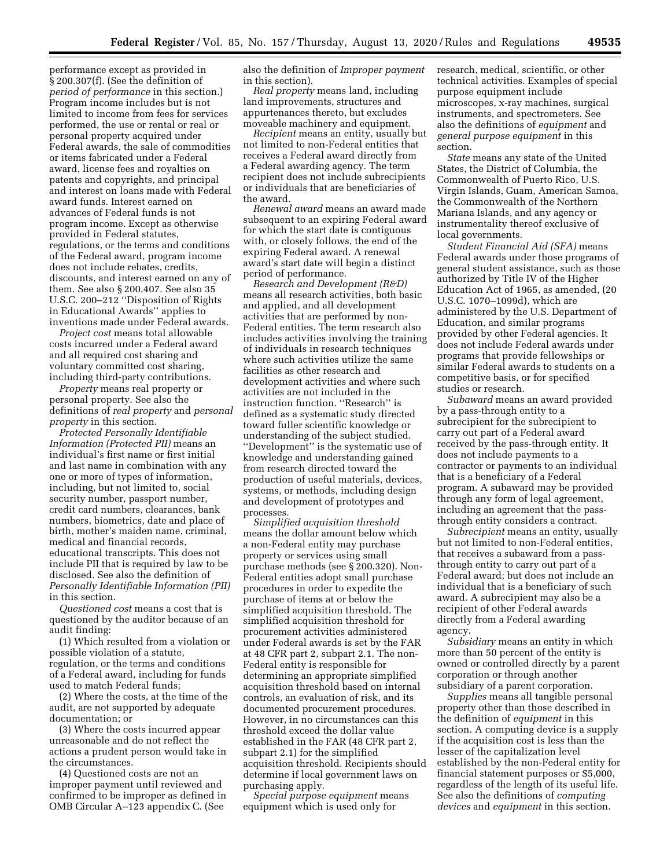performance except as provided in § 200.307(f). (See the definition of *period of performance* in this section.) Program income includes but is not limited to income from fees for services performed, the use or rental or real or personal property acquired under Federal awards, the sale of commodities or items fabricated under a Federal award, license fees and royalties on patents and copyrights, and principal and interest on loans made with Federal award funds. Interest earned on advances of Federal funds is not program income. Except as otherwise provided in Federal statutes, regulations, or the terms and conditions of the Federal award, program income does not include rebates, credits, discounts, and interest earned on any of them. See also § 200.407. See also 35 U.S.C. 200–212 ''Disposition of Rights in Educational Awards'' applies to inventions made under Federal awards.

*Project cost* means total allowable costs incurred under a Federal award and all required cost sharing and voluntary committed cost sharing, including third-party contributions.

*Property* means real property or personal property. See also the definitions of *real property* and *personal property* in this section.

*Protected Personally Identifiable Information (Protected PII)* means an individual's first name or first initial and last name in combination with any one or more of types of information, including, but not limited to, social security number, passport number, credit card numbers, clearances, bank numbers, biometrics, date and place of birth, mother's maiden name, criminal, medical and financial records, educational transcripts. This does not include PII that is required by law to be disclosed. See also the definition of *Personally Identifiable Information (PII)*  in this section.

*Questioned cost* means a cost that is questioned by the auditor because of an audit finding:

(1) Which resulted from a violation or possible violation of a statute, regulation, or the terms and conditions of a Federal award, including for funds used to match Federal funds;

(2) Where the costs, at the time of the audit, are not supported by adequate documentation; or

(3) Where the costs incurred appear unreasonable and do not reflect the actions a prudent person would take in the circumstances.

(4) Questioned costs are not an improper payment until reviewed and confirmed to be improper as defined in OMB Circular A–123 appendix C. (See

also the definition of *Improper payment*  in this section).

*Real property* means land, including land improvements, structures and appurtenances thereto, but excludes moveable machinery and equipment.

*Recipient* means an entity, usually but not limited to non-Federal entities that receives a Federal award directly from a Federal awarding agency. The term recipient does not include subrecipients or individuals that are beneficiaries of the award.

*Renewal award* means an award made subsequent to an expiring Federal award for which the start date is contiguous with, or closely follows, the end of the expiring Federal award. A renewal award's start date will begin a distinct period of performance.

*Research and Development (R&D)*  means all research activities, both basic and applied, and all development activities that are performed by non-Federal entities. The term research also includes activities involving the training of individuals in research techniques where such activities utilize the same facilities as other research and development activities and where such activities are not included in the instruction function. ''Research'' is defined as a systematic study directed toward fuller scientific knowledge or understanding of the subject studied. ''Development'' is the systematic use of knowledge and understanding gained from research directed toward the production of useful materials, devices, systems, or methods, including design and development of prototypes and processes.

*Simplified acquisition threshold*  means the dollar amount below which a non-Federal entity may purchase property or services using small purchase methods (see § 200.320). Non-Federal entities adopt small purchase procedures in order to expedite the purchase of items at or below the simplified acquisition threshold. The simplified acquisition threshold for procurement activities administered under Federal awards is set by the FAR at 48 CFR part 2, subpart 2.1. The non-Federal entity is responsible for determining an appropriate simplified acquisition threshold based on internal controls, an evaluation of risk, and its documented procurement procedures. However, in no circumstances can this threshold exceed the dollar value established in the FAR (48 CFR part 2, subpart 2.1) for the simplified acquisition threshold. Recipients should determine if local government laws on purchasing apply.

*Special purpose equipment* means equipment which is used only for

research, medical, scientific, or other technical activities. Examples of special purpose equipment include microscopes, x-ray machines, surgical instruments, and spectrometers. See also the definitions of *equipment* and *general purpose equipment* in this section.

*State* means any state of the United States, the District of Columbia, the Commonwealth of Puerto Rico, U.S. Virgin Islands, Guam, American Samoa, the Commonwealth of the Northern Mariana Islands, and any agency or instrumentality thereof exclusive of local governments.

*Student Financial Aid (SFA)* means Federal awards under those programs of general student assistance, such as those authorized by Title IV of the Higher Education Act of 1965, as amended, (20 U.S.C. 1070–1099d), which are administered by the U.S. Department of Education, and similar programs provided by other Federal agencies. It does not include Federal awards under programs that provide fellowships or similar Federal awards to students on a competitive basis, or for specified studies or research.

*Subaward* means an award provided by a pass-through entity to a subrecipient for the subrecipient to carry out part of a Federal award received by the pass-through entity. It does not include payments to a contractor or payments to an individual that is a beneficiary of a Federal program. A subaward may be provided through any form of legal agreement, including an agreement that the passthrough entity considers a contract.

*Subrecipient* means an entity, usually but not limited to non-Federal entities, that receives a subaward from a passthrough entity to carry out part of a Federal award; but does not include an individual that is a beneficiary of such award. A subrecipient may also be a recipient of other Federal awards directly from a Federal awarding agency.

*Subsidiary* means an entity in which more than 50 percent of the entity is owned or controlled directly by a parent corporation or through another subsidiary of a parent corporation.

*Supplies* means all tangible personal property other than those described in the definition of *equipment* in this section. A computing device is a supply if the acquisition cost is less than the lesser of the capitalization level established by the non-Federal entity for financial statement purposes or \$5,000, regardless of the length of its useful life. See also the definitions of *computing devices* and *equipment* in this section.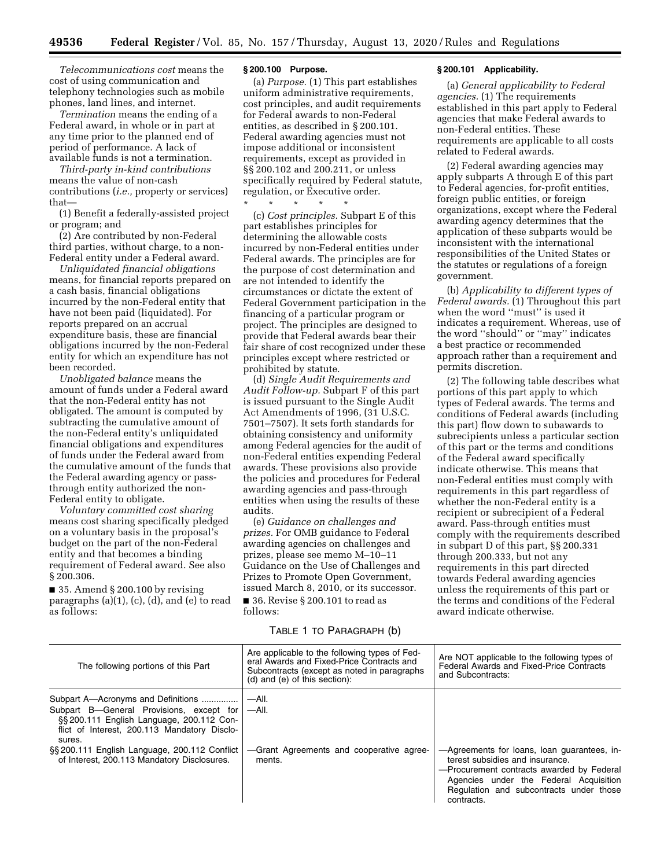*Telecommunications cost* means the cost of using communication and telephony technologies such as mobile phones, land lines, and internet.

*Termination* means the ending of a Federal award, in whole or in part at any time prior to the planned end of period of performance. A lack of available funds is not a termination.

*Third-party in-kind contributions*  means the value of non-cash contributions (*i.e.,* property or services) that—

(1) Benefit a federally-assisted project or program; and

(2) Are contributed by non-Federal third parties, without charge, to a non-Federal entity under a Federal award.

*Unliquidated financial obligations*  means, for financial reports prepared on a cash basis, financial obligations incurred by the non-Federal entity that have not been paid (liquidated). For reports prepared on an accrual expenditure basis, these are financial obligations incurred by the non-Federal entity for which an expenditure has not been recorded.

*Unobligated balance* means the amount of funds under a Federal award that the non-Federal entity has not obligated. The amount is computed by subtracting the cumulative amount of the non-Federal entity's unliquidated financial obligations and expenditures of funds under the Federal award from the cumulative amount of the funds that the Federal awarding agency or passthrough entity authorized the non-Federal entity to obligate.

*Voluntary committed cost sharing*  means cost sharing specifically pledged on a voluntary basis in the proposal's budget on the part of the non-Federal entity and that becomes a binding requirement of Federal award. See also § 200.306.

 $\blacksquare$  35. Amend § 200.100 by revising paragraphs (a)(1), (c), (d), and (e) to read as follows:

# **§ 200.100 Purpose.**

(a) *Purpose.* (1) This part establishes uniform administrative requirements, cost principles, and audit requirements for Federal awards to non-Federal entities, as described in § 200.101. Federal awarding agencies must not impose additional or inconsistent requirements, except as provided in §§ 200.102 and 200.211, or unless specifically required by Federal statute, regulation, or Executive order.

\* \* \* \* \* (c) *Cost principles.* Subpart E of this part establishes principles for determining the allowable costs incurred by non-Federal entities under Federal awards. The principles are for the purpose of cost determination and are not intended to identify the circumstances or dictate the extent of Federal Government participation in the financing of a particular program or project. The principles are designed to provide that Federal awards bear their fair share of cost recognized under these principles except where restricted or prohibited by statute.

(d) *Single Audit Requirements and Audit Follow-up.* Subpart F of this part is issued pursuant to the Single Audit Act Amendments of 1996, (31 U.S.C. 7501–7507). It sets forth standards for obtaining consistency and uniformity among Federal agencies for the audit of non-Federal entities expending Federal awards. These provisions also provide the policies and procedures for Federal awarding agencies and pass-through entities when using the results of these audits.

(e) *Guidance on challenges and prizes.* For OMB guidance to Federal awarding agencies on challenges and prizes, please see memo M–10–11 Guidance on the Use of Challenges and Prizes to Promote Open Government, issued March 8, 2010, or its successor.

■ 36. Revise § 200.101 to read as follows:

# TABLE 1 TO PARAGRAPH (b)

### **§ 200.101 Applicability.**

(a) *General applicability to Federal agencies.* (1) The requirements established in this part apply to Federal agencies that make Federal awards to non-Federal entities. These requirements are applicable to all costs related to Federal awards.

(2) Federal awarding agencies may apply subparts A through E of this part to Federal agencies, for-profit entities, foreign public entities, or foreign organizations, except where the Federal awarding agency determines that the application of these subparts would be inconsistent with the international responsibilities of the United States or the statutes or regulations of a foreign government.

(b) *Applicability to different types of Federal awards.* (1) Throughout this part when the word ''must'' is used it indicates a requirement. Whereas, use of the word ''should'' or ''may'' indicates a best practice or recommended approach rather than a requirement and permits discretion.

(2) The following table describes what portions of this part apply to which types of Federal awards. The terms and conditions of Federal awards (including this part) flow down to subawards to subrecipients unless a particular section of this part or the terms and conditions of the Federal award specifically indicate otherwise. This means that non-Federal entities must comply with requirements in this part regardless of whether the non-Federal entity is a recipient or subrecipient of a Federal award. Pass-through entities must comply with the requirements described in subpart D of this part, §§ 200.331 through 200.333, but not any requirements in this part directed towards Federal awarding agencies unless the requirements of this part or the terms and conditions of the Federal award indicate otherwise.

| The following portions of this Part                                                                                                                                                   | Are applicable to the following types of Fed-<br>eral Awards and Fixed-Price Contracts and<br>Subcontracts (except as noted in paragraphs)<br>$(d)$ and $(e)$ of this section): | Are NOT applicable to the following types of<br>Federal Awards and Fixed-Price Contracts<br>and Subcontracts:                                                                                                                  |
|---------------------------------------------------------------------------------------------------------------------------------------------------------------------------------------|---------------------------------------------------------------------------------------------------------------------------------------------------------------------------------|--------------------------------------------------------------------------------------------------------------------------------------------------------------------------------------------------------------------------------|
| Subpart A-Acronyms and Definitions<br>Subpart B-General Provisions, except for<br>§§ 200.111 English Language, 200.112 Con-<br>flict of Interest, 200.113 Mandatory Disclo-<br>sures. | —All.<br>—All.                                                                                                                                                                  |                                                                                                                                                                                                                                |
| §§ 200.111 English Language, 200.112 Conflict<br>of Interest, 200.113 Mandatory Disclosures.                                                                                          | -Grant Agreements and cooperative agree-<br>ments.                                                                                                                              | -Agreements for loans, loan guarantees, in-<br>terest subsidies and insurance.<br>-Procurement contracts awarded by Federal<br>Agencies under the Federal Acquisition<br>Regulation and subcontracts under those<br>contracts. |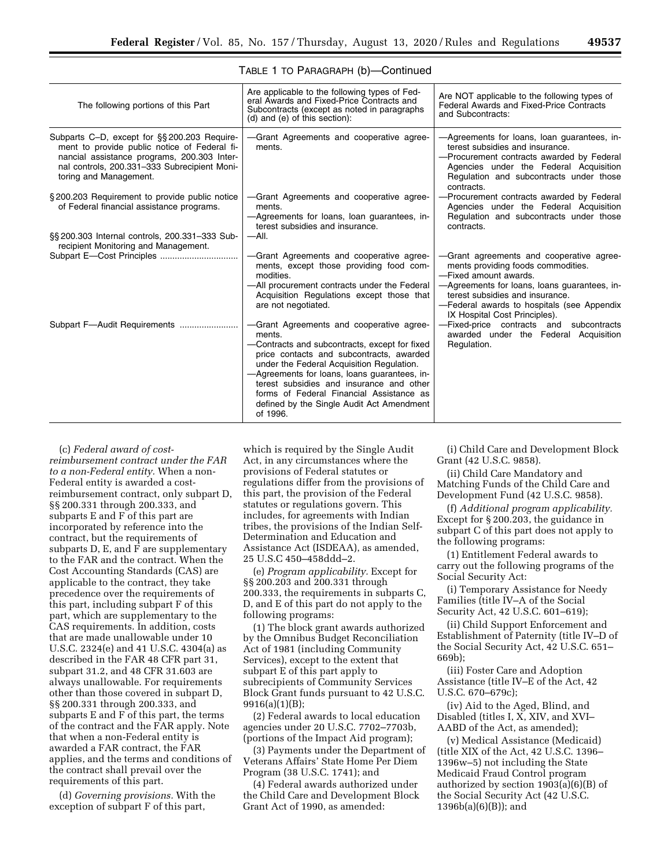| The following portions of this Part                                                                                                                                                                                  | Are applicable to the following types of Fed-<br>eral Awards and Fixed-Price Contracts and<br>Subcontracts (except as noted in paragraphs<br>$(d)$ and $(e)$ of this section):                                                                                                                                                                                                                | Are NOT applicable to the following types of<br>Federal Awards and Fixed-Price Contracts<br>and Subcontracts:                                                                                                                                                             |
|----------------------------------------------------------------------------------------------------------------------------------------------------------------------------------------------------------------------|-----------------------------------------------------------------------------------------------------------------------------------------------------------------------------------------------------------------------------------------------------------------------------------------------------------------------------------------------------------------------------------------------|---------------------------------------------------------------------------------------------------------------------------------------------------------------------------------------------------------------------------------------------------------------------------|
| Subparts C-D, except for §§200.203 Require-<br>ment to provide public notice of Federal fi-<br>nancial assistance programs, 200.303 Inter-<br>nal controls, 200.331-333 Subrecipient Moni-<br>toring and Management. | -Grant Agreements and cooperative agree-<br>ments.                                                                                                                                                                                                                                                                                                                                            | -Agreements for loans, loan guarantees, in-<br>terest subsidies and insurance.<br>-Procurement contracts awarded by Federal<br>Agencies under the Federal Acquisition<br>Regulation and subcontracts under those<br>contracts.                                            |
| §200.203 Requirement to provide public notice<br>of Federal financial assistance programs.                                                                                                                           | -Grant Agreements and cooperative agree-<br>ments.<br>-Agreements for loans, loan guarantees, in-<br>terest subsidies and insurance.                                                                                                                                                                                                                                                          | -Procurement contracts awarded by Federal<br>Agencies under the Federal Acquisition<br>Regulation and subcontracts under those<br>contracts.                                                                                                                              |
| §§ 200.303 Internal controls, 200.331-333 Sub-<br>recipient Monitoring and Management.                                                                                                                               | —All.                                                                                                                                                                                                                                                                                                                                                                                         |                                                                                                                                                                                                                                                                           |
|                                                                                                                                                                                                                      | -Grant Agreements and cooperative agree-<br>ments, except those providing food com-<br>modities.<br>-All procurement contracts under the Federal<br>Acquisition Regulations except those that<br>are not negotiated.                                                                                                                                                                          | -Grant agreements and cooperative agree-<br>ments providing foods commodities.<br>-Fixed amount awards.<br>-Agreements for loans, loans quarantees, in-<br>terest subsidies and insurance.<br>-Federal awards to hospitals (see Appendix<br>IX Hospital Cost Principles). |
| Subpart F-Audit Requirements                                                                                                                                                                                         | -Grant Agreements and cooperative agree-<br>ments.<br>-Contracts and subcontracts, except for fixed<br>price contacts and subcontracts, awarded<br>under the Federal Acquisition Regulation.<br>-Agreements for loans, loans guarantees, in-<br>terest subsidies and insurance and other<br>forms of Federal Financial Assistance as<br>defined by the Single Audit Act Amendment<br>of 1996. | -Fixed-price contracts and<br>subcontracts<br>awarded under the Federal Acquisition<br>Regulation.                                                                                                                                                                        |

### TABLE 1 TO PARAGRAPH (b)—Continued

(c) *Federal award of costreimbursement contract under the FAR to a non-Federal entity.* When a non-Federal entity is awarded a costreimbursement contract, only subpart D, §§ 200.331 through 200.333, and subparts E and F of this part are incorporated by reference into the contract, but the requirements of subparts D, E, and F are supplementary to the FAR and the contract. When the Cost Accounting Standards (CAS) are applicable to the contract, they take precedence over the requirements of this part, including subpart F of this part, which are supplementary to the CAS requirements. In addition, costs that are made unallowable under 10 U.S.C. 2324(e) and 41 U.S.C. 4304(a) as described in the FAR 48 CFR part 31, subpart 31.2, and 48 CFR 31.603 are always unallowable. For requirements other than those covered in subpart D, §§ 200.331 through 200.333, and subparts E and F of this part, the terms of the contract and the FAR apply. Note that when a non-Federal entity is awarded a FAR contract, the FAR applies, and the terms and conditions of the contract shall prevail over the requirements of this part.

(d) *Governing provisions.* With the exception of subpart F of this part,

which is required by the Single Audit Act, in any circumstances where the provisions of Federal statutes or regulations differ from the provisions of this part, the provision of the Federal statutes or regulations govern. This includes, for agreements with Indian tribes, the provisions of the Indian Self-Determination and Education and Assistance Act (ISDEAA), as amended, 25 U.S.C 450–458ddd–2.

(e) *Program applicability.* Except for §§ 200.203 and 200.331 through 200.333, the requirements in subparts C, D, and E of this part do not apply to the following programs:

(1) The block grant awards authorized by the Omnibus Budget Reconciliation Act of 1981 (including Community Services), except to the extent that subpart E of this part apply to subrecipients of Community Services Block Grant funds pursuant to 42 U.S.C. 9916(a)(1)(B);

(2) Federal awards to local education agencies under 20 U.S.C. 7702–7703b, (portions of the Impact Aid program);

(3) Payments under the Department of Veterans Affairs' State Home Per Diem Program (38 U.S.C. 1741); and

(4) Federal awards authorized under the Child Care and Development Block Grant Act of 1990, as amended:

(i) Child Care and Development Block Grant (42 U.S.C. 9858).

(ii) Child Care Mandatory and Matching Funds of the Child Care and Development Fund (42 U.S.C. 9858).

(f) *Additional program applicability.*  Except for § 200.203, the guidance in subpart C of this part does not apply to the following programs:

(1) Entitlement Federal awards to carry out the following programs of the Social Security Act:

(i) Temporary Assistance for Needy Families (title IV–A of the Social Security Act, 42 U.S.C. 601–619);

(ii) Child Support Enforcement and Establishment of Paternity (title IV–D of the Social Security Act, 42 U.S.C. 651– 669b);

(iii) Foster Care and Adoption Assistance (title IV–E of the Act, 42 U.S.C. 670–679c);

(iv) Aid to the Aged, Blind, and Disabled (titles I, X, XIV, and XVI– AABD of the Act, as amended);

(v) Medical Assistance (Medicaid) (title XIX of the Act, 42 U.S.C. 1396– 1396w–5) not including the State Medicaid Fraud Control program authorized by section 1903(a)(6)(B) of the Social Security Act (42 U.S.C. 1396b(a)(6)(B)); and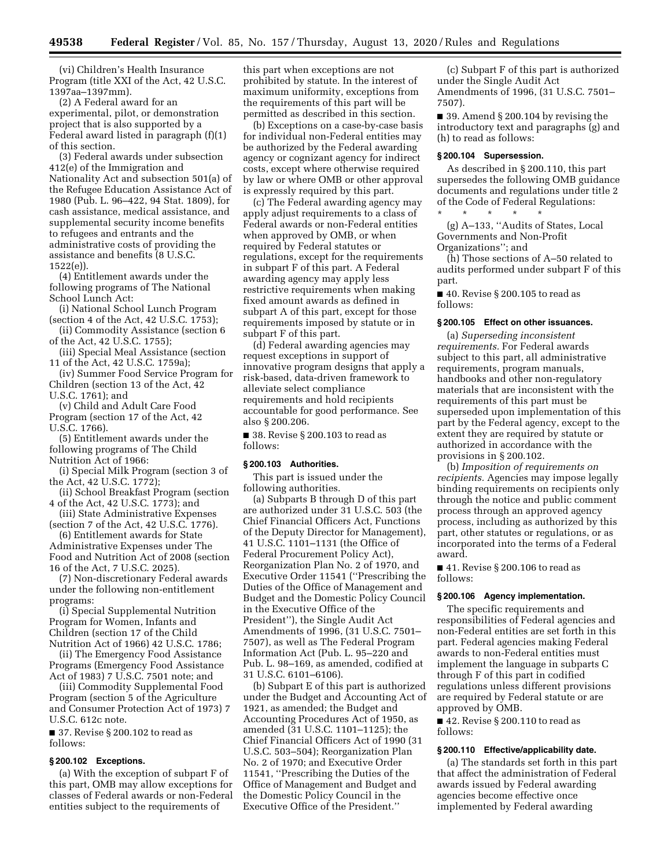(vi) Children's Health Insurance Program (title XXI of the Act, 42 U.S.C. 1397aa–1397mm).

(2) A Federal award for an experimental, pilot, or demonstration project that is also supported by a Federal award listed in paragraph (f)(1) of this section.

(3) Federal awards under subsection 412(e) of the Immigration and Nationality Act and subsection 501(a) of the Refugee Education Assistance Act of 1980 (Pub. L. 96–422, 94 Stat. 1809), for cash assistance, medical assistance, and supplemental security income benefits to refugees and entrants and the administrative costs of providing the assistance and benefits (8 U.S.C. 1522(e)).

(4) Entitlement awards under the following programs of The National School Lunch Act:

(i) National School Lunch Program (section 4 of the Act, 42 U.S.C. 1753);

(ii) Commodity Assistance (section 6 of the Act, 42 U.S.C. 1755);

(iii) Special Meal Assistance (section 11 of the Act, 42 U.S.C. 1759a);

(iv) Summer Food Service Program for Children (section 13 of the Act, 42 U.S.C. 1761); and

(v) Child and Adult Care Food Program (section 17 of the Act, 42 U.S.C. 1766).

(5) Entitlement awards under the following programs of The Child Nutrition Act of 1966:

(i) Special Milk Program (section 3 of the Act, 42 U.S.C. 1772);

(ii) School Breakfast Program (section 4 of the Act, 42 U.S.C. 1773); and

(iii) State Administrative Expenses (section 7 of the Act, 42 U.S.C. 1776).

(6) Entitlement awards for State Administrative Expenses under The Food and Nutrition Act of 2008 (section 16 of the Act, 7 U.S.C. 2025).

(7) Non-discretionary Federal awards under the following non-entitlement programs:

(i) Special Supplemental Nutrition Program for Women, Infants and Children (section 17 of the Child Nutrition Act of 1966) 42 U.S.C. 1786;

(ii) The Emergency Food Assistance Programs (Emergency Food Assistance Act of 1983) 7 U.S.C. 7501 note; and

(iii) Commodity Supplemental Food Program (section 5 of the Agriculture and Consumer Protection Act of 1973) 7 U.S.C. 612c note.

■ 37. Revise § 200.102 to read as follows:

### **§ 200.102 Exceptions.**

(a) With the exception of subpart F of this part, OMB may allow exceptions for classes of Federal awards or non-Federal entities subject to the requirements of

this part when exceptions are not prohibited by statute. In the interest of maximum uniformity, exceptions from the requirements of this part will be permitted as described in this section.

(b) Exceptions on a case-by-case basis for individual non-Federal entities may be authorized by the Federal awarding agency or cognizant agency for indirect costs, except where otherwise required by law or where OMB or other approval is expressly required by this part.

(c) The Federal awarding agency may apply adjust requirements to a class of Federal awards or non-Federal entities when approved by OMB, or when required by Federal statutes or regulations, except for the requirements in subpart F of this part. A Federal awarding agency may apply less restrictive requirements when making fixed amount awards as defined in subpart A of this part, except for those requirements imposed by statute or in subpart F of this part.

(d) Federal awarding agencies may request exceptions in support of innovative program designs that apply a risk-based, data-driven framework to alleviate select compliance requirements and hold recipients accountable for good performance. See also § 200.206.

■ 38. Revise § 200.103 to read as follows:

#### **§ 200.103 Authorities.**

This part is issued under the following authorities.

(a) Subparts B through D of this part are authorized under 31 U.S.C. 503 (the Chief Financial Officers Act, Functions of the Deputy Director for Management), 41 U.S.C. 1101–1131 (the Office of Federal Procurement Policy Act), Reorganization Plan No. 2 of 1970, and Executive Order 11541 (''Prescribing the Duties of the Office of Management and Budget and the Domestic Policy Council in the Executive Office of the President''), the Single Audit Act Amendments of 1996, (31 U.S.C. 7501– 7507), as well as The Federal Program Information Act (Pub. L. 95–220 and Pub. L. 98–169, as amended, codified at 31 U.S.C. 6101–6106).

(b) Subpart E of this part is authorized under the Budget and Accounting Act of 1921, as amended; the Budget and Accounting Procedures Act of 1950, as amended (31 U.S.C. 1101–1125); the Chief Financial Officers Act of 1990 (31 U.S.C. 503–504); Reorganization Plan No. 2 of 1970; and Executive Order 11541, ''Prescribing the Duties of the Office of Management and Budget and the Domestic Policy Council in the Executive Office of the President.''

(c) Subpart F of this part is authorized under the Single Audit Act Amendments of 1996, (31 U.S.C. 7501– 7507).

■ 39. Amend § 200.104 by revising the introductory text and paragraphs (g) and (h) to read as follows:

# **§ 200.104 Supersession.**

As described in § 200.110, this part supersedes the following OMB guidance documents and regulations under title 2 of the Code of Federal Regulations:

\* \* \* \* \* (g) A–133, ''Audits of States, Local Governments and Non-Profit Organizations''; and

(h) Those sections of A–50 related to audits performed under subpart F of this part.

■ 40. Revise § 200.105 to read as follows:

#### **§ 200.105 Effect on other issuances.**

(a) *Superseding inconsistent requirements.* For Federal awards subject to this part, all administrative requirements, program manuals, handbooks and other non-regulatory materials that are inconsistent with the requirements of this part must be superseded upon implementation of this part by the Federal agency, except to the extent they are required by statute or authorized in accordance with the provisions in § 200.102.

(b) *Imposition of requirements on recipients.* Agencies may impose legally binding requirements on recipients only through the notice and public comment process through an approved agency process, including as authorized by this part, other statutes or regulations, or as incorporated into the terms of a Federal award.

■ 41. Revise § 200.106 to read as follows:

# **§ 200.106 Agency implementation.**

The specific requirements and responsibilities of Federal agencies and non-Federal entities are set forth in this part. Federal agencies making Federal awards to non-Federal entities must implement the language in subparts C through F of this part in codified regulations unless different provisions are required by Federal statute or are approved by OMB.

■ 42. Revise § 200.110 to read as follows:

### **§ 200.110 Effective/applicability date.**

(a) The standards set forth in this part that affect the administration of Federal awards issued by Federal awarding agencies become effective once implemented by Federal awarding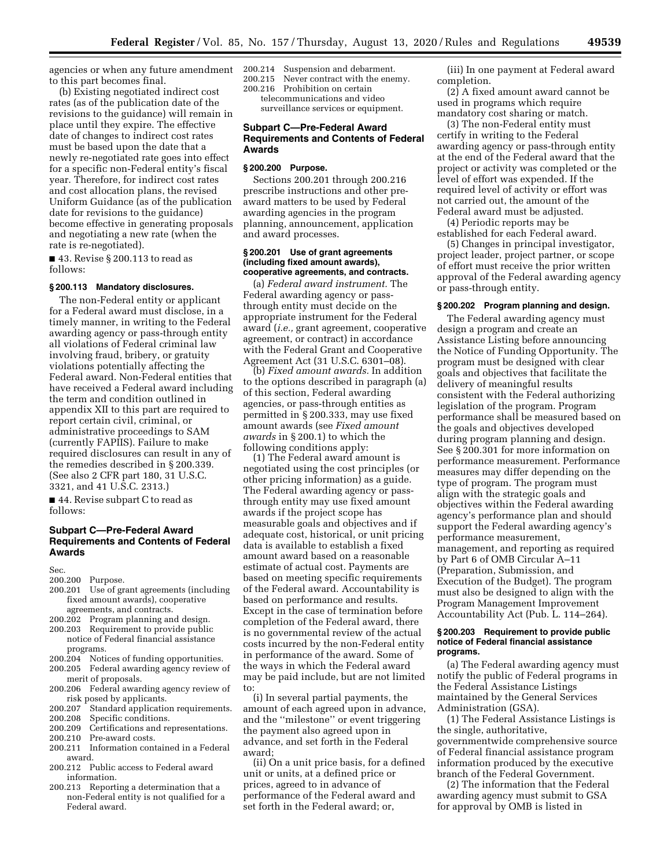agencies or when any future amendment to this part becomes final.

(b) Existing negotiated indirect cost rates (as of the publication date of the revisions to the guidance) will remain in place until they expire. The effective date of changes to indirect cost rates must be based upon the date that a newly re-negotiated rate goes into effect for a specific non-Federal entity's fiscal year. Therefore, for indirect cost rates and cost allocation plans, the revised Uniform Guidance (as of the publication date for revisions to the guidance) become effective in generating proposals and negotiating a new rate (when the rate is re-negotiated).

■ 43. Revise § 200.113 to read as follows:

# **§ 200.113 Mandatory disclosures.**

The non-Federal entity or applicant for a Federal award must disclose, in a timely manner, in writing to the Federal awarding agency or pass-through entity all violations of Federal criminal law involving fraud, bribery, or gratuity violations potentially affecting the Federal award. Non-Federal entities that have received a Federal award including the term and condition outlined in appendix XII to this part are required to report certain civil, criminal, or administrative proceedings to SAM (currently FAPIIS). Failure to make required disclosures can result in any of the remedies described in § 200.339. (See also 2 CFR part 180, 31 U.S.C. 3321, and 41 U.S.C. 2313.)

■ 44. Revise subpart C to read as follows:

# **Subpart C—Pre-Federal Award Requirements and Contents of Federal Awards**

Sec.

- 200.200 Purpose.<br>200.201 Use of gr
- Use of grant agreements (including fixed amount awards), cooperative agreements, and contracts.
- 200.202 Program planning and design.
- 200.203 Requirement to provide public notice of Federal financial assistance programs.<br>200.204 Noti
- Notices of funding opportunities.
- 200.205 Federal awarding agency review of merit of proposals.
- 200.206 Federal awarding agency review of risk posed by applicants.<br>200.207 Standard application
- 200.207 Standard application requirements.<br>200.208 Specific conditions.
- 200.208 Specific conditions.<br>200.209 Certifications and re
- Certifications and representations. 200.210 Pre-award costs.
- 200.211 Information contained in a Federal award.
- 200.212 Public access to Federal award information.
- 200.213 Reporting a determination that a non-Federal entity is not qualified for a Federal award.

200.214 Suspension and debarment.

200.215 Never contract with the enemy. 200.216 Prohibition on certain

telecommunications and video

surveillance services or equipment.

# **Subpart C—Pre-Federal Award Requirements and Contents of Federal Awards**

# **§ 200.200 Purpose.**

Sections 200.201 through 200.216 prescribe instructions and other preaward matters to be used by Federal awarding agencies in the program planning, announcement, application and award processes.

# **§ 200.201 Use of grant agreements (including fixed amount awards), cooperative agreements, and contracts.**

(a) *Federal award instrument.* The Federal awarding agency or passthrough entity must decide on the appropriate instrument for the Federal award (*i.e.,* grant agreement, cooperative agreement, or contract) in accordance with the Federal Grant and Cooperative Agreement Act (31 U.S.C. 6301–08).

(b) *Fixed amount awards.* In addition to the options described in paragraph (a) of this section, Federal awarding agencies, or pass-through entities as permitted in § 200.333, may use fixed amount awards (see *Fixed amount awards* in § 200.1) to which the following conditions apply:

(1) The Federal award amount is negotiated using the cost principles (or other pricing information) as a guide. The Federal awarding agency or passthrough entity may use fixed amount awards if the project scope has measurable goals and objectives and if adequate cost, historical, or unit pricing data is available to establish a fixed amount award based on a reasonable estimate of actual cost. Payments are based on meeting specific requirements of the Federal award. Accountability is based on performance and results. Except in the case of termination before completion of the Federal award, there is no governmental review of the actual costs incurred by the non-Federal entity in performance of the award. Some of the ways in which the Federal award may be paid include, but are not limited to:

(i) In several partial payments, the amount of each agreed upon in advance, and the ''milestone'' or event triggering the payment also agreed upon in advance, and set forth in the Federal award;

(ii) On a unit price basis, for a defined unit or units, at a defined price or prices, agreed to in advance of performance of the Federal award and set forth in the Federal award; or,

(iii) In one payment at Federal award completion.

(2) A fixed amount award cannot be used in programs which require mandatory cost sharing or match.

(3) The non-Federal entity must certify in writing to the Federal awarding agency or pass-through entity at the end of the Federal award that the project or activity was completed or the level of effort was expended. If the required level of activity or effort was not carried out, the amount of the Federal award must be adjusted.

(4) Periodic reports may be established for each Federal award.

(5) Changes in principal investigator, project leader, project partner, or scope of effort must receive the prior written approval of the Federal awarding agency or pass-through entity.

# **§ 200.202 Program planning and design.**

The Federal awarding agency must design a program and create an Assistance Listing before announcing the Notice of Funding Opportunity. The program must be designed with clear goals and objectives that facilitate the delivery of meaningful results consistent with the Federal authorizing legislation of the program. Program performance shall be measured based on the goals and objectives developed during program planning and design. See § 200.301 for more information on performance measurement. Performance measures may differ depending on the type of program. The program must align with the strategic goals and objectives within the Federal awarding agency's performance plan and should support the Federal awarding agency's performance measurement, management, and reporting as required by Part 6 of OMB Circular A–11 (Preparation, Submission, and Execution of the Budget). The program must also be designed to align with the Program Management Improvement Accountability Act (Pub. L. 114–264).

### **§ 200.203 Requirement to provide public notice of Federal financial assistance programs.**

(a) The Federal awarding agency must notify the public of Federal programs in the Federal Assistance Listings maintained by the General Services Administration (GSA).

(1) The Federal Assistance Listings is the single, authoritative, governmentwide comprehensive source of Federal financial assistance program information produced by the executive branch of the Federal Government.

(2) The information that the Federal awarding agency must submit to GSA for approval by OMB is listed in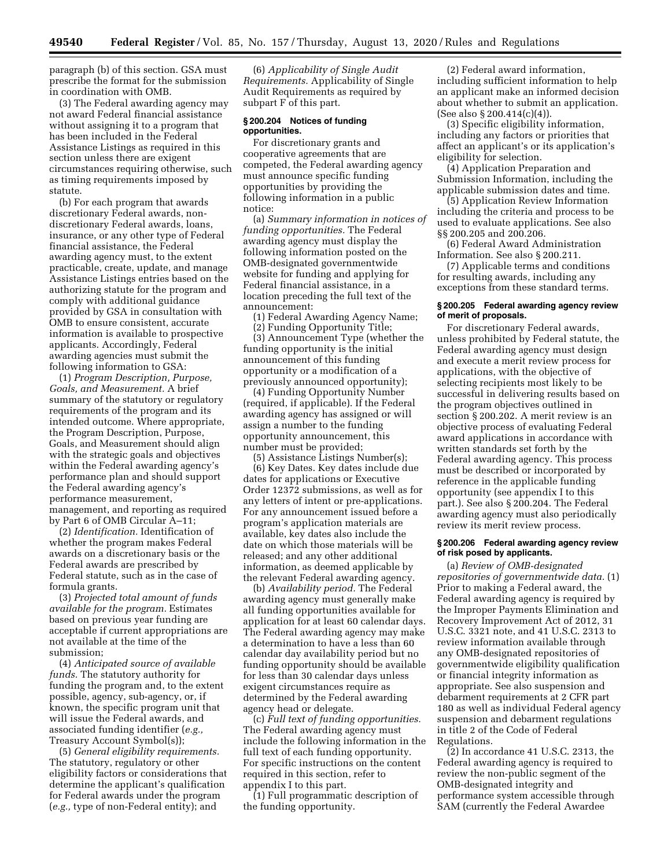paragraph (b) of this section. GSA must prescribe the format for the submission in coordination with OMB.

(3) The Federal awarding agency may not award Federal financial assistance without assigning it to a program that has been included in the Federal Assistance Listings as required in this section unless there are exigent circumstances requiring otherwise, such as timing requirements imposed by statute.

(b) For each program that awards discretionary Federal awards, nondiscretionary Federal awards, loans, insurance, or any other type of Federal financial assistance, the Federal awarding agency must, to the extent practicable, create, update, and manage Assistance Listings entries based on the authorizing statute for the program and comply with additional guidance provided by GSA in consultation with OMB to ensure consistent, accurate information is available to prospective applicants. Accordingly, Federal awarding agencies must submit the following information to GSA:

(1) *Program Description, Purpose, Goals, and Measurement.* A brief summary of the statutory or regulatory requirements of the program and its intended outcome. Where appropriate, the Program Description, Purpose, Goals, and Measurement should align with the strategic goals and objectives within the Federal awarding agency's performance plan and should support the Federal awarding agency's performance measurement, management, and reporting as required by Part 6 of OMB Circular A–11;

(2) *Identification.* Identification of whether the program makes Federal awards on a discretionary basis or the Federal awards are prescribed by Federal statute, such as in the case of formula grants.

(3) *Projected total amount of funds available for the program.* Estimates based on previous year funding are acceptable if current appropriations are not available at the time of the submission;

(4) *Anticipated source of available funds.* The statutory authority for funding the program and, to the extent possible, agency, sub-agency, or, if known, the specific program unit that will issue the Federal awards, and associated funding identifier (*e.g.,*  Treasury Account Symbol(s));

(5) *General eligibility requirements.*  The statutory, regulatory or other eligibility factors or considerations that determine the applicant's qualification for Federal awards under the program (*e.g.,* type of non-Federal entity); and

(6) *Applicability of Single Audit Requirements.* Applicability of Single Audit Requirements as required by subpart F of this part.

## **§ 200.204 Notices of funding opportunities.**

For discretionary grants and cooperative agreements that are competed, the Federal awarding agency must announce specific funding opportunities by providing the following information in a public notice:

(a) *Summary information in notices of funding opportunities.* The Federal awarding agency must display the following information posted on the OMB-designated governmentwide website for funding and applying for Federal financial assistance, in a location preceding the full text of the announcement:

(1) Federal Awarding Agency Name;

(2) Funding Opportunity Title;

(3) Announcement Type (whether the funding opportunity is the initial announcement of this funding opportunity or a modification of a previously announced opportunity);

(4) Funding Opportunity Number (required, if applicable). If the Federal awarding agency has assigned or will assign a number to the funding opportunity announcement, this number must be provided;

(5) Assistance Listings Number(s); (6) Key Dates. Key dates include due

dates for applications or Executive Order 12372 submissions, as well as for any letters of intent or pre-applications. For any announcement issued before a program's application materials are available, key dates also include the date on which those materials will be released; and any other additional information, as deemed applicable by the relevant Federal awarding agency.

(b) *Availability period.* The Federal awarding agency must generally make all funding opportunities available for application for at least 60 calendar days. The Federal awarding agency may make a determination to have a less than 60 calendar day availability period but no funding opportunity should be available for less than 30 calendar days unless exigent circumstances require as determined by the Federal awarding agency head or delegate.

(c) *Full text of funding opportunities.*  The Federal awarding agency must include the following information in the full text of each funding opportunity. For specific instructions on the content required in this section, refer to appendix I to this part.

(1) Full programmatic description of the funding opportunity.

(2) Federal award information, including sufficient information to help an applicant make an informed decision about whether to submit an application. (See also § 200.414(c)(4)).

(3) Specific eligibility information, including any factors or priorities that affect an applicant's or its application's eligibility for selection.

(4) Application Preparation and Submission Information, including the applicable submission dates and time.

(5) Application Review Information including the criteria and process to be used to evaluate applications. See also §§ 200.205 and 200.206.

(6) Federal Award Administration Information. See also § 200.211.

(7) Applicable terms and conditions for resulting awards, including any exceptions from these standard terms.

# **§ 200.205 Federal awarding agency review of merit of proposals.**

For discretionary Federal awards, unless prohibited by Federal statute, the Federal awarding agency must design and execute a merit review process for applications, with the objective of selecting recipients most likely to be successful in delivering results based on the program objectives outlined in section § 200.202. A merit review is an objective process of evaluating Federal award applications in accordance with written standards set forth by the Federal awarding agency. This process must be described or incorporated by reference in the applicable funding opportunity (see appendix I to this part.). See also § 200.204. The Federal awarding agency must also periodically review its merit review process.

# **§ 200.206 Federal awarding agency review of risk posed by applicants.**

(a) *Review of OMB-designated repositories of governmentwide data.* (1) Prior to making a Federal award, the Federal awarding agency is required by the Improper Payments Elimination and Recovery Improvement Act of 2012, 31 U.S.C. 3321 note, and 41 U.S.C. 2313 to review information available through any OMB-designated repositories of governmentwide eligibility qualification or financial integrity information as appropriate. See also suspension and debarment requirements at 2 CFR part 180 as well as individual Federal agency suspension and debarment regulations in title 2 of the Code of Federal Regulations.

(2) In accordance 41 U.S.C. 2313, the Federal awarding agency is required to review the non-public segment of the OMB-designated integrity and performance system accessible through SAM (currently the Federal Awardee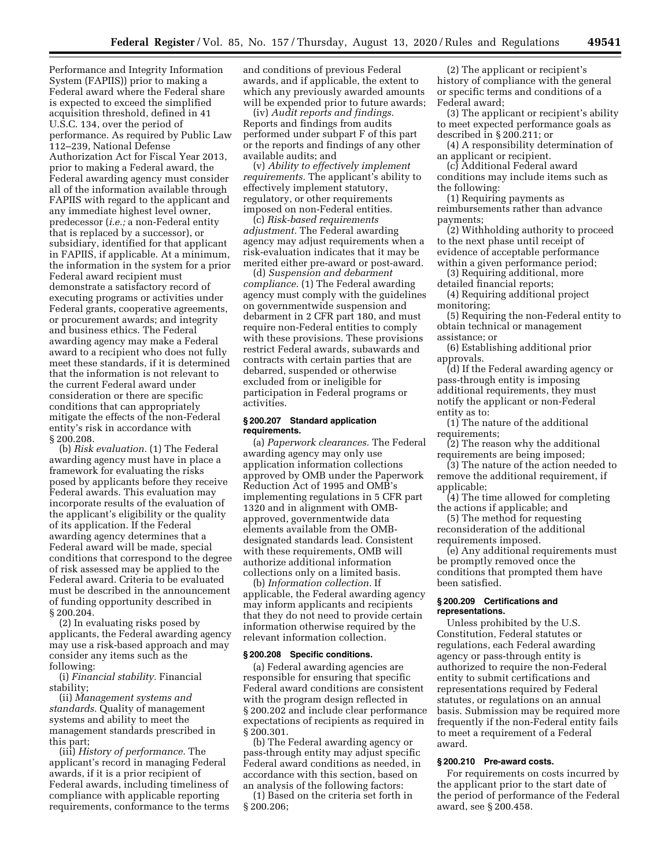Performance and Integrity Information System (FAPIIS)) prior to making a Federal award where the Federal share is expected to exceed the simplified acquisition threshold, defined in 41 U.S.C. 134, over the period of performance. As required by Public Law 112–239, National Defense Authorization Act for Fiscal Year 2013, prior to making a Federal award, the Federal awarding agency must consider all of the information available through FAPIIS with regard to the applicant and any immediate highest level owner, predecessor (*i.e.;* a non-Federal entity that is replaced by a successor), or subsidiary, identified for that applicant in FAPIIS, if applicable. At a minimum, the information in the system for a prior Federal award recipient must demonstrate a satisfactory record of executing programs or activities under Federal grants, cooperative agreements, or procurement awards; and integrity and business ethics. The Federal awarding agency may make a Federal award to a recipient who does not fully meet these standards, if it is determined that the information is not relevant to the current Federal award under consideration or there are specific conditions that can appropriately mitigate the effects of the non-Federal entity's risk in accordance with § 200.208.

(b) *Risk evaluation.* (1) The Federal awarding agency must have in place a framework for evaluating the risks posed by applicants before they receive Federal awards. This evaluation may incorporate results of the evaluation of the applicant's eligibility or the quality of its application. If the Federal awarding agency determines that a Federal award will be made, special conditions that correspond to the degree of risk assessed may be applied to the Federal award. Criteria to be evaluated must be described in the announcement of funding opportunity described in § 200.204.

(2) In evaluating risks posed by applicants, the Federal awarding agency may use a risk-based approach and may consider any items such as the following:

(i) *Financial stability.* Financial stability;

(ii) *Management systems and standards.* Quality of management systems and ability to meet the management standards prescribed in this part;

(iii) *History of performance.* The applicant's record in managing Federal awards, if it is a prior recipient of Federal awards, including timeliness of compliance with applicable reporting requirements, conformance to the terms and conditions of previous Federal awards, and if applicable, the extent to which any previously awarded amounts will be expended prior to future awards;

(iv) *Audit reports and findings.*  Reports and findings from audits performed under subpart F of this part or the reports and findings of any other available audits; and

(v) *Ability to effectively implement requirements.* The applicant's ability to effectively implement statutory, regulatory, or other requirements imposed on non-Federal entities.

(c) *Risk-based requirements adjustment.* The Federal awarding agency may adjust requirements when a risk-evaluation indicates that it may be merited either pre-award or post-award.

(d) *Suspension and debarment compliance.* (1) The Federal awarding agency must comply with the guidelines on governmentwide suspension and debarment in 2 CFR part 180, and must require non-Federal entities to comply with these provisions. These provisions restrict Federal awards, subawards and contracts with certain parties that are debarred, suspended or otherwise excluded from or ineligible for participation in Federal programs or activities.

# **§ 200.207 Standard application requirements.**

(a) *Paperwork clearances.* The Federal awarding agency may only use application information collections approved by OMB under the Paperwork Reduction Act of 1995 and OMB's implementing regulations in 5 CFR part 1320 and in alignment with OMBapproved, governmentwide data elements available from the OMBdesignated standards lead. Consistent with these requirements, OMB will authorize additional information collections only on a limited basis.

(b) *Information collection.* If applicable, the Federal awarding agency may inform applicants and recipients that they do not need to provide certain information otherwise required by the relevant information collection.

### **§ 200.208 Specific conditions.**

(a) Federal awarding agencies are responsible for ensuring that specific Federal award conditions are consistent with the program design reflected in § 200.202 and include clear performance expectations of recipients as required in § 200.301.

(b) The Federal awarding agency or pass-through entity may adjust specific Federal award conditions as needed, in accordance with this section, based on an analysis of the following factors:

(1) Based on the criteria set forth in § 200.206;

(2) The applicant or recipient's history of compliance with the general or specific terms and conditions of a Federal award;

(3) The applicant or recipient's ability to meet expected performance goals as described in § 200.211; or

(4) A responsibility determination of an applicant or recipient.

(c) Additional Federal award conditions may include items such as the following:

(1) Requiring payments as reimbursements rather than advance payments;

(2) Withholding authority to proceed to the next phase until receipt of evidence of acceptable performance within a given performance period;

(3) Requiring additional, more detailed financial reports;

(4) Requiring additional project monitoring;

(5) Requiring the non-Federal entity to obtain technical or management assistance; or

(6) Establishing additional prior approvals.

(d) If the Federal awarding agency or pass-through entity is imposing additional requirements, they must notify the applicant or non-Federal entity as to:

(1) The nature of the additional requirements;

(2) The reason why the additional requirements are being imposed;

(3) The nature of the action needed to remove the additional requirement, if applicable;

(4) The time allowed for completing the actions if applicable; and

(5) The method for requesting reconsideration of the additional requirements imposed.

(e) Any additional requirements must be promptly removed once the conditions that prompted them have been satisfied.

### **§ 200.209 Certifications and representations.**

Unless prohibited by the U.S. Constitution, Federal statutes or regulations, each Federal awarding agency or pass-through entity is authorized to require the non-Federal entity to submit certifications and representations required by Federal statutes, or regulations on an annual basis. Submission may be required more frequently if the non-Federal entity fails to meet a requirement of a Federal award.

# **§ 200.210 Pre-award costs.**

For requirements on costs incurred by the applicant prior to the start date of the period of performance of the Federal award, see § 200.458.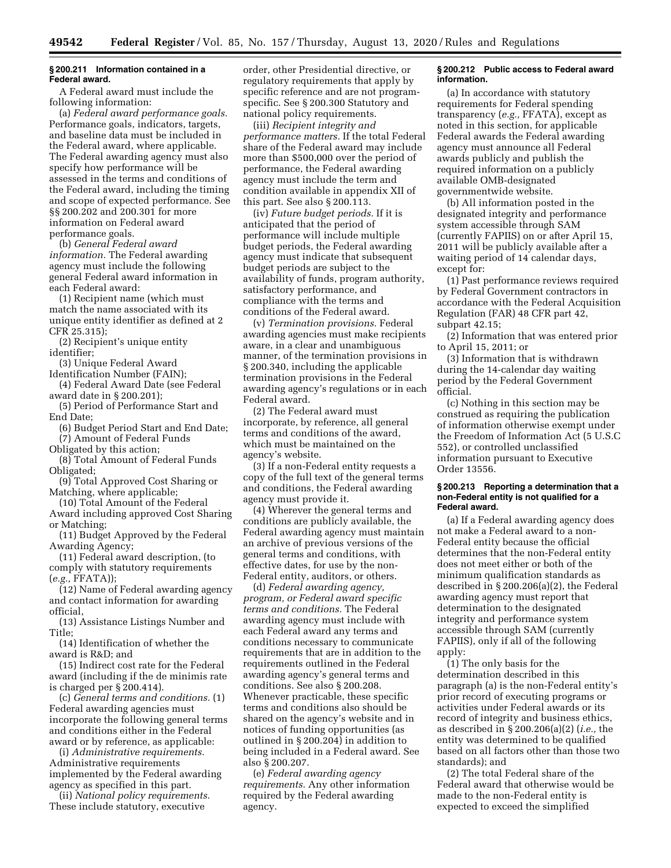## **§ 200.211 Information contained in a Federal award.**

A Federal award must include the following information:

(a) *Federal award performance goals.*  Performance goals, indicators, targets, and baseline data must be included in the Federal award, where applicable. The Federal awarding agency must also specify how performance will be assessed in the terms and conditions of the Federal award, including the timing and scope of expected performance. See §§ 200.202 and 200.301 for more information on Federal award performance goals.

(b) *General Federal award information.* The Federal awarding agency must include the following general Federal award information in each Federal award:

(1) Recipient name (which must match the name associated with its unique entity identifier as defined at 2 CFR 25.315);

(2) Recipient's unique entity identifier;

(3) Unique Federal Award

Identification Number (FAIN);

(4) Federal Award Date (see Federal award date in § 200.201);

(5) Period of Performance Start and End Date;

(6) Budget Period Start and End Date; (7) Amount of Federal Funds

Obligated by this action;

(8) Total Amount of Federal Funds Obligated;

- (9) Total Approved Cost Sharing or Matching, where applicable;
- (10) Total Amount of the Federal

Award including approved Cost Sharing or Matching;

(11) Budget Approved by the Federal Awarding Agency;

(11) Federal award description, (to comply with statutory requirements (*e.g.,* FFATA));

(12) Name of Federal awarding agency and contact information for awarding official,

(13) Assistance Listings Number and Title;

(14) Identification of whether the award is R&D; and

(15) Indirect cost rate for the Federal award (including if the de minimis rate is charged per § 200.414).

(c) *General terms and conditions.* (1) Federal awarding agencies must incorporate the following general terms and conditions either in the Federal award or by reference, as applicable:

(i) *Administrative requirements.*  Administrative requirements implemented by the Federal awarding agency as specified in this part.

(ii) *National policy requirements.*  These include statutory, executive

order, other Presidential directive, or regulatory requirements that apply by specific reference and are not programspecific. See § 200.300 Statutory and national policy requirements.

(iii) *Recipient integrity and performance matters.* If the total Federal share of the Federal award may include more than \$500,000 over the period of performance, the Federal awarding agency must include the term and condition available in appendix XII of this part. See also § 200.113.

(iv) *Future budget periods.* If it is anticipated that the period of performance will include multiple budget periods, the Federal awarding agency must indicate that subsequent budget periods are subject to the availability of funds, program authority, satisfactory performance, and compliance with the terms and conditions of the Federal award.

(v) *Termination provisions.* Federal awarding agencies must make recipients aware, in a clear and unambiguous manner, of the termination provisions in § 200.340, including the applicable termination provisions in the Federal awarding agency's regulations or in each Federal award.

(2) The Federal award must incorporate, by reference, all general terms and conditions of the award, which must be maintained on the agency's website.

(3) If a non-Federal entity requests a copy of the full text of the general terms and conditions, the Federal awarding agency must provide it.

(4) Wherever the general terms and conditions are publicly available, the Federal awarding agency must maintain an archive of previous versions of the general terms and conditions, with effective dates, for use by the non-Federal entity, auditors, or others.

(d) *Federal awarding agency, program, or Federal award specific terms and conditions.* The Federal awarding agency must include with each Federal award any terms and conditions necessary to communicate requirements that are in addition to the requirements outlined in the Federal awarding agency's general terms and conditions. See also § 200.208. Whenever practicable, these specific terms and conditions also should be shared on the agency's website and in notices of funding opportunities (as outlined in § 200.204) in addition to being included in a Federal award. See also § 200.207.

(e) *Federal awarding agency requirements.* Any other information required by the Federal awarding agency.

#### **§ 200.212 Public access to Federal award information.**

(a) In accordance with statutory requirements for Federal spending transparency (*e.g.,* FFATA), except as noted in this section, for applicable Federal awards the Federal awarding agency must announce all Federal awards publicly and publish the required information on a publicly available OMB-designated governmentwide website.

(b) All information posted in the designated integrity and performance system accessible through SAM (currently FAPIIS) on or after April 15, 2011 will be publicly available after a waiting period of 14 calendar days, except for:

(1) Past performance reviews required by Federal Government contractors in accordance with the Federal Acquisition Regulation (FAR) 48 CFR part 42, subpart 42.15;

(2) Information that was entered prior to April 15, 2011; or

(3) Information that is withdrawn during the 14-calendar day waiting period by the Federal Government official.

(c) Nothing in this section may be construed as requiring the publication of information otherwise exempt under the Freedom of Information Act (5 U.S.C 552), or controlled unclassified information pursuant to Executive Order 13556.

## **§ 200.213 Reporting a determination that a non-Federal entity is not qualified for a Federal award.**

(a) If a Federal awarding agency does not make a Federal award to a non-Federal entity because the official determines that the non-Federal entity does not meet either or both of the minimum qualification standards as described in § 200.206(a)(2), the Federal awarding agency must report that determination to the designated integrity and performance system accessible through SAM (currently FAPIIS), only if all of the following apply:

(1) The only basis for the determination described in this paragraph (a) is the non-Federal entity's prior record of executing programs or activities under Federal awards or its record of integrity and business ethics, as described in § 200.206(a)(2) (*i.e.,* the entity was determined to be qualified based on all factors other than those two standards); and

(2) The total Federal share of the Federal award that otherwise would be made to the non-Federal entity is expected to exceed the simplified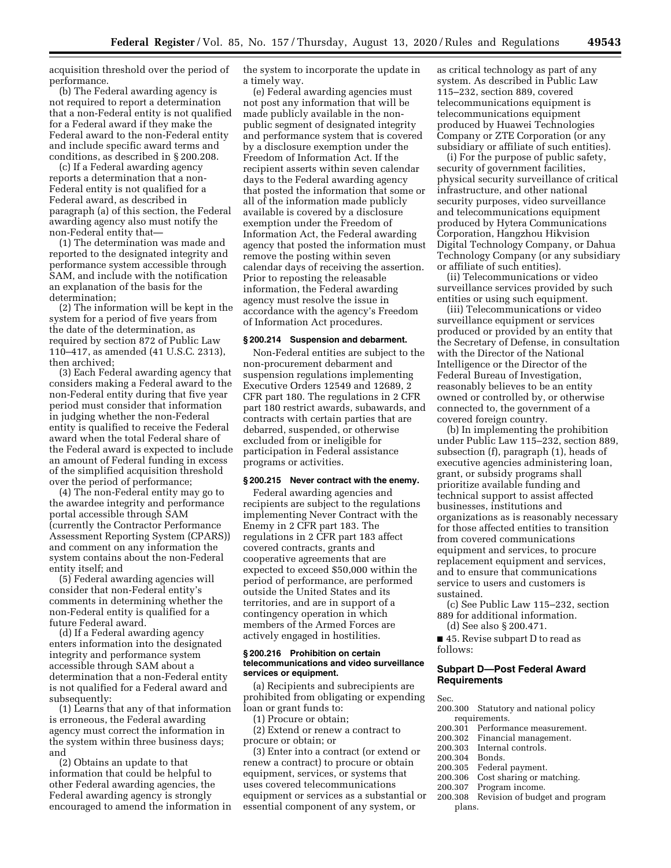acquisition threshold over the period of performance.

(b) The Federal awarding agency is not required to report a determination that a non-Federal entity is not qualified for a Federal award if they make the Federal award to the non-Federal entity and include specific award terms and conditions, as described in § 200.208.

(c) If a Federal awarding agency reports a determination that a non-Federal entity is not qualified for a Federal award, as described in paragraph (a) of this section, the Federal awarding agency also must notify the non-Federal entity that—

(1) The determination was made and reported to the designated integrity and performance system accessible through SAM, and include with the notification an explanation of the basis for the determination;

(2) The information will be kept in the system for a period of five years from the date of the determination, as required by section 872 of Public Law 110–417, as amended (41 U.S.C. 2313), then archived;

(3) Each Federal awarding agency that considers making a Federal award to the non-Federal entity during that five year period must consider that information in judging whether the non-Federal entity is qualified to receive the Federal award when the total Federal share of the Federal award is expected to include an amount of Federal funding in excess of the simplified acquisition threshold over the period of performance;

(4) The non-Federal entity may go to the awardee integrity and performance portal accessible through SAM (currently the Contractor Performance Assessment Reporting System (CPARS)) and comment on any information the system contains about the non-Federal entity itself; and

(5) Federal awarding agencies will consider that non-Federal entity's comments in determining whether the non-Federal entity is qualified for a future Federal award.

(d) If a Federal awarding agency enters information into the designated integrity and performance system accessible through SAM about a determination that a non-Federal entity is not qualified for a Federal award and subsequently:

(1) Learns that any of that information is erroneous, the Federal awarding agency must correct the information in the system within three business days; and

(2) Obtains an update to that information that could be helpful to other Federal awarding agencies, the Federal awarding agency is strongly encouraged to amend the information in the system to incorporate the update in a timely way.

(e) Federal awarding agencies must not post any information that will be made publicly available in the nonpublic segment of designated integrity and performance system that is covered by a disclosure exemption under the Freedom of Information Act. If the recipient asserts within seven calendar days to the Federal awarding agency that posted the information that some or all of the information made publicly available is covered by a disclosure exemption under the Freedom of Information Act, the Federal awarding agency that posted the information must remove the posting within seven calendar days of receiving the assertion. Prior to reposting the releasable information, the Federal awarding agency must resolve the issue in accordance with the agency's Freedom of Information Act procedures.

#### **§ 200.214 Suspension and debarment.**

Non-Federal entities are subject to the non-procurement debarment and suspension regulations implementing Executive Orders 12549 and 12689, 2 CFR part 180. The regulations in 2 CFR part 180 restrict awards, subawards, and contracts with certain parties that are debarred, suspended, or otherwise excluded from or ineligible for participation in Federal assistance programs or activities.

## **§ 200.215 Never contract with the enemy.**

Federal awarding agencies and recipients are subject to the regulations implementing Never Contract with the Enemy in 2 CFR part 183. The regulations in 2 CFR part 183 affect covered contracts, grants and cooperative agreements that are expected to exceed \$50,000 within the period of performance, are performed outside the United States and its territories, and are in support of a contingency operation in which members of the Armed Forces are actively engaged in hostilities.

#### **§ 200.216 Prohibition on certain telecommunications and video surveillance services or equipment.**

(a) Recipients and subrecipients are prohibited from obligating or expending loan or grant funds to:

(1) Procure or obtain; (2) Extend or renew a contract to procure or obtain; or

(3) Enter into a contract (or extend or renew a contract) to procure or obtain equipment, services, or systems that uses covered telecommunications equipment or services as a substantial or essential component of any system, or

as critical technology as part of any system. As described in Public Law 115–232, section 889, covered telecommunications equipment is telecommunications equipment produced by Huawei Technologies Company or ZTE Corporation (or any subsidiary or affiliate of such entities).

(i) For the purpose of public safety, security of government facilities, physical security surveillance of critical infrastructure, and other national security purposes, video surveillance and telecommunications equipment produced by Hytera Communications Corporation, Hangzhou Hikvision Digital Technology Company, or Dahua Technology Company (or any subsidiary or affiliate of such entities).

(ii) Telecommunications or video surveillance services provided by such entities or using such equipment.

(iii) Telecommunications or video surveillance equipment or services produced or provided by an entity that the Secretary of Defense, in consultation with the Director of the National Intelligence or the Director of the Federal Bureau of Investigation, reasonably believes to be an entity owned or controlled by, or otherwise connected to, the government of a covered foreign country.

(b) In implementing the prohibition under Public Law 115–232, section 889, subsection (f), paragraph (1), heads of executive agencies administering loan, grant, or subsidy programs shall prioritize available funding and technical support to assist affected businesses, institutions and organizations as is reasonably necessary for those affected entities to transition from covered communications equipment and services, to procure replacement equipment and services, and to ensure that communications service to users and customers is sustained.

(c) See Public Law 115–232, section 889 for additional information.

(d) See also § 200.471.

■ 45. Revise subpart D to read as follows:

## **Subpart D—Post Federal Award Requirements**

Sec.

- 200.300 Statutory and national policy requirements.
- 
- 200.301 Performance measurement.<br>200.302 Financial management. 200.302 Financial management.<br>200.303 Internal controls
- Internal controls.<br>Bonds.
- 
- 200.304<br>200.305
- 200.305 Federal payment.<br>200.306 Cost sharing or m 200.306 Cost sharing or matching.<br>200.307 Program income.
- Program income.
- 200.308 Revision of budget and program plans.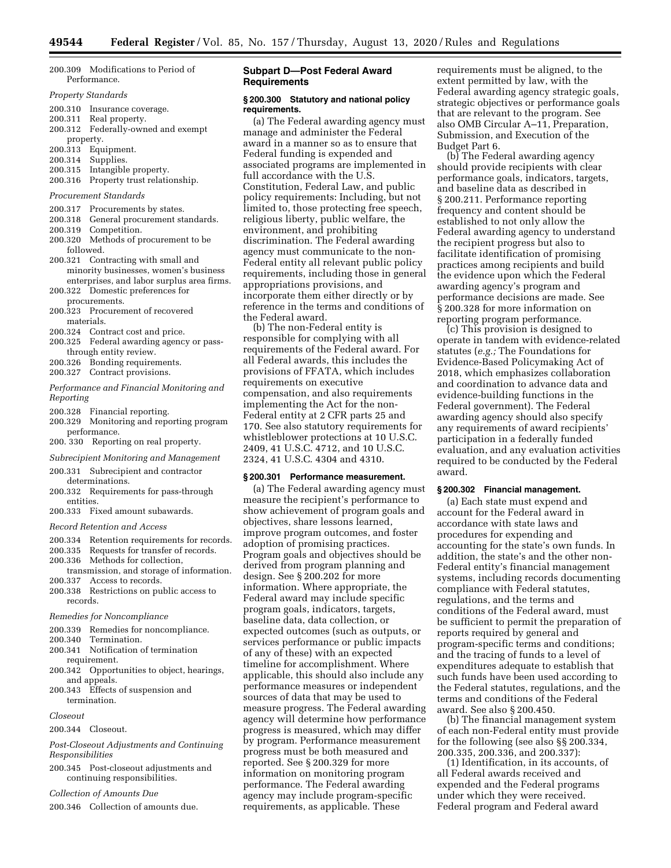| 200.309 Modifications to Period of |  |
|------------------------------------|--|
| Performance.                       |  |

#### *Property Standards*

- 200.310 Insurance coverage.
- 200.311 Real property.
- 200.312 Federally-owned and exempt
- property.
- 200.313 Equipment.
- 200.314 Supplies.
- 200.315 Intangible property.
- 200.316 Property trust relationship.

#### *Procurement Standards*

- 200.317 Procurements by states.
- 200.318 General procurement standards.
- 200.319 Competition.
- 200.320 Methods of procurement to be followed.
- 200.321 Contracting with small and minority businesses, women's business enterprises, and labor surplus area firms.
- 200.322 Domestic preferences for procurements.
- 200.323 Procurement of recovered materials.
- 200.324 Contract cost and price.
- 200.325 Federal awarding agency or passthrough entity review.
- 200.326 Bonding requirements.
- 200.327 Contract provisions.
- *Performance and Financial Monitoring and Reporting*
- 200.328 Financial reporting.
- 200.329 Monitoring and reporting program performance.
- 200. 330 Reporting on real property.
- *Subrecipient Monitoring and Management*
- 200.331 Subrecipient and contractor determinations.
- 200.332 Requirements for pass-through entities.
- 200.333 Fixed amount subawards.
- *Record Retention and Access*
- 200.334 Retention requirements for records.
- 200.335 Requests for transfer of records.
- 200.336 Methods for collection,
- transmission, and storage of information. 200.337 Access to records.
- 200.338 Restrictions on public access to records.
- *Remedies for Noncompliance*
- 200.339 Remedies for noncompliance.
- 200.340 Termination.
- 200.341 Notification of termination requirement.
- 200.342 Opportunities to object, hearings, and appeals.
- 200.343 Effects of suspension and termination.
- *Closeout*

200.344 Closeout.

- *Post-Closeout Adjustments and Continuing Responsibilities*
- 200.345 Post-closeout adjustments and continuing responsibilities.

*Collection of Amounts Due* 

200.346 Collection of amounts due.

## **Subpart D—Post Federal Award Requirements**

#### **§ 200.300 Statutory and national policy requirements.**

(a) The Federal awarding agency must manage and administer the Federal award in a manner so as to ensure that Federal funding is expended and associated programs are implemented in full accordance with the U.S. Constitution, Federal Law, and public policy requirements: Including, but not limited to, those protecting free speech, religious liberty, public welfare, the environment, and prohibiting discrimination. The Federal awarding agency must communicate to the non-Federal entity all relevant public policy requirements, including those in general appropriations provisions, and incorporate them either directly or by reference in the terms and conditions of the Federal award.

(b) The non-Federal entity is responsible for complying with all requirements of the Federal award. For all Federal awards, this includes the provisions of FFATA, which includes requirements on executive compensation, and also requirements implementing the Act for the non-Federal entity at 2 CFR parts 25 and 170. See also statutory requirements for whistleblower protections at 10 U.S.C. 2409, 41 U.S.C. 4712, and 10 U.S.C. 2324, 41 U.S.C. 4304 and 4310.

## **§ 200.301 Performance measurement.**

(a) The Federal awarding agency must measure the recipient's performance to show achievement of program goals and objectives, share lessons learned, improve program outcomes, and foster adoption of promising practices. Program goals and objectives should be derived from program planning and design. See § 200.202 for more information. Where appropriate, the Federal award may include specific program goals, indicators, targets, baseline data, data collection, or expected outcomes (such as outputs, or services performance or public impacts of any of these) with an expected timeline for accomplishment. Where applicable, this should also include any performance measures or independent sources of data that may be used to measure progress. The Federal awarding agency will determine how performance progress is measured, which may differ by program. Performance measurement progress must be both measured and reported. See § 200.329 for more information on monitoring program performance. The Federal awarding agency may include program-specific requirements, as applicable. These

requirements must be aligned, to the extent permitted by law, with the Federal awarding agency strategic goals, strategic objectives or performance goals that are relevant to the program. See also OMB Circular A–11, Preparation, Submission, and Execution of the Budget Part 6.

(b) The Federal awarding agency should provide recipients with clear performance goals, indicators, targets, and baseline data as described in § 200.211. Performance reporting frequency and content should be established to not only allow the Federal awarding agency to understand the recipient progress but also to facilitate identification of promising practices among recipients and build the evidence upon which the Federal awarding agency's program and performance decisions are made. See § 200.328 for more information on reporting program performance.

(c) This provision is designed to operate in tandem with evidence-related statutes (*e.g.;* The Foundations for Evidence-Based Policymaking Act of 2018, which emphasizes collaboration and coordination to advance data and evidence-building functions in the Federal government). The Federal awarding agency should also specify any requirements of award recipients' participation in a federally funded evaluation, and any evaluation activities required to be conducted by the Federal award.

# **§ 200.302 Financial management.**

(a) Each state must expend and account for the Federal award in accordance with state laws and procedures for expending and accounting for the state's own funds. In addition, the state's and the other non-Federal entity's financial management systems, including records documenting compliance with Federal statutes, regulations, and the terms and conditions of the Federal award, must be sufficient to permit the preparation of reports required by general and program-specific terms and conditions; and the tracing of funds to a level of expenditures adequate to establish that such funds have been used according to the Federal statutes, regulations, and the terms and conditions of the Federal award. See also § 200.450.

(b) The financial management system of each non-Federal entity must provide for the following (see also §§ 200.334, 200.335, 200.336, and 200.337):

(1) Identification, in its accounts, of all Federal awards received and expended and the Federal programs under which they were received. Federal program and Federal award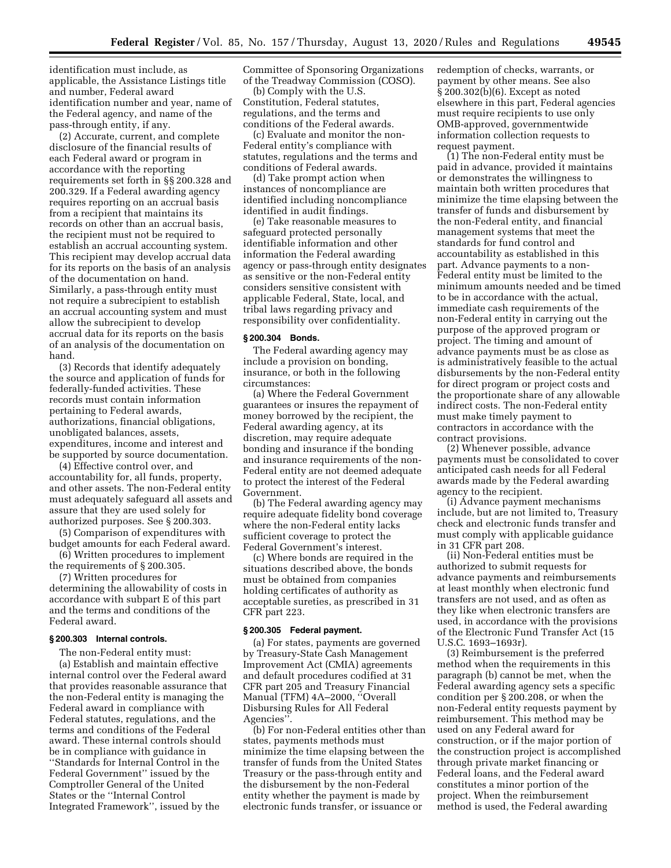identification must include, as applicable, the Assistance Listings title and number, Federal award identification number and year, name of the Federal agency, and name of the pass-through entity, if any.

(2) Accurate, current, and complete disclosure of the financial results of each Federal award or program in accordance with the reporting requirements set forth in §§ 200.328 and 200.329. If a Federal awarding agency requires reporting on an accrual basis from a recipient that maintains its records on other than an accrual basis, the recipient must not be required to establish an accrual accounting system. This recipient may develop accrual data for its reports on the basis of an analysis of the documentation on hand. Similarly, a pass-through entity must not require a subrecipient to establish an accrual accounting system and must allow the subrecipient to develop accrual data for its reports on the basis of an analysis of the documentation on hand.

(3) Records that identify adequately the source and application of funds for federally-funded activities. These records must contain information pertaining to Federal awards, authorizations, financial obligations, unobligated balances, assets, expenditures, income and interest and be supported by source documentation.

(4) Effective control over, and accountability for, all funds, property, and other assets. The non-Federal entity must adequately safeguard all assets and assure that they are used solely for authorized purposes. See § 200.303.

(5) Comparison of expenditures with budget amounts for each Federal award.

(6) Written procedures to implement the requirements of § 200.305.

(7) Written procedures for determining the allowability of costs in accordance with subpart E of this part and the terms and conditions of the Federal award.

#### **§ 200.303 Internal controls.**

The non-Federal entity must: (a) Establish and maintain effective internal control over the Federal award that provides reasonable assurance that the non-Federal entity is managing the Federal award in compliance with Federal statutes, regulations, and the terms and conditions of the Federal award. These internal controls should be in compliance with guidance in ''Standards for Internal Control in the Federal Government'' issued by the Comptroller General of the United States or the ''Internal Control Integrated Framework'', issued by the

Committee of Sponsoring Organizations of the Treadway Commission (COSO).

(b) Comply with the U.S. Constitution, Federal statutes, regulations, and the terms and conditions of the Federal awards.

(c) Evaluate and monitor the non-Federal entity's compliance with statutes, regulations and the terms and conditions of Federal awards.

(d) Take prompt action when instances of noncompliance are identified including noncompliance identified in audit findings.

(e) Take reasonable measures to safeguard protected personally identifiable information and other information the Federal awarding agency or pass-through entity designates as sensitive or the non-Federal entity considers sensitive consistent with applicable Federal, State, local, and tribal laws regarding privacy and responsibility over confidentiality.

### **§ 200.304 Bonds.**

The Federal awarding agency may include a provision on bonding, insurance, or both in the following circumstances:

(a) Where the Federal Government guarantees or insures the repayment of money borrowed by the recipient, the Federal awarding agency, at its discretion, may require adequate bonding and insurance if the bonding and insurance requirements of the non-Federal entity are not deemed adequate to protect the interest of the Federal Government.

(b) The Federal awarding agency may require adequate fidelity bond coverage where the non-Federal entity lacks sufficient coverage to protect the Federal Government's interest.

(c) Where bonds are required in the situations described above, the bonds must be obtained from companies holding certificates of authority as acceptable sureties, as prescribed in 31 CFR part 223.

#### **§ 200.305 Federal payment.**

(a) For states, payments are governed by Treasury-State Cash Management Improvement Act (CMIA) agreements and default procedures codified at 31 CFR part 205 and Treasury Financial Manual (TFM) 4A–2000, ''Overall Disbursing Rules for All Federal Agencies''.

(b) For non-Federal entities other than states, payments methods must minimize the time elapsing between the transfer of funds from the United States Treasury or the pass-through entity and the disbursement by the non-Federal entity whether the payment is made by electronic funds transfer, or issuance or

redemption of checks, warrants, or payment by other means. See also § 200.302(b)(6). Except as noted elsewhere in this part, Federal agencies must require recipients to use only OMB-approved, governmentwide information collection requests to request payment.

(1) The non-Federal entity must be paid in advance, provided it maintains or demonstrates the willingness to maintain both written procedures that minimize the time elapsing between the transfer of funds and disbursement by the non-Federal entity, and financial management systems that meet the standards for fund control and accountability as established in this part. Advance payments to a non-Federal entity must be limited to the minimum amounts needed and be timed to be in accordance with the actual, immediate cash requirements of the non-Federal entity in carrying out the purpose of the approved program or project. The timing and amount of advance payments must be as close as is administratively feasible to the actual disbursements by the non-Federal entity for direct program or project costs and the proportionate share of any allowable indirect costs. The non-Federal entity must make timely payment to contractors in accordance with the contract provisions.

(2) Whenever possible, advance payments must be consolidated to cover anticipated cash needs for all Federal awards made by the Federal awarding agency to the recipient.

(i) Advance payment mechanisms include, but are not limited to, Treasury check and electronic funds transfer and must comply with applicable guidance in 31 CFR part 208.

(ii) Non-Federal entities must be authorized to submit requests for advance payments and reimbursements at least monthly when electronic fund transfers are not used, and as often as they like when electronic transfers are used, in accordance with the provisions of the Electronic Fund Transfer Act (15 U.S.C. 1693–1693r).

(3) Reimbursement is the preferred method when the requirements in this paragraph (b) cannot be met, when the Federal awarding agency sets a specific condition per § 200.208, or when the non-Federal entity requests payment by reimbursement. This method may be used on any Federal award for construction, or if the major portion of the construction project is accomplished through private market financing or Federal loans, and the Federal award constitutes a minor portion of the project. When the reimbursement method is used, the Federal awarding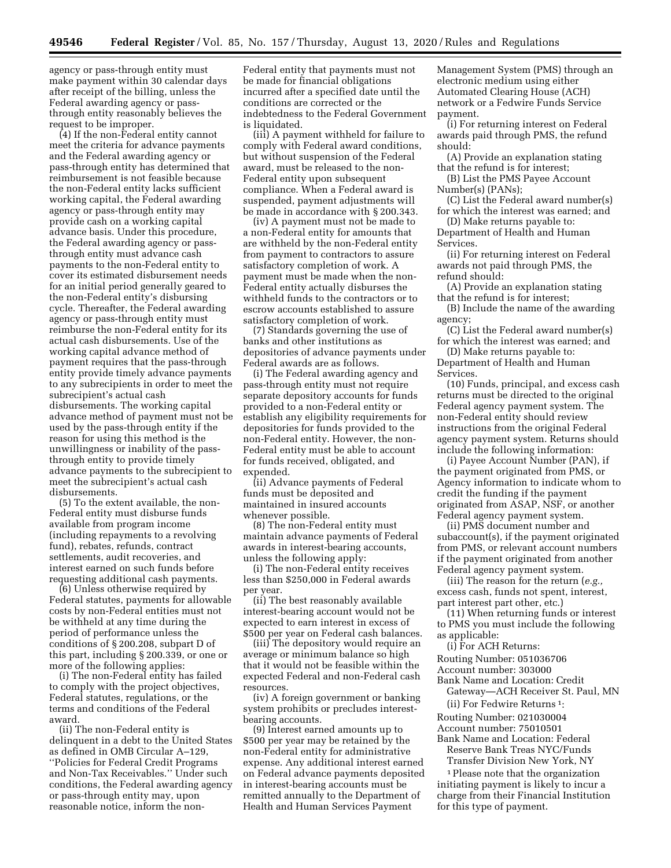agency or pass-through entity must make payment within 30 calendar days after receipt of the billing, unless the Federal awarding agency or passthrough entity reasonably believes the request to be improper.

(4) If the non-Federal entity cannot meet the criteria for advance payments and the Federal awarding agency or pass-through entity has determined that reimbursement is not feasible because the non-Federal entity lacks sufficient working capital, the Federal awarding agency or pass-through entity may provide cash on a working capital advance basis. Under this procedure, the Federal awarding agency or passthrough entity must advance cash payments to the non-Federal entity to cover its estimated disbursement needs for an initial period generally geared to the non-Federal entity's disbursing cycle. Thereafter, the Federal awarding agency or pass-through entity must reimburse the non-Federal entity for its actual cash disbursements. Use of the working capital advance method of payment requires that the pass-through entity provide timely advance payments to any subrecipients in order to meet the subrecipient's actual cash disbursements. The working capital advance method of payment must not be used by the pass-through entity if the reason for using this method is the unwillingness or inability of the passthrough entity to provide timely advance payments to the subrecipient to meet the subrecipient's actual cash disbursements.

(5) To the extent available, the non-Federal entity must disburse funds available from program income (including repayments to a revolving fund), rebates, refunds, contract settlements, audit recoveries, and interest earned on such funds before requesting additional cash payments.

(6) Unless otherwise required by Federal statutes, payments for allowable costs by non-Federal entities must not be withheld at any time during the period of performance unless the conditions of § 200.208, subpart D of this part, including § 200.339, or one or more of the following applies:

(i) The non-Federal entity has failed to comply with the project objectives, Federal statutes, regulations, or the terms and conditions of the Federal award.

(ii) The non-Federal entity is delinquent in a debt to the United States as defined in OMB Circular A–129, ''Policies for Federal Credit Programs and Non-Tax Receivables.'' Under such conditions, the Federal awarding agency or pass-through entity may, upon reasonable notice, inform the nonFederal entity that payments must not be made for financial obligations incurred after a specified date until the conditions are corrected or the indebtedness to the Federal Government is liquidated.

(iii) A payment withheld for failure to comply with Federal award conditions, but without suspension of the Federal award, must be released to the non-Federal entity upon subsequent compliance. When a Federal award is suspended, payment adjustments will be made in accordance with § 200.343.

(iv) A payment must not be made to a non-Federal entity for amounts that are withheld by the non-Federal entity from payment to contractors to assure satisfactory completion of work. A payment must be made when the non-Federal entity actually disburses the withheld funds to the contractors or to escrow accounts established to assure satisfactory completion of work.

(7) Standards governing the use of banks and other institutions as depositories of advance payments under Federal awards are as follows.

(i) The Federal awarding agency and pass-through entity must not require separate depository accounts for funds provided to a non-Federal entity or establish any eligibility requirements for depositories for funds provided to the non-Federal entity. However, the non-Federal entity must be able to account for funds received, obligated, and expended.

(ii) Advance payments of Federal funds must be deposited and maintained in insured accounts whenever possible.

(8) The non-Federal entity must maintain advance payments of Federal awards in interest-bearing accounts, unless the following apply:

(i) The non-Federal entity receives less than \$250,000 in Federal awards per year.

(ii) The best reasonably available interest-bearing account would not be expected to earn interest in excess of \$500 per year on Federal cash balances.

(iii) The depository would require an average or minimum balance so high that it would not be feasible within the expected Federal and non-Federal cash resources.

(iv) A foreign government or banking system prohibits or precludes interestbearing accounts.

(9) Interest earned amounts up to \$500 per year may be retained by the non-Federal entity for administrative expense. Any additional interest earned on Federal advance payments deposited in interest-bearing accounts must be remitted annually to the Department of Health and Human Services Payment

Management System (PMS) through an electronic medium using either Automated Clearing House (ACH) network or a Fedwire Funds Service payment.

(i) For returning interest on Federal awards paid through PMS, the refund should:

(A) Provide an explanation stating that the refund is for interest;

(B) List the PMS Payee Account Number(s) (PANs);

(C) List the Federal award number(s) for which the interest was earned; and

(D) Make returns payable to: Department of Health and Human Services.

(ii) For returning interest on Federal awards not paid through PMS, the refund should:

(A) Provide an explanation stating that the refund is for interest;

(B) Include the name of the awarding agency;

(C) List the Federal award number(s) for which the interest was earned; and

(D) Make returns payable to: Department of Health and Human Services.

(10) Funds, principal, and excess cash returns must be directed to the original Federal agency payment system. The non-Federal entity should review instructions from the original Federal agency payment system. Returns should include the following information:

(i) Payee Account Number (PAN), if the payment originated from PMS, or Agency information to indicate whom to credit the funding if the payment originated from ASAP, NSF, or another Federal agency payment system.

(ii) PMS document number and subaccount(s), if the payment originated from PMS, or relevant account numbers if the payment originated from another Federal agency payment system.

(iii) The reason for the return (*e.g.,*  excess cash, funds not spent, interest, part interest part other, etc.)

(11) When returning funds or interest to PMS you must include the following as applicable:

(i) For ACH Returns:

Routing Number: 051036706

Account number: 303000

Bank Name and Location: Credit

Gateway—ACH Receiver St. Paul, MN (ii) For Fedwire Returns 1:

Routing Number: 021030004 Account number: 75010501

Bank Name and Location: Federal Reserve Bank Treas NYC/Funds

Transfer Division New York, NY

1Please note that the organization initiating payment is likely to incur a charge from their Financial Institution for this type of payment.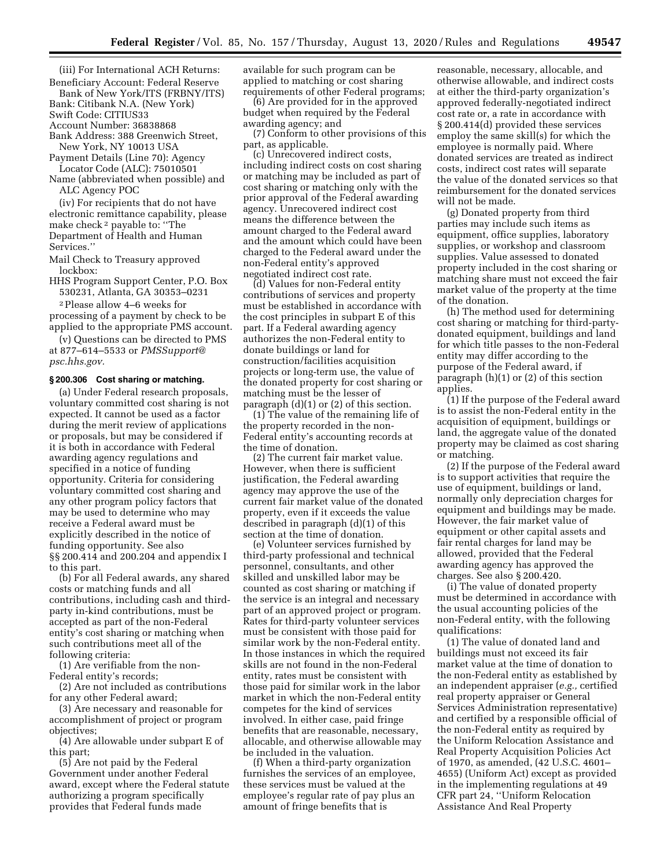(iii) For International ACH Returns: Beneficiary Account: Federal Reserve

Bank of New York/ITS (FRBNY/ITS) Bank: Citibank N.A. (New York)

Swift Code: CITIUS33

Account Number: 36838868

Bank Address: 388 Greenwich Street,

New York, NY 10013 USA

Payment Details (Line 70): Agency Locator Code (ALC): 75010501

Name (abbreviated when possible) and ALC Agency POC

(iv) For recipients that do not have electronic remittance capability, please make check 2 payable to: ''The Department of Health and Human Services.''

Mail Check to Treasury approved lockbox:

HHS Program Support Center, P.O. Box 530231, Atlanta, GA 30353–0231 2Please allow 4–6 weeks for

processing of a payment by check to be applied to the appropriate PMS account.

(v) Questions can be directed to PMS at 877–614–5533 or *PMSSupport@ psc.hhs.gov.* 

#### **§ 200.306 Cost sharing or matching.**

(a) Under Federal research proposals, voluntary committed cost sharing is not expected. It cannot be used as a factor during the merit review of applications or proposals, but may be considered if it is both in accordance with Federal awarding agency regulations and specified in a notice of funding opportunity. Criteria for considering voluntary committed cost sharing and any other program policy factors that may be used to determine who may receive a Federal award must be explicitly described in the notice of funding opportunity. See also §§ 200.414 and 200.204 and appendix I to this part.

(b) For all Federal awards, any shared costs or matching funds and all contributions, including cash and thirdparty in-kind contributions, must be accepted as part of the non-Federal entity's cost sharing or matching when such contributions meet all of the following criteria:

(1) Are verifiable from the non-Federal entity's records;

(2) Are not included as contributions for any other Federal award;

(3) Are necessary and reasonable for accomplishment of project or program objectives;

(4) Are allowable under subpart E of this part;

(5) Are not paid by the Federal Government under another Federal award, except where the Federal statute authorizing a program specifically provides that Federal funds made

available for such program can be applied to matching or cost sharing requirements of other Federal programs;

(6) Are provided for in the approved budget when required by the Federal awarding agency; and

(7) Conform to other provisions of this part, as applicable.

(c) Unrecovered indirect costs, including indirect costs on cost sharing or matching may be included as part of cost sharing or matching only with the prior approval of the Federal awarding agency. Unrecovered indirect cost means the difference between the amount charged to the Federal award and the amount which could have been charged to the Federal award under the non-Federal entity's approved negotiated indirect cost rate.

(d) Values for non-Federal entity contributions of services and property must be established in accordance with the cost principles in subpart E of this part. If a Federal awarding agency authorizes the non-Federal entity to donate buildings or land for construction/facilities acquisition projects or long-term use, the value of the donated property for cost sharing or matching must be the lesser of paragraph (d)(1) or (2) of this section.

(1) The value of the remaining life of the property recorded in the non-Federal entity's accounting records at the time of donation.

(2) The current fair market value. However, when there is sufficient justification, the Federal awarding agency may approve the use of the current fair market value of the donated property, even if it exceeds the value described in paragraph (d)(1) of this section at the time of donation.

(e) Volunteer services furnished by third-party professional and technical personnel, consultants, and other skilled and unskilled labor may be counted as cost sharing or matching if the service is an integral and necessary part of an approved project or program. Rates for third-party volunteer services must be consistent with those paid for similar work by the non-Federal entity. In those instances in which the required skills are not found in the non-Federal entity, rates must be consistent with those paid for similar work in the labor market in which the non-Federal entity competes for the kind of services involved. In either case, paid fringe benefits that are reasonable, necessary, allocable, and otherwise allowable may be included in the valuation.

(f) When a third-party organization furnishes the services of an employee, these services must be valued at the employee's regular rate of pay plus an amount of fringe benefits that is

reasonable, necessary, allocable, and otherwise allowable, and indirect costs at either the third-party organization's approved federally-negotiated indirect cost rate or, a rate in accordance with § 200.414(d) provided these services employ the same skill(s) for which the employee is normally paid. Where donated services are treated as indirect costs, indirect cost rates will separate the value of the donated services so that reimbursement for the donated services will not be made.

(g) Donated property from third parties may include such items as equipment, office supplies, laboratory supplies, or workshop and classroom supplies. Value assessed to donated property included in the cost sharing or matching share must not exceed the fair market value of the property at the time of the donation.

(h) The method used for determining cost sharing or matching for third-partydonated equipment, buildings and land for which title passes to the non-Federal entity may differ according to the purpose of the Federal award, if paragraph (h)(1) or (2) of this section applies.

(1) If the purpose of the Federal award is to assist the non-Federal entity in the acquisition of equipment, buildings or land, the aggregate value of the donated property may be claimed as cost sharing or matching.

(2) If the purpose of the Federal award is to support activities that require the use of equipment, buildings or land, normally only depreciation charges for equipment and buildings may be made. However, the fair market value of equipment or other capital assets and fair rental charges for land may be allowed, provided that the Federal awarding agency has approved the charges. See also § 200.420.

(i) The value of donated property must be determined in accordance with the usual accounting policies of the non-Federal entity, with the following qualifications:

(1) The value of donated land and buildings must not exceed its fair market value at the time of donation to the non-Federal entity as established by an independent appraiser (*e.g.,* certified real property appraiser or General Services Administration representative) and certified by a responsible official of the non-Federal entity as required by the Uniform Relocation Assistance and Real Property Acquisition Policies Act of 1970, as amended, (42 U.S.C. 4601– 4655) (Uniform Act) except as provided in the implementing regulations at 49 CFR part 24, ''Uniform Relocation Assistance And Real Property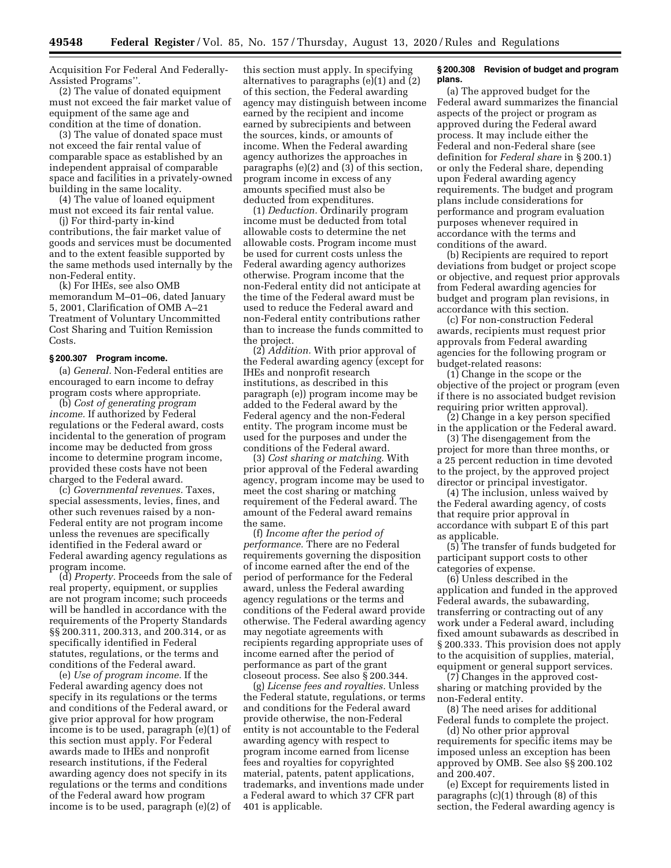Acquisition For Federal And Federally-Assisted Programs''.

(2) The value of donated equipment must not exceed the fair market value of equipment of the same age and condition at the time of donation.

(3) The value of donated space must not exceed the fair rental value of comparable space as established by an independent appraisal of comparable space and facilities in a privately-owned building in the same locality.

(4) The value of loaned equipment must not exceed its fair rental value.

(j) For third-party in-kind contributions, the fair market value of goods and services must be documented and to the extent feasible supported by the same methods used internally by the non-Federal entity.

(k) For IHEs, see also OMB memorandum M–01–06, dated January 5, 2001, Clarification of OMB A–21 Treatment of Voluntary Uncommitted Cost Sharing and Tuition Remission Costs.

#### **§ 200.307 Program income.**

(a) *General.* Non-Federal entities are encouraged to earn income to defray program costs where appropriate.

(b) *Cost of generating program income.* If authorized by Federal regulations or the Federal award, costs incidental to the generation of program income may be deducted from gross income to determine program income, provided these costs have not been charged to the Federal award.

(c) *Governmental revenues.* Taxes, special assessments, levies, fines, and other such revenues raised by a non-Federal entity are not program income unless the revenues are specifically identified in the Federal award or Federal awarding agency regulations as program income.

(d) *Property.* Proceeds from the sale of real property, equipment, or supplies are not program income; such proceeds will be handled in accordance with the requirements of the Property Standards §§ 200.311, 200.313, and 200.314, or as specifically identified in Federal statutes, regulations, or the terms and conditions of the Federal award.

(e) *Use of program income.* If the Federal awarding agency does not specify in its regulations or the terms and conditions of the Federal award, or give prior approval for how program income is to be used, paragraph (e)(1) of this section must apply. For Federal awards made to IHEs and nonprofit research institutions, if the Federal awarding agency does not specify in its regulations or the terms and conditions of the Federal award how program income is to be used, paragraph (e)(2) of

this section must apply. In specifying alternatives to paragraphs (e)(1) and (2) of this section, the Federal awarding agency may distinguish between income earned by the recipient and income earned by subrecipients and between the sources, kinds, or amounts of income. When the Federal awarding agency authorizes the approaches in paragraphs (e) $(2)$  and  $(3)$  of this section, program income in excess of any amounts specified must also be deducted from expenditures.

(1) *Deduction.* Ordinarily program income must be deducted from total allowable costs to determine the net allowable costs. Program income must be used for current costs unless the Federal awarding agency authorizes otherwise. Program income that the non-Federal entity did not anticipate at the time of the Federal award must be used to reduce the Federal award and non-Federal entity contributions rather than to increase the funds committed to the project.

(2) *Addition.* With prior approval of the Federal awarding agency (except for IHEs and nonprofit research institutions, as described in this paragraph (e)) program income may be added to the Federal award by the Federal agency and the non-Federal entity. The program income must be used for the purposes and under the conditions of the Federal award.

(3) *Cost sharing or matching.* With prior approval of the Federal awarding agency, program income may be used to meet the cost sharing or matching requirement of the Federal award. The amount of the Federal award remains the same.

(f) *Income after the period of performance.* There are no Federal requirements governing the disposition of income earned after the end of the period of performance for the Federal award, unless the Federal awarding agency regulations or the terms and conditions of the Federal award provide otherwise. The Federal awarding agency may negotiate agreements with recipients regarding appropriate uses of income earned after the period of performance as part of the grant closeout process. See also § 200.344.

(g) *License fees and royalties.* Unless the Federal statute, regulations, or terms and conditions for the Federal award provide otherwise, the non-Federal entity is not accountable to the Federal awarding agency with respect to program income earned from license fees and royalties for copyrighted material, patents, patent applications, trademarks, and inventions made under a Federal award to which 37 CFR part 401 is applicable.

### **§ 200.308 Revision of budget and program plans.**

(a) The approved budget for the Federal award summarizes the financial aspects of the project or program as approved during the Federal award process. It may include either the Federal and non-Federal share (see definition for *Federal share* in § 200.1) or only the Federal share, depending upon Federal awarding agency requirements. The budget and program plans include considerations for performance and program evaluation purposes whenever required in accordance with the terms and conditions of the award.

(b) Recipients are required to report deviations from budget or project scope or objective, and request prior approvals from Federal awarding agencies for budget and program plan revisions, in accordance with this section.

(c) For non-construction Federal awards, recipients must request prior approvals from Federal awarding agencies for the following program or budget-related reasons:

(1) Change in the scope or the objective of the project or program (even if there is no associated budget revision requiring prior written approval).

(2) Change in a key person specified in the application or the Federal award.

(3) The disengagement from the project for more than three months, or a 25 percent reduction in time devoted to the project, by the approved project director or principal investigator.

(4) The inclusion, unless waived by the Federal awarding agency, of costs that require prior approval in accordance with subpart E of this part as applicable.

(5) The transfer of funds budgeted for participant support costs to other categories of expense.

(6) Unless described in the application and funded in the approved Federal awards, the subawarding, transferring or contracting out of any work under a Federal award, including fixed amount subawards as described in § 200.333. This provision does not apply to the acquisition of supplies, material, equipment or general support services.

(7) Changes in the approved costsharing or matching provided by the non-Federal entity.

(8) The need arises for additional Federal funds to complete the project.

(d) No other prior approval requirements for specific items may be imposed unless an exception has been approved by OMB. See also §§ 200.102 and 200.407.

(e) Except for requirements listed in paragraphs (c)(1) through (8) of this section, the Federal awarding agency is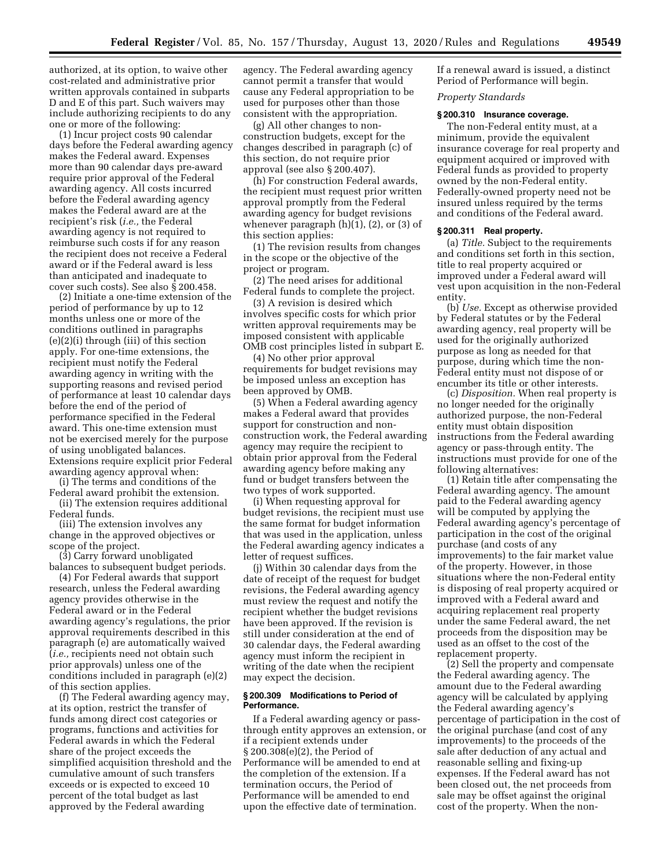authorized, at its option, to waive other cost-related and administrative prior written approvals contained in subparts D and E of this part. Such waivers may include authorizing recipients to do any one or more of the following:

(1) Incur project costs 90 calendar days before the Federal awarding agency makes the Federal award. Expenses more than 90 calendar days pre-award require prior approval of the Federal awarding agency. All costs incurred before the Federal awarding agency makes the Federal award are at the recipient's risk (*i.e.,* the Federal awarding agency is not required to reimburse such costs if for any reason the recipient does not receive a Federal award or if the Federal award is less than anticipated and inadequate to cover such costs). See also § 200.458.

(2) Initiate a one-time extension of the period of performance by up to 12 months unless one or more of the conditions outlined in paragraphs (e)(2)(i) through (iii) of this section apply. For one-time extensions, the recipient must notify the Federal awarding agency in writing with the supporting reasons and revised period of performance at least 10 calendar days before the end of the period of performance specified in the Federal award. This one-time extension must not be exercised merely for the purpose of using unobligated balances. Extensions require explicit prior Federal awarding agency approval when:

(i) The terms and conditions of the Federal award prohibit the extension.

(ii) The extension requires additional Federal funds.

(iii) The extension involves any change in the approved objectives or scope of the project.

(3) Carry forward unobligated balances to subsequent budget periods.

(4) For Federal awards that support research, unless the Federal awarding agency provides otherwise in the Federal award or in the Federal awarding agency's regulations, the prior approval requirements described in this paragraph (e) are automatically waived (*i.e.,* recipients need not obtain such prior approvals) unless one of the conditions included in paragraph (e)(2) of this section applies.

(f) The Federal awarding agency may, at its option, restrict the transfer of funds among direct cost categories or programs, functions and activities for Federal awards in which the Federal share of the project exceeds the simplified acquisition threshold and the cumulative amount of such transfers exceeds or is expected to exceed 10 percent of the total budget as last approved by the Federal awarding

agency. The Federal awarding agency cannot permit a transfer that would cause any Federal appropriation to be used for purposes other than those consistent with the appropriation.

(g) All other changes to nonconstruction budgets, except for the changes described in paragraph (c) of this section, do not require prior approval (see also § 200.407).

(h) For construction Federal awards, the recipient must request prior written approval promptly from the Federal awarding agency for budget revisions whenever paragraph (h)(1), (2), or (3) of this section applies:

(1) The revision results from changes in the scope or the objective of the project or program.

(2) The need arises for additional Federal funds to complete the project.

(3) A revision is desired which involves specific costs for which prior written approval requirements may be imposed consistent with applicable OMB cost principles listed in subpart E.

(4) No other prior approval requirements for budget revisions may be imposed unless an exception has been approved by OMB.

(5) When a Federal awarding agency makes a Federal award that provides support for construction and nonconstruction work, the Federal awarding agency may require the recipient to obtain prior approval from the Federal awarding agency before making any fund or budget transfers between the two types of work supported.

(i) When requesting approval for budget revisions, the recipient must use the same format for budget information that was used in the application, unless the Federal awarding agency indicates a letter of request suffices.

(j) Within 30 calendar days from the date of receipt of the request for budget revisions, the Federal awarding agency must review the request and notify the recipient whether the budget revisions have been approved. If the revision is still under consideration at the end of 30 calendar days, the Federal awarding agency must inform the recipient in writing of the date when the recipient may expect the decision.

## **§ 200.309 Modifications to Period of Performance.**

If a Federal awarding agency or passthrough entity approves an extension, or if a recipient extends under § 200.308(e)(2), the Period of Performance will be amended to end at the completion of the extension. If a termination occurs, the Period of Performance will be amended to end upon the effective date of termination.

If a renewal award is issued, a distinct Period of Performance will begin.

## *Property Standards*

### **§ 200.310 Insurance coverage.**

The non-Federal entity must, at a minimum, provide the equivalent insurance coverage for real property and equipment acquired or improved with Federal funds as provided to property owned by the non-Federal entity. Federally-owned property need not be insured unless required by the terms and conditions of the Federal award.

#### **§ 200.311 Real property.**

(a) *Title.* Subject to the requirements and conditions set forth in this section, title to real property acquired or improved under a Federal award will vest upon acquisition in the non-Federal entity.

(b) *Use.* Except as otherwise provided by Federal statutes or by the Federal awarding agency, real property will be used for the originally authorized purpose as long as needed for that purpose, during which time the non-Federal entity must not dispose of or encumber its title or other interests.

(c) *Disposition.* When real property is no longer needed for the originally authorized purpose, the non-Federal entity must obtain disposition instructions from the Federal awarding agency or pass-through entity. The instructions must provide for one of the following alternatives:

(1) Retain title after compensating the Federal awarding agency. The amount paid to the Federal awarding agency will be computed by applying the Federal awarding agency's percentage of participation in the cost of the original purchase (and costs of any improvements) to the fair market value of the property. However, in those situations where the non-Federal entity is disposing of real property acquired or improved with a Federal award and acquiring replacement real property under the same Federal award, the net proceeds from the disposition may be used as an offset to the cost of the replacement property.

(2) Sell the property and compensate the Federal awarding agency. The amount due to the Federal awarding agency will be calculated by applying the Federal awarding agency's percentage of participation in the cost of the original purchase (and cost of any improvements) to the proceeds of the sale after deduction of any actual and reasonable selling and fixing-up expenses. If the Federal award has not been closed out, the net proceeds from sale may be offset against the original cost of the property. When the non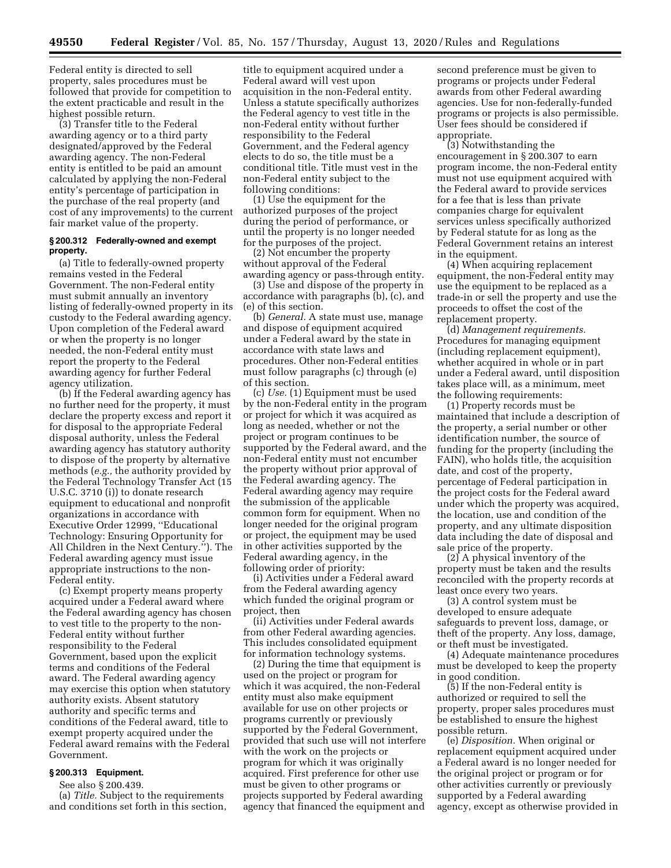Federal entity is directed to sell property, sales procedures must be followed that provide for competition to the extent practicable and result in the highest possible return.

(3) Transfer title to the Federal awarding agency or to a third party designated/approved by the Federal awarding agency. The non-Federal entity is entitled to be paid an amount calculated by applying the non-Federal entity's percentage of participation in the purchase of the real property (and cost of any improvements) to the current fair market value of the property.

## **§ 200.312 Federally-owned and exempt property.**

(a) Title to federally-owned property remains vested in the Federal Government. The non-Federal entity must submit annually an inventory listing of federally-owned property in its custody to the Federal awarding agency. Upon completion of the Federal award or when the property is no longer needed, the non-Federal entity must report the property to the Federal awarding agency for further Federal agency utilization.

(b) If the Federal awarding agency has no further need for the property, it must declare the property excess and report it for disposal to the appropriate Federal disposal authority, unless the Federal awarding agency has statutory authority to dispose of the property by alternative methods (*e.g.,* the authority provided by the Federal Technology Transfer Act (15 U.S.C. 3710 (i)) to donate research equipment to educational and nonprofit organizations in accordance with Executive Order 12999, ''Educational Technology: Ensuring Opportunity for All Children in the Next Century.''). The Federal awarding agency must issue appropriate instructions to the non-Federal entity.

(c) Exempt property means property acquired under a Federal award where the Federal awarding agency has chosen to vest title to the property to the non-Federal entity without further responsibility to the Federal Government, based upon the explicit terms and conditions of the Federal award. The Federal awarding agency may exercise this option when statutory authority exists. Absent statutory authority and specific terms and conditions of the Federal award, title to exempt property acquired under the Federal award remains with the Federal Government.

## **§ 200.313 Equipment.**

See also § 200.439.

(a) *Title.* Subject to the requirements and conditions set forth in this section, title to equipment acquired under a Federal award will vest upon acquisition in the non-Federal entity. Unless a statute specifically authorizes the Federal agency to vest title in the non-Federal entity without further responsibility to the Federal Government, and the Federal agency elects to do so, the title must be a conditional title. Title must vest in the non-Federal entity subject to the following conditions:

(1) Use the equipment for the authorized purposes of the project during the period of performance, or until the property is no longer needed for the purposes of the project.

(2) Not encumber the property without approval of the Federal awarding agency or pass-through entity.

(3) Use and dispose of the property in accordance with paragraphs (b), (c), and (e) of this section.

(b) *General.* A state must use, manage and dispose of equipment acquired under a Federal award by the state in accordance with state laws and procedures. Other non-Federal entities must follow paragraphs (c) through (e) of this section.

(c) *Use.* (1) Equipment must be used by the non-Federal entity in the program or project for which it was acquired as long as needed, whether or not the project or program continues to be supported by the Federal award, and the non-Federal entity must not encumber the property without prior approval of the Federal awarding agency. The Federal awarding agency may require the submission of the applicable common form for equipment. When no longer needed for the original program or project, the equipment may be used in other activities supported by the Federal awarding agency, in the following order of priority:

(i) Activities under a Federal award from the Federal awarding agency which funded the original program or project, then

(ii) Activities under Federal awards from other Federal awarding agencies. This includes consolidated equipment for information technology systems.

(2) During the time that equipment is used on the project or program for which it was acquired, the non-Federal entity must also make equipment available for use on other projects or programs currently or previously supported by the Federal Government, provided that such use will not interfere with the work on the projects or program for which it was originally acquired. First preference for other use must be given to other programs or projects supported by Federal awarding agency that financed the equipment and

second preference must be given to programs or projects under Federal awards from other Federal awarding agencies. Use for non-federally-funded programs or projects is also permissible. User fees should be considered if appropriate.

(3) Notwithstanding the encouragement in § 200.307 to earn program income, the non-Federal entity must not use equipment acquired with the Federal award to provide services for a fee that is less than private companies charge for equivalent services unless specifically authorized by Federal statute for as long as the Federal Government retains an interest in the equipment.

(4) When acquiring replacement equipment, the non-Federal entity may use the equipment to be replaced as a trade-in or sell the property and use the proceeds to offset the cost of the replacement property.

(d) *Management requirements.*  Procedures for managing equipment (including replacement equipment), whether acquired in whole or in part under a Federal award, until disposition takes place will, as a minimum, meet the following requirements:

(1) Property records must be maintained that include a description of the property, a serial number or other identification number, the source of funding for the property (including the FAIN), who holds title, the acquisition date, and cost of the property, percentage of Federal participation in the project costs for the Federal award under which the property was acquired, the location, use and condition of the property, and any ultimate disposition data including the date of disposal and sale price of the property.

(2) A physical inventory of the property must be taken and the results reconciled with the property records at least once every two years.

(3) A control system must be developed to ensure adequate safeguards to prevent loss, damage, or theft of the property. Any loss, damage, or theft must be investigated.

(4) Adequate maintenance procedures must be developed to keep the property in good condition.

(5) If the non-Federal entity is authorized or required to sell the property, proper sales procedures must be established to ensure the highest possible return.

(e) *Disposition.* When original or replacement equipment acquired under a Federal award is no longer needed for the original project or program or for other activities currently or previously supported by a Federal awarding agency, except as otherwise provided in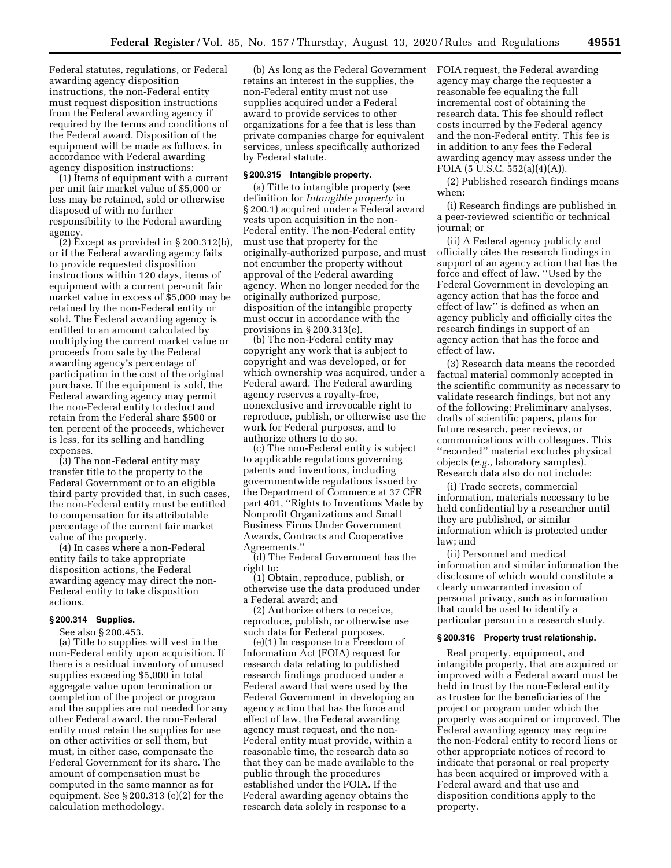Federal statutes, regulations, or Federal awarding agency disposition instructions, the non-Federal entity must request disposition instructions from the Federal awarding agency if required by the terms and conditions of the Federal award. Disposition of the equipment will be made as follows, in accordance with Federal awarding agency disposition instructions:

(1) Items of equipment with a current per unit fair market value of \$5,000 or less may be retained, sold or otherwise disposed of with no further responsibility to the Federal awarding agency.

(2) Except as provided in § 200.312(b), or if the Federal awarding agency fails to provide requested disposition instructions within 120 days, items of equipment with a current per-unit fair market value in excess of \$5,000 may be retained by the non-Federal entity or sold. The Federal awarding agency is entitled to an amount calculated by multiplying the current market value or proceeds from sale by the Federal awarding agency's percentage of participation in the cost of the original purchase. If the equipment is sold, the Federal awarding agency may permit the non-Federal entity to deduct and retain from the Federal share \$500 or ten percent of the proceeds, whichever is less, for its selling and handling expenses.

(3) The non-Federal entity may transfer title to the property to the Federal Government or to an eligible third party provided that, in such cases, the non-Federal entity must be entitled to compensation for its attributable percentage of the current fair market value of the property.

(4) In cases where a non-Federal entity fails to take appropriate disposition actions, the Federal awarding agency may direct the non-Federal entity to take disposition actions.

# **§ 200.314 Supplies.**

See also § 200.453.

(a) Title to supplies will vest in the non-Federal entity upon acquisition. If there is a residual inventory of unused supplies exceeding \$5,000 in total aggregate value upon termination or completion of the project or program and the supplies are not needed for any other Federal award, the non-Federal entity must retain the supplies for use on other activities or sell them, but must, in either case, compensate the Federal Government for its share. The amount of compensation must be computed in the same manner as for equipment. See § 200.313 (e)(2) for the calculation methodology.

(b) As long as the Federal Government retains an interest in the supplies, the non-Federal entity must not use supplies acquired under a Federal award to provide services to other organizations for a fee that is less than private companies charge for equivalent services, unless specifically authorized by Federal statute.

#### **§ 200.315 Intangible property.**

(a) Title to intangible property (see definition for *Intangible property* in § 200.1) acquired under a Federal award vests upon acquisition in the non-Federal entity. The non-Federal entity must use that property for the originally-authorized purpose, and must not encumber the property without approval of the Federal awarding agency. When no longer needed for the originally authorized purpose, disposition of the intangible property must occur in accordance with the provisions in § 200.313(e).

(b) The non-Federal entity may copyright any work that is subject to copyright and was developed, or for which ownership was acquired, under a Federal award. The Federal awarding agency reserves a royalty-free, nonexclusive and irrevocable right to reproduce, publish, or otherwise use the work for Federal purposes, and to authorize others to do so.

(c) The non-Federal entity is subject to applicable regulations governing patents and inventions, including governmentwide regulations issued by the Department of Commerce at 37 CFR part 401, ''Rights to Inventions Made by Nonprofit Organizations and Small Business Firms Under Government Awards, Contracts and Cooperative Agreements.''

(d) The Federal Government has the right to:

(1) Obtain, reproduce, publish, or otherwise use the data produced under a Federal award; and

(2) Authorize others to receive, reproduce, publish, or otherwise use such data for Federal purposes.

(e)(1) In response to a Freedom of Information Act (FOIA) request for research data relating to published research findings produced under a Federal award that were used by the Federal Government in developing an agency action that has the force and effect of law, the Federal awarding agency must request, and the non-Federal entity must provide, within a reasonable time, the research data so that they can be made available to the public through the procedures established under the FOIA. If the Federal awarding agency obtains the research data solely in response to a

FOIA request, the Federal awarding agency may charge the requester a reasonable fee equaling the full incremental cost of obtaining the research data. This fee should reflect costs incurred by the Federal agency and the non-Federal entity. This fee is in addition to any fees the Federal awarding agency may assess under the FOIA (5 U.S.C. 552(a)(4)(A)).

(2) Published research findings means when:

(i) Research findings are published in a peer-reviewed scientific or technical journal; or

(ii) A Federal agency publicly and officially cites the research findings in support of an agency action that has the force and effect of law. ''Used by the Federal Government in developing an agency action that has the force and effect of law'' is defined as when an agency publicly and officially cites the research findings in support of an agency action that has the force and effect of law.

(3) Research data means the recorded factual material commonly accepted in the scientific community as necessary to validate research findings, but not any of the following: Preliminary analyses, drafts of scientific papers, plans for future research, peer reviews, or communications with colleagues. This ''recorded'' material excludes physical objects (*e.g.,* laboratory samples). Research data also do not include:

(i) Trade secrets, commercial information, materials necessary to be held confidential by a researcher until they are published, or similar information which is protected under law; and

(ii) Personnel and medical information and similar information the disclosure of which would constitute a clearly unwarranted invasion of personal privacy, such as information that could be used to identify a particular person in a research study.

#### **§ 200.316 Property trust relationship.**

Real property, equipment, and intangible property, that are acquired or improved with a Federal award must be held in trust by the non-Federal entity as trustee for the beneficiaries of the project or program under which the property was acquired or improved. The Federal awarding agency may require the non-Federal entity to record liens or other appropriate notices of record to indicate that personal or real property has been acquired or improved with a Federal award and that use and disposition conditions apply to the property.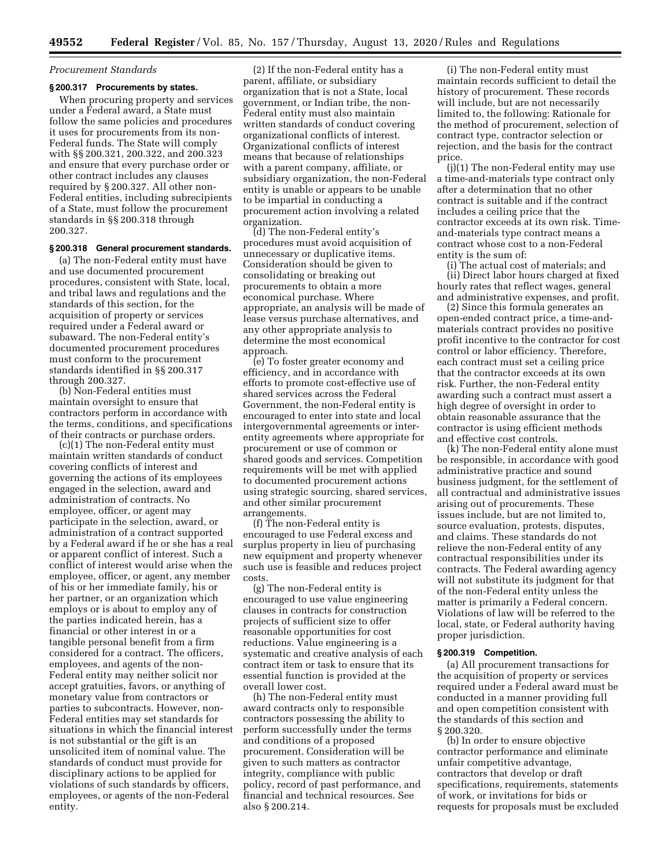# *Procurement Standards*

# **§ 200.317 Procurements by states.**

When procuring property and services under a Federal award, a State must follow the same policies and procedures it uses for procurements from its non-Federal funds. The State will comply with §§ 200.321, 200.322, and 200.323 and ensure that every purchase order or other contract includes any clauses required by § 200.327. All other non-Federal entities, including subrecipients of a State, must follow the procurement standards in §§ 200.318 through 200.327.

#### **§ 200.318 General procurement standards.**

(a) The non-Federal entity must have and use documented procurement procedures, consistent with State, local, and tribal laws and regulations and the standards of this section, for the acquisition of property or services required under a Federal award or subaward. The non-Federal entity's documented procurement procedures must conform to the procurement standards identified in §§ 200.317 through 200.327.

(b) Non-Federal entities must maintain oversight to ensure that contractors perform in accordance with the terms, conditions, and specifications of their contracts or purchase orders.

(c)(1) The non-Federal entity must maintain written standards of conduct covering conflicts of interest and governing the actions of its employees engaged in the selection, award and administration of contracts. No employee, officer, or agent may participate in the selection, award, or administration of a contract supported by a Federal award if he or she has a real or apparent conflict of interest. Such a conflict of interest would arise when the employee, officer, or agent, any member of his or her immediate family, his or her partner, or an organization which employs or is about to employ any of the parties indicated herein, has a financial or other interest in or a tangible personal benefit from a firm considered for a contract. The officers, employees, and agents of the non-Federal entity may neither solicit nor accept gratuities, favors, or anything of monetary value from contractors or parties to subcontracts. However, non-Federal entities may set standards for situations in which the financial interest is not substantial or the gift is an unsolicited item of nominal value. The standards of conduct must provide for disciplinary actions to be applied for violations of such standards by officers, employees, or agents of the non-Federal entity.

(2) If the non-Federal entity has a parent, affiliate, or subsidiary organization that is not a State, local government, or Indian tribe, the non-Federal entity must also maintain written standards of conduct covering organizational conflicts of interest. Organizational conflicts of interest means that because of relationships with a parent company, affiliate, or subsidiary organization, the non-Federal entity is unable or appears to be unable to be impartial in conducting a procurement action involving a related organization.

(d) The non-Federal entity's procedures must avoid acquisition of unnecessary or duplicative items. Consideration should be given to consolidating or breaking out procurements to obtain a more economical purchase. Where appropriate, an analysis will be made of lease versus purchase alternatives, and any other appropriate analysis to determine the most economical approach.

(e) To foster greater economy and efficiency, and in accordance with efforts to promote cost-effective use of shared services across the Federal Government, the non-Federal entity is encouraged to enter into state and local intergovernmental agreements or interentity agreements where appropriate for procurement or use of common or shared goods and services. Competition requirements will be met with applied to documented procurement actions using strategic sourcing, shared services, and other similar procurement arrangements.

(f) The non-Federal entity is encouraged to use Federal excess and surplus property in lieu of purchasing new equipment and property whenever such use is feasible and reduces project costs.

(g) The non-Federal entity is encouraged to use value engineering clauses in contracts for construction projects of sufficient size to offer reasonable opportunities for cost reductions. Value engineering is a systematic and creative analysis of each contract item or task to ensure that its essential function is provided at the overall lower cost.

(h) The non-Federal entity must award contracts only to responsible contractors possessing the ability to perform successfully under the terms and conditions of a proposed procurement. Consideration will be given to such matters as contractor integrity, compliance with public policy, record of past performance, and financial and technical resources. See also § 200.214.

(i) The non-Federal entity must maintain records sufficient to detail the history of procurement. These records will include, but are not necessarily limited to, the following: Rationale for the method of procurement, selection of contract type, contractor selection or rejection, and the basis for the contract price.

(j)(1) The non-Federal entity may use a time-and-materials type contract only after a determination that no other contract is suitable and if the contract includes a ceiling price that the contractor exceeds at its own risk. Timeand-materials type contract means a contract whose cost to a non-Federal entity is the sum of:

(i) The actual cost of materials; and (ii) Direct labor hours charged at fixed hourly rates that reflect wages, general and administrative expenses, and profit.

(2) Since this formula generates an open-ended contract price, a time-andmaterials contract provides no positive profit incentive to the contractor for cost control or labor efficiency. Therefore, each contract must set a ceiling price that the contractor exceeds at its own risk. Further, the non-Federal entity awarding such a contract must assert a high degree of oversight in order to obtain reasonable assurance that the contractor is using efficient methods and effective cost controls.

(k) The non-Federal entity alone must be responsible, in accordance with good administrative practice and sound business judgment, for the settlement of all contractual and administrative issues arising out of procurements. These issues include, but are not limited to, source evaluation, protests, disputes, and claims. These standards do not relieve the non-Federal entity of any contractual responsibilities under its contracts. The Federal awarding agency will not substitute its judgment for that of the non-Federal entity unless the matter is primarily a Federal concern. Violations of law will be referred to the local, state, or Federal authority having proper jurisdiction.

#### **§ 200.319 Competition.**

(a) All procurement transactions for the acquisition of property or services required under a Federal award must be conducted in a manner providing full and open competition consistent with the standards of this section and § 200.320.

(b) In order to ensure objective contractor performance and eliminate unfair competitive advantage, contractors that develop or draft specifications, requirements, statements of work, or invitations for bids or requests for proposals must be excluded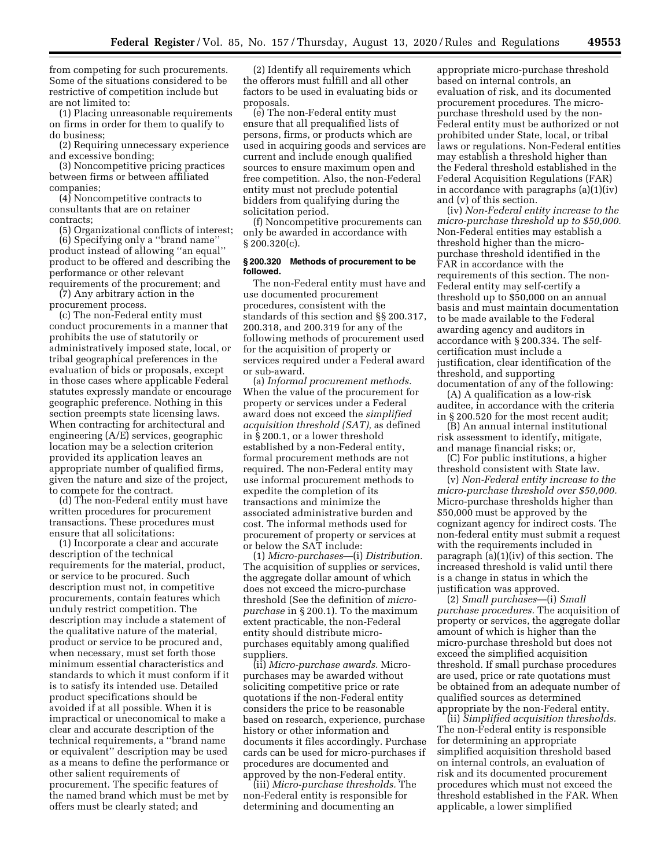from competing for such procurements. Some of the situations considered to be restrictive of competition include but are not limited to:

(1) Placing unreasonable requirements on firms in order for them to qualify to do business;

(2) Requiring unnecessary experience and excessive bonding;

(3) Noncompetitive pricing practices between firms or between affiliated companies;

(4) Noncompetitive contracts to consultants that are on retainer contracts;

(5) Organizational conflicts of interest; (6) Specifying only a ''brand name'' product instead of allowing ''an equal'' product to be offered and describing the performance or other relevant requirements of the procurement; and

(7) Any arbitrary action in the procurement process.

(c) The non-Federal entity must conduct procurements in a manner that prohibits the use of statutorily or administratively imposed state, local, or tribal geographical preferences in the evaluation of bids or proposals, except in those cases where applicable Federal statutes expressly mandate or encourage geographic preference. Nothing in this section preempts state licensing laws. When contracting for architectural and engineering (A/E) services, geographic location may be a selection criterion provided its application leaves an appropriate number of qualified firms, given the nature and size of the project, to compete for the contract.

(d) The non-Federal entity must have written procedures for procurement transactions. These procedures must ensure that all solicitations:

(1) Incorporate a clear and accurate description of the technical requirements for the material, product, or service to be procured. Such description must not, in competitive procurements, contain features which unduly restrict competition. The description may include a statement of the qualitative nature of the material, product or service to be procured and, when necessary, must set forth those minimum essential characteristics and standards to which it must conform if it is to satisfy its intended use. Detailed product specifications should be avoided if at all possible. When it is impractical or uneconomical to make a clear and accurate description of the technical requirements, a ''brand name or equivalent'' description may be used as a means to define the performance or other salient requirements of procurement. The specific features of the named brand which must be met by offers must be clearly stated; and

(2) Identify all requirements which the offerors must fulfill and all other factors to be used in evaluating bids or proposals.

(e) The non-Federal entity must ensure that all prequalified lists of persons, firms, or products which are used in acquiring goods and services are current and include enough qualified sources to ensure maximum open and free competition. Also, the non-Federal entity must not preclude potential bidders from qualifying during the solicitation period.

(f) Noncompetitive procurements can only be awarded in accordance with § 200.320(c).

## **§ 200.320 Methods of procurement to be followed.**

The non-Federal entity must have and use documented procurement procedures, consistent with the standards of this section and §§ 200.317, 200.318, and 200.319 for any of the following methods of procurement used for the acquisition of property or services required under a Federal award or sub-award.

(a) *Informal procurement methods.*  When the value of the procurement for property or services under a Federal award does not exceed the *simplified acquisition threshold (SAT),* as defined in § 200.1, or a lower threshold established by a non-Federal entity, formal procurement methods are not required. The non-Federal entity may use informal procurement methods to expedite the completion of its transactions and minimize the associated administrative burden and cost. The informal methods used for procurement of property or services at or below the SAT include:

(1) *Micro-purchases*—(i) *Distribution.*  The acquisition of supplies or services, the aggregate dollar amount of which does not exceed the micro-purchase threshold (See the definition of *micropurchase* in § 200.1). To the maximum extent practicable, the non-Federal entity should distribute micropurchases equitably among qualified suppliers.

(ii) *Micro-purchase awards.* Micropurchases may be awarded without soliciting competitive price or rate quotations if the non-Federal entity considers the price to be reasonable based on research, experience, purchase history or other information and documents it files accordingly. Purchase cards can be used for micro-purchases if procedures are documented and approved by the non-Federal entity.

(iii) *Micro-purchase thresholds.* The non-Federal entity is responsible for determining and documenting an

appropriate micro-purchase threshold based on internal controls, an evaluation of risk, and its documented procurement procedures. The micropurchase threshold used by the non-Federal entity must be authorized or not prohibited under State, local, or tribal laws or regulations. Non-Federal entities may establish a threshold higher than the Federal threshold established in the Federal Acquisition Regulations (FAR) in accordance with paragraphs (a)(1)(iv) and (v) of this section.

(iv) *Non-Federal entity increase to the micro-purchase threshold up to \$50,000.*  Non-Federal entities may establish a threshold higher than the micropurchase threshold identified in the FAR in accordance with the requirements of this section. The non-Federal entity may self-certify a threshold up to \$50,000 on an annual basis and must maintain documentation to be made available to the Federal awarding agency and auditors in accordance with § 200.334. The selfcertification must include a justification, clear identification of the threshold, and supporting documentation of any of the following:

(A) A qualification as a low-risk auditee, in accordance with the criteria in § 200.520 for the most recent audit;

(B) An annual internal institutional risk assessment to identify, mitigate, and manage financial risks; or,

(C) For public institutions, a higher threshold consistent with State law.

(v) *Non-Federal entity increase to the micro-purchase threshold over \$50,000.*  Micro-purchase thresholds higher than \$50,000 must be approved by the cognizant agency for indirect costs. The non-federal entity must submit a request with the requirements included in paragraph (a)(1)(iv) of this section. The increased threshold is valid until there is a change in status in which the justification was approved.

(2) *Small purchases*—(i) *Small purchase procedures.* The acquisition of property or services, the aggregate dollar amount of which is higher than the micro-purchase threshold but does not exceed the simplified acquisition threshold. If small purchase procedures are used, price or rate quotations must be obtained from an adequate number of qualified sources as determined appropriate by the non-Federal entity.

(ii) *Simplified acquisition thresholds.*  The non-Federal entity is responsible for determining an appropriate simplified acquisition threshold based on internal controls, an evaluation of risk and its documented procurement procedures which must not exceed the threshold established in the FAR. When applicable, a lower simplified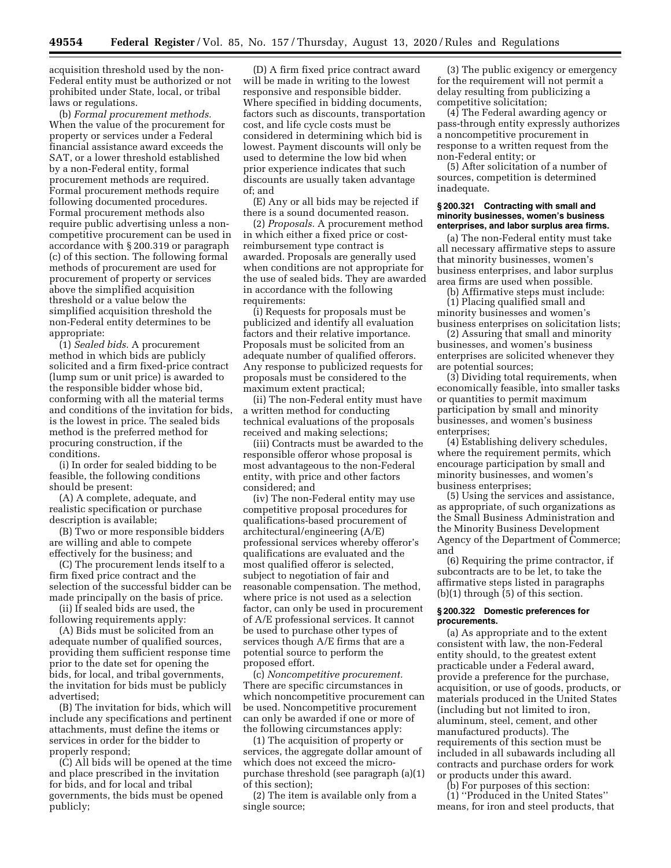acquisition threshold used by the non-Federal entity must be authorized or not prohibited under State, local, or tribal laws or regulations.

(b) *Formal procurement methods.*  When the value of the procurement for property or services under a Federal financial assistance award exceeds the SAT, or a lower threshold established by a non-Federal entity, formal procurement methods are required. Formal procurement methods require following documented procedures. Formal procurement methods also require public advertising unless a noncompetitive procurement can be used in accordance with § 200.319 or paragraph (c) of this section. The following formal methods of procurement are used for procurement of property or services above the simplified acquisition threshold or a value below the simplified acquisition threshold the non-Federal entity determines to be appropriate:

(1) *Sealed bids.* A procurement method in which bids are publicly solicited and a firm fixed-price contract (lump sum or unit price) is awarded to the responsible bidder whose bid, conforming with all the material terms and conditions of the invitation for bids, is the lowest in price. The sealed bids method is the preferred method for procuring construction, if the conditions.

(i) In order for sealed bidding to be feasible, the following conditions should be present:

(A) A complete, adequate, and realistic specification or purchase description is available;

(B) Two or more responsible bidders are willing and able to compete effectively for the business; and

(C) The procurement lends itself to a firm fixed price contract and the selection of the successful bidder can be made principally on the basis of price.

(ii) If sealed bids are used, the following requirements apply:

(A) Bids must be solicited from an adequate number of qualified sources, providing them sufficient response time prior to the date set for opening the bids, for local, and tribal governments, the invitation for bids must be publicly advertised;

(B) The invitation for bids, which will include any specifications and pertinent attachments, must define the items or services in order for the bidder to properly respond;

(C) All bids will be opened at the time and place prescribed in the invitation for bids, and for local and tribal governments, the bids must be opened publicly;

(D) A firm fixed price contract award will be made in writing to the lowest responsive and responsible bidder. Where specified in bidding documents, factors such as discounts, transportation cost, and life cycle costs must be considered in determining which bid is lowest. Payment discounts will only be used to determine the low bid when prior experience indicates that such discounts are usually taken advantage of; and

(E) Any or all bids may be rejected if there is a sound documented reason.

(2) *Proposals.* A procurement method in which either a fixed price or costreimbursement type contract is awarded. Proposals are generally used when conditions are not appropriate for the use of sealed bids. They are awarded in accordance with the following requirements:

(i) Requests for proposals must be publicized and identify all evaluation factors and their relative importance. Proposals must be solicited from an adequate number of qualified offerors. Any response to publicized requests for proposals must be considered to the maximum extent practical;

(ii) The non-Federal entity must have a written method for conducting technical evaluations of the proposals received and making selections;

(iii) Contracts must be awarded to the responsible offeror whose proposal is most advantageous to the non-Federal entity, with price and other factors considered; and

(iv) The non-Federal entity may use competitive proposal procedures for qualifications-based procurement of architectural/engineering (A/E) professional services whereby offeror's qualifications are evaluated and the most qualified offeror is selected, subject to negotiation of fair and reasonable compensation. The method, where price is not used as a selection factor, can only be used in procurement of A/E professional services. It cannot be used to purchase other types of services though A/E firms that are a potential source to perform the proposed effort.

(c) *Noncompetitive procurement.*  There are specific circumstances in which noncompetitive procurement can be used. Noncompetitive procurement can only be awarded if one or more of the following circumstances apply:

(1) The acquisition of property or services, the aggregate dollar amount of which does not exceed the micropurchase threshold (see paragraph (a)(1) of this section);

(2) The item is available only from a single source;

(3) The public exigency or emergency for the requirement will not permit a delay resulting from publicizing a competitive solicitation;

(4) The Federal awarding agency or pass-through entity expressly authorizes a noncompetitive procurement in response to a written request from the non-Federal entity; or

(5) After solicitation of a number of sources, competition is determined inadequate.

## **§ 200.321 Contracting with small and minority businesses, women's business enterprises, and labor surplus area firms.**

(a) The non-Federal entity must take all necessary affirmative steps to assure that minority businesses, women's business enterprises, and labor surplus area firms are used when possible.

(b) Affirmative steps must include:

(1) Placing qualified small and minority businesses and women's business enterprises on solicitation lists;

(2) Assuring that small and minority businesses, and women's business enterprises are solicited whenever they are potential sources;

(3) Dividing total requirements, when economically feasible, into smaller tasks or quantities to permit maximum participation by small and minority businesses, and women's business enterprises;

(4) Establishing delivery schedules, where the requirement permits, which encourage participation by small and minority businesses, and women's business enterprises;

(5) Using the services and assistance, as appropriate, of such organizations as the Small Business Administration and the Minority Business Development Agency of the Department of Commerce; and

(6) Requiring the prime contractor, if subcontracts are to be let, to take the affirmative steps listed in paragraphs (b)(1) through (5) of this section.

#### **§ 200.322 Domestic preferences for procurements.**

(a) As appropriate and to the extent consistent with law, the non-Federal entity should, to the greatest extent practicable under a Federal award, provide a preference for the purchase, acquisition, or use of goods, products, or materials produced in the United States (including but not limited to iron, aluminum, steel, cement, and other manufactured products). The requirements of this section must be included in all subawards including all contracts and purchase orders for work or products under this award.

(b) For purposes of this section: (1) ''Produced in the United States'' means, for iron and steel products, that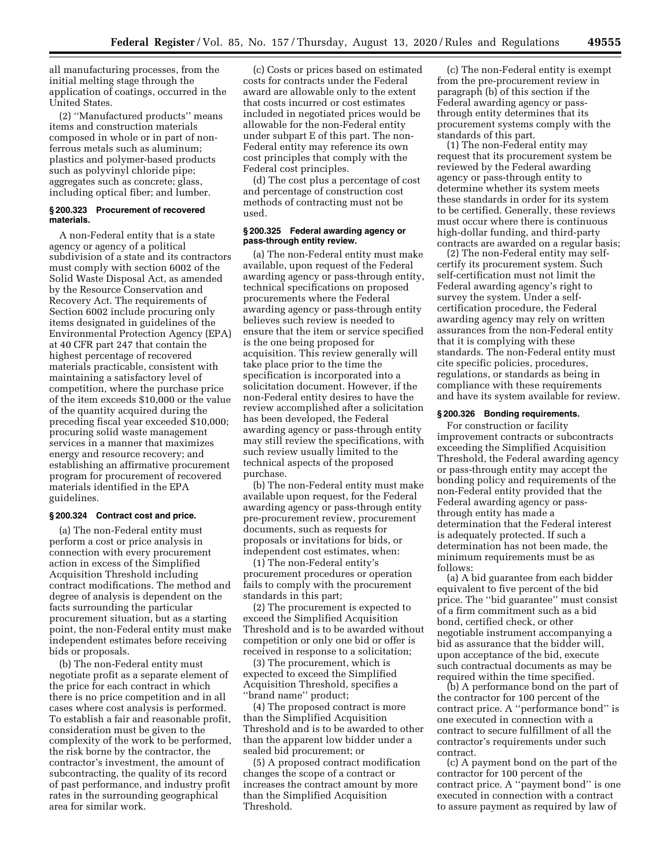all manufacturing processes, from the initial melting stage through the application of coatings, occurred in the United States.

(2) ''Manufactured products'' means items and construction materials composed in whole or in part of nonferrous metals such as aluminum; plastics and polymer-based products such as polyvinyl chloride pipe; aggregates such as concrete; glass, including optical fiber; and lumber.

### **§ 200.323 Procurement of recovered materials.**

A non-Federal entity that is a state agency or agency of a political subdivision of a state and its contractors must comply with section 6002 of the Solid Waste Disposal Act, as amended by the Resource Conservation and Recovery Act. The requirements of Section 6002 include procuring only items designated in guidelines of the Environmental Protection Agency (EPA) at 40 CFR part 247 that contain the highest percentage of recovered materials practicable, consistent with maintaining a satisfactory level of competition, where the purchase price of the item exceeds \$10,000 or the value of the quantity acquired during the preceding fiscal year exceeded \$10,000; procuring solid waste management services in a manner that maximizes energy and resource recovery; and establishing an affirmative procurement program for procurement of recovered materials identified in the EPA guidelines.

#### **§ 200.324 Contract cost and price.**

(a) The non-Federal entity must perform a cost or price analysis in connection with every procurement action in excess of the Simplified Acquisition Threshold including contract modifications. The method and degree of analysis is dependent on the facts surrounding the particular procurement situation, but as a starting point, the non-Federal entity must make independent estimates before receiving bids or proposals.

(b) The non-Federal entity must negotiate profit as a separate element of the price for each contract in which there is no price competition and in all cases where cost analysis is performed. To establish a fair and reasonable profit, consideration must be given to the complexity of the work to be performed, the risk borne by the contractor, the contractor's investment, the amount of subcontracting, the quality of its record of past performance, and industry profit rates in the surrounding geographical area for similar work.

(c) Costs or prices based on estimated costs for contracts under the Federal award are allowable only to the extent that costs incurred or cost estimates included in negotiated prices would be allowable for the non-Federal entity under subpart E of this part. The non-Federal entity may reference its own cost principles that comply with the Federal cost principles.

(d) The cost plus a percentage of cost and percentage of construction cost methods of contracting must not be used.

#### **§ 200.325 Federal awarding agency or pass-through entity review.**

(a) The non-Federal entity must make available, upon request of the Federal awarding agency or pass-through entity, technical specifications on proposed procurements where the Federal awarding agency or pass-through entity believes such review is needed to ensure that the item or service specified is the one being proposed for acquisition. This review generally will take place prior to the time the specification is incorporated into a solicitation document. However, if the non-Federal entity desires to have the review accomplished after a solicitation has been developed, the Federal awarding agency or pass-through entity may still review the specifications, with such review usually limited to the technical aspects of the proposed purchase.

(b) The non-Federal entity must make available upon request, for the Federal awarding agency or pass-through entity pre-procurement review, procurement documents, such as requests for proposals or invitations for bids, or independent cost estimates, when:

(1) The non-Federal entity's procurement procedures or operation fails to comply with the procurement standards in this part;

(2) The procurement is expected to exceed the Simplified Acquisition Threshold and is to be awarded without competition or only one bid or offer is received in response to a solicitation;

(3) The procurement, which is expected to exceed the Simplified Acquisition Threshold, specifies a ''brand name'' product;

(4) The proposed contract is more than the Simplified Acquisition Threshold and is to be awarded to other than the apparent low bidder under a sealed bid procurement; or

(5) A proposed contract modification changes the scope of a contract or increases the contract amount by more than the Simplified Acquisition Threshold.

(c) The non-Federal entity is exempt from the pre-procurement review in paragraph (b) of this section if the Federal awarding agency or passthrough entity determines that its procurement systems comply with the standards of this part.

(1) The non-Federal entity may request that its procurement system be reviewed by the Federal awarding agency or pass-through entity to determine whether its system meets these standards in order for its system to be certified. Generally, these reviews must occur where there is continuous high-dollar funding, and third-party contracts are awarded on a regular basis;

(2) The non-Federal entity may selfcertify its procurement system. Such self-certification must not limit the Federal awarding agency's right to survey the system. Under a selfcertification procedure, the Federal awarding agency may rely on written assurances from the non-Federal entity that it is complying with these standards. The non-Federal entity must cite specific policies, procedures, regulations, or standards as being in compliance with these requirements and have its system available for review.

# **§ 200.326 Bonding requirements.**

For construction or facility improvement contracts or subcontracts exceeding the Simplified Acquisition Threshold, the Federal awarding agency or pass-through entity may accept the bonding policy and requirements of the non-Federal entity provided that the Federal awarding agency or passthrough entity has made a determination that the Federal interest is adequately protected. If such a determination has not been made, the minimum requirements must be as follows:

(a) A bid guarantee from each bidder equivalent to five percent of the bid price. The ''bid guarantee'' must consist of a firm commitment such as a bid bond, certified check, or other negotiable instrument accompanying a bid as assurance that the bidder will, upon acceptance of the bid, execute such contractual documents as may be required within the time specified.

(b) A performance bond on the part of the contractor for 100 percent of the contract price. A ''performance bond'' is one executed in connection with a contract to secure fulfillment of all the contractor's requirements under such contract.

(c) A payment bond on the part of the contractor for 100 percent of the contract price. A ''payment bond'' is one executed in connection with a contract to assure payment as required by law of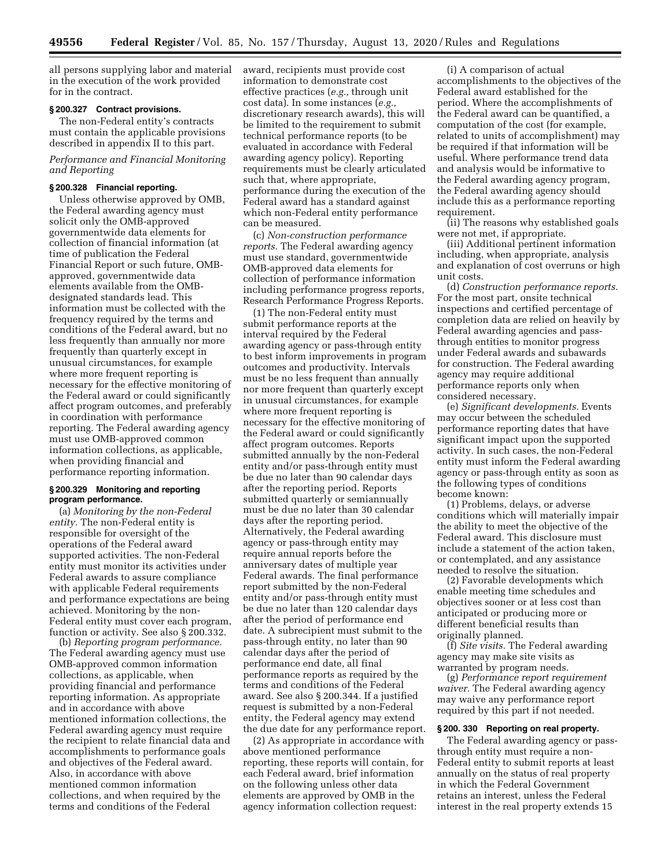all persons supplying labor and material in the execution of the work provided for in the contract.

# **§ 200.327 Contract provisions.**

The non-Federal entity's contracts must contain the applicable provisions described in appendix II to this part.

# *Performance and Financial Monitoring and Reporting*

## **§ 200.328 Financial reporting.**

Unless otherwise approved by OMB, the Federal awarding agency must solicit only the OMB-approved governmentwide data elements for collection of financial information (at time of publication the Federal Financial Report or such future, OMBapproved, governmentwide data elements available from the OMBdesignated standards lead. This information must be collected with the frequency required by the terms and conditions of the Federal award, but no less frequently than annually nor more frequently than quarterly except in unusual circumstances, for example where more frequent reporting is necessary for the effective monitoring of the Federal award or could significantly affect program outcomes, and preferably in coordination with performance reporting. The Federal awarding agency must use OMB-approved common information collections, as applicable, when providing financial and performance reporting information.

## **§ 200.329 Monitoring and reporting program performance.**

(a) *Monitoring by the non-Federal entity.* The non-Federal entity is responsible for oversight of the operations of the Federal award supported activities. The non-Federal entity must monitor its activities under Federal awards to assure compliance with applicable Federal requirements and performance expectations are being achieved. Monitoring by the non-Federal entity must cover each program, function or activity. See also § 200.332.

(b) *Reporting program performance.*  The Federal awarding agency must use OMB-approved common information collections, as applicable, when providing financial and performance reporting information. As appropriate and in accordance with above mentioned information collections, the Federal awarding agency must require the recipient to relate financial data and accomplishments to performance goals and objectives of the Federal award. Also, in accordance with above mentioned common information collections, and when required by the terms and conditions of the Federal

award, recipients must provide cost information to demonstrate cost effective practices (*e.g.,* through unit cost data). In some instances (*e.g.,*  discretionary research awards), this will be limited to the requirement to submit technical performance reports (to be evaluated in accordance with Federal awarding agency policy). Reporting requirements must be clearly articulated such that, where appropriate, performance during the execution of the Federal award has a standard against which non-Federal entity performance can be measured.

(c) *Non-construction performance reports.* The Federal awarding agency must use standard, governmentwide OMB-approved data elements for collection of performance information including performance progress reports, Research Performance Progress Reports.

(1) The non-Federal entity must submit performance reports at the interval required by the Federal awarding agency or pass-through entity to best inform improvements in program outcomes and productivity. Intervals must be no less frequent than annually nor more frequent than quarterly except in unusual circumstances, for example where more frequent reporting is necessary for the effective monitoring of the Federal award or could significantly affect program outcomes. Reports submitted annually by the non-Federal entity and/or pass-through entity must be due no later than 90 calendar days after the reporting period. Reports submitted quarterly or semiannually must be due no later than 30 calendar days after the reporting period. Alternatively, the Federal awarding agency or pass-through entity may require annual reports before the anniversary dates of multiple year Federal awards. The final performance report submitted by the non-Federal entity and/or pass-through entity must be due no later than 120 calendar days after the period of performance end date. A subrecipient must submit to the pass-through entity, no later than 90 calendar days after the period of performance end date, all final performance reports as required by the terms and conditions of the Federal award. See also § 200.344. If a justified request is submitted by a non-Federal entity, the Federal agency may extend the due date for any performance report.

(2) As appropriate in accordance with above mentioned performance reporting, these reports will contain, for each Federal award, brief information on the following unless other data elements are approved by OMB in the agency information collection request:

(i) A comparison of actual accomplishments to the objectives of the Federal award established for the period. Where the accomplishments of the Federal award can be quantified, a computation of the cost (for example, related to units of accomplishment) may be required if that information will be useful. Where performance trend data and analysis would be informative to the Federal awarding agency program, the Federal awarding agency should include this as a performance reporting requirement.

(ii) The reasons why established goals were not met, if appropriate.

(iii) Additional pertinent information including, when appropriate, analysis and explanation of cost overruns or high unit costs.

(d) *Construction performance reports.*  For the most part, onsite technical inspections and certified percentage of completion data are relied on heavily by Federal awarding agencies and passthrough entities to monitor progress under Federal awards and subawards for construction. The Federal awarding agency may require additional performance reports only when considered necessary.

(e) *Significant developments.* Events may occur between the scheduled performance reporting dates that have significant impact upon the supported activity. In such cases, the non-Federal entity must inform the Federal awarding agency or pass-through entity as soon as the following types of conditions become known:

(1) Problems, delays, or adverse conditions which will materially impair the ability to meet the objective of the Federal award. This disclosure must include a statement of the action taken, or contemplated, and any assistance needed to resolve the situation.

(2) Favorable developments which enable meeting time schedules and objectives sooner or at less cost than anticipated or producing more or different beneficial results than originally planned.

(f) *Site visits.* The Federal awarding agency may make site visits as warranted by program needs.

(g) *Performance report requirement waiver.* The Federal awarding agency may waive any performance report required by this part if not needed.

#### **§ 200. 330 Reporting on real property.**

The Federal awarding agency or passthrough entity must require a non-Federal entity to submit reports at least annually on the status of real property in which the Federal Government retains an interest, unless the Federal interest in the real property extends 15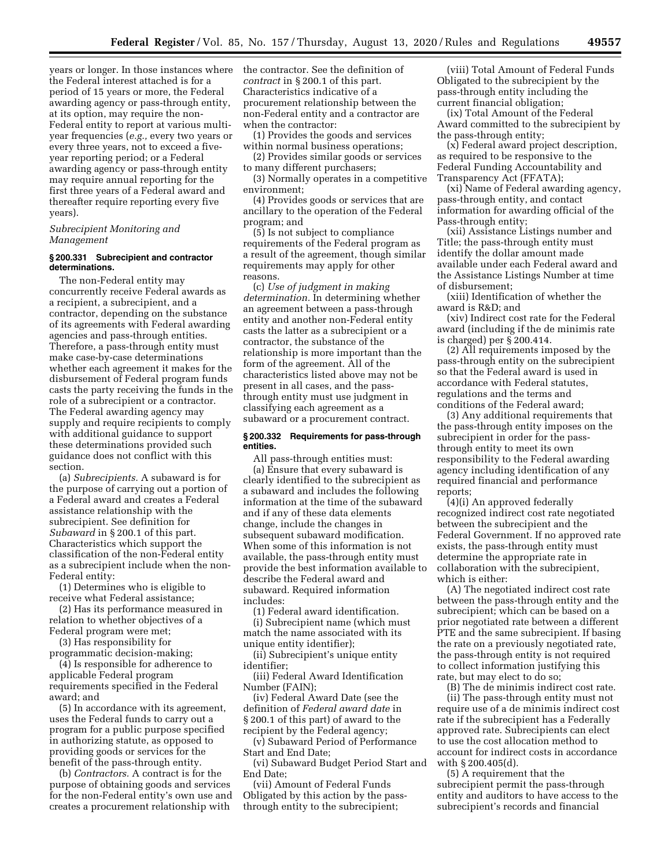years or longer. In those instances where the Federal interest attached is for a period of 15 years or more, the Federal awarding agency or pass-through entity, at its option, may require the non-Federal entity to report at various multiyear frequencies (*e.g.,* every two years or every three years, not to exceed a fiveyear reporting period; or a Federal awarding agency or pass-through entity may require annual reporting for the first three years of a Federal award and thereafter require reporting every five years).

## *Subrecipient Monitoring and Management*

## **§ 200.331 Subrecipient and contractor determinations.**

The non-Federal entity may concurrently receive Federal awards as a recipient, a subrecipient, and a contractor, depending on the substance of its agreements with Federal awarding agencies and pass-through entities. Therefore, a pass-through entity must make case-by-case determinations whether each agreement it makes for the disbursement of Federal program funds casts the party receiving the funds in the role of a subrecipient or a contractor. The Federal awarding agency may supply and require recipients to comply with additional guidance to support these determinations provided such guidance does not conflict with this section.

(a) *Subrecipients.* A subaward is for the purpose of carrying out a portion of a Federal award and creates a Federal assistance relationship with the subrecipient. See definition for *Subaward* in § 200.1 of this part. Characteristics which support the classification of the non-Federal entity as a subrecipient include when the non-Federal entity:

(1) Determines who is eligible to receive what Federal assistance;

(2) Has its performance measured in relation to whether objectives of a Federal program were met;

(3) Has responsibility for

programmatic decision-making; (4) Is responsible for adherence to applicable Federal program

requirements specified in the Federal award; and

(5) In accordance with its agreement, uses the Federal funds to carry out a program for a public purpose specified in authorizing statute, as opposed to providing goods or services for the benefit of the pass-through entity.

(b) *Contractors.* A contract is for the purpose of obtaining goods and services for the non-Federal entity's own use and creates a procurement relationship with

the contractor. See the definition of *contract* in § 200.1 of this part. Characteristics indicative of a procurement relationship between the non-Federal entity and a contractor are when the contractor:

(1) Provides the goods and services within normal business operations;

(2) Provides similar goods or services to many different purchasers;

(3) Normally operates in a competitive environment;

(4) Provides goods or services that are ancillary to the operation of the Federal program; and

(5) Is not subject to compliance requirements of the Federal program as a result of the agreement, though similar requirements may apply for other reasons.

(c) *Use of judgment in making determination.* In determining whether an agreement between a pass-through entity and another non-Federal entity casts the latter as a subrecipient or a contractor, the substance of the relationship is more important than the form of the agreement. All of the characteristics listed above may not be present in all cases, and the passthrough entity must use judgment in classifying each agreement as a subaward or a procurement contract.

## **§ 200.332 Requirements for pass-through entities.**

All pass-through entities must: (a) Ensure that every subaward is clearly identified to the subrecipient as a subaward and includes the following information at the time of the subaward and if any of these data elements change, include the changes in subsequent subaward modification. When some of this information is not available, the pass-through entity must provide the best information available to describe the Federal award and subaward. Required information includes:

(1) Federal award identification.

(i) Subrecipient name (which must match the name associated with its unique entity identifier);

(ii) Subrecipient's unique entity identifier;

(iii) Federal Award Identification Number (FAIN);

(iv) Federal Award Date (see the definition of *Federal award date* in § 200.1 of this part) of award to the recipient by the Federal agency;

(v) Subaward Period of Performance Start and End Date;

(vi) Subaward Budget Period Start and End Date;

(vii) Amount of Federal Funds Obligated by this action by the passthrough entity to the subrecipient;

(viii) Total Amount of Federal Funds Obligated to the subrecipient by the pass-through entity including the current financial obligation;

(ix) Total Amount of the Federal Award committed to the subrecipient by the pass-through entity;

(x) Federal award project description, as required to be responsive to the Federal Funding Accountability and Transparency Act (FFATA);

(xi) Name of Federal awarding agency, pass-through entity, and contact information for awarding official of the Pass-through entity;

(xii) Assistance Listings number and Title; the pass-through entity must identify the dollar amount made available under each Federal award and the Assistance Listings Number at time of disbursement;

(xiii) Identification of whether the award is  $R\&D$  and

(xiv) Indirect cost rate for the Federal award (including if the de minimis rate is charged) per § 200.414.

(2) All requirements imposed by the pass-through entity on the subrecipient so that the Federal award is used in accordance with Federal statutes, regulations and the terms and conditions of the Federal award;

(3) Any additional requirements that the pass-through entity imposes on the subrecipient in order for the passthrough entity to meet its own responsibility to the Federal awarding agency including identification of any required financial and performance reports;

(4)(i) An approved federally recognized indirect cost rate negotiated between the subrecipient and the Federal Government. If no approved rate exists, the pass-through entity must determine the appropriate rate in collaboration with the subrecipient, which is either:

(A) The negotiated indirect cost rate between the pass-through entity and the subrecipient; which can be based on a prior negotiated rate between a different PTE and the same subrecipient. If basing the rate on a previously negotiated rate, the pass-through entity is not required to collect information justifying this rate, but may elect to do so;

(B) The de minimis indirect cost rate.

(ii) The pass-through entity must not require use of a de minimis indirect cost rate if the subrecipient has a Federally approved rate. Subrecipients can elect to use the cost allocation method to account for indirect costs in accordance with § 200.405(d).

(5) A requirement that the subrecipient permit the pass-through entity and auditors to have access to the subrecipient's records and financial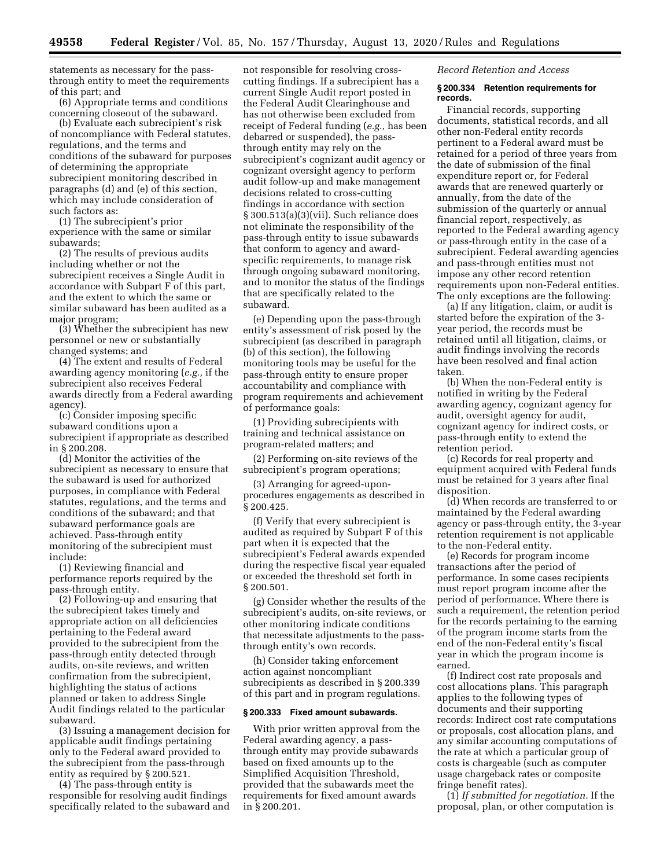statements as necessary for the passthrough entity to meet the requirements of this part; and

(6) Appropriate terms and conditions concerning closeout of the subaward.

(b) Evaluate each subrecipient's risk of noncompliance with Federal statutes, regulations, and the terms and conditions of the subaward for purposes of determining the appropriate subrecipient monitoring described in paragraphs (d) and (e) of this section, which may include consideration of such factors as:

(1) The subrecipient's prior experience with the same or similar subawards;

(2) The results of previous audits including whether or not the subrecipient receives a Single Audit in accordance with Subpart F of this part, and the extent to which the same or similar subaward has been audited as a major program;

(3) Whether the subrecipient has new personnel or new or substantially changed systems; and

(4) The extent and results of Federal awarding agency monitoring (*e.g.,* if the subrecipient also receives Federal awards directly from a Federal awarding agency).

(c) Consider imposing specific subaward conditions upon a subrecipient if appropriate as described in § 200.208.

(d) Monitor the activities of the subrecipient as necessary to ensure that the subaward is used for authorized purposes, in compliance with Federal statutes, regulations, and the terms and conditions of the subaward; and that subaward performance goals are achieved. Pass-through entity monitoring of the subrecipient must include:

(1) Reviewing financial and performance reports required by the pass-through entity.

(2) Following-up and ensuring that the subrecipient takes timely and appropriate action on all deficiencies pertaining to the Federal award provided to the subrecipient from the pass-through entity detected through audits, on-site reviews, and written confirmation from the subrecipient, highlighting the status of actions planned or taken to address Single Audit findings related to the particular subaward.

(3) Issuing a management decision for applicable audit findings pertaining only to the Federal award provided to the subrecipient from the pass-through entity as required by § 200.521.

(4) The pass-through entity is responsible for resolving audit findings specifically related to the subaward and

not responsible for resolving crosscutting findings. If a subrecipient has a current Single Audit report posted in the Federal Audit Clearinghouse and has not otherwise been excluded from receipt of Federal funding (*e.g.,* has been debarred or suspended), the passthrough entity may rely on the subrecipient's cognizant audit agency or cognizant oversight agency to perform audit follow-up and make management decisions related to cross-cutting findings in accordance with section § 300.513(a)(3)(vii). Such reliance does not eliminate the responsibility of the pass-through entity to issue subawards that conform to agency and awardspecific requirements, to manage risk through ongoing subaward monitoring, and to monitor the status of the findings that are specifically related to the subaward.

(e) Depending upon the pass-through entity's assessment of risk posed by the subrecipient (as described in paragraph (b) of this section), the following monitoring tools may be useful for the pass-through entity to ensure proper accountability and compliance with program requirements and achievement of performance goals:

(1) Providing subrecipients with training and technical assistance on program-related matters; and

(2) Performing on-site reviews of the subrecipient's program operations;

(3) Arranging for agreed-uponprocedures engagements as described in § 200.425.

(f) Verify that every subrecipient is audited as required by Subpart F of this part when it is expected that the subrecipient's Federal awards expended during the respective fiscal year equaled or exceeded the threshold set forth in § 200.501.

(g) Consider whether the results of the subrecipient's audits, on-site reviews, or other monitoring indicate conditions that necessitate adjustments to the passthrough entity's own records.

(h) Consider taking enforcement action against noncompliant subrecipients as described in § 200.339 of this part and in program regulations.

#### **§ 200.333 Fixed amount subawards.**

With prior written approval from the Federal awarding agency, a passthrough entity may provide subawards based on fixed amounts up to the Simplified Acquisition Threshold, provided that the subawards meet the requirements for fixed amount awards in § 200.201.

*Record Retention and Access* 

#### **§ 200.334 Retention requirements for records.**

Financial records, supporting documents, statistical records, and all other non-Federal entity records pertinent to a Federal award must be retained for a period of three years from the date of submission of the final expenditure report or, for Federal awards that are renewed quarterly or annually, from the date of the submission of the quarterly or annual financial report, respectively, as reported to the Federal awarding agency or pass-through entity in the case of a subrecipient. Federal awarding agencies and pass-through entities must not impose any other record retention requirements upon non-Federal entities. The only exceptions are the following:

(a) If any litigation, claim, or audit is started before the expiration of the 3 year period, the records must be retained until all litigation, claims, or audit findings involving the records have been resolved and final action taken.

(b) When the non-Federal entity is notified in writing by the Federal awarding agency, cognizant agency for audit, oversight agency for audit, cognizant agency for indirect costs, or pass-through entity to extend the retention period.

(c) Records for real property and equipment acquired with Federal funds must be retained for 3 years after final disposition.

(d) When records are transferred to or maintained by the Federal awarding agency or pass-through entity, the 3-year retention requirement is not applicable to the non-Federal entity.

(e) Records for program income transactions after the period of performance. In some cases recipients must report program income after the period of performance. Where there is such a requirement, the retention period for the records pertaining to the earning of the program income starts from the end of the non-Federal entity's fiscal year in which the program income is earned.

(f) Indirect cost rate proposals and cost allocations plans. This paragraph applies to the following types of documents and their supporting records: Indirect cost rate computations or proposals, cost allocation plans, and any similar accounting computations of the rate at which a particular group of costs is chargeable (such as computer usage chargeback rates or composite fringe benefit rates).

(1) *If submitted for negotiation.* If the proposal, plan, or other computation is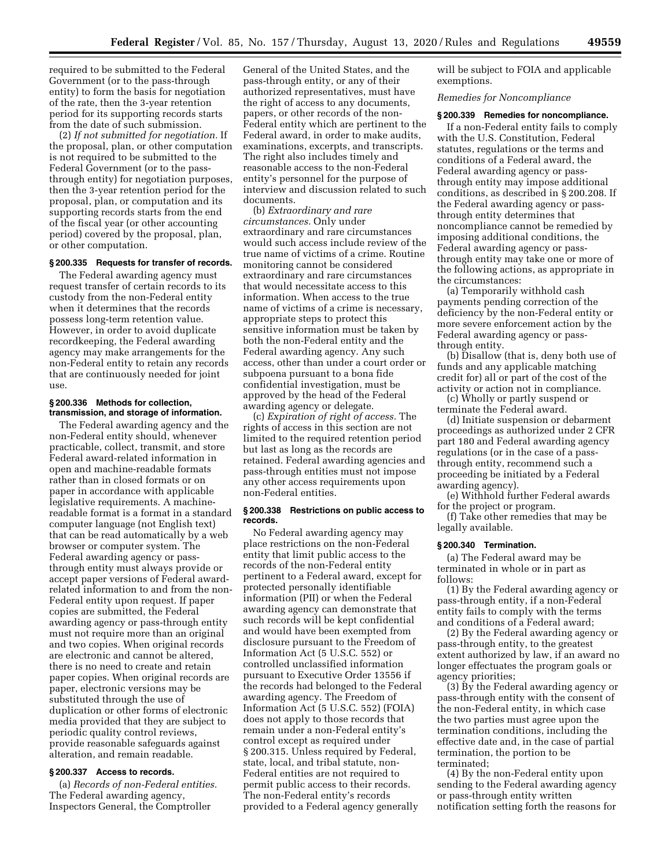required to be submitted to the Federal Government (or to the pass-through entity) to form the basis for negotiation of the rate, then the 3-year retention period for its supporting records starts from the date of such submission.

(2) *If not submitted for negotiation.* If the proposal, plan, or other computation is not required to be submitted to the Federal Government (or to the passthrough entity) for negotiation purposes, then the 3-year retention period for the proposal, plan, or computation and its supporting records starts from the end of the fiscal year (or other accounting period) covered by the proposal, plan, or other computation.

# **§ 200.335 Requests for transfer of records.**

The Federal awarding agency must request transfer of certain records to its custody from the non-Federal entity when it determines that the records possess long-term retention value. However, in order to avoid duplicate recordkeeping, the Federal awarding agency may make arrangements for the non-Federal entity to retain any records that are continuously needed for joint use.

## **§ 200.336 Methods for collection, transmission, and storage of information.**

The Federal awarding agency and the non-Federal entity should, whenever practicable, collect, transmit, and store Federal award-related information in open and machine-readable formats rather than in closed formats or on paper in accordance with applicable legislative requirements. A machinereadable format is a format in a standard computer language (not English text) that can be read automatically by a web browser or computer system. The Federal awarding agency or passthrough entity must always provide or accept paper versions of Federal awardrelated information to and from the non-Federal entity upon request. If paper copies are submitted, the Federal awarding agency or pass-through entity must not require more than an original and two copies. When original records are electronic and cannot be altered, there is no need to create and retain paper copies. When original records are paper, electronic versions may be substituted through the use of duplication or other forms of electronic media provided that they are subject to periodic quality control reviews, provide reasonable safeguards against alteration, and remain readable.

# **§ 200.337 Access to records.**

(a) *Records of non-Federal entities.*  The Federal awarding agency, Inspectors General, the Comptroller

General of the United States, and the pass-through entity, or any of their authorized representatives, must have the right of access to any documents, papers, or other records of the non-Federal entity which are pertinent to the Federal award, in order to make audits, examinations, excerpts, and transcripts. The right also includes timely and reasonable access to the non-Federal entity's personnel for the purpose of interview and discussion related to such documents.

(b) *Extraordinary and rare circumstances.* Only under extraordinary and rare circumstances would such access include review of the true name of victims of a crime. Routine monitoring cannot be considered extraordinary and rare circumstances that would necessitate access to this information. When access to the true name of victims of a crime is necessary, appropriate steps to protect this sensitive information must be taken by both the non-Federal entity and the Federal awarding agency. Any such access, other than under a court order or subpoena pursuant to a bona fide confidential investigation, must be approved by the head of the Federal awarding agency or delegate.

(c) *Expiration of right of access.* The rights of access in this section are not limited to the required retention period but last as long as the records are retained. Federal awarding agencies and pass-through entities must not impose any other access requirements upon non-Federal entities.

#### **§ 200.338 Restrictions on public access to records.**

No Federal awarding agency may place restrictions on the non-Federal entity that limit public access to the records of the non-Federal entity pertinent to a Federal award, except for protected personally identifiable information (PII) or when the Federal awarding agency can demonstrate that such records will be kept confidential and would have been exempted from disclosure pursuant to the Freedom of Information Act (5 U.S.C. 552) or controlled unclassified information pursuant to Executive Order 13556 if the records had belonged to the Federal awarding agency. The Freedom of Information Act (5 U.S.C. 552) (FOIA) does not apply to those records that remain under a non-Federal entity's control except as required under § 200.315. Unless required by Federal, state, local, and tribal statute, non-Federal entities are not required to permit public access to their records. The non-Federal entity's records provided to a Federal agency generally

will be subject to FOIA and applicable exemptions.

## *Remedies for Noncompliance*

## **§ 200.339 Remedies for noncompliance.**

If a non-Federal entity fails to comply with the U.S. Constitution, Federal statutes, regulations or the terms and conditions of a Federal award, the Federal awarding agency or passthrough entity may impose additional conditions, as described in § 200.208. If the Federal awarding agency or passthrough entity determines that noncompliance cannot be remedied by imposing additional conditions, the Federal awarding agency or passthrough entity may take one or more of the following actions, as appropriate in the circumstances:

(a) Temporarily withhold cash payments pending correction of the deficiency by the non-Federal entity or more severe enforcement action by the Federal awarding agency or passthrough entity.

(b) Disallow (that is, deny both use of funds and any applicable matching credit for) all or part of the cost of the activity or action not in compliance.

(c) Wholly or partly suspend or terminate the Federal award.

(d) Initiate suspension or debarment proceedings as authorized under 2 CFR part 180 and Federal awarding agency regulations (or in the case of a passthrough entity, recommend such a proceeding be initiated by a Federal awarding agency).

(e) Withhold further Federal awards for the project or program.

(f) Take other remedies that may be legally available.

#### **§ 200.340 Termination.**

(a) The Federal award may be terminated in whole or in part as follows:

(1) By the Federal awarding agency or pass-through entity, if a non-Federal entity fails to comply with the terms and conditions of a Federal award;

(2) By the Federal awarding agency or pass-through entity, to the greatest extent authorized by law, if an award no longer effectuates the program goals or agency priorities;

(3) By the Federal awarding agency or pass-through entity with the consent of the non-Federal entity, in which case the two parties must agree upon the termination conditions, including the effective date and, in the case of partial termination, the portion to be terminated;

(4) By the non-Federal entity upon sending to the Federal awarding agency or pass-through entity written notification setting forth the reasons for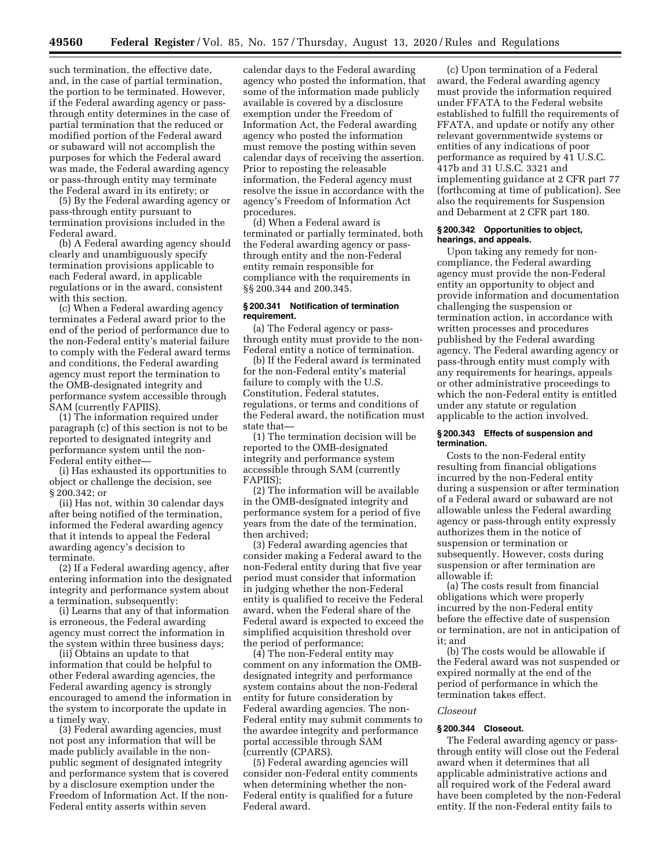such termination, the effective date, and, in the case of partial termination, the portion to be terminated. However, if the Federal awarding agency or passthrough entity determines in the case of partial termination that the reduced or modified portion of the Federal award or subaward will not accomplish the purposes for which the Federal award was made, the Federal awarding agency or pass-through entity may terminate the Federal award in its entirety; or

(5) By the Federal awarding agency or pass-through entity pursuant to termination provisions included in the Federal award.

(b) A Federal awarding agency should clearly and unambiguously specify termination provisions applicable to each Federal award, in applicable regulations or in the award, consistent with this section.

(c) When a Federal awarding agency terminates a Federal award prior to the end of the period of performance due to the non-Federal entity's material failure to comply with the Federal award terms and conditions, the Federal awarding agency must report the termination to the OMB-designated integrity and performance system accessible through SAM (currently FAPIIS).

(1) The information required under paragraph (c) of this section is not to be reported to designated integrity and performance system until the non-Federal entity either—

(i) Has exhausted its opportunities to object or challenge the decision, see § 200.342; or

(ii) Has not, within 30 calendar days after being notified of the termination, informed the Federal awarding agency that it intends to appeal the Federal awarding agency's decision to terminate.

(2) If a Federal awarding agency, after entering information into the designated integrity and performance system about a termination, subsequently:

(i) Learns that any of that information is erroneous, the Federal awarding agency must correct the information in the system within three business days;

(ii) Obtains an update to that information that could be helpful to other Federal awarding agencies, the Federal awarding agency is strongly encouraged to amend the information in the system to incorporate the update in a timely way.

(3) Federal awarding agencies, must not post any information that will be made publicly available in the nonpublic segment of designated integrity and performance system that is covered by a disclosure exemption under the Freedom of Information Act. If the non-Federal entity asserts within seven

calendar days to the Federal awarding agency who posted the information, that some of the information made publicly available is covered by a disclosure exemption under the Freedom of Information Act, the Federal awarding agency who posted the information must remove the posting within seven calendar days of receiving the assertion. Prior to reposting the releasable information, the Federal agency must resolve the issue in accordance with the agency's Freedom of Information Act procedures.

(d) When a Federal award is terminated or partially terminated, both the Federal awarding agency or passthrough entity and the non-Federal entity remain responsible for compliance with the requirements in §§ 200.344 and 200.345.

## **§ 200.341 Notification of termination requirement.**

(a) The Federal agency or passthrough entity must provide to the non-Federal entity a notice of termination.

(b) If the Federal award is terminated for the non-Federal entity's material failure to comply with the U.S. Constitution, Federal statutes, regulations, or terms and conditions of the Federal award, the notification must state that—

(1) The termination decision will be reported to the OMB-designated integrity and performance system accessible through SAM (currently FAPIIS);

(2) The information will be available in the OMB-designated integrity and performance system for a period of five years from the date of the termination, then archived;

(3) Federal awarding agencies that consider making a Federal award to the non-Federal entity during that five year period must consider that information in judging whether the non-Federal entity is qualified to receive the Federal award, when the Federal share of the Federal award is expected to exceed the simplified acquisition threshold over the period of performance;

(4) The non-Federal entity may comment on any information the OMBdesignated integrity and performance system contains about the non-Federal entity for future consideration by Federal awarding agencies. The non-Federal entity may submit comments to the awardee integrity and performance portal accessible through SAM (currently (CPARS).

(5) Federal awarding agencies will consider non-Federal entity comments when determining whether the non-Federal entity is qualified for a future Federal award.

(c) Upon termination of a Federal award, the Federal awarding agency must provide the information required under FFATA to the Federal website established to fulfill the requirements of FFATA, and update or notify any other relevant governmentwide systems or entities of any indications of poor performance as required by 41 U.S.C. 417b and 31 U.S.C. 3321 and implementing guidance at 2 CFR part 77 (forthcoming at time of publication). See also the requirements for Suspension and Debarment at 2 CFR part 180.

### **§ 200.342 Opportunities to object, hearings, and appeals.**

Upon taking any remedy for noncompliance, the Federal awarding agency must provide the non-Federal entity an opportunity to object and provide information and documentation challenging the suspension or termination action, in accordance with written processes and procedures published by the Federal awarding agency. The Federal awarding agency or pass-through entity must comply with any requirements for hearings, appeals or other administrative proceedings to which the non-Federal entity is entitled under any statute or regulation applicable to the action involved.

#### **§ 200.343 Effects of suspension and termination.**

Costs to the non-Federal entity resulting from financial obligations incurred by the non-Federal entity during a suspension or after termination of a Federal award or subaward are not allowable unless the Federal awarding agency or pass-through entity expressly authorizes them in the notice of suspension or termination or subsequently. However, costs during suspension or after termination are allowable if:

(a) The costs result from financial obligations which were properly incurred by the non-Federal entity before the effective date of suspension or termination, are not in anticipation of it; and

(b) The costs would be allowable if the Federal award was not suspended or expired normally at the end of the period of performance in which the termination takes effect.

## *Closeout*

## **§ 200.344 Closeout.**

The Federal awarding agency or passthrough entity will close out the Federal award when it determines that all applicable administrative actions and all required work of the Federal award have been completed by the non-Federal entity. If the non-Federal entity fails to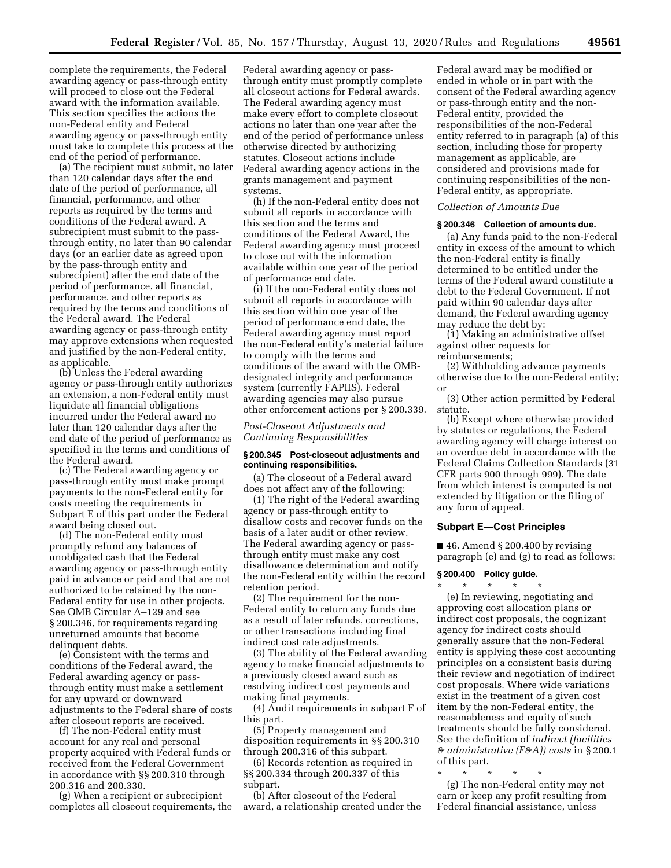complete the requirements, the Federal awarding agency or pass-through entity will proceed to close out the Federal award with the information available. This section specifies the actions the non-Federal entity and Federal awarding agency or pass-through entity must take to complete this process at the end of the period of performance.

(a) The recipient must submit, no later than 120 calendar days after the end date of the period of performance, all financial, performance, and other reports as required by the terms and conditions of the Federal award. A subrecipient must submit to the passthrough entity, no later than 90 calendar days (or an earlier date as agreed upon by the pass-through entity and subrecipient) after the end date of the period of performance, all financial, performance, and other reports as required by the terms and conditions of the Federal award. The Federal awarding agency or pass-through entity may approve extensions when requested and justified by the non-Federal entity, as applicable.

(b) Unless the Federal awarding agency or pass-through entity authorizes an extension, a non-Federal entity must liquidate all financial obligations incurred under the Federal award no later than 120 calendar days after the end date of the period of performance as specified in the terms and conditions of the Federal award.

(c) The Federal awarding agency or pass-through entity must make prompt payments to the non-Federal entity for costs meeting the requirements in Subpart E of this part under the Federal award being closed out.

(d) The non-Federal entity must promptly refund any balances of unobligated cash that the Federal awarding agency or pass-through entity paid in advance or paid and that are not authorized to be retained by the non-Federal entity for use in other projects. See OMB Circular A–129 and see § 200.346, for requirements regarding unreturned amounts that become delinquent debts.

(e) Consistent with the terms and conditions of the Federal award, the Federal awarding agency or passthrough entity must make a settlement for any upward or downward adjustments to the Federal share of costs after closeout reports are received.

(f) The non-Federal entity must account for any real and personal property acquired with Federal funds or received from the Federal Government in accordance with §§ 200.310 through 200.316 and 200.330.

(g) When a recipient or subrecipient completes all closeout requirements, the Federal awarding agency or passthrough entity must promptly complete all closeout actions for Federal awards. The Federal awarding agency must make every effort to complete closeout actions no later than one year after the end of the period of performance unless otherwise directed by authorizing statutes. Closeout actions include Federal awarding agency actions in the grants management and payment systems.

(h) If the non-Federal entity does not submit all reports in accordance with this section and the terms and conditions of the Federal Award, the Federal awarding agency must proceed to close out with the information available within one year of the period of performance end date.

(i) If the non-Federal entity does not submit all reports in accordance with this section within one year of the period of performance end date, the Federal awarding agency must report the non-Federal entity's material failure to comply with the terms and conditions of the award with the OMBdesignated integrity and performance system (currently FAPIIS). Federal awarding agencies may also pursue other enforcement actions per § 200.339.

*Post-Closeout Adjustments and Continuing Responsibilities* 

## **§ 200.345 Post-closeout adjustments and continuing responsibilities.**

(a) The closeout of a Federal award does not affect any of the following:

(1) The right of the Federal awarding agency or pass-through entity to disallow costs and recover funds on the basis of a later audit or other review. The Federal awarding agency or passthrough entity must make any cost disallowance determination and notify the non-Federal entity within the record retention period.

(2) The requirement for the non-Federal entity to return any funds due as a result of later refunds, corrections, or other transactions including final indirect cost rate adjustments.

(3) The ability of the Federal awarding agency to make financial adjustments to a previously closed award such as resolving indirect cost payments and making final payments.

(4) Audit requirements in subpart F of this part.

(5) Property management and disposition requirements in §§ 200.310 through 200.316 of this subpart.

(6) Records retention as required in §§ 200.334 through 200.337 of this subpart.

(b) After closeout of the Federal award, a relationship created under the Federal award may be modified or ended in whole or in part with the consent of the Federal awarding agency or pass-through entity and the non-Federal entity, provided the responsibilities of the non-Federal entity referred to in paragraph (a) of this section, including those for property management as applicable, are considered and provisions made for continuing responsibilities of the non-Federal entity, as appropriate.

#### *Collection of Amounts Due*

#### **§ 200.346 Collection of amounts due.**

(a) Any funds paid to the non-Federal entity in excess of the amount to which the non-Federal entity is finally determined to be entitled under the terms of the Federal award constitute a debt to the Federal Government. If not paid within 90 calendar days after demand, the Federal awarding agency may reduce the debt by:

(1) Making an administrative offset against other requests for reimbursements;

(2) Withholding advance payments otherwise due to the non-Federal entity; or

(3) Other action permitted by Federal statute.

(b) Except where otherwise provided by statutes or regulations, the Federal awarding agency will charge interest on an overdue debt in accordance with the Federal Claims Collection Standards (31 CFR parts 900 through 999). The date from which interest is computed is not extended by litigation or the filing of any form of appeal.

#### **Subpart E—Cost Principles**

 $\blacksquare$  46. Amend § 200.400 by revising paragraph (e) and (g) to read as follows:

## **§ 200.400 Policy guide.**  \* \* \* \* \*

(e) In reviewing, negotiating and approving cost allocation plans or indirect cost proposals, the cognizant agency for indirect costs should generally assure that the non-Federal entity is applying these cost accounting principles on a consistent basis during their review and negotiation of indirect cost proposals. Where wide variations exist in the treatment of a given cost item by the non-Federal entity, the reasonableness and equity of such treatments should be fully considered. See the definition of *indirect (facilities & administrative (F&A)) costs* in § 200.1 of this part.

\* \* \* \* \* (g) The non-Federal entity may not earn or keep any profit resulting from Federal financial assistance, unless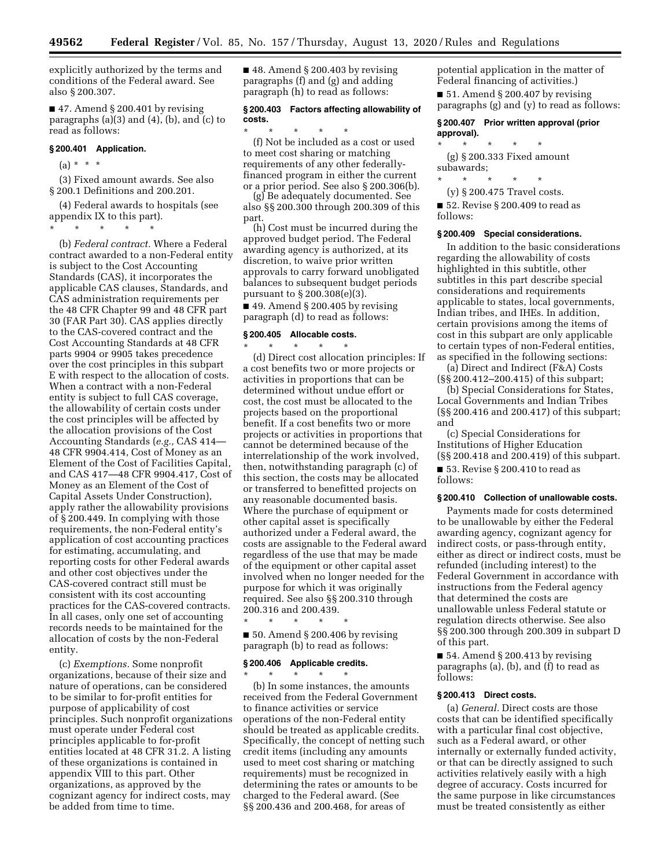explicitly authorized by the terms and conditions of the Federal award. See also § 200.307.

 $\blacksquare$  47. Amend § 200.401 by revising paragraphs (a)(3) and (4), (b), and (c) to read as follows:

## **§ 200.401 Application.**

 $(a) * * * *$ 

(3) Fixed amount awards. See also § 200.1 Definitions and 200.201.

(4) Federal awards to hospitals (see appendix IX to this part).

\* \* \* \* \* (b) *Federal contract.* Where a Federal contract awarded to a non-Federal entity is subject to the Cost Accounting Standards (CAS), it incorporates the applicable CAS clauses, Standards, and CAS administration requirements per the 48 CFR Chapter 99 and 48 CFR part 30 (FAR Part 30). CAS applies directly to the CAS-covered contract and the Cost Accounting Standards at 48 CFR parts 9904 or 9905 takes precedence over the cost principles in this subpart E with respect to the allocation of costs. When a contract with a non-Federal entity is subject to full CAS coverage, the allowability of certain costs under the cost principles will be affected by the allocation provisions of the Cost Accounting Standards (*e.g.,* CAS 414— 48 CFR 9904.414, Cost of Money as an Element of the Cost of Facilities Capital, and CAS 417—48 CFR 9904.417, Cost of Money as an Element of the Cost of Capital Assets Under Construction), apply rather the allowability provisions

of § 200.449. In complying with those requirements, the non-Federal entity's application of cost accounting practices for estimating, accumulating, and reporting costs for other Federal awards and other cost objectives under the CAS-covered contract still must be consistent with its cost accounting practices for the CAS-covered contracts. In all cases, only one set of accounting records needs to be maintained for the allocation of costs by the non-Federal entity.

(c) *Exemptions.* Some nonprofit organizations, because of their size and nature of operations, can be considered to be similar to for-profit entities for purpose of applicability of cost principles. Such nonprofit organizations must operate under Federal cost principles applicable to for-profit entities located at 48 CFR 31.2. A listing of these organizations is contained in appendix VIII to this part. Other organizations, as approved by the cognizant agency for indirect costs, may be added from time to time.

 $\blacksquare$  48. Amend § 200.403 by revising paragraphs (f) and (g) and adding paragraph (h) to read as follows:

## **§ 200.403 Factors affecting allowability of costs.**

\* \* \* \* \* (f) Not be included as a cost or used to meet cost sharing or matching requirements of any other federallyfinanced program in either the current or a prior period. See also § 200.306(b).

(g) Be adequately documented. See also §§ 200.300 through 200.309 of this part.

(h) Cost must be incurred during the approved budget period. The Federal awarding agency is authorized, at its discretion, to waive prior written approvals to carry forward unobligated balances to subsequent budget periods pursuant to § 200.308(e)(3).

 $\blacksquare$  49. Amend § 200.405 by revising paragraph (d) to read as follows:

#### **§ 200.405 Allocable costs.**

\* \* \* \* \* (d) Direct cost allocation principles: If a cost benefits two or more projects or activities in proportions that can be determined without undue effort or cost, the cost must be allocated to the projects based on the proportional benefit. If a cost benefits two or more projects or activities in proportions that cannot be determined because of the interrelationship of the work involved, then, notwithstanding paragraph (c) of this section, the costs may be allocated or transferred to benefitted projects on any reasonable documented basis. Where the purchase of equipment or other capital asset is specifically authorized under a Federal award, the costs are assignable to the Federal award regardless of the use that may be made of the equipment or other capital asset involved when no longer needed for the purpose for which it was originally required. See also §§ 200.310 through 200.316 and 200.439.

\* \* \* \* \*  $\blacksquare$  50. Amend § 200.406 by revising paragraph (b) to read as follows:

## **§ 200.406 Applicable credits.**

\* \* \* \* \* (b) In some instances, the amounts received from the Federal Government to finance activities or service operations of the non-Federal entity should be treated as applicable credits. Specifically, the concept of netting such credit items (including any amounts used to meet cost sharing or matching requirements) must be recognized in determining the rates or amounts to be charged to the Federal award. (See §§ 200.436 and 200.468, for areas of

potential application in the matter of Federal financing of activities.)

 $\blacksquare$  51. Amend § 200.407 by revising paragraphs (g) and (y) to read as follows:

## **§ 200.407 Prior written approval (prior approval).**

\* \* \* \* \* (g) § 200.333 Fixed amount subawards;

 $*$  \*

(y) § 200.475 Travel costs.

■ 52. Revise § 200.409 to read as follows:

#### **§ 200.409 Special considerations.**

In addition to the basic considerations regarding the allowability of costs highlighted in this subtitle, other subtitles in this part describe special considerations and requirements applicable to states, local governments, Indian tribes, and IHEs. In addition, certain provisions among the items of cost in this subpart are only applicable to certain types of non-Federal entities, as specified in the following sections:

(a) Direct and Indirect (F&A) Costs (§§ 200.412–200.415) of this subpart;

(b) Special Considerations for States, Local Governments and Indian Tribes (§§ 200.416 and 200.417) of this subpart; and

(c) Special Considerations for Institutions of Higher Education (§§ 200.418 and 200.419) of this subpart.

■ 53. Revise § 200.410 to read as follows:

#### **§ 200.410 Collection of unallowable costs.**

Payments made for costs determined to be unallowable by either the Federal awarding agency, cognizant agency for indirect costs, or pass-through entity, either as direct or indirect costs, must be refunded (including interest) to the Federal Government in accordance with instructions from the Federal agency that determined the costs are unallowable unless Federal statute or regulation directs otherwise. See also §§ 200.300 through 200.309 in subpart D of this part.

 $\blacksquare$  54. Amend § 200.413 by revising paragraphs (a), (b), and (f) to read as follows:

#### **§ 200.413 Direct costs.**

(a) *General.* Direct costs are those costs that can be identified specifically with a particular final cost objective, such as a Federal award, or other internally or externally funded activity, or that can be directly assigned to such activities relatively easily with a high degree of accuracy. Costs incurred for the same purpose in like circumstances must be treated consistently as either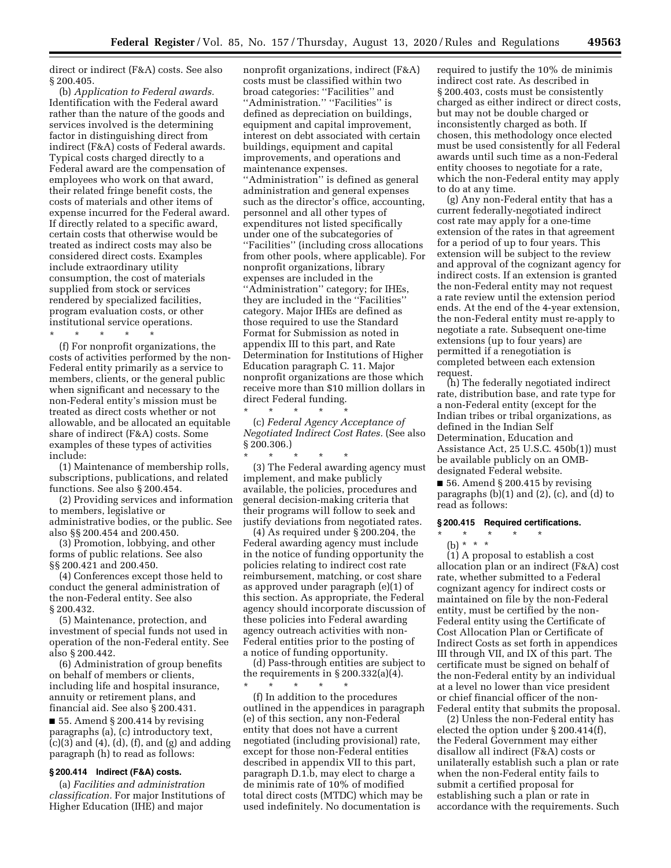direct or indirect (F&A) costs. See also § 200.405.

(b) *Application to Federal awards.*  Identification with the Federal award rather than the nature of the goods and services involved is the determining factor in distinguishing direct from indirect (F&A) costs of Federal awards. Typical costs charged directly to a Federal award are the compensation of employees who work on that award, their related fringe benefit costs, the costs of materials and other items of expense incurred for the Federal award. If directly related to a specific award, certain costs that otherwise would be treated as indirect costs may also be considered direct costs. Examples include extraordinary utility consumption, the cost of materials supplied from stock or services rendered by specialized facilities, program evaluation costs, or other institutional service operations.

\* \* \* \* \*

(f) For nonprofit organizations, the costs of activities performed by the non-Federal entity primarily as a service to members, clients, or the general public when significant and necessary to the non-Federal entity's mission must be treated as direct costs whether or not allowable, and be allocated an equitable share of indirect (F&A) costs. Some examples of these types of activities include:

(1) Maintenance of membership rolls, subscriptions, publications, and related functions. See also § 200.454.

(2) Providing services and information to members, legislative or administrative bodies, or the public. See also §§ 200.454 and 200.450.

(3) Promotion, lobbying, and other forms of public relations. See also §§ 200.421 and 200.450.

(4) Conferences except those held to conduct the general administration of the non-Federal entity. See also § 200.432.

(5) Maintenance, protection, and investment of special funds not used in operation of the non-Federal entity. See also § 200.442.

(6) Administration of group benefits on behalf of members or clients, including life and hospital insurance, annuity or retirement plans, and financial aid. See also § 200.431.

 $\blacksquare$  55. Amend § 200.414 by revising paragraphs (a), (c) introductory text,  $(c)(3)$  and  $(4)$ ,  $(d)$ ,  $(f)$ , and  $(g)$  and adding paragraph (h) to read as follows:

# **§ 200.414 Indirect (F&A) costs.**

(a) *Facilities and administration classification.* For major Institutions of Higher Education (IHE) and major

nonprofit organizations, indirect (F&A) costs must be classified within two broad categories: ''Facilities'' and ''Administration.'' ''Facilities'' is defined as depreciation on buildings, equipment and capital improvement, interest on debt associated with certain buildings, equipment and capital improvements, and operations and maintenance expenses. "Administration" is defined as general administration and general expenses such as the director's office, accounting, personnel and all other types of expenditures not listed specifically under one of the subcategories of ''Facilities'' (including cross allocations from other pools, where applicable). For nonprofit organizations, library expenses are included in the ''Administration'' category; for IHEs, they are included in the ''Facilities'' category. Major IHEs are defined as those required to use the Standard Format for Submission as noted in appendix III to this part, and Rate Determination for Institutions of Higher Education paragraph C. 11. Major nonprofit organizations are those which receive more than \$10 million dollars in direct Federal funding.

(c) *Federal Agency Acceptance of Negotiated Indirect Cost Rates.* (See also  $§ 200.306.]$ 

\* \* \* \* \*

\* \* \* \* \* (3) The Federal awarding agency must implement, and make publicly available, the policies, procedures and general decision-making criteria that their programs will follow to seek and justify deviations from negotiated rates.

(4) As required under § 200.204, the Federal awarding agency must include in the notice of funding opportunity the policies relating to indirect cost rate reimbursement, matching, or cost share as approved under paragraph (e)(1) of this section. As appropriate, the Federal agency should incorporate discussion of these policies into Federal awarding agency outreach activities with non-Federal entities prior to the posting of a notice of funding opportunity.

(d) Pass-through entities are subject to the requirements in  $\S 200.332(a)(4)$ .

\* \* \* \* \* (f) In addition to the procedures outlined in the appendices in paragraph (e) of this section, any non-Federal entity that does not have a current negotiated (including provisional) rate, except for those non-Federal entities described in appendix VII to this part, paragraph D.1.b, may elect to charge a de minimis rate of 10% of modified total direct costs (MTDC) which may be used indefinitely. No documentation is

required to justify the 10% de minimis indirect cost rate. As described in § 200.403, costs must be consistently charged as either indirect or direct costs, but may not be double charged or inconsistently charged as both. If chosen, this methodology once elected must be used consistently for all Federal awards until such time as a non-Federal entity chooses to negotiate for a rate, which the non-Federal entity may apply to do at any time.

(g) Any non-Federal entity that has a current federally-negotiated indirect cost rate may apply for a one-time extension of the rates in that agreement for a period of up to four years. This extension will be subject to the review and approval of the cognizant agency for indirect costs. If an extension is granted the non-Federal entity may not request a rate review until the extension period ends. At the end of the 4-year extension, the non-Federal entity must re-apply to negotiate a rate. Subsequent one-time extensions (up to four years) are permitted if a renegotiation is completed between each extension request.

(h) The federally negotiated indirect rate, distribution base, and rate type for a non-Federal entity (except for the Indian tribes or tribal organizations, as defined in the Indian Self Determination, Education and Assistance Act, 25 U.S.C. 450b(1)) must be available publicly on an OMBdesignated Federal website.

■ 56. Amend § 200.415 by revising paragraphs  $(b)(1)$  and  $(2)$ ,  $(c)$ , and  $(d)$  to read as follows:

#### **§ 200.415 Required certifications.**

- \* \* \* \* \*
	- (b) \* \* \*

(1) A proposal to establish a cost allocation plan or an indirect (F&A) cost rate, whether submitted to a Federal cognizant agency for indirect costs or maintained on file by the non-Federal entity, must be certified by the non-Federal entity using the Certificate of Cost Allocation Plan or Certificate of Indirect Costs as set forth in appendices III through VII, and IX of this part. The certificate must be signed on behalf of the non-Federal entity by an individual at a level no lower than vice president or chief financial officer of the non-Federal entity that submits the proposal.

(2) Unless the non-Federal entity has elected the option under § 200.414(f), the Federal Government may either disallow all indirect (F&A) costs or unilaterally establish such a plan or rate when the non-Federal entity fails to submit a certified proposal for establishing such a plan or rate in accordance with the requirements. Such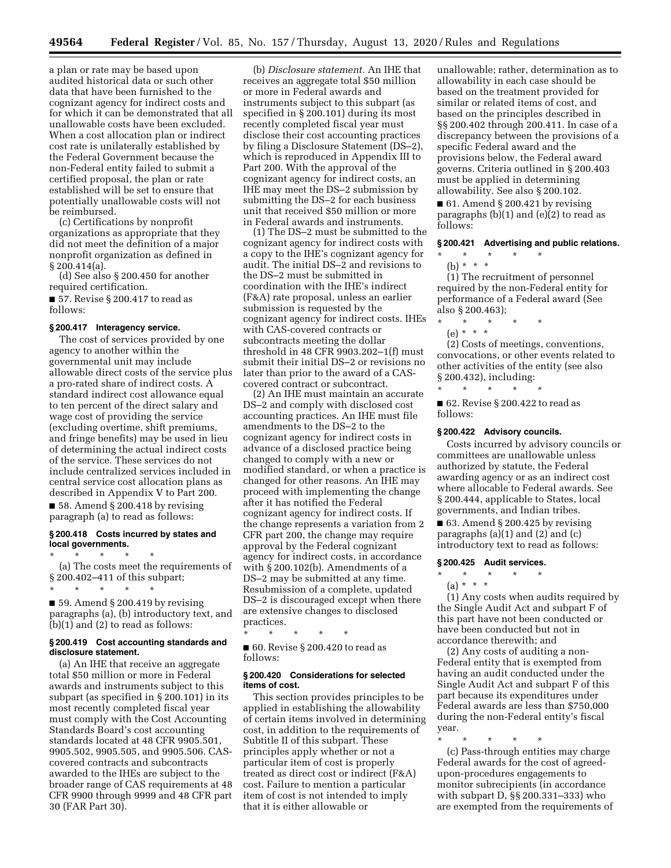a plan or rate may be based upon audited historical data or such other data that have been furnished to the cognizant agency for indirect costs and for which it can be demonstrated that all unallowable costs have been excluded. When a cost allocation plan or indirect cost rate is unilaterally established by the Federal Government because the non-Federal entity failed to submit a certified proposal, the plan or rate established will be set to ensure that potentially unallowable costs will not be reimbursed.

(c) Certifications by nonprofit organizations as appropriate that they did not meet the definition of a major nonprofit organization as defined in § 200.414(a).

(d) See also § 200.450 for another required certification.

■ 57. Revise § 200.417 to read as follows:

#### **§ 200.417 Interagency service.**

The cost of services provided by one agency to another within the governmental unit may include allowable direct costs of the service plus a pro-rated share of indirect costs. A standard indirect cost allowance equal to ten percent of the direct salary and wage cost of providing the service (excluding overtime, shift premiums, and fringe benefits) may be used in lieu of determining the actual indirect costs of the service. These services do not include centralized services included in central service cost allocation plans as described in Appendix V to Part 200.  $\blacksquare$  58. Amend § 200.418 by revising paragraph (a) to read as follows:

#### **§ 200.418 Costs incurred by states and local governments.**

\* \* \* \* \* (a) The costs meet the requirements of § 200.402–411 of this subpart; \* \* \* \* \*

■ 59. Amend § 200.419 by revising paragraphs (a), (b) introductory text, and (b)(1) and (2) to read as follows:

# **§ 200.419 Cost accounting standards and disclosure statement.**

(a) An IHE that receive an aggregate total \$50 million or more in Federal awards and instruments subject to this subpart (as specified in § 200.101) in its most recently completed fiscal year must comply with the Cost Accounting Standards Board's cost accounting standards located at 48 CFR 9905.501, 9905.502, 9905.505, and 9905.506. CAScovered contracts and subcontracts awarded to the IHEs are subject to the broader range of CAS requirements at 48 CFR 9900 through 9999 and 48 CFR part 30 (FAR Part 30).

(b) *Disclosure statement.* An IHE that receives an aggregate total \$50 million or more in Federal awards and instruments subject to this subpart (as specified in § 200.101) during its most recently completed fiscal year must disclose their cost accounting practices by filing a Disclosure Statement (DS–2), which is reproduced in Appendix III to Part 200. With the approval of the cognizant agency for indirect costs, an IHE may meet the DS–2 submission by submitting the DS–2 for each business unit that received \$50 million or more in Federal awards and instruments.

(1) The DS–2 must be submitted to the cognizant agency for indirect costs with a copy to the IHE's cognizant agency for audit. The initial DS–2 and revisions to the DS–2 must be submitted in coordination with the IHE's indirect (F&A) rate proposal, unless an earlier submission is requested by the cognizant agency for indirect costs. IHEs with CAS-covered contracts or subcontracts meeting the dollar threshold in 48 CFR 9903.202–1(f) must submit their initial DS–2 or revisions no later than prior to the award of a CAScovered contract or subcontract.

(2) An IHE must maintain an accurate DS–2 and comply with disclosed cost accounting practices. An IHE must file amendments to the DS–2 to the cognizant agency for indirect costs in advance of a disclosed practice being changed to comply with a new or modified standard, or when a practice is changed for other reasons. An IHE may proceed with implementing the change after it has notified the Federal cognizant agency for indirect costs. If the change represents a variation from 2 CFR part 200, the change may require approval by the Federal cognizant agency for indirect costs, in accordance with § 200.102(b). Amendments of a DS–2 may be submitted at any time. Resubmission of a complete, updated DS–2 is discouraged except when there are extensive changes to disclosed practices.

\* \* \* \* \*

■ 60. Revise § 200.420 to read as follows:

### **§ 200.420 Considerations for selected items of cost.**

This section provides principles to be applied in establishing the allowability of certain items involved in determining cost, in addition to the requirements of Subtitle II of this subpart. These principles apply whether or not a particular item of cost is properly treated as direct cost or indirect (F&A) cost. Failure to mention a particular item of cost is not intended to imply that it is either allowable or

unallowable; rather, determination as to allowability in each case should be based on the treatment provided for similar or related items of cost, and based on the principles described in §§ 200.402 through 200.411. In case of a discrepancy between the provisions of a specific Federal award and the provisions below, the Federal award governs. Criteria outlined in § 200.403 must be applied in determining allowability. See also § 200.102.

 $\blacksquare$  61. Amend § 200.421 by revising paragraphs  $(b)(1)$  and  $(e)(2)$  to read as follows:

## **§ 200.421 Advertising and public relations.**

\* \* \* \* \* (b) \* \* \*

(1) The recruitment of personnel required by the non-Federal entity for performance of a Federal award (See also § 200.463);

- \* \* \* \* \*
- (e) \* \* \*

(2) Costs of meetings, conventions, convocations, or other events related to other activities of the entity (see also § 200.432), including: \* \* \* \* \*

■ 62. Revise § 200.422 to read as follows:

#### **§ 200.422 Advisory councils.**

Costs incurred by advisory councils or committees are unallowable unless authorized by statute, the Federal awarding agency or as an indirect cost where allocable to Federal awards. See § 200.444, applicable to States, local governments, and Indian tribes.

 $\blacksquare$  63. Amend § 200.425 by revising paragraphs (a)(1) and (2) and (c) introductory text to read as follows:

#### **§ 200.425 Audit services.**

\* \* \* \* \*

(a) \* \* \*

(1) Any costs when audits required by the Single Audit Act and subpart F of this part have not been conducted or have been conducted but not in accordance therewith; and

(2) Any costs of auditing a non-Federal entity that is exempted from having an audit conducted under the Single Audit Act and subpart F of this part because its expenditures under Federal awards are less than \$750,000 during the non-Federal entity's fiscal year.

\* \* \* \* \* (c) Pass-through entities may charge Federal awards for the cost of agreedupon-procedures engagements to monitor subrecipients (in accordance with subpart D, §§ 200.331–333) who are exempted from the requirements of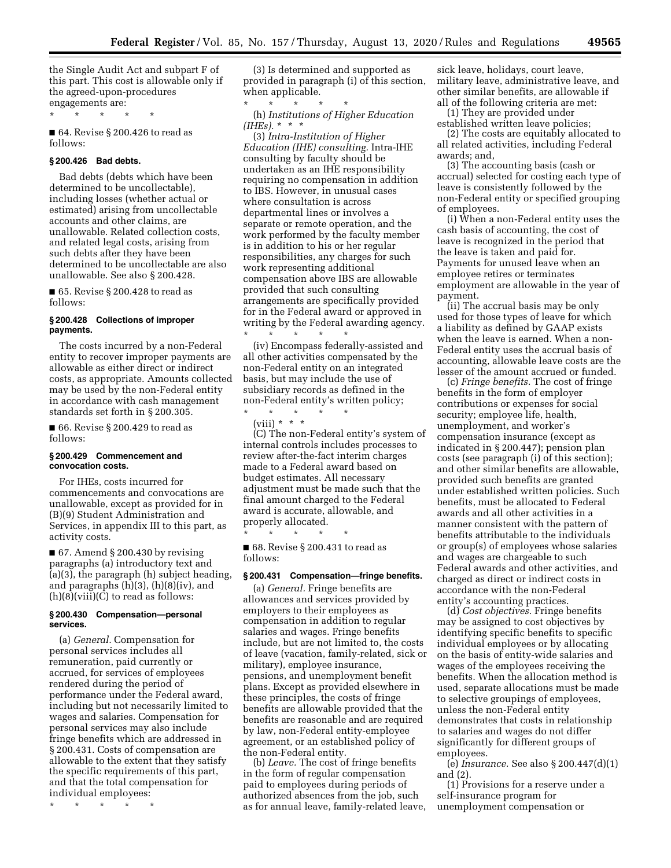the Single Audit Act and subpart F of this part. This cost is allowable only if the agreed-upon-procedures engagements are:

\* \* \* \* \*

■ 64. Revise § 200.426 to read as follows:

## **§ 200.426 Bad debts.**

Bad debts (debts which have been determined to be uncollectable), including losses (whether actual or estimated) arising from uncollectable accounts and other claims, are unallowable. Related collection costs, and related legal costs, arising from such debts after they have been determined to be uncollectable are also unallowable. See also § 200.428.

■ 65. Revise § 200.428 to read as follows:

## **§ 200.428 Collections of improper payments.**

The costs incurred by a non-Federal entity to recover improper payments are allowable as either direct or indirect costs, as appropriate. Amounts collected may be used by the non-Federal entity in accordance with cash management standards set forth in § 200.305.

■ 66. Revise § 200.429 to read as follows:

#### **§ 200.429 Commencement and convocation costs.**

For IHEs, costs incurred for commencements and convocations are unallowable, except as provided for in (B)(9) Student Administration and Services, in appendix III to this part, as activity costs.

 $\blacksquare$  67. Amend § 200.430 by revising paragraphs (a) introductory text and (a)(3), the paragraph (h) subject heading, and paragraphs (h)(3), (h)(8)(iv), and  $(h)(8)(viii)(C)$  to read as follows:

## **§ 200.430 Compensation—personal services.**

(a) *General.* Compensation for personal services includes all remuneration, paid currently or accrued, for services of employees rendered during the period of performance under the Federal award, including but not necessarily limited to wages and salaries. Compensation for personal services may also include fringe benefits which are addressed in § 200.431. Costs of compensation are allowable to the extent that they satisfy the specific requirements of this part, and that the total compensation for individual employees:

\* \* \* \* \*

(3) Is determined and supported as provided in paragraph (i) of this section, when applicable.

\* \* \* \* \* (h) *Institutions of Higher Education (IHEs).* \* \* \*

(3) *Intra-Institution of Higher Education (IHE) consulting.* Intra-IHE consulting by faculty should be undertaken as an IHE responsibility requiring no compensation in addition to IBS. However, in unusual cases where consultation is across departmental lines or involves a separate or remote operation, and the work performed by the faculty member is in addition to his or her regular responsibilities, any charges for such work representing additional compensation above IBS are allowable provided that such consulting arrangements are specifically provided for in the Federal award or approved in writing by the Federal awarding agency. \* \* \* \* \*

(iv) Encompass federally-assisted and all other activities compensated by the non-Federal entity on an integrated basis, but may include the use of subsidiary records as defined in the non-Federal entity's written policy;

\* \* \* \* \* (viii) \* \* \*

(C) The non-Federal entity's system of internal controls includes processes to review after-the-fact interim charges made to a Federal award based on budget estimates. All necessary adjustment must be made such that the final amount charged to the Federal award is accurate, allowable, and properly allocated.

■ 68. Revise § 200.431 to read as follows:

\* \* \* \* \*

# **§ 200.431 Compensation—fringe benefits.**

(a) *General.* Fringe benefits are allowances and services provided by employers to their employees as compensation in addition to regular salaries and wages. Fringe benefits include, but are not limited to, the costs of leave (vacation, family-related, sick or military), employee insurance, pensions, and unemployment benefit plans. Except as provided elsewhere in these principles, the costs of fringe benefits are allowable provided that the benefits are reasonable and are required by law, non-Federal entity-employee agreement, or an established policy of the non-Federal entity.

(b) *Leave.* The cost of fringe benefits in the form of regular compensation paid to employees during periods of authorized absences from the job, such as for annual leave, family-related leave,

sick leave, holidays, court leave, military leave, administrative leave, and other similar benefits, are allowable if all of the following criteria are met:

(1) They are provided under

established written leave policies; (2) The costs are equitably allocated to all related activities, including Federal awards; and,

(3) The accounting basis (cash or accrual) selected for costing each type of leave is consistently followed by the non-Federal entity or specified grouping of employees.

(i) When a non-Federal entity uses the cash basis of accounting, the cost of leave is recognized in the period that the leave is taken and paid for. Payments for unused leave when an employee retires or terminates employment are allowable in the year of payment.

(ii) The accrual basis may be only used for those types of leave for which a liability as defined by GAAP exists when the leave is earned. When a non-Federal entity uses the accrual basis of accounting, allowable leave costs are the lesser of the amount accrued or funded.

(c) *Fringe benefits.* The cost of fringe benefits in the form of employer contributions or expenses for social security; employee life, health, unemployment, and worker's compensation insurance (except as indicated in § 200.447); pension plan costs (see paragraph (i) of this section); and other similar benefits are allowable, provided such benefits are granted under established written policies. Such benefits, must be allocated to Federal awards and all other activities in a manner consistent with the pattern of benefits attributable to the individuals or group(s) of employees whose salaries and wages are chargeable to such Federal awards and other activities, and charged as direct or indirect costs in accordance with the non-Federal entity's accounting practices.

(d) *Cost objectives.* Fringe benefits may be assigned to cost objectives by identifying specific benefits to specific individual employees or by allocating on the basis of entity-wide salaries and wages of the employees receiving the benefits. When the allocation method is used, separate allocations must be made to selective groupings of employees, unless the non-Federal entity demonstrates that costs in relationship to salaries and wages do not differ significantly for different groups of employees.

(e) *Insurance.* See also § 200.447(d)(1) and (2).

(1) Provisions for a reserve under a self-insurance program for unemployment compensation or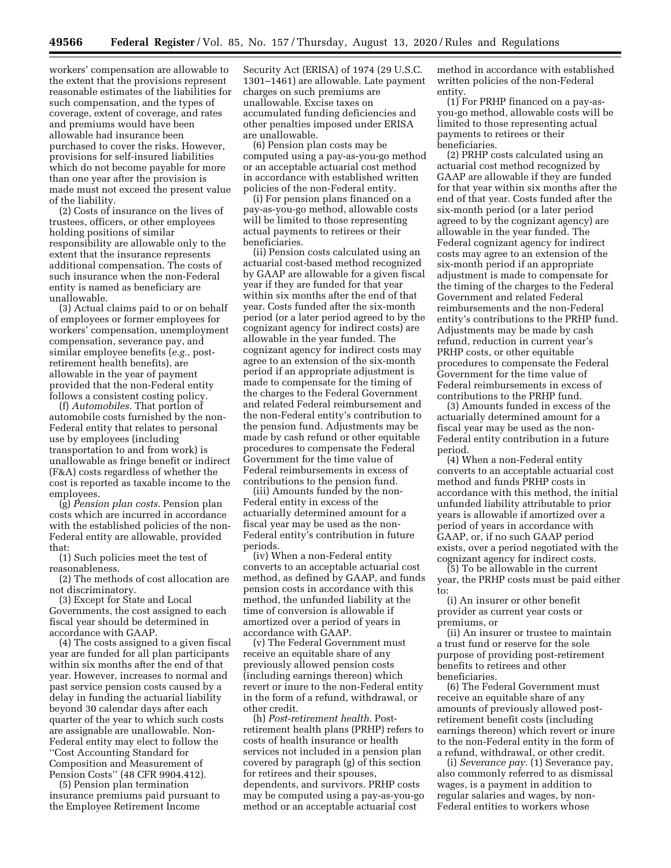workers' compensation are allowable to the extent that the provisions represent reasonable estimates of the liabilities for such compensation, and the types of coverage, extent of coverage, and rates and premiums would have been allowable had insurance been purchased to cover the risks. However, provisions for self-insured liabilities which do not become payable for more than one year after the provision is made must not exceed the present value of the liability.

(2) Costs of insurance on the lives of trustees, officers, or other employees holding positions of similar responsibility are allowable only to the extent that the insurance represents additional compensation. The costs of such insurance when the non-Federal entity is named as beneficiary are unallowable.

(3) Actual claims paid to or on behalf of employees or former employees for workers' compensation, unemployment compensation, severance pay, and similar employee benefits (*e.g.,* postretirement health benefits), are allowable in the year of payment provided that the non-Federal entity follows a consistent costing policy.

(f) *Automobiles.* That portion of automobile costs furnished by the non-Federal entity that relates to personal use by employees (including transportation to and from work) is unallowable as fringe benefit or indirect (F&A) costs regardless of whether the cost is reported as taxable income to the employees.

(g) *Pension plan costs.* Pension plan costs which are incurred in accordance with the established policies of the non-Federal entity are allowable, provided that:

(1) Such policies meet the test of reasonableness.

(2) The methods of cost allocation are not discriminatory.

(3) Except for State and Local Governments, the cost assigned to each fiscal year should be determined in accordance with GAAP.

(4) The costs assigned to a given fiscal year are funded for all plan participants within six months after the end of that year. However, increases to normal and past service pension costs caused by a delay in funding the actuarial liability beyond 30 calendar days after each quarter of the year to which such costs are assignable are unallowable. Non-Federal entity may elect to follow the ''Cost Accounting Standard for Composition and Measurement of Pension Costs'' (48 CFR 9904.412).

(5) Pension plan termination insurance premiums paid pursuant to the Employee Retirement Income

Security Act (ERISA) of 1974 (29 U.S.C. 1301–1461) are allowable. Late payment charges on such premiums are unallowable. Excise taxes on accumulated funding deficiencies and other penalties imposed under ERISA are unallowable.

(6) Pension plan costs may be computed using a pay-as-you-go method or an acceptable actuarial cost method in accordance with established written policies of the non-Federal entity.

(i) For pension plans financed on a pay-as-you-go method, allowable costs will be limited to those representing actual payments to retirees or their beneficiaries.

(ii) Pension costs calculated using an actuarial cost-based method recognized by GAAP are allowable for a given fiscal year if they are funded for that year within six months after the end of that year. Costs funded after the six-month period (or a later period agreed to by the cognizant agency for indirect costs) are allowable in the year funded. The cognizant agency for indirect costs may agree to an extension of the six-month period if an appropriate adjustment is made to compensate for the timing of the charges to the Federal Government and related Federal reimbursement and the non-Federal entity's contribution to the pension fund. Adjustments may be made by cash refund or other equitable procedures to compensate the Federal Government for the time value of Federal reimbursements in excess of contributions to the pension fund.

(iii) Amounts funded by the non-Federal entity in excess of the actuarially determined amount for a fiscal year may be used as the non-Federal entity's contribution in future periods.

(iv) When a non-Federal entity converts to an acceptable actuarial cost method, as defined by GAAP, and funds pension costs in accordance with this method, the unfunded liability at the time of conversion is allowable if amortized over a period of years in accordance with GAAP.

(v) The Federal Government must receive an equitable share of any previously allowed pension costs (including earnings thereon) which revert or inure to the non-Federal entity in the form of a refund, withdrawal, or other credit.

(h) *Post-retirement health.* Postretirement health plans (PRHP) refers to costs of health insurance or health services not included in a pension plan covered by paragraph (g) of this section for retirees and their spouses, dependents, and survivors. PRHP costs may be computed using a pay-as-you-go method or an acceptable actuarial cost

method in accordance with established written policies of the non-Federal entity.

(1) For PRHP financed on a pay-asyou-go method, allowable costs will be limited to those representing actual payments to retirees or their beneficiaries.

(2) PRHP costs calculated using an actuarial cost method recognized by GAAP are allowable if they are funded for that year within six months after the end of that year. Costs funded after the six-month period (or a later period agreed to by the cognizant agency) are allowable in the year funded. The Federal cognizant agency for indirect costs may agree to an extension of the six-month period if an appropriate adjustment is made to compensate for the timing of the charges to the Federal Government and related Federal reimbursements and the non-Federal entity's contributions to the PRHP fund. Adjustments may be made by cash refund, reduction in current year's PRHP costs, or other equitable procedures to compensate the Federal Government for the time value of Federal reimbursements in excess of contributions to the PRHP fund.

(3) Amounts funded in excess of the actuarially determined amount for a fiscal year may be used as the non-Federal entity contribution in a future period.

(4) When a non-Federal entity converts to an acceptable actuarial cost method and funds PRHP costs in accordance with this method, the initial unfunded liability attributable to prior years is allowable if amortized over a period of years in accordance with GAAP, or, if no such GAAP period exists, over a period negotiated with the cognizant agency for indirect costs.

(5) To be allowable in the current year, the PRHP costs must be paid either to:

(i) An insurer or other benefit provider as current year costs or premiums, or

(ii) An insurer or trustee to maintain a trust fund or reserve for the sole purpose of providing post-retirement benefits to retirees and other beneficiaries.

(6) The Federal Government must receive an equitable share of any amounts of previously allowed postretirement benefit costs (including earnings thereon) which revert or inure to the non-Federal entity in the form of a refund, withdrawal, or other credit.

(i) *Severance pay.* (1) Severance pay, also commonly referred to as dismissal wages, is a payment in addition to regular salaries and wages, by non-Federal entities to workers whose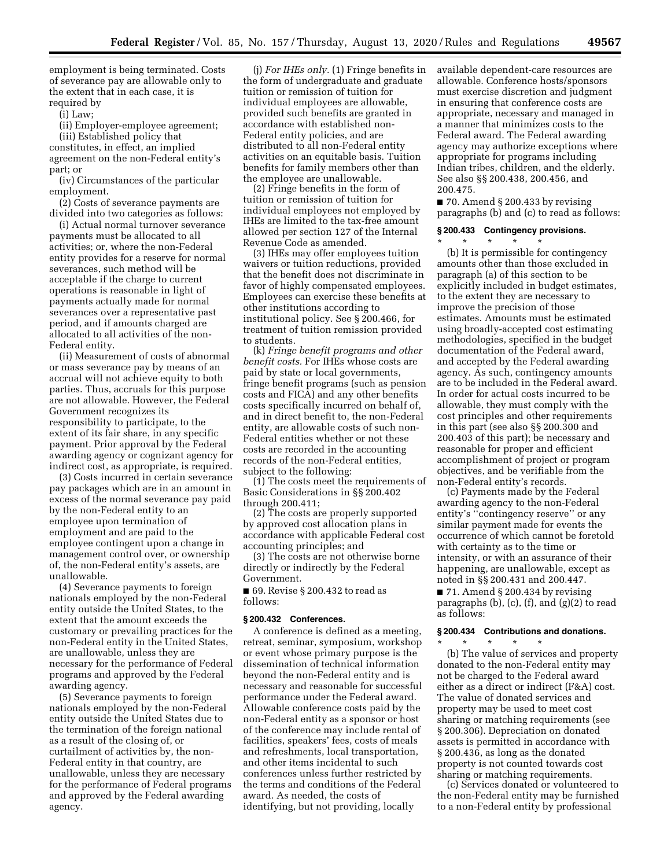employment is being terminated. Costs of severance pay are allowable only to the extent that in each case, it is required by

(i) Law;

(ii) Employer-employee agreement; (iii) Established policy that constitutes, in effect, an implied agreement on the non-Federal entity's part; or

(iv) Circumstances of the particular employment.

(2) Costs of severance payments are divided into two categories as follows:

(i) Actual normal turnover severance payments must be allocated to all activities; or, where the non-Federal entity provides for a reserve for normal severances, such method will be acceptable if the charge to current operations is reasonable in light of payments actually made for normal severances over a representative past period, and if amounts charged are allocated to all activities of the non-Federal entity.

(ii) Measurement of costs of abnormal or mass severance pay by means of an accrual will not achieve equity to both parties. Thus, accruals for this purpose are not allowable. However, the Federal Government recognizes its responsibility to participate, to the extent of its fair share, in any specific payment. Prior approval by the Federal awarding agency or cognizant agency for indirect cost, as appropriate, is required.

(3) Costs incurred in certain severance pay packages which are in an amount in excess of the normal severance pay paid by the non-Federal entity to an employee upon termination of employment and are paid to the employee contingent upon a change in management control over, or ownership of, the non-Federal entity's assets, are unallowable.

(4) Severance payments to foreign nationals employed by the non-Federal entity outside the United States, to the extent that the amount exceeds the customary or prevailing practices for the non-Federal entity in the United States, are unallowable, unless they are necessary for the performance of Federal programs and approved by the Federal awarding agency.

(5) Severance payments to foreign nationals employed by the non-Federal entity outside the United States due to the termination of the foreign national as a result of the closing of, or curtailment of activities by, the non-Federal entity in that country, are unallowable, unless they are necessary for the performance of Federal programs and approved by the Federal awarding agency.

(j) *For IHEs only.* (1) Fringe benefits in the form of undergraduate and graduate tuition or remission of tuition for individual employees are allowable, provided such benefits are granted in accordance with established non-Federal entity policies, and are distributed to all non-Federal entity activities on an equitable basis. Tuition benefits for family members other than the employee are unallowable.

(2) Fringe benefits in the form of tuition or remission of tuition for individual employees not employed by IHEs are limited to the tax-free amount allowed per section 127 of the Internal Revenue Code as amended.

(3) IHEs may offer employees tuition waivers or tuition reductions, provided that the benefit does not discriminate in favor of highly compensated employees. Employees can exercise these benefits at other institutions according to institutional policy. See § 200.466, for treatment of tuition remission provided to students.

(k) *Fringe benefit programs and other benefit costs.* For IHEs whose costs are paid by state or local governments, fringe benefit programs (such as pension costs and FICA) and any other benefits costs specifically incurred on behalf of, and in direct benefit to, the non-Federal entity, are allowable costs of such non-Federal entities whether or not these costs are recorded in the accounting records of the non-Federal entities, subject to the following:

(1) The costs meet the requirements of Basic Considerations in §§ 200.402 through 200.411;

(2) The costs are properly supported by approved cost allocation plans in accordance with applicable Federal cost accounting principles; and

(3) The costs are not otherwise borne directly or indirectly by the Federal Government.

■ 69. Revise § 200.432 to read as follows:

## **§ 200.432 Conferences.**

A conference is defined as a meeting, retreat, seminar, symposium, workshop or event whose primary purpose is the dissemination of technical information beyond the non-Federal entity and is necessary and reasonable for successful performance under the Federal award. Allowable conference costs paid by the non-Federal entity as a sponsor or host of the conference may include rental of facilities, speakers' fees, costs of meals and refreshments, local transportation, and other items incidental to such conferences unless further restricted by the terms and conditions of the Federal award. As needed, the costs of identifying, but not providing, locally

available dependent-care resources are allowable. Conference hosts/sponsors must exercise discretion and judgment in ensuring that conference costs are appropriate, necessary and managed in a manner that minimizes costs to the Federal award. The Federal awarding agency may authorize exceptions where appropriate for programs including Indian tribes, children, and the elderly. See also §§ 200.438, 200.456, and 200.475.

 $\blacksquare$  70. Amend § 200.433 by revising paragraphs (b) and (c) to read as follows:

#### **§ 200.433 Contingency provisions.**

\* \* \* \* \*

(b) It is permissible for contingency amounts other than those excluded in paragraph (a) of this section to be explicitly included in budget estimates, to the extent they are necessary to improve the precision of those estimates. Amounts must be estimated using broadly-accepted cost estimating methodologies, specified in the budget documentation of the Federal award, and accepted by the Federal awarding agency. As such, contingency amounts are to be included in the Federal award. In order for actual costs incurred to be allowable, they must comply with the cost principles and other requirements in this part (see also §§ 200.300 and 200.403 of this part); be necessary and reasonable for proper and efficient accomplishment of project or program objectives, and be verifiable from the non-Federal entity's records.

(c) Payments made by the Federal awarding agency to the non-Federal entity's ''contingency reserve'' or any similar payment made for events the occurrence of which cannot be foretold with certainty as to the time or intensity, or with an assurance of their happening, are unallowable, except as noted in §§ 200.431 and 200.447.

■ 71. Amend § 200.434 by revising paragraphs (b), (c), (f), and (g)(2) to read as follows:

# **§ 200.434 Contributions and donations.**

\* \* \* \* \* (b) The value of services and property donated to the non-Federal entity may not be charged to the Federal award either as a direct or indirect (F&A) cost. The value of donated services and property may be used to meet cost sharing or matching requirements (see § 200.306). Depreciation on donated assets is permitted in accordance with § 200.436, as long as the donated property is not counted towards cost sharing or matching requirements.

(c) Services donated or volunteered to the non-Federal entity may be furnished to a non-Federal entity by professional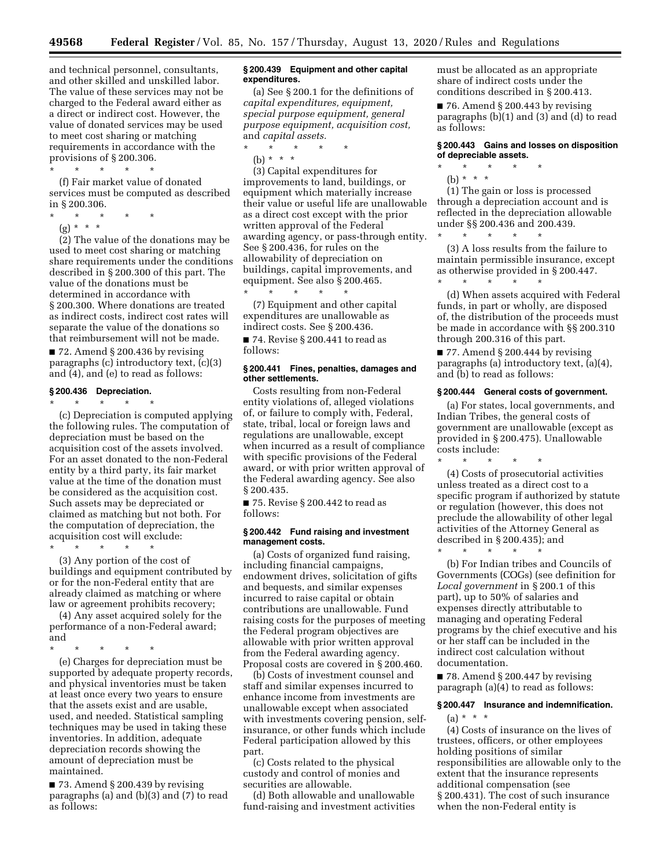and technical personnel, consultants, and other skilled and unskilled labor. The value of these services may not be charged to the Federal award either as a direct or indirect cost. However, the value of donated services may be used to meet cost sharing or matching requirements in accordance with the provisions of § 200.306.

\* \* \* \* \*

(f) Fair market value of donated services must be computed as described in § 200.306.

- \* \* \* \* \*
	- $(g) * * * *$

(2) The value of the donations may be used to meet cost sharing or matching share requirements under the conditions described in § 200.300 of this part. The value of the donations must be determined in accordance with § 200.300. Where donations are treated as indirect costs, indirect cost rates will separate the value of the donations so that reimbursement will not be made.

 $\blacksquare$  72. Amend § 200.436 by revising paragraphs (c) introductory text, (c)(3) and (4), and (e) to read as follows:

## **§ 200.436 Depreciation.**

\* \* \* \* \*

(c) Depreciation is computed applying the following rules. The computation of depreciation must be based on the acquisition cost of the assets involved. For an asset donated to the non-Federal entity by a third party, its fair market value at the time of the donation must be considered as the acquisition cost. Such assets may be depreciated or claimed as matching but not both. For the computation of depreciation, the acquisition cost will exclude:

\* \* \* \* \*

(3) Any portion of the cost of buildings and equipment contributed by or for the non-Federal entity that are already claimed as matching or where law or agreement prohibits recovery;

(4) Any asset acquired solely for the performance of a non-Federal award; and

\* \* \* \* \*

(e) Charges for depreciation must be supported by adequate property records, and physical inventories must be taken at least once every two years to ensure that the assets exist and are usable, used, and needed. Statistical sampling techniques may be used in taking these inventories. In addition, adequate depreciation records showing the amount of depreciation must be maintained.

■ 73. Amend § 200.439 by revising paragraphs (a) and (b)(3) and (7) to read as follows:

## **§ 200.439 Equipment and other capital expenditures.**

(a) See § 200.1 for the definitions of *capital expenditures, equipment, special purpose equipment, general purpose equipment, acquisition cost,*  and *capital assets.* 

- $*$  \*
- (b) \* \* \*

(3) Capital expenditures for improvements to land, buildings, or equipment which materially increase their value or useful life are unallowable as a direct cost except with the prior written approval of the Federal awarding agency, or pass-through entity. See § 200.436, for rules on the allowability of depreciation on buildings, capital improvements, and equipment. See also § 200.465. \* \* \* \* \*

(7) Equipment and other capital expenditures are unallowable as indirect costs. See § 200.436.

■ 74. Revise § 200.441 to read as follows:

## **§ 200.441 Fines, penalties, damages and other settlements.**

Costs resulting from non-Federal entity violations of, alleged violations of, or failure to comply with, Federal, state, tribal, local or foreign laws and regulations are unallowable, except when incurred as a result of compliance with specific provisions of the Federal award, or with prior written approval of the Federal awarding agency. See also § 200.435.

■ 75. Revise § 200.442 to read as follows:

## **§ 200.442 Fund raising and investment management costs.**

(a) Costs of organized fund raising, including financial campaigns, endowment drives, solicitation of gifts and bequests, and similar expenses incurred to raise capital or obtain contributions are unallowable. Fund raising costs for the purposes of meeting the Federal program objectives are allowable with prior written approval from the Federal awarding agency. Proposal costs are covered in § 200.460.

(b) Costs of investment counsel and staff and similar expenses incurred to enhance income from investments are unallowable except when associated with investments covering pension, selfinsurance, or other funds which include Federal participation allowed by this part.

(c) Costs related to the physical custody and control of monies and securities are allowable.

(d) Both allowable and unallowable fund-raising and investment activities must be allocated as an appropriate share of indirect costs under the conditions described in § 200.413.

■ 76. Amend § 200.443 by revising paragraphs (b)(1) and (3) and (d) to read as follows:

## **§ 200.443 Gains and losses on disposition of depreciable assets.**

\* \* \* \* \* (b) \* \* \*

(1) The gain or loss is processed through a depreciation account and is reflected in the depreciation allowable under §§ 200.436 and 200.439. \* \* \* \* \*

(3) A loss results from the failure to maintain permissible insurance, except as otherwise provided in § 200.447. \* \* \* \* \*

(d) When assets acquired with Federal funds, in part or wholly, are disposed of, the distribution of the proceeds must be made in accordance with §§ 200.310 through 200.316 of this part.

 $\blacksquare$  77. Amend § 200.444 by revising paragraphs (a) introductory text, (a)(4), and (b) to read as follows:

#### **§ 200.444 General costs of government.**

(a) For states, local governments, and Indian Tribes, the general costs of government are unallowable (except as provided in § 200.475). Unallowable costs include:

\* \* \* \* \* (4) Costs of prosecutorial activities unless treated as a direct cost to a specific program if authorized by statute or regulation (however, this does not preclude the allowability of other legal activities of the Attorney General as described in § 200.435); and

\* \* \* \* \* (b) For Indian tribes and Councils of Governments (COGs) (see definition for *Local government* in § 200.1 of this part), up to 50% of salaries and expenses directly attributable to managing and operating Federal programs by the chief executive and his or her staff can be included in the indirect cost calculation without documentation.

■ 78. Amend § 200.447 by revising paragraph (a)(4) to read as follows:

# **§ 200.447 Insurance and indemnification.**   $(a) * * * *$

(4) Costs of insurance on the lives of trustees, officers, or other employees holding positions of similar responsibilities are allowable only to the extent that the insurance represents additional compensation (see § 200.431). The cost of such insurance when the non-Federal entity is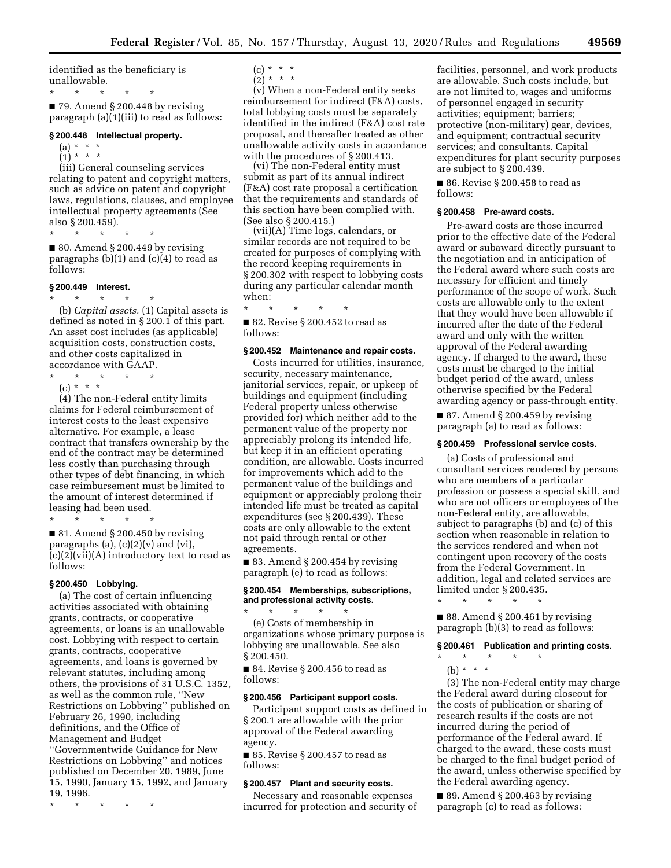identified as the beneficiary is unallowable.

\* \* \* \* \*

 $\blacksquare$  79. Amend § 200.448 by revising paragraph (a)(1)(iii) to read as follows:

#### **§ 200.448 Intellectual property.**

- $(a) * * * *$
- $(1) * * * *$

(iii) General counseling services relating to patent and copyright matters, such as advice on patent and copyright laws, regulations, clauses, and employee intellectual property agreements (See also § 200.459).

\* \* \* \* \*

 $\blacksquare$  80. Amend § 200.449 by revising paragraphs  $(b)(1)$  and  $(c)(4)$  to read as follows:

# **§ 200.449 Interest.**

\* \* \* \* \* (b) *Capital assets.* (1) Capital assets is defined as noted in § 200.1 of this part. An asset cost includes (as applicable) acquisition costs, construction costs, and other costs capitalized in accordance with GAAP.

- \* \* \* \* \*
	- (c) \* \* \*

(4) The non-Federal entity limits claims for Federal reimbursement of interest costs to the least expensive alternative. For example, a lease contract that transfers ownership by the end of the contract may be determined less costly than purchasing through other types of debt financing, in which case reimbursement must be limited to the amount of interest determined if leasing had been used.

\* \* \* \* \*

 $\blacksquare$  81. Amend § 200.450 by revising paragraphs (a),  $(c)(2)(v)$  and  $(vi)$ ,  $(c)(2)(vii)(A)$  introductory text to read as follows:

## **§ 200.450 Lobbying.**

(a) The cost of certain influencing activities associated with obtaining grants, contracts, or cooperative agreements, or loans is an unallowable cost. Lobbying with respect to certain grants, contracts, cooperative agreements, and loans is governed by relevant statutes, including among others, the provisions of 31 U.S.C. 1352, as well as the common rule, ''New Restrictions on Lobbying'' published on February 26, 1990, including definitions, and the Office of Management and Budget ''Governmentwide Guidance for New Restrictions on Lobbying'' and notices published on December 20, 1989, June 15, 1990, January 15, 1992, and January 19, 1996.

\* \* \* \* \*

- $(c) * * * *$
- $\binom{5}{2}$  \* \* \*

(v) When a non-Federal entity seeks reimbursement for indirect (F&A) costs, total lobbying costs must be separately identified in the indirect (F&A) cost rate proposal, and thereafter treated as other unallowable activity costs in accordance with the procedures of § 200.413.

(vi) The non-Federal entity must submit as part of its annual indirect (F&A) cost rate proposal a certification that the requirements and standards of this section have been complied with. (See also § 200.415.)

(vii)(A) Time logs, calendars, or similar records are not required to be created for purposes of complying with the record keeping requirements in § 200.302 with respect to lobbying costs during any particular calendar month when:

\* \* \* \* \*

■ 82. Revise § 200.452 to read as follows:

# **§ 200.452 Maintenance and repair costs.**

Costs incurred for utilities, insurance, security, necessary maintenance, janitorial services, repair, or upkeep of buildings and equipment (including Federal property unless otherwise provided for) which neither add to the permanent value of the property nor appreciably prolong its intended life, but keep it in an efficient operating condition, are allowable. Costs incurred for improvements which add to the permanent value of the buildings and equipment or appreciably prolong their intended life must be treated as capital expenditures (see § 200.439). These costs are only allowable to the extent not paid through rental or other agreements.

 $\blacksquare$  83. Amend § 200.454 by revising paragraph (e) to read as follows:

#### **§ 200.454 Memberships, subscriptions, and professional activity costs.**

\* \* \* \* \* (e) Costs of membership in organizations whose primary purpose is lobbying are unallowable. See also § 200.450.

■ 84. Revise § 200.456 to read as follows:

## **§ 200.456 Participant support costs.**

Participant support costs as defined in § 200.1 are allowable with the prior approval of the Federal awarding agency.

■ 85. Revise § 200.457 to read as follows:

## **§ 200.457 Plant and security costs.**

Necessary and reasonable expenses incurred for protection and security of

facilities, personnel, and work products are allowable. Such costs include, but are not limited to, wages and uniforms of personnel engaged in security activities; equipment; barriers; protective (non-military) gear, devices, and equipment; contractual security services; and consultants. Capital expenditures for plant security purposes are subject to § 200.439.

■ 86. Revise § 200.458 to read as follows:

## **§ 200.458 Pre-award costs.**

Pre-award costs are those incurred prior to the effective date of the Federal award or subaward directly pursuant to the negotiation and in anticipation of the Federal award where such costs are necessary for efficient and timely performance of the scope of work. Such costs are allowable only to the extent that they would have been allowable if incurred after the date of the Federal award and only with the written approval of the Federal awarding agency. If charged to the award, these costs must be charged to the initial budget period of the award, unless otherwise specified by the Federal awarding agency or pass-through entity.

 $\blacksquare$  87. Amend § 200.459 by revising paragraph (a) to read as follows:

#### **§ 200.459 Professional service costs.**

(a) Costs of professional and consultant services rendered by persons who are members of a particular profession or possess a special skill, and who are not officers or employees of the non-Federal entity, are allowable, subject to paragraphs (b) and (c) of this section when reasonable in relation to the services rendered and when not contingent upon recovery of the costs from the Federal Government. In addition, legal and related services are limited under § 200.435.

\* \* \* \* \*

■ 88. Amend § 200.461 by revising paragraph (b)(3) to read as follows:

# **§ 200.461 Publication and printing costs.**

- $\star$   $\qquad$   $\star$   $\qquad$   $\star$
- (b) \* \* \*

(3) The non-Federal entity may charge the Federal award during closeout for the costs of publication or sharing of research results if the costs are not incurred during the period of performance of the Federal award. If charged to the award, these costs must be charged to the final budget period of the award, unless otherwise specified by the Federal awarding agency.

 $\blacksquare$  89. Amend § 200.463 by revising paragraph (c) to read as follows: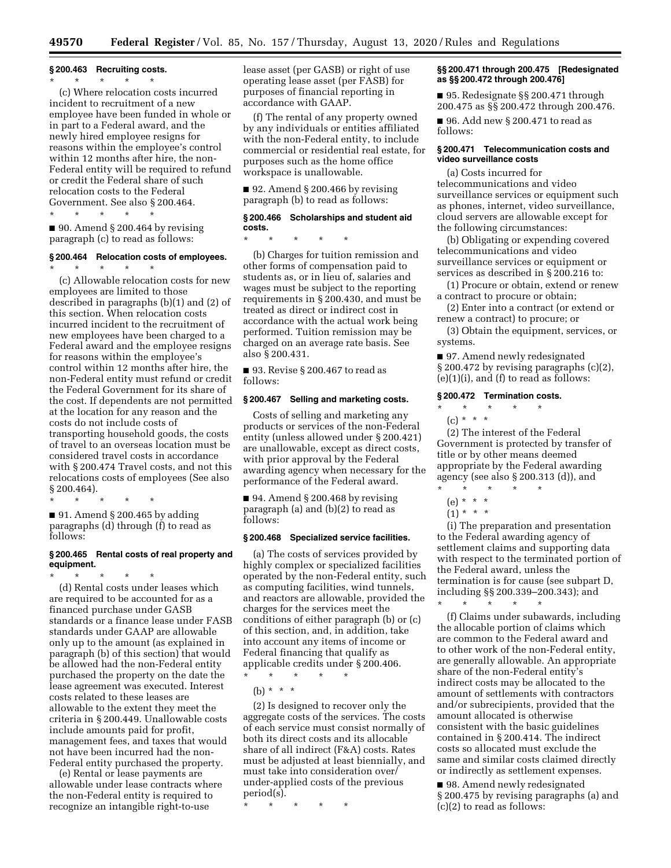# **§ 200.463 Recruiting costs.**

\* \* \* \* \* (c) Where relocation costs incurred incident to recruitment of a new employee have been funded in whole or in part to a Federal award, and the newly hired employee resigns for reasons within the employee's control within 12 months after hire, the non-Federal entity will be required to refund or credit the Federal share of such relocation costs to the Federal Government. See also § 200.464. \* \* \* \* \*

 $\blacksquare$  90. Amend § 200.464 by revising paragraph (c) to read as follows:

#### **§ 200.464 Relocation costs of employees.**

\* \* \* \* \* (c) Allowable relocation costs for new employees are limited to those described in paragraphs (b)(1) and (2) of this section. When relocation costs incurred incident to the recruitment of new employees have been charged to a Federal award and the employee resigns for reasons within the employee's control within 12 months after hire, the non-Federal entity must refund or credit the Federal Government for its share of the cost. If dependents are not permitted at the location for any reason and the costs do not include costs of transporting household goods, the costs of travel to an overseas location must be considered travel costs in accordance with § 200.474 Travel costs, and not this relocations costs of employees (See also § 200.464).

\* \* \* \* \*  $\blacksquare$  91. Amend § 200.465 by adding paragraphs (d) through (f) to read as follows:

## **§ 200.465 Rental costs of real property and equipment.**

\* \* \* \* \* (d) Rental costs under leases which are required to be accounted for as a financed purchase under GASB standards or a finance lease under FASB standards under GAAP are allowable only up to the amount (as explained in paragraph (b) of this section) that would be allowed had the non-Federal entity purchased the property on the date the lease agreement was executed. Interest costs related to these leases are allowable to the extent they meet the criteria in § 200.449. Unallowable costs include amounts paid for profit, management fees, and taxes that would not have been incurred had the non-Federal entity purchased the property.

(e) Rental or lease payments are allowable under lease contracts where the non-Federal entity is required to recognize an intangible right-to-use

lease asset (per GASB) or right of use operating lease asset (per FASB) for purposes of financial reporting in accordance with GAAP.

(f) The rental of any property owned by any individuals or entities affiliated with the non-Federal entity, to include commercial or residential real estate, for purposes such as the home office workspace is unallowable.

 $\blacksquare$  92. Amend § 200.466 by revising paragraph (b) to read as follows:

## **§ 200.466 Scholarships and student aid costs.**

\* \* \* \* \*

(b) Charges for tuition remission and other forms of compensation paid to students as, or in lieu of, salaries and wages must be subject to the reporting requirements in § 200.430, and must be treated as direct or indirect cost in accordance with the actual work being performed. Tuition remission may be charged on an average rate basis. See also § 200.431.

■ 93. Revise § 200.467 to read as follows:

#### **§ 200.467 Selling and marketing costs.**

Costs of selling and marketing any products or services of the non-Federal entity (unless allowed under § 200.421) are unallowable, except as direct costs, with prior approval by the Federal awarding agency when necessary for the performance of the Federal award.

 $\blacksquare$  94. Amend § 200.468 by revising paragraph (a) and (b)(2) to read as follows:

#### **§ 200.468 Specialized service facilities.**

(a) The costs of services provided by highly complex or specialized facilities operated by the non-Federal entity, such as computing facilities, wind tunnels, and reactors are allowable, provided the charges for the services meet the conditions of either paragraph (b) or (c) of this section, and, in addition, take into account any items of income or Federal financing that qualify as applicable credits under § 200.406.

\* \* \* \* \*

(b) \* \* \*

(2) Is designed to recover only the aggregate costs of the services. The costs of each service must consist normally of both its direct costs and its allocable share of all indirect (F&A) costs. Rates must be adjusted at least biennially, and must take into consideration over/ under-applied costs of the previous  $period(s)$ .

\* \* \* \* \*

### **§§ 200.471 through 200.475 [Redesignated as §§ 200.472 through 200.476]**

■ 95. Redesignate §§ 200.471 through 200.475 as §§ 200.472 through 200.476.

■ 96. Add new § 200.471 to read as follows:

## **§ 200.471 Telecommunication costs and video surveillance costs**

(a) Costs incurred for telecommunications and video surveillance services or equipment such as phones, internet, video surveillance, cloud servers are allowable except for the following circumstances:

(b) Obligating or expending covered telecommunications and video surveillance services or equipment or services as described in § 200.216 to:

(1) Procure or obtain, extend or renew a contract to procure or obtain;

(2) Enter into a contract (or extend or renew a contract) to procure; or

(3) Obtain the equipment, services, or systems.

■ 97. Amend newly redesignated § 200.472 by revising paragraphs (c)(2),  $(e)(1)(i)$ , and  $(f)$  to read as follows:

## **§ 200.472 Termination costs.**

\* \* \* \* \*

(c) \* \* \*

(2) The interest of the Federal Government is protected by transfer of title or by other means deemed appropriate by the Federal awarding agency (see also § 200.313 (d)), and

- \* \* \* \* \*
	- (e) \* \* \*
	- $(1) * * * *$

(i) The preparation and presentation to the Federal awarding agency of settlement claims and supporting data with respect to the terminated portion of the Federal award, unless the termination is for cause (see subpart D, including §§ 200.339–200.343); and

\* \* \* \* \* (f) Claims under subawards, including the allocable portion of claims which are common to the Federal award and to other work of the non-Federal entity, are generally allowable. An appropriate share of the non-Federal entity's indirect costs may be allocated to the amount of settlements with contractors and/or subrecipients, provided that the amount allocated is otherwise consistent with the basic guidelines contained in § 200.414. The indirect costs so allocated must exclude the same and similar costs claimed directly or indirectly as settlement expenses.

■ 98. Amend newly redesignated § 200.475 by revising paragraphs (a) and (c)(2) to read as follows: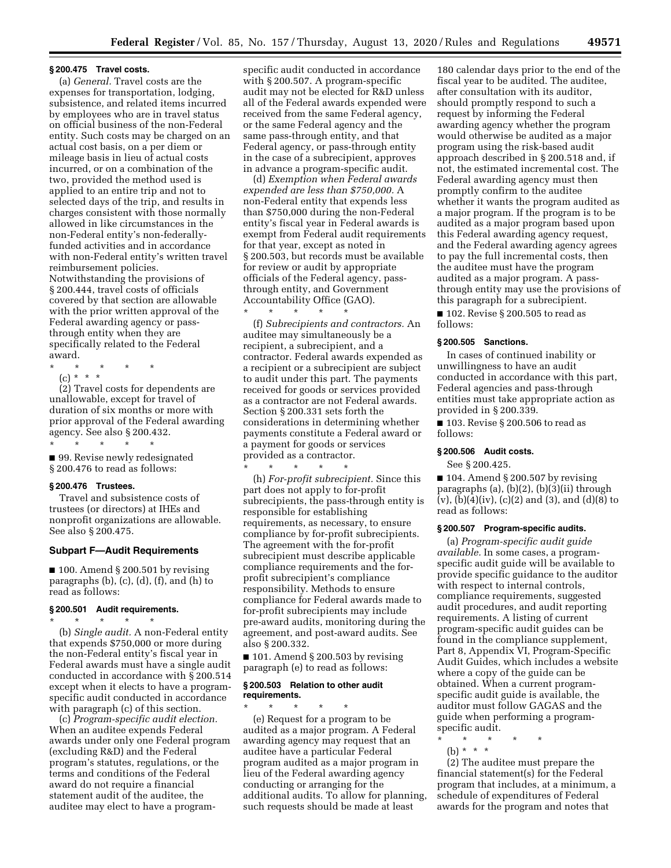#### **§ 200.475 Travel costs.**

(a) *General.* Travel costs are the expenses for transportation, lodging, subsistence, and related items incurred by employees who are in travel status on official business of the non-Federal entity. Such costs may be charged on an actual cost basis, on a per diem or mileage basis in lieu of actual costs incurred, or on a combination of the two, provided the method used is applied to an entire trip and not to selected days of the trip, and results in charges consistent with those normally allowed in like circumstances in the non-Federal entity's non-federallyfunded activities and in accordance with non-Federal entity's written travel reimbursement policies. Notwithstanding the provisions of § 200.444, travel costs of officials covered by that section are allowable with the prior written approval of the Federal awarding agency or passthrough entity when they are specifically related to the Federal award.

\* \* \* \* \*

(c) \* \* \* (2) Travel costs for dependents are unallowable, except for travel of duration of six months or more with prior approval of the Federal awarding agency. See also § 200.432. \* \* \* \* \*

■ 99. Revise newly redesignated § 200.476 to read as follows:

## **§ 200.476 Trustees.**

Travel and subsistence costs of trustees (or directors) at IHEs and nonprofit organizations are allowable. See also § 200.475.

#### **Subpart F—Audit Requirements**

 $\blacksquare$  100. Amend § 200.501 by revising paragraphs (b), (c), (d), (f), and (h) to read as follows:

# **§ 200.501 Audit requirements.**

\* \* \* \* \* (b) *Single audit.* A non-Federal entity that expends \$750,000 or more during the non-Federal entity's fiscal year in Federal awards must have a single audit conducted in accordance with § 200.514 except when it elects to have a programspecific audit conducted in accordance with paragraph (c) of this section.

(c) *Program-specific audit election.*  When an auditee expends Federal awards under only one Federal program (excluding R&D) and the Federal program's statutes, regulations, or the terms and conditions of the Federal award do not require a financial statement audit of the auditee, the auditee may elect to have a program-

specific audit conducted in accordance with § 200.507. A program-specific audit may not be elected for R&D unless all of the Federal awards expended were received from the same Federal agency, or the same Federal agency and the same pass-through entity, and that Federal agency, or pass-through entity in the case of a subrecipient, approves in advance a program-specific audit.

(d) *Exemption when Federal awards expended are less than \$750,000.* A non-Federal entity that expends less than \$750,000 during the non-Federal entity's fiscal year in Federal awards is exempt from Federal audit requirements for that year, except as noted in § 200.503, but records must be available for review or audit by appropriate officials of the Federal agency, passthrough entity, and Government Accountability Office (GAO).

\* \* \* \* \* (f) *Subrecipients and contractors.* An auditee may simultaneously be a recipient, a subrecipient, and a contractor. Federal awards expended as a recipient or a subrecipient are subject to audit under this part. The payments received for goods or services provided as a contractor are not Federal awards. Section § 200.331 sets forth the considerations in determining whether payments constitute a Federal award or a payment for goods or services provided as a contractor.

\* \* \* \* \*

(h) *For-profit subrecipient.* Since this part does not apply to for-profit subrecipients, the pass-through entity is responsible for establishing requirements, as necessary, to ensure compliance by for-profit subrecipients. The agreement with the for-profit subrecipient must describe applicable compliance requirements and the forprofit subrecipient's compliance responsibility. Methods to ensure compliance for Federal awards made to for-profit subrecipients may include pre-award audits, monitoring during the agreement, and post-award audits. See also § 200.332.

 $\blacksquare$  101. Amend § 200.503 by revising paragraph (e) to read as follows:

### **§ 200.503 Relation to other audit requirements.**

\* \* \* \* \* (e) Request for a program to be audited as a major program. A Federal awarding agency may request that an auditee have a particular Federal program audited as a major program in lieu of the Federal awarding agency conducting or arranging for the additional audits. To allow for planning, such requests should be made at least

180 calendar days prior to the end of the fiscal year to be audited. The auditee, after consultation with its auditor, should promptly respond to such a request by informing the Federal awarding agency whether the program would otherwise be audited as a major program using the risk-based audit approach described in § 200.518 and, if not, the estimated incremental cost. The Federal awarding agency must then promptly confirm to the auditee whether it wants the program audited as a major program. If the program is to be audited as a major program based upon this Federal awarding agency request, and the Federal awarding agency agrees to pay the full incremental costs, then the auditee must have the program audited as a major program. A passthrough entity may use the provisions of this paragraph for a subrecipient.

■ 102. Revise § 200.505 to read as follows:

## **§ 200.505 Sanctions.**

In cases of continued inability or unwillingness to have an audit conducted in accordance with this part, Federal agencies and pass-through entities must take appropriate action as provided in § 200.339.

■ 103. Revise § 200.506 to read as follows:

## **§ 200.506 Audit costs.**

See § 200.425.

 $\blacksquare$  104. Amend § 200.507 by revising paragraphs (a), (b)(2), (b)(3)(ii) through  $(v)$ ,  $(b)(4)(iv)$ ,  $(c)(2)$  and  $(3)$ , and  $(d)(8)$  to read as follows:

### **§ 200.507 Program-specific audits.**

(a) *Program-specific audit guide available.* In some cases, a programspecific audit guide will be available to provide specific guidance to the auditor with respect to internal controls, compliance requirements, suggested audit procedures, and audit reporting requirements. A listing of current program-specific audit guides can be found in the compliance supplement, Part 8, Appendix VI, Program-Specific Audit Guides, which includes a website where a copy of the guide can be obtained. When a current programspecific audit guide is available, the auditor must follow GAGAS and the guide when performing a programspecific audit.

\* \* \* \* \*

(b) \* \* \* (2) The auditee must prepare the financial statement(s) for the Federal program that includes, at a minimum, a schedule of expenditures of Federal awards for the program and notes that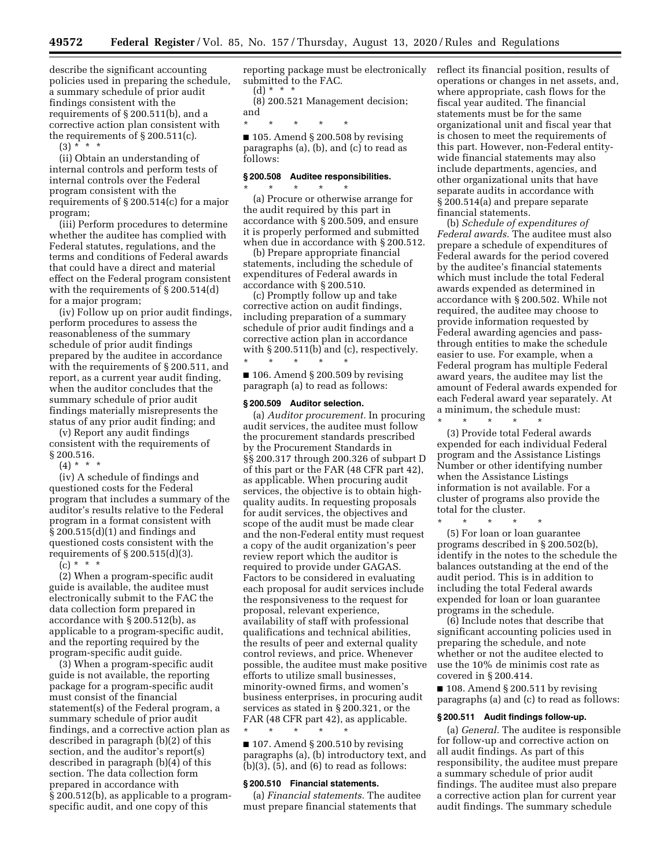describe the significant accounting policies used in preparing the schedule, a summary schedule of prior audit findings consistent with the requirements of § 200.511(b), and a corrective action plan consistent with the requirements of § 200.511(c).

 $(3) * * * *$ 

(ii) Obtain an understanding of internal controls and perform tests of internal controls over the Federal program consistent with the requirements of § 200.514(c) for a major program;

(iii) Perform procedures to determine whether the auditee has complied with Federal statutes, regulations, and the terms and conditions of Federal awards that could have a direct and material effect on the Federal program consistent with the requirements of § 200.514(d) for a major program;

(iv) Follow up on prior audit findings, perform procedures to assess the reasonableness of the summary schedule of prior audit findings prepared by the auditee in accordance with the requirements of § 200.511, and report, as a current year audit finding, when the auditor concludes that the summary schedule of prior audit findings materially misrepresents the status of any prior audit finding; and

(v) Report any audit findings consistent with the requirements of § 200.516.

 $(4) * * * *$ 

(iv) A schedule of findings and questioned costs for the Federal program that includes a summary of the auditor's results relative to the Federal program in a format consistent with § 200.515(d)(1) and findings and questioned costs consistent with the requirements of  $\S 200.515(d)(3)$ .

 $(c) * * * *$ 

(2) When a program-specific audit guide is available, the auditee must electronically submit to the FAC the data collection form prepared in accordance with § 200.512(b), as applicable to a program-specific audit, and the reporting required by the program-specific audit guide.

(3) When a program-specific audit guide is not available, the reporting package for a program-specific audit must consist of the financial statement(s) of the Federal program, a summary schedule of prior audit findings, and a corrective action plan as described in paragraph (b)(2) of this section, and the auditor's report(s) described in paragraph (b)(4) of this section. The data collection form prepared in accordance with § 200.512(b), as applicable to a programspecific audit, and one copy of this

reporting package must be electronically submitted to the FAC. (d) \* \* \*

(8) 200.521 Management decision; and

\* \* \* \* \*  $\blacksquare$  105. Amend § 200.508 by revising paragraphs (a), (b), and (c) to read as follows:

# **§ 200.508 Auditee responsibilities.**

\* \* \* \* \*

(a) Procure or otherwise arrange for the audit required by this part in accordance with § 200.509, and ensure it is properly performed and submitted when due in accordance with § 200.512.

(b) Prepare appropriate financial statements, including the schedule of expenditures of Federal awards in accordance with § 200.510.

(c) Promptly follow up and take corrective action on audit findings, including preparation of a summary schedule of prior audit findings and a corrective action plan in accordance with § 200.511(b) and (c), respectively. \* \* \* \* \*

 $\blacksquare$  106. Amend § 200.509 by revising paragraph (a) to read as follows:

#### **§ 200.509 Auditor selection.**

(a) *Auditor procurement.* In procuring audit services, the auditee must follow the procurement standards prescribed by the Procurement Standards in §§ 200.317 through 200.326 of subpart D of this part or the FAR (48 CFR part 42), as applicable. When procuring audit services, the objective is to obtain highquality audits. In requesting proposals for audit services, the objectives and scope of the audit must be made clear and the non-Federal entity must request a copy of the audit organization's peer review report which the auditor is required to provide under GAGAS. Factors to be considered in evaluating each proposal for audit services include the responsiveness to the request for proposal, relevant experience, availability of staff with professional qualifications and technical abilities, the results of peer and external quality control reviews, and price. Whenever possible, the auditee must make positive efforts to utilize small businesses, minority-owned firms, and women's business enterprises, in procuring audit services as stated in § 200.321, or the FAR (48 CFR part 42), as applicable. \* \* \* \* \*

 $\blacksquare$  107. Amend § 200.510 by revising paragraphs (a), (b) introductory text, and  $(b)(3)$ ,  $(5)$ , and  $(6)$  to read as follows:

#### **§ 200.510 Financial statements.**

(a) *Financial statements.* The auditee must prepare financial statements that

reflect its financial position, results of operations or changes in net assets, and, where appropriate, cash flows for the fiscal year audited. The financial statements must be for the same organizational unit and fiscal year that is chosen to meet the requirements of this part. However, non-Federal entitywide financial statements may also include departments, agencies, and other organizational units that have separate audits in accordance with § 200.514(a) and prepare separate financial statements.

(b) *Schedule of expenditures of Federal awards.* The auditee must also prepare a schedule of expenditures of Federal awards for the period covered by the auditee's financial statements which must include the total Federal awards expended as determined in accordance with § 200.502. While not required, the auditee may choose to provide information requested by Federal awarding agencies and passthrough entities to make the schedule easier to use. For example, when a Federal program has multiple Federal award years, the auditee may list the amount of Federal awards expended for each Federal award year separately. At a minimum, the schedule must: \* \* \* \* \*

(3) Provide total Federal awards expended for each individual Federal program and the Assistance Listings Number or other identifying number when the Assistance Listings information is not available. For a cluster of programs also provide the total for the cluster.

\* \* \* \* \* (5) For loan or loan guarantee programs described in § 200.502(b), identify in the notes to the schedule the balances outstanding at the end of the audit period. This is in addition to including the total Federal awards expended for loan or loan guarantee

programs in the schedule. (6) Include notes that describe that significant accounting policies used in preparing the schedule, and note whether or not the auditee elected to use the 10% de minimis cost rate as covered in § 200.414.

 $\blacksquare$  108. Amend § 200.511 by revising paragraphs (a) and (c) to read as follows:

#### **§ 200.511 Audit findings follow-up.**

(a) *General.* The auditee is responsible for follow-up and corrective action on all audit findings. As part of this responsibility, the auditee must prepare a summary schedule of prior audit findings. The auditee must also prepare a corrective action plan for current year audit findings. The summary schedule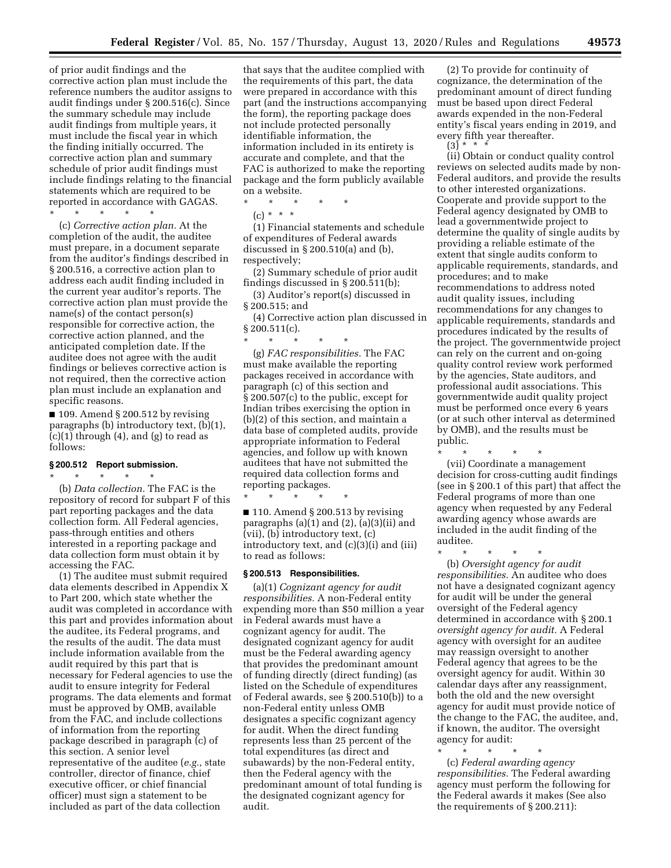of prior audit findings and the corrective action plan must include the reference numbers the auditor assigns to audit findings under § 200.516(c). Since the summary schedule may include audit findings from multiple years, it must include the fiscal year in which the finding initially occurred. The corrective action plan and summary schedule of prior audit findings must include findings relating to the financial statements which are required to be reported in accordance with GAGAS.

\* \* \* \* \*

(c) *Corrective action plan.* At the completion of the audit, the auditee must prepare, in a document separate from the auditor's findings described in § 200.516, a corrective action plan to address each audit finding included in the current year auditor's reports. The corrective action plan must provide the name(s) of the contact person(s) responsible for corrective action, the corrective action planned, and the anticipated completion date. If the auditee does not agree with the audit findings or believes corrective action is not required, then the corrective action plan must include an explanation and specific reasons.

■ 109. Amend § 200.512 by revising paragraphs (b) introductory text, (b)(1), (c)(1) through (4), and (g) to read as follows:

# **§ 200.512 Report submission.**

\* \* \* \* \* (b) *Data collection.* The FAC is the repository of record for subpart F of this part reporting packages and the data collection form. All Federal agencies, pass-through entities and others interested in a reporting package and data collection form must obtain it by accessing the FAC.

(1) The auditee must submit required data elements described in Appendix X to Part 200, which state whether the audit was completed in accordance with this part and provides information about the auditee, its Federal programs, and the results of the audit. The data must include information available from the audit required by this part that is necessary for Federal agencies to use the audit to ensure integrity for Federal programs. The data elements and format must be approved by OMB, available from the FAC, and include collections of information from the reporting package described in paragraph (c) of this section. A senior level representative of the auditee (*e.g.,* state controller, director of finance, chief executive officer, or chief financial officer) must sign a statement to be included as part of the data collection

that says that the auditee complied with the requirements of this part, the data were prepared in accordance with this part (and the instructions accompanying the form), the reporting package does not include protected personally identifiable information, the information included in its entirety is accurate and complete, and that the FAC is authorized to make the reporting package and the form publicly available on a website.

\* \* \* \* \*  $(c) * * * *$ 

(1) Financial statements and schedule of expenditures of Federal awards discussed in § 200.510(a) and (b), respectively;

(2) Summary schedule of prior audit findings discussed in § 200.511(b);

(3) Auditor's report(s) discussed in § 200.515; and

(4) Corrective action plan discussed in  $§ 200.511(c)$ .

\* \* \* \* \* (g) *FAC responsibilities.* The FAC must make available the reporting packages received in accordance with paragraph (c) of this section and § 200.507(c) to the public, except for Indian tribes exercising the option in (b)(2) of this section, and maintain a data base of completed audits, provide appropriate information to Federal agencies, and follow up with known auditees that have not submitted the required data collection forms and reporting packages.

\* \* \* \* \*  $\blacksquare$  110. Amend § 200.513 by revising

paragraphs  $(a)(1)$  and  $(2)$ ,  $(a)(3)(ii)$  and (vii), (b) introductory text, (c) introductory text, and (c)(3)(i) and (iii) to read as follows:

## **§ 200.513 Responsibilities.**

(a)(1) *Cognizant agency for audit responsibilities.* A non-Federal entity expending more than \$50 million a year in Federal awards must have a cognizant agency for audit. The designated cognizant agency for audit must be the Federal awarding agency that provides the predominant amount of funding directly (direct funding) (as listed on the Schedule of expenditures of Federal awards, see § 200.510(b)) to a non-Federal entity unless OMB designates a specific cognizant agency for audit. When the direct funding represents less than 25 percent of the total expenditures (as direct and subawards) by the non-Federal entity, then the Federal agency with the predominant amount of total funding is the designated cognizant agency for audit.

(2) To provide for continuity of cognizance, the determination of the predominant amount of direct funding must be based upon direct Federal awards expended in the non-Federal entity's fiscal years ending in 2019, and every fifth year thereafter.

 $(3) * * * *$ 

(ii) Obtain or conduct quality control reviews on selected audits made by non-Federal auditors, and provide the results to other interested organizations. Cooperate and provide support to the Federal agency designated by OMB to lead a governmentwide project to determine the quality of single audits by providing a reliable estimate of the extent that single audits conform to applicable requirements, standards, and procedures; and to make recommendations to address noted audit quality issues, including recommendations for any changes to applicable requirements, standards and procedures indicated by the results of the project. The governmentwide project can rely on the current and on-going quality control review work performed by the agencies, State auditors, and professional audit associations. This governmentwide audit quality project must be performed once every 6 years (or at such other interval as determined by OMB), and the results must be public.

\* \* \* \* \*

(vii) Coordinate a management decision for cross-cutting audit findings (see in § 200.1 of this part) that affect the Federal programs of more than one agency when requested by any Federal awarding agency whose awards are included in the audit finding of the auditee.

\* \* \* \* \* (b) *Oversight agency for audit responsibilities.* An auditee who does not have a designated cognizant agency for audit will be under the general oversight of the Federal agency determined in accordance with § 200.1 *oversight agency for audit.* A Federal agency with oversight for an auditee may reassign oversight to another Federal agency that agrees to be the oversight agency for audit. Within 30 calendar days after any reassignment, both the old and the new oversight agency for audit must provide notice of the change to the FAC, the auditee, and, if known, the auditor. The oversight agency for audit:

\* \* \* \* \* (c) *Federal awarding agency responsibilities.* The Federal awarding agency must perform the following for the Federal awards it makes (See also the requirements of § 200.211):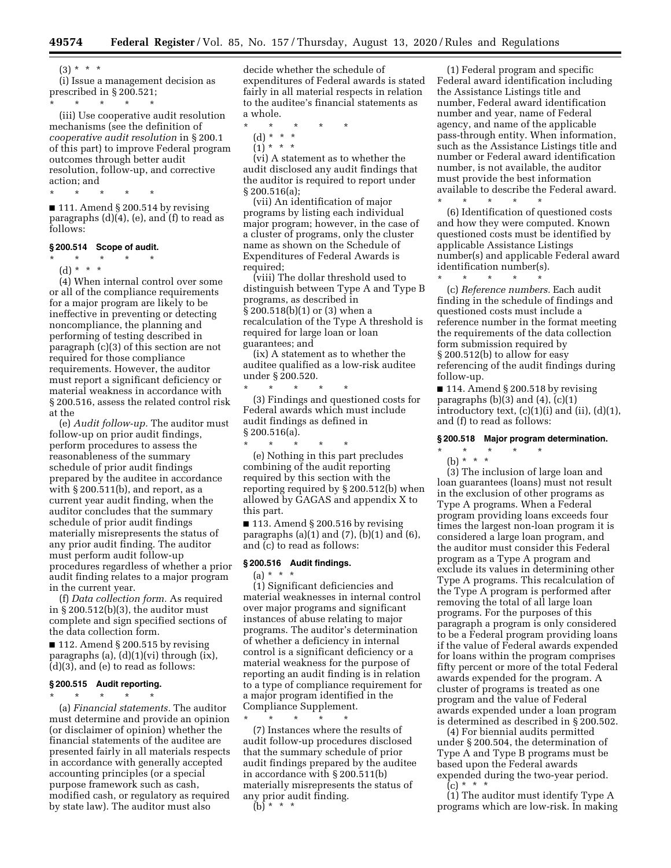$(3) * * * *$ 

(i) Issue a management decision as prescribed in § 200.521; \* \* \* \* \*

(iii) Use cooperative audit resolution mechanisms (see the definition of *cooperative audit resolution* in § 200.1 of this part) to improve Federal program outcomes through better audit resolution, follow-up, and corrective action; and

\* \* \* \* \*  $\blacksquare$  111. Amend § 200.514 by revising paragraphs (d)(4), (e), and (f) to read as follows:

# **§ 200.514 Scope of audit.**

\* \* \* \* \* (d) \* \* \*

(4) When internal control over some or all of the compliance requirements for a major program are likely to be ineffective in preventing or detecting noncompliance, the planning and performing of testing described in paragraph (c)(3) of this section are not required for those compliance requirements. However, the auditor must report a significant deficiency or material weakness in accordance with § 200.516, assess the related control risk at the

(e) *Audit follow-up.* The auditor must follow-up on prior audit findings, perform procedures to assess the reasonableness of the summary schedule of prior audit findings prepared by the auditee in accordance with  $\S 200.511(b)$ , and report, as a current year audit finding, when the auditor concludes that the summary schedule of prior audit findings materially misrepresents the status of any prior audit finding. The auditor must perform audit follow-up procedures regardless of whether a prior audit finding relates to a major program in the current year.

(f) *Data collection form.* As required in § 200.512(b)(3), the auditor must complete and sign specified sections of the data collection form.

 $\blacksquare$  112. Amend § 200.515 by revising paragraphs (a),  $(d)(1)(vi)$  through  $(ix)$ , (d)(3), and (e) to read as follows:

#### **§ 200.515 Audit reporting.**

\* \* \* \* \* (a) *Financial statements.* The auditor must determine and provide an opinion

(or disclaimer of opinion) whether the financial statements of the auditee are presented fairly in all materials respects in accordance with generally accepted accounting principles (or a special purpose framework such as cash, modified cash, or regulatory as required by state law). The auditor must also

decide whether the schedule of expenditures of Federal awards is stated fairly in all material respects in relation to the auditee's financial statements as a whole.

- \* \* \* \* \*
	- (d) \* \* \*  $(1) * * * *$

(vi) A statement as to whether the audit disclosed any audit findings that the auditor is required to report under § 200.516(a);

(vii) An identification of major programs by listing each individual major program; however, in the case of a cluster of programs, only the cluster name as shown on the Schedule of Expenditures of Federal Awards is required;

(viii) The dollar threshold used to distinguish between Type A and Type B programs, as described in § 200.518(b)(1) or (3) when a recalculation of the Type A threshold is required for large loan or loan guarantees; and

(ix) A statement as to whether the auditee qualified as a low-risk auditee under § 200.520. \* \* \* \* \*

(3) Findings and questioned costs for Federal awards which must include audit findings as defined in § 200.516(a). \* \* \* \* \*

(e) Nothing in this part precludes combining of the audit reporting required by this section with the reporting required by § 200.512(b) when allowed by GAGAS and appendix X to this part.

 $\blacksquare$  113. Amend § 200.516 by revising paragraphs  $(a)(1)$  and  $(7)$ ,  $(b)(1)$  and  $(6)$ , and (c) to read as follows:

#### **§ 200.516 Audit findings.**

(a) \* \* \* (1) Significant deficiencies and material weaknesses in internal control over major programs and significant instances of abuse relating to major programs. The auditor's determination of whether a deficiency in internal control is a significant deficiency or a material weakness for the purpose of reporting an audit finding is in relation to a type of compliance requirement for a major program identified in the Compliance Supplement.

\* \* \* \* \* (7) Instances where the results of audit follow-up procedures disclosed that the summary schedule of prior audit findings prepared by the auditee in accordance with § 200.511(b) materially misrepresents the status of any prior audit finding.  $(b)$  \* \* \*

(1) Federal program and specific Federal award identification including the Assistance Listings title and number, Federal award identification number and year, name of Federal agency, and name of the applicable pass-through entity. When information, such as the Assistance Listings title and number or Federal award identification number, is not available, the auditor must provide the best information available to describe the Federal award.

(6) Identification of questioned costs and how they were computed. Known questioned costs must be identified by applicable Assistance Listings number(s) and applicable Federal award identification number(s).

\* \* \* \* \*

\* \* \* \* \*

(c) *Reference numbers.* Each audit finding in the schedule of findings and questioned costs must include a reference number in the format meeting the requirements of the data collection form submission required by § 200.512(b) to allow for easy referencing of the audit findings during follow-up.

■ 114. Amend § 200.518 by revising paragraphs  $(b)(3)$  and  $(4)$ ,  $(c)(1)$ introductory text,  $(c)(1)(i)$  and  $(ii)$ ,  $(d)(1)$ , and (f) to read as follows:

#### **§ 200.518 Major program determination.**

# \* \* \* \* \*

(b) \* \* \*

(3) The inclusion of large loan and loan guarantees (loans) must not result in the exclusion of other programs as Type A programs. When a Federal program providing loans exceeds four times the largest non-loan program it is considered a large loan program, and the auditor must consider this Federal program as a Type A program and exclude its values in determining other Type A programs. This recalculation of the Type A program is performed after removing the total of all large loan programs. For the purposes of this paragraph a program is only considered to be a Federal program providing loans if the value of Federal awards expended for loans within the program comprises fifty percent or more of the total Federal awards expended for the program. A cluster of programs is treated as one program and the value of Federal awards expended under a loan program is determined as described in § 200.502.

(4) For biennial audits permitted under § 200.504, the determination of Type A and Type B programs must be based upon the Federal awards expended during the two-year period.

 $(c) * * * *$ 

(1) The auditor must identify Type A programs which are low-risk. In making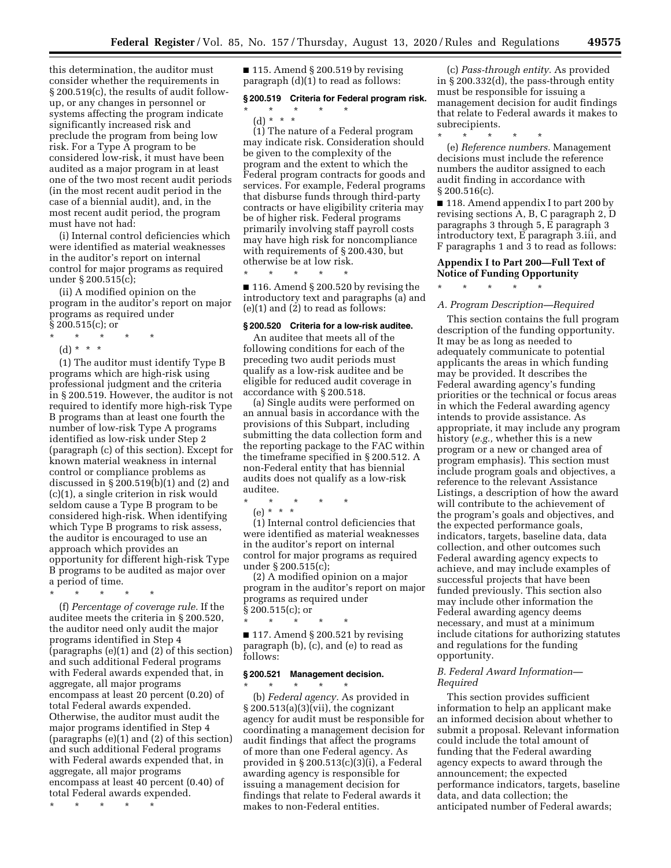this determination, the auditor must consider whether the requirements in § 200.519(c), the results of audit followup, or any changes in personnel or systems affecting the program indicate significantly increased risk and preclude the program from being low risk. For a Type A program to be considered low-risk, it must have been audited as a major program in at least one of the two most recent audit periods (in the most recent audit period in the case of a biennial audit), and, in the most recent audit period, the program must have not had:

(i) Internal control deficiencies which were identified as material weaknesses in the auditor's report on internal control for major programs as required under § 200.515(c);

(ii) A modified opinion on the program in the auditor's report on major programs as required under  $\S 200.515(c)$ ; or

- \* \* \* \* \*
- (d) \* \* \*

(1) The auditor must identify Type B programs which are high-risk using professional judgment and the criteria in § 200.519. However, the auditor is not required to identify more high-risk Type B programs than at least one fourth the number of low-risk Type A programs identified as low-risk under Step 2 (paragraph (c) of this section). Except for known material weakness in internal control or compliance problems as discussed in § 200.519(b)(1) and (2) and (c)(1), a single criterion in risk would seldom cause a Type B program to be considered high-risk. When identifying which Type B programs to risk assess, the auditor is encouraged to use an approach which provides an opportunity for different high-risk Type B programs to be audited as major over a period of time.

\* \* \* \* \*

(f) *Percentage of coverage rule.* If the auditee meets the criteria in § 200.520, the auditor need only audit the major programs identified in Step 4 (paragraphs (e)(1) and (2) of this section) and such additional Federal programs with Federal awards expended that, in aggregate, all major programs encompass at least 20 percent (0.20) of total Federal awards expended. Otherwise, the auditor must audit the major programs identified in Step 4 (paragraphs (e)(1) and (2) of this section) and such additional Federal programs with Federal awards expended that, in aggregate, all major programs encompass at least 40 percent (0.40) of total Federal awards expended.

\* \* \* \* \*

 $\blacksquare$  115. Amend § 200.519 by revising paragraph (d)(1) to read as follows:

#### **§ 200.519 Criteria for Federal program risk.**

\* \* \* \* \* (d) \* \* \*

(1) The nature of a Federal program may indicate risk. Consideration should be given to the complexity of the program and the extent to which the Federal program contracts for goods and services. For example, Federal programs that disburse funds through third-party contracts or have eligibility criteria may be of higher risk. Federal programs primarily involving staff payroll costs may have high risk for noncompliance with requirements of § 200.430, but otherwise be at low risk.

■ 116. Amend § 200.520 by revising the introductory text and paragraphs (a) and (e)(1) and (2) to read as follows:

#### **§ 200.520 Criteria for a low-risk auditee.**

\* \* \* \* \*

An auditee that meets all of the following conditions for each of the preceding two audit periods must qualify as a low-risk auditee and be eligible for reduced audit coverage in accordance with § 200.518.

(a) Single audits were performed on an annual basis in accordance with the provisions of this Subpart, including submitting the data collection form and the reporting package to the FAC within the timeframe specified in § 200.512. A non-Federal entity that has biennial audits does not qualify as a low-risk auditee.

\* \* \* \* \*

(e) \* \* \*

(1) Internal control deficiencies that were identified as material weaknesses in the auditor's report on internal control for major programs as required under § 200.515(c);

(2) A modified opinion on a major program in the auditor's report on major programs as required under § 200.515(c); or

\* \* \* \* \*  $\blacksquare$  117. Amend § 200.521 by revising paragraph (b), (c), and (e) to read as follows:

## **§ 200.521 Management decision.**

\* \* \* \* \* (b) *Federal agency.* As provided in  $\S 200.513(a)(3)(vii)$ , the cognizant agency for audit must be responsible for coordinating a management decision for audit findings that affect the programs of more than one Federal agency. As provided in § 200.513(c)(3)(i), a Federal awarding agency is responsible for issuing a management decision for findings that relate to Federal awards it makes to non-Federal entities.

(c) *Pass-through entity.* As provided in § 200.332(d), the pass-through entity must be responsible for issuing a management decision for audit findings that relate to Federal awards it makes to subrecipients.

\* \* \* \* \*

\* \* \* \* \*

(e) *Reference numbers.* Management decisions must include the reference numbers the auditor assigned to each audit finding in accordance with § 200.516(c).

■ 118. Amend appendix I to part 200 by revising sections A, B, C paragraph 2, D paragraphs 3 through 5, E paragraph 3 introductory text, E paragraph 3.iii, and F paragraphs 1 and 3 to read as follows:

## **Appendix I to Part 200—Full Text of Notice of Funding Opportunity**

## *A. Program Description—Required*

This section contains the full program description of the funding opportunity. It may be as long as needed to adequately communicate to potential applicants the areas in which funding may be provided. It describes the Federal awarding agency's funding priorities or the technical or focus areas in which the Federal awarding agency intends to provide assistance. As appropriate, it may include any program history (*e.g.,* whether this is a new program or a new or changed area of program emphasis). This section must include program goals and objectives, a reference to the relevant Assistance Listings, a description of how the award will contribute to the achievement of the program's goals and objectives, and the expected performance goals, indicators, targets, baseline data, data collection, and other outcomes such Federal awarding agency expects to achieve, and may include examples of successful projects that have been funded previously. This section also may include other information the Federal awarding agency deems necessary, and must at a minimum include citations for authorizing statutes and regulations for the funding opportunity.

## *B. Federal Award Information— Required*

This section provides sufficient information to help an applicant make an informed decision about whether to submit a proposal. Relevant information could include the total amount of funding that the Federal awarding agency expects to award through the announcement; the expected performance indicators, targets, baseline data, and data collection; the anticipated number of Federal awards;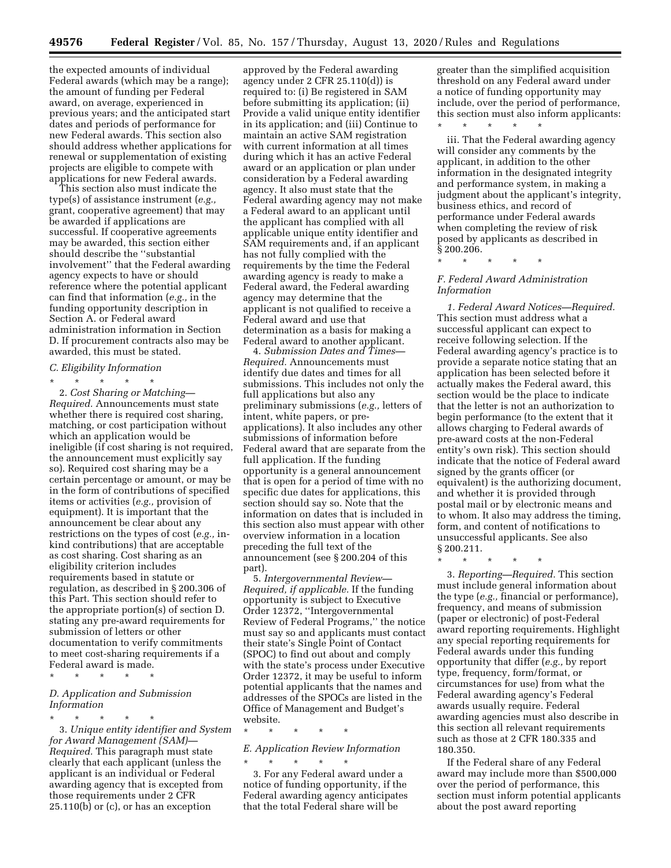the expected amounts of individual Federal awards (which may be a range); the amount of funding per Federal award, on average, experienced in previous years; and the anticipated start dates and periods of performance for new Federal awards. This section also should address whether applications for renewal or supplementation of existing projects are eligible to compete with applications for new Federal awards.

This section also must indicate the type(s) of assistance instrument (*e.g.,*  grant, cooperative agreement) that may be awarded if applications are successful. If cooperative agreements may be awarded, this section either should describe the ''substantial involvement'' that the Federal awarding agency expects to have or should reference where the potential applicant can find that information (*e.g.,* in the funding opportunity description in Section A. or Federal award administration information in Section D. If procurement contracts also may be awarded, this must be stated.

#### *C. Eligibility Information*

\* \* \* \* \* 2. *Cost Sharing or Matching— Required.* Announcements must state whether there is required cost sharing, matching, or cost participation without which an application would be ineligible (if cost sharing is not required, the announcement must explicitly say so). Required cost sharing may be a certain percentage or amount, or may be in the form of contributions of specified items or activities (*e.g.,* provision of equipment). It is important that the announcement be clear about any restrictions on the types of cost (*e.g.,* inkind contributions) that are acceptable as cost sharing. Cost sharing as an eligibility criterion includes requirements based in statute or regulation, as described in § 200.306 of this Part. This section should refer to the appropriate portion(s) of section D. stating any pre-award requirements for submission of letters or other documentation to verify commitments to meet cost-sharing requirements if a Federal award is made.

\* \* \* \* \*

## *D. Application and Submission Information*

\* \* \* \* \* 3. *Unique entity identifier and System for Award Management (SAM)— Required.* This paragraph must state clearly that each applicant (unless the applicant is an individual or Federal awarding agency that is excepted from those requirements under 2 CFR 25.110(b) or (c), or has an exception

approved by the Federal awarding agency under 2 CFR 25.110(d)) is required to: (i) Be registered in SAM before submitting its application; (ii) Provide a valid unique entity identifier in its application; and (iii) Continue to maintain an active SAM registration with current information at all times during which it has an active Federal award or an application or plan under consideration by a Federal awarding agency. It also must state that the Federal awarding agency may not make a Federal award to an applicant until the applicant has complied with all applicable unique entity identifier and SAM requirements and, if an applicant has not fully complied with the requirements by the time the Federal awarding agency is ready to make a Federal award, the Federal awarding agency may determine that the applicant is not qualified to receive a Federal award and use that determination as a basis for making a Federal award to another applicant.

4. *Submission Dates and Times— Required.* Announcements must identify due dates and times for all submissions. This includes not only the full applications but also any preliminary submissions (*e.g.,* letters of intent, white papers, or preapplications). It also includes any other submissions of information before Federal award that are separate from the full application. If the funding opportunity is a general announcement that is open for a period of time with no specific due dates for applications, this section should say so. Note that the information on dates that is included in this section also must appear with other overview information in a location preceding the full text of the announcement (see § 200.204 of this part).

5. *Intergovernmental Review— Required, if applicable.* If the funding opportunity is subject to Executive Order 12372, ''Intergovernmental Review of Federal Programs,'' the notice must say so and applicants must contact their state's Single Point of Contact (SPOC) to find out about and comply with the state's process under Executive Order 12372, it may be useful to inform potential applicants that the names and addresses of the SPOCs are listed in the Office of Management and Budget's website.

\* \* \* \* \*

## *E. Application Review Information*  \* \* \* \* \*

3. For any Federal award under a notice of funding opportunity, if the Federal awarding agency anticipates that the total Federal share will be

greater than the simplified acquisition threshold on any Federal award under a notice of funding opportunity may include, over the period of performance, this section must also inform applicants: \* \* \* \* \*

iii. That the Federal awarding agency will consider any comments by the applicant, in addition to the other information in the designated integrity and performance system, in making a judgment about the applicant's integrity, business ethics, and record of performance under Federal awards when completing the review of risk posed by applicants as described in § 200.206.

\* \* \* \* \*

## *F. Federal Award Administration Information*

*1. Federal Award Notices—Required.*  This section must address what a successful applicant can expect to receive following selection. If the Federal awarding agency's practice is to provide a separate notice stating that an application has been selected before it actually makes the Federal award, this section would be the place to indicate that the letter is not an authorization to begin performance (to the extent that it allows charging to Federal awards of pre-award costs at the non-Federal entity's own risk). This section should indicate that the notice of Federal award signed by the grants officer (or equivalent) is the authorizing document, and whether it is provided through postal mail or by electronic means and to whom. It also may address the timing, form, and content of notifications to unsuccessful applicants. See also § 200.211.

\* \* \* \* \*

3. *Reporting—Required.* This section must include general information about the type (*e.g.,* financial or performance), frequency, and means of submission (paper or electronic) of post-Federal award reporting requirements. Highlight any special reporting requirements for Federal awards under this funding opportunity that differ (*e.g.,* by report type, frequency, form/format, or circumstances for use) from what the Federal awarding agency's Federal awards usually require. Federal awarding agencies must also describe in this section all relevant requirements such as those at 2 CFR 180.335 and 180.350.

If the Federal share of any Federal award may include more than \$500,000 over the period of performance, this section must inform potential applicants about the post award reporting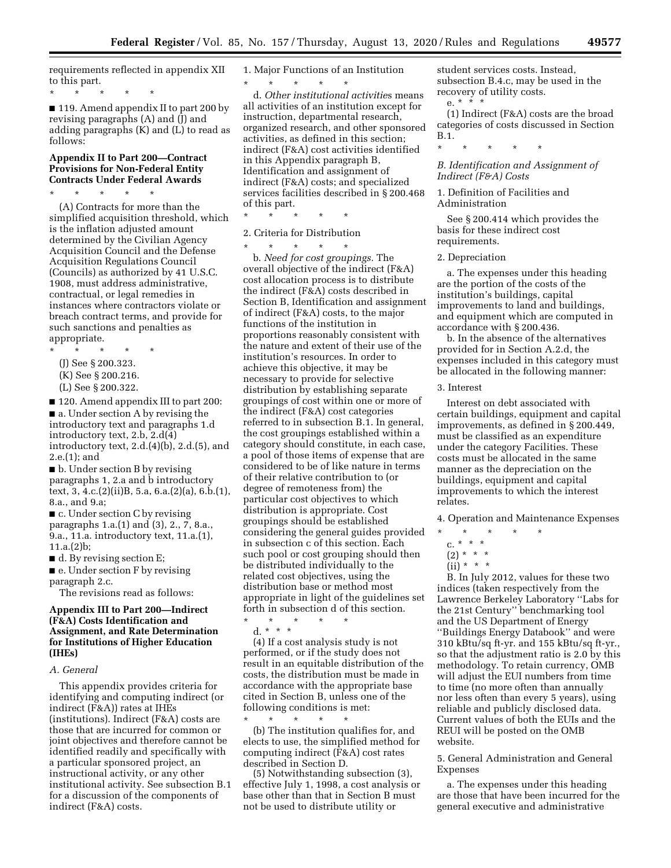requirements reflected in appendix XII to this part.

\* \* \* \* \*

■ 119. Amend appendix II to part 200 by revising paragraphs (A) and (J) and adding paragraphs (K) and (L) to read as follows:

## **Appendix II to Part 200—Contract Provisions for Non-Federal Entity Contracts Under Federal Awards**

\* \* \* \* \* (A) Contracts for more than the simplified acquisition threshold, which is the inflation adjusted amount determined by the Civilian Agency Acquisition Council and the Defense Acquisition Regulations Council (Councils) as authorized by 41 U.S.C. 1908, must address administrative, contractual, or legal remedies in instances where contractors violate or breach contract terms, and provide for such sanctions and penalties as appropriate.

\* \* \* \* \* (J) See § 200.323. (K) See § 200.216. (L) See § 200.322.

■ 120. Amend appendix III to part 200: ■ a. Under section A by revising the introductory text and paragraphs 1.d introductory text, 2.b, 2.d(4) introductory text, 2.d.(4)(b), 2.d.(5), and 2.e.(1); and

■ b. Under section B by revising paragraphs 1, 2.a and b introductory text, 3, 4.c.(2)(ii)B, 5.a, 6.a.(2)(a), 6.b.(1), 8.a., and 9.a;

■ c. Under section C by revising paragraphs 1.a.(1) and (3), 2., 7, 8.a., 9.a., 11.a. introductory text, 11.a.(1), 11.a.(2)b;

 $\blacksquare$  d. By revising section E;

■ e. Under section F by revising paragraph 2.c.

The revisions read as follows:

# **Appendix III to Part 200—Indirect (F&A) Costs Identification and Assignment, and Rate Determination for Institutions of Higher Education (IHEs)**

*A. General* 

This appendix provides criteria for identifying and computing indirect (or indirect (F&A)) rates at IHEs (institutions). Indirect (F&A) costs are those that are incurred for common or joint objectives and therefore cannot be identified readily and specifically with a particular sponsored project, an instructional activity, or any other institutional activity. See subsection B.1 for a discussion of the components of indirect (F&A) costs.

1. Major Functions of an Institution

\* \* \* \* \* d. *Other institutional activitie*s means all activities of an institution except for instruction, departmental research, organized research, and other sponsored activities, as defined in this section; indirect (F&A) cost activities identified in this Appendix paragraph B, Identification and assignment of indirect (F&A) costs; and specialized services facilities described in § 200.468 of this part.

\* \* \* \* \*

## 2. Criteria for Distribution

\* \* \* \* \* b. *Need for cost groupings.* The overall objective of the indirect (F&A) cost allocation process is to distribute the indirect (F&A) costs described in Section B, Identification and assignment of indirect (F&A) costs, to the major functions of the institution in proportions reasonably consistent with the nature and extent of their use of the institution's resources. In order to achieve this objective, it may be necessary to provide for selective distribution by establishing separate groupings of cost within one or more of the indirect (F&A) cost categories referred to in subsection B.1. In general, the cost groupings established within a category should constitute, in each case, a pool of those items of expense that are considered to be of like nature in terms of their relative contribution to (or degree of remoteness from) the particular cost objectives to which distribution is appropriate. Cost groupings should be established considering the general guides provided in subsection c of this section. Each such pool or cost grouping should then be distributed individually to the related cost objectives, using the distribution base or method most appropriate in light of the guidelines set forth in subsection d of this section. \* \* \* \* \*

d. \* \* \*

(4) If a cost analysis study is not performed, or if the study does not result in an equitable distribution of the costs, the distribution must be made in accordance with the appropriate base cited in Section B, unless one of the following conditions is met:

\* \* \* \* \* (b) The institution qualifies for, and elects to use, the simplified method for computing indirect (F&A) cost rates described in Section D.

(5) Notwithstanding subsection (3), effective July 1, 1998, a cost analysis or base other than that in Section B must not be used to distribute utility or

student services costs. Instead, subsection B.4.c, may be used in the recovery of utility costs.

e.  $* \times * * *$ 

(1) Indirect (F&A) costs are the broad categories of costs discussed in Section B.1.

\* \* \* \* \*

*B. Identification and Assignment of Indirect (F&A) Costs* 

1. Definition of Facilities and Administration

See § 200.414 which provides the basis for these indirect cost requirements.

#### 2. Depreciation

a. The expenses under this heading are the portion of the costs of the institution's buildings, capital improvements to land and buildings, and equipment which are computed in accordance with § 200.436.

b. In the absence of the alternatives provided for in Section A.2.d, the expenses included in this category must be allocated in the following manner:

## 3. Interest

Interest on debt associated with certain buildings, equipment and capital improvements, as defined in § 200.449, must be classified as an expenditure under the category Facilities. These costs must be allocated in the same manner as the depreciation on the buildings, equipment and capital improvements to which the interest relates.

4. Operation and Maintenance Expenses

- \* \* \* \* \*
	- c. \* \* \*
	- $(2) * * * *$
	- $(ii) * * * *$

B. In July 2012, values for these two indices (taken respectively from the Lawrence Berkeley Laboratory ''Labs for the 21st Century'' benchmarking tool and the US Department of Energy ''Buildings Energy Databook'' and were 310 kBtu/sq ft-yr. and 155 kBtu/sq ft-yr., so that the adjustment ratio is 2.0 by this methodology. To retain currency, OMB will adjust the EUI numbers from time to time (no more often than annually nor less often than every 5 years), using reliable and publicly disclosed data. Current values of both the EUIs and the REUI will be posted on the OMB website.

5. General Administration and General Expenses

a. The expenses under this heading are those that have been incurred for the general executive and administrative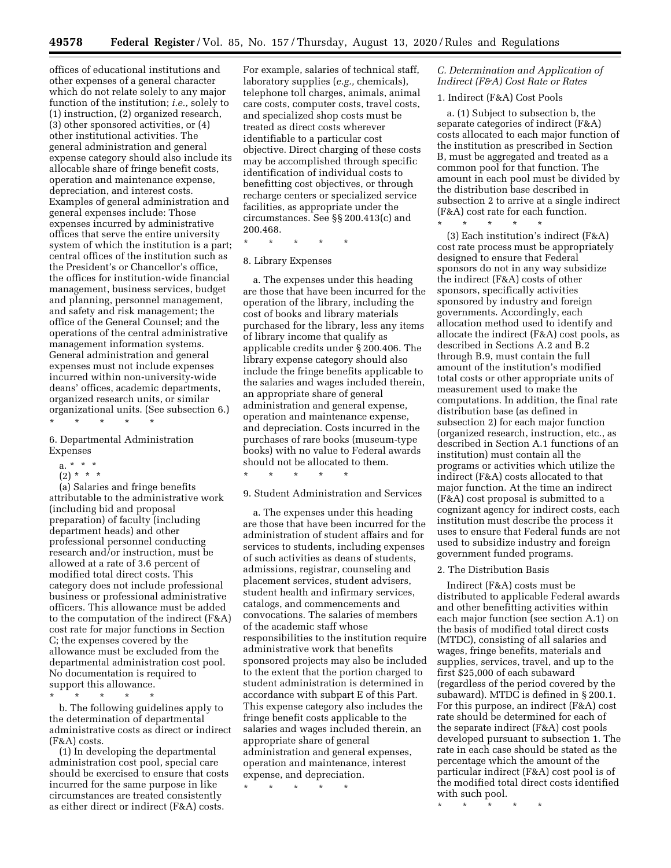offices of educational institutions and other expenses of a general character which do not relate solely to any major function of the institution; *i.e.,* solely to (1) instruction, (2) organized research, (3) other sponsored activities, or (4) other institutional activities. The general administration and general expense category should also include its allocable share of fringe benefit costs, operation and maintenance expense, depreciation, and interest costs. Examples of general administration and general expenses include: Those expenses incurred by administrative offices that serve the entire university system of which the institution is a part; central offices of the institution such as the President's or Chancellor's office, the offices for institution-wide financial management, business services, budget and planning, personnel management, and safety and risk management; the office of the General Counsel; and the operations of the central administrative management information systems. General administration and general expenses must not include expenses incurred within non-university-wide deans' offices, academic departments, organized research units, or similar organizational units. (See subsection 6.)

## \* \* \* \* \*

# 6. Departmental Administration Expenses

- a. \* \* \*
- $(2) * * * *$

(a) Salaries and fringe benefits attributable to the administrative work (including bid and proposal preparation) of faculty (including department heads) and other professional personnel conducting research and/or instruction, must be allowed at a rate of 3.6 percent of modified total direct costs. This category does not include professional business or professional administrative officers. This allowance must be added to the computation of the indirect (F&A) cost rate for major functions in Section C; the expenses covered by the allowance must be excluded from the departmental administration cost pool. No documentation is required to support this allowance.

\* \* \* \* \*

b. The following guidelines apply to the determination of departmental administrative costs as direct or indirect (F&A) costs.

(1) In developing the departmental administration cost pool, special care should be exercised to ensure that costs incurred for the same purpose in like circumstances are treated consistently as either direct or indirect (F&A) costs.

For example, salaries of technical staff, laboratory supplies (*e.g.,* chemicals), telephone toll charges, animals, animal care costs, computer costs, travel costs, and specialized shop costs must be treated as direct costs wherever identifiable to a particular cost objective. Direct charging of these costs may be accomplished through specific identification of individual costs to benefitting cost objectives, or through recharge centers or specialized service facilities, as appropriate under the circumstances. See §§ 200.413(c) and 200.468.

\* \* \* \* \*

## 8. Library Expenses

a. The expenses under this heading are those that have been incurred for the operation of the library, including the cost of books and library materials purchased for the library, less any items of library income that qualify as applicable credits under § 200.406. The library expense category should also include the fringe benefits applicable to the salaries and wages included therein, an appropriate share of general administration and general expense, operation and maintenance expense, and depreciation. Costs incurred in the purchases of rare books (museum-type books) with no value to Federal awards should not be allocated to them.

\* \* \* \* \*

### 9. Student Administration and Services

a. The expenses under this heading are those that have been incurred for the administration of student affairs and for services to students, including expenses of such activities as deans of students, admissions, registrar, counseling and placement services, student advisers, student health and infirmary services, catalogs, and commencements and convocations. The salaries of members of the academic staff whose responsibilities to the institution require administrative work that benefits sponsored projects may also be included to the extent that the portion charged to student administration is determined in accordance with subpart E of this Part. This expense category also includes the fringe benefit costs applicable to the salaries and wages included therein, an appropriate share of general administration and general expenses, operation and maintenance, interest expense, and depreciation.

\* \* \* \* \*

# *C. Determination and Application of Indirect (F&A) Cost Rate or Rates*

#### 1. Indirect (F&A) Cost Pools

a. (1) Subject to subsection b, the separate categories of indirect (F&A) costs allocated to each major function of the institution as prescribed in Section B, must be aggregated and treated as a common pool for that function. The amount in each pool must be divided by the distribution base described in subsection 2 to arrive at a single indirect (F&A) cost rate for each function.

\* \* \* \* \*

(3) Each institution's indirect (F&A) cost rate process must be appropriately designed to ensure that Federal sponsors do not in any way subsidize the indirect (F&A) costs of other sponsors, specifically activities sponsored by industry and foreign governments. Accordingly, each allocation method used to identify and allocate the indirect (F&A) cost pools, as described in Sections A.2 and B.2 through B.9, must contain the full amount of the institution's modified total costs or other appropriate units of measurement used to make the computations. In addition, the final rate distribution base (as defined in subsection 2) for each major function (organized research, instruction, etc., as described in Section A.1 functions of an institution) must contain all the programs or activities which utilize the indirect (F&A) costs allocated to that major function. At the time an indirect (F&A) cost proposal is submitted to a cognizant agency for indirect costs, each institution must describe the process it uses to ensure that Federal funds are not used to subsidize industry and foreign government funded programs.

#### 2. The Distribution Basis

Indirect (F&A) costs must be distributed to applicable Federal awards and other benefitting activities within each major function (see section A.1) on the basis of modified total direct costs (MTDC), consisting of all salaries and wages, fringe benefits, materials and supplies, services, travel, and up to the first \$25,000 of each subaward (regardless of the period covered by the subaward). MTDC is defined in § 200.1. For this purpose, an indirect (F&A) cost rate should be determined for each of the separate indirect (F&A) cost pools developed pursuant to subsection 1. The rate in each case should be stated as the percentage which the amount of the particular indirect (F&A) cost pool is of the modified total direct costs identified with such pool.

\* \* \* \* \*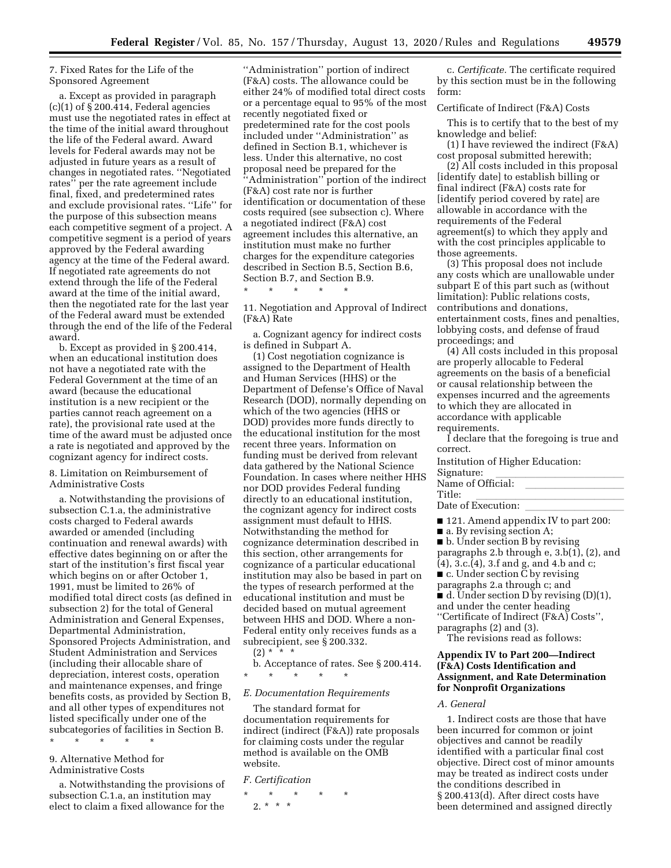# 7. Fixed Rates for the Life of the Sponsored Agreement

a. Except as provided in paragraph  $(c)(1)$  of § 200.414, Federal agencies must use the negotiated rates in effect at the time of the initial award throughout the life of the Federal award. Award levels for Federal awards may not be adjusted in future years as a result of changes in negotiated rates. ''Negotiated rates'' per the rate agreement include final, fixed, and predetermined rates and exclude provisional rates. ''Life'' for the purpose of this subsection means each competitive segment of a project. A competitive segment is a period of years approved by the Federal awarding agency at the time of the Federal award. If negotiated rate agreements do not extend through the life of the Federal award at the time of the initial award, then the negotiated rate for the last year of the Federal award must be extended through the end of the life of the Federal award.

b. Except as provided in § 200.414, when an educational institution does not have a negotiated rate with the Federal Government at the time of an award (because the educational institution is a new recipient or the parties cannot reach agreement on a rate), the provisional rate used at the time of the award must be adjusted once a rate is negotiated and approved by the cognizant agency for indirect costs.

## 8. Limitation on Reimbursement of Administrative Costs

a. Notwithstanding the provisions of subsection C.1.a, the administrative costs charged to Federal awards awarded or amended (including continuation and renewal awards) with effective dates beginning on or after the start of the institution's first fiscal year which begins on or after October 1, 1991, must be limited to 26% of modified total direct costs (as defined in subsection 2) for the total of General Administration and General Expenses, Departmental Administration, Sponsored Projects Administration, and Student Administration and Services (including their allocable share of depreciation, interest costs, operation and maintenance expenses, and fringe benefits costs, as provided by Section B, and all other types of expenditures not listed specifically under one of the subcategories of facilities in Section B. \* \* \* \* \*

9. Alternative Method for Administrative Costs

a. Notwithstanding the provisions of subsection C.1.a, an institution may elect to claim a fixed allowance for the

''Administration'' portion of indirect (F&A) costs. The allowance could be either 24% of modified total direct costs or a percentage equal to 95% of the most recently negotiated fixed or predetermined rate for the cost pools included under ''Administration'' as defined in Section B.1, whichever is less. Under this alternative, no cost proposal need be prepared for the ''Administration'' portion of the indirect (F&A) cost rate nor is further identification or documentation of these costs required (see subsection c). Where a negotiated indirect (F&A) cost agreement includes this alternative, an institution must make no further charges for the expenditure categories described in Section B.5, Section B.6, Section B.7, and Section B.9.

11. Negotiation and Approval of Indirect (F&A) Rate

\* \* \* \* \*

a. Cognizant agency for indirect costs is defined in Subpart A.

(1) Cost negotiation cognizance is assigned to the Department of Health and Human Services (HHS) or the Department of Defense's Office of Naval Research (DOD), normally depending on which of the two agencies (HHS or DOD) provides more funds directly to the educational institution for the most recent three years. Information on funding must be derived from relevant data gathered by the National Science Foundation. In cases where neither HHS nor DOD provides Federal funding directly to an educational institution, the cognizant agency for indirect costs assignment must default to HHS. Notwithstanding the method for cognizance determination described in this section, other arrangements for cognizance of a particular educational institution may also be based in part on the types of research performed at the educational institution and must be decided based on mutual agreement between HHS and DOD. Where a non-Federal entity only receives funds as a subrecipient, see § 200.332.

 $(2) * * * *$ 

b. Acceptance of rates. See § 200.414. \* \* \* \* \*

## *E. Documentation Requirements*

The standard format for documentation requirements for indirect (indirect (F&A)) rate proposals for claiming costs under the regular method is available on the OMB website.

#### *F. Certification*

\* \* \* \* \* 2. \* \* \*

c. *Certificate.* The certificate required by this section must be in the following form:

#### Certificate of Indirect (F&A) Costs

This is to certify that to the best of my knowledge and belief:

(1) I have reviewed the indirect (F&A) cost proposal submitted herewith;

(2) All costs included in this proposal [identify date] to establish billing or final indirect (F&A) costs rate for [identify period covered by rate] are allowable in accordance with the requirements of the Federal agreement(s) to which they apply and with the cost principles applicable to those agreements.

(3) This proposal does not include any costs which are unallowable under subpart E of this part such as (without limitation): Public relations costs, contributions and donations, entertainment costs, fines and penalties, lobbying costs, and defense of fraud proceedings; and

(4) All costs included in this proposal are properly allocable to Federal agreements on the basis of a beneficial or causal relationship between the expenses incurred and the agreements to which they are allocated in accordance with applicable requirements.

I declare that the foregoing is true and correct.

Institution of Higher Education: Signature:<br>Name of Official:

# Name of Official: llllllllll

Title:<br>Date of Execution: Date of Execution: llllllllll

■ 121. Amend appendix IV to part 200:

■ a. By revising section A;

■ b. Under section B by revising paragraphs 2.b through e, 3.b(1), (2), and (4), 3.c.(4), 3.f and g, and 4.b and c; ■ c. Under section  $\bar{C}$  by revising paragraphs 2.a through c; and  $\blacksquare$  d. Under section D by revising (D)(1), and under the center heading ''Certificate of Indirect (F&A) Costs'', paragraphs (2) and (3).

The revisions read as follows:

# **Appendix IV to Part 200—Indirect (F&A) Costs Identification and Assignment, and Rate Determination for Nonprofit Organizations**

#### *A. General*

1. Indirect costs are those that have been incurred for common or joint objectives and cannot be readily identified with a particular final cost objective. Direct cost of minor amounts may be treated as indirect costs under the conditions described in § 200.413(d). After direct costs have been determined and assigned directly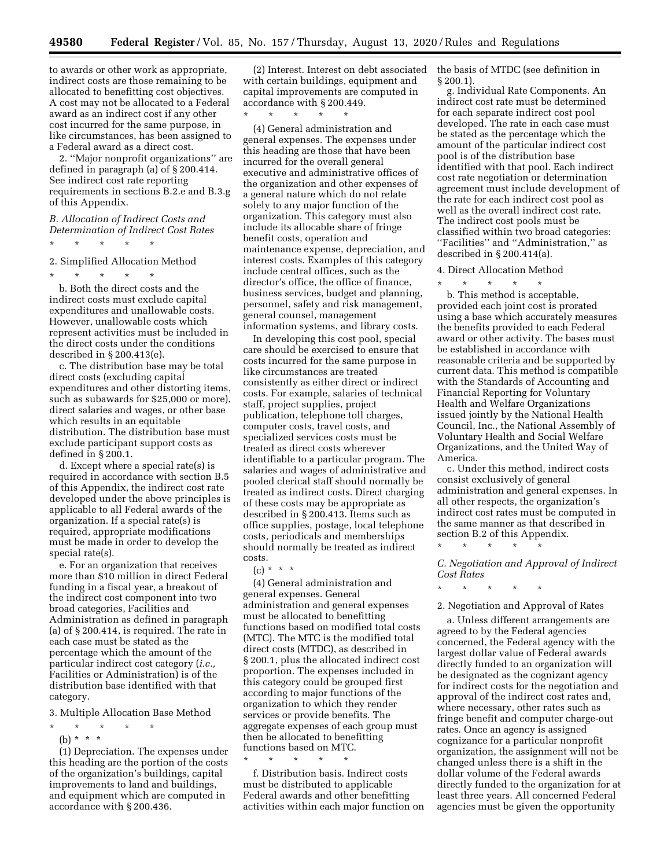to awards or other work as appropriate, indirect costs are those remaining to be allocated to benefitting cost objectives. A cost may not be allocated to a Federal award as an indirect cost if any other cost incurred for the same purpose, in like circumstances, has been assigned to a Federal award as a direct cost.

2. ''Major nonprofit organizations'' are defined in paragraph (a) of § 200.414. See indirect cost rate reporting requirements in sections B.2.e and B.3.g of this Appendix.

*B. Allocation of Indirect Costs and Determination of Indirect Cost Rates* 

\* \* \* \* \*

2. Simplified Allocation Method

\* \* \* \* \* b. Both the direct costs and the indirect costs must exclude capital expenditures and unallowable costs. However, unallowable costs which represent activities must be included in the direct costs under the conditions described in § 200.413(e).

c. The distribution base may be total direct costs (excluding capital expenditures and other distorting items, such as subawards for \$25,000 or more), direct salaries and wages, or other base which results in an equitable distribution. The distribution base must exclude participant support costs as defined in § 200.1.

d. Except where a special rate(s) is required in accordance with section B.5 of this Appendix, the indirect cost rate developed under the above principles is applicable to all Federal awards of the organization. If a special rate(s) is required, appropriate modifications must be made in order to develop the special rate(s).

e. For an organization that receives more than \$10 million in direct Federal funding in a fiscal year, a breakout of the indirect cost component into two broad categories, Facilities and Administration as defined in paragraph (a) of § 200.414, is required. The rate in each case must be stated as the percentage which the amount of the particular indirect cost category (*i.e.,*  Facilities or Administration) is of the distribution base identified with that category.

3. Multiple Allocation Base Method

\* \* \* \* \* (b) \* \* \*

(1) Depreciation. The expenses under this heading are the portion of the costs of the organization's buildings, capital improvements to land and buildings, and equipment which are computed in accordance with § 200.436.

(2) Interest. Interest on debt associated with certain buildings, equipment and capital improvements are computed in accordance with § 200.449.

\* \* \* \* \*

(4) General administration and general expenses. The expenses under this heading are those that have been incurred for the overall general executive and administrative offices of the organization and other expenses of a general nature which do not relate solely to any major function of the organization. This category must also include its allocable share of fringe benefit costs, operation and maintenance expense, depreciation, and interest costs. Examples of this category include central offices, such as the director's office, the office of finance, business services, budget and planning, personnel, safety and risk management, general counsel, management information systems, and library costs.

In developing this cost pool, special care should be exercised to ensure that costs incurred for the same purpose in like circumstances are treated consistently as either direct or indirect costs. For example, salaries of technical staff, project supplies, project publication, telephone toll charges, computer costs, travel costs, and specialized services costs must be treated as direct costs wherever identifiable to a particular program. The salaries and wages of administrative and pooled clerical staff should normally be treated as indirect costs. Direct charging of these costs may be appropriate as described in § 200.413. Items such as office supplies, postage, local telephone costs, periodicals and memberships should normally be treated as indirect costs.

 $(c) * * * *$ 

(4) General administration and general expenses. General administration and general expenses must be allocated to benefitting functions based on modified total costs (MTC). The MTC is the modified total direct costs (MTDC), as described in § 200.1, plus the allocated indirect cost proportion. The expenses included in this category could be grouped first according to major functions of the organization to which they render services or provide benefits. The aggregate expenses of each group must then be allocated to benefitting functions based on MTC. \* \* \* \* \*

f. Distribution basis. Indirect costs must be distributed to applicable Federal awards and other benefitting activities within each major function on the basis of MTDC (see definition in § 200.1).

g. Individual Rate Components. An indirect cost rate must be determined for each separate indirect cost pool developed. The rate in each case must be stated as the percentage which the amount of the particular indirect cost pool is of the distribution base identified with that pool. Each indirect cost rate negotiation or determination agreement must include development of the rate for each indirect cost pool as well as the overall indirect cost rate. The indirect cost pools must be classified within two broad categories: ''Facilities'' and ''Administration,'' as described in § 200.414(a).

4. Direct Allocation Method

\* \* \* \* \*

b. This method is acceptable, provided each joint cost is prorated using a base which accurately measures the benefits provided to each Federal award or other activity. The bases must be established in accordance with reasonable criteria and be supported by current data. This method is compatible with the Standards of Accounting and Financial Reporting for Voluntary Health and Welfare Organizations issued jointly by the National Health Council, Inc., the National Assembly of Voluntary Health and Social Welfare Organizations, and the United Way of America.

c. Under this method, indirect costs consist exclusively of general administration and general expenses. In all other respects, the organization's indirect cost rates must be computed in the same manner as that described in section B.2 of this Appendix.

\* \* \* \* \*

*C. Negotiation and Approval of Indirect Cost Rates* 

\* \* \* \* \*

#### 2. Negotiation and Approval of Rates

a. Unless different arrangements are agreed to by the Federal agencies concerned, the Federal agency with the largest dollar value of Federal awards directly funded to an organization will be designated as the cognizant agency for indirect costs for the negotiation and approval of the indirect cost rates and, where necessary, other rates such as fringe benefit and computer charge-out rates. Once an agency is assigned cognizance for a particular nonprofit organization, the assignment will not be changed unless there is a shift in the dollar volume of the Federal awards directly funded to the organization for at least three years. All concerned Federal agencies must be given the opportunity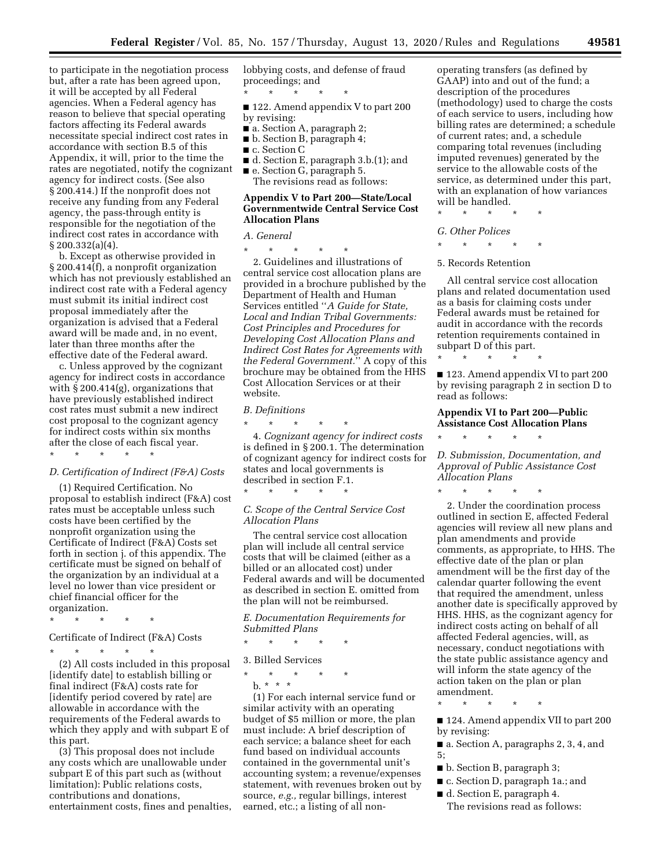to participate in the negotiation process but, after a rate has been agreed upon, it will be accepted by all Federal agencies. When a Federal agency has reason to believe that special operating factors affecting its Federal awards necessitate special indirect cost rates in accordance with section B.5 of this Appendix, it will, prior to the time the rates are negotiated, notify the cognizant agency for indirect costs. (See also § 200.414.) If the nonprofit does not receive any funding from any Federal agency, the pass-through entity is responsible for the negotiation of the indirect cost rates in accordance with § 200.332(a)(4).

b. Except as otherwise provided in § 200.414(f), a nonprofit organization which has not previously established an indirect cost rate with a Federal agency must submit its initial indirect cost proposal immediately after the organization is advised that a Federal award will be made and, in no event, later than three months after the effective date of the Federal award.

c. Unless approved by the cognizant agency for indirect costs in accordance with § 200.414(g), organizations that have previously established indirect cost rates must submit a new indirect cost proposal to the cognizant agency for indirect costs within six months after the close of each fiscal year. \* \* \* \* \*

#### *D. Certification of Indirect (F&A) Costs*

(1) Required Certification. No proposal to establish indirect (F&A) cost rates must be acceptable unless such costs have been certified by the nonprofit organization using the Certificate of Indirect (F&A) Costs set forth in section j. of this appendix. The certificate must be signed on behalf of the organization by an individual at a level no lower than vice president or chief financial officer for the organization.

\* \* \* \* \*

Certificate of Indirect (F&A) Costs

\* \* \* \* \*

(2) All costs included in this proposal [identify date] to establish billing or final indirect (F&A) costs rate for [identify period covered by rate] are allowable in accordance with the requirements of the Federal awards to which they apply and with subpart E of this part.

(3) This proposal does not include any costs which are unallowable under subpart E of this part such as (without limitation): Public relations costs, contributions and donations, entertainment costs, fines and penalties, lobbying costs, and defense of fraud proceedings; and

■ 122. Amend appendix V to part 200 by revising:

■ a. Section A, paragraph 2;

\* \* \* \* \*

- b. Section B, paragraph 4;
- c. Section C
- d. Section E, paragraph 3.b.(1); and

■ e. Section G, paragraph 5. The revisions read as follows:

# **Appendix V to Part 200—State/Local Governmentwide Central Service Cost Allocation Plans**

*A. General* 

\* \* \* \* \*

2. Guidelines and illustrations of central service cost allocation plans are provided in a brochure published by the Department of Health and Human Services entitled ''*A Guide for State, Local and Indian Tribal Governments: Cost Principles and Procedures for Developing Cost Allocation Plans and Indirect Cost Rates for Agreements with the Federal Government.*'' A copy of this brochure may be obtained from the HHS Cost Allocation Services or at their website.

#### *B. Definitions*

\* \* \* \* \* 4. *Cognizant agency for indirect costs*  is defined in § 200.1. The determination of cognizant agency for indirect costs for states and local governments is described in section F.1.

#### *C. Scope of the Central Service Cost Allocation Plans*

\* \* \* \* \*

The central service cost allocation plan will include all central service costs that will be claimed (either as a billed or an allocated cost) under Federal awards and will be documented as described in section E. omitted from the plan will not be reimbursed.

# *E. Documentation Requirements for Submitted Plans*

\* \* \* \* \*

## 3. Billed Services

\* \* \* \* \*

 $\mathbf{b}$ . \* \* \*

(1) For each internal service fund or similar activity with an operating budget of \$5 million or more, the plan must include: A brief description of each service; a balance sheet for each fund based on individual accounts contained in the governmental unit's accounting system; a revenue/expenses statement, with revenues broken out by source, *e.g.,* regular billings, interest earned, etc.; a listing of all non-

operating transfers (as defined by GAAP) into and out of the fund; a description of the procedures (methodology) used to charge the costs of each service to users, including how billing rates are determined; a schedule of current rates; and, a schedule comparing total revenues (including imputed revenues) generated by the service to the allowable costs of the service, as determined under this part, with an explanation of how variances will be handled.

\* \* \* \* \*

## *G. Other Polices*

\* \* \* \* \*

#### 5. Records Retention

All central service cost allocation plans and related documentation used as a basis for claiming costs under Federal awards must be retained for audit in accordance with the records retention requirements contained in subpart D of this part.

\* \* \* \* \*

■ 123. Amend appendix VI to part 200 by revising paragraph 2 in section D to read as follows:

## **Appendix VI to Part 200—Public Assistance Cost Allocation Plans**

\* \* \* \* \*

*D. Submission, Documentation, and Approval of Public Assistance Cost Allocation Plans* 

\* \* \* \* \*

2. Under the coordination process outlined in section E, affected Federal agencies will review all new plans and plan amendments and provide comments, as appropriate, to HHS. The effective date of the plan or plan amendment will be the first day of the calendar quarter following the event that required the amendment, unless another date is specifically approved by HHS. HHS, as the cognizant agency for indirect costs acting on behalf of all affected Federal agencies, will, as necessary, conduct negotiations with the state public assistance agency and will inform the state agency of the action taken on the plan or plan amendment.

\* \* \* \* \*

■ 124. Amend appendix VII to part 200 by revising:

■ a. Section A, paragraphs 2, 3, 4, and 5;

- b. Section B, paragraph 3;
- c. Section D, paragraph 1a.; and

■ d. Section E, paragraph 4. The revisions read as follows: